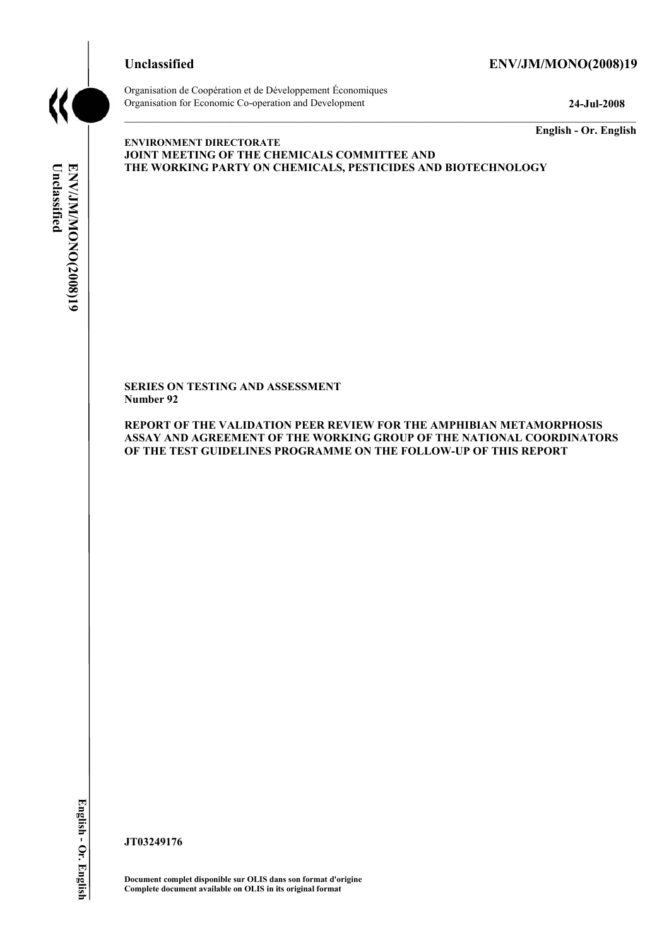

# **Unclassified ENV/JM/MONO(2008)19**



Organisation de Coopération et de Développement Économiques Organisation for Economic Co-operation and Development **24-Jul-2008** 

**English - Or. English** 

# Unclassified **Unclassified**  ENV/JM/MONON0(2008)19 **ENV/JM/MONO(2008)19 English - Or. English**

**ENVIRONMENT DIRECTORATE JOINT MEETING OF THE CHEMICALS COMMITTEE AND THE WORKING PARTY ON CHEMICALS, PESTICIDES AND BIOTECHNOLOGY** 

**SERIES ON TESTING AND ASSESSMENT Number 92** 

**REPORT OF THE VALIDATION PEER REVIEW FOR THE AMPHIBIAN METAMORPHOSIS ASSAY AND AGREEMENT OF THE WORKING GROUP OF THE NATIONAL COORDINATORS OF THE TEST GUIDELINES PROGRAMME ON THE FOLLOW-UP OF THIS REPORT** 

English - Or. English

**JT03249176** 

**Document complet disponible sur OLIS dans son format d'origine Complete document available on OLIS in its original format**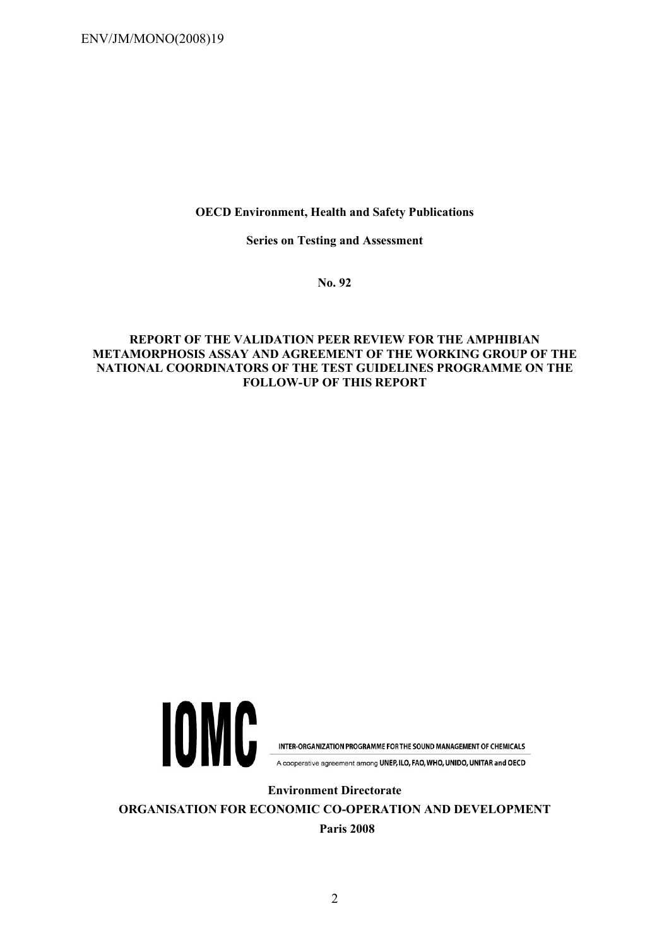### **OECD Environment, Health and Safety Publications**

**Series on Testing and Assessment** 

**No. 92** 

# **REPORT OF THE VALIDATION PEER REVIEW FOR THE AMPHIBIAN METAMORPHOSIS ASSAY AND AGREEMENT OF THE WORKING GROUP OF THE NATIONAL COORDINATORS OF THE TEST GUIDELINES PROGRAMME ON THE FOLLOW-UP OF THIS REPORT**



INTER-ORGANIZATION PROGRAMME FOR THE SOUND MANAGEMENT OF CHEMICALS

A cooperative agreement among UNEP, ILO, FAO, WHO, UNIDO, UNITAR and OECD

**Environment Directorate ORGANISATION FOR ECONOMIC CO-OPERATION AND DEVELOPMENT Paris 2008**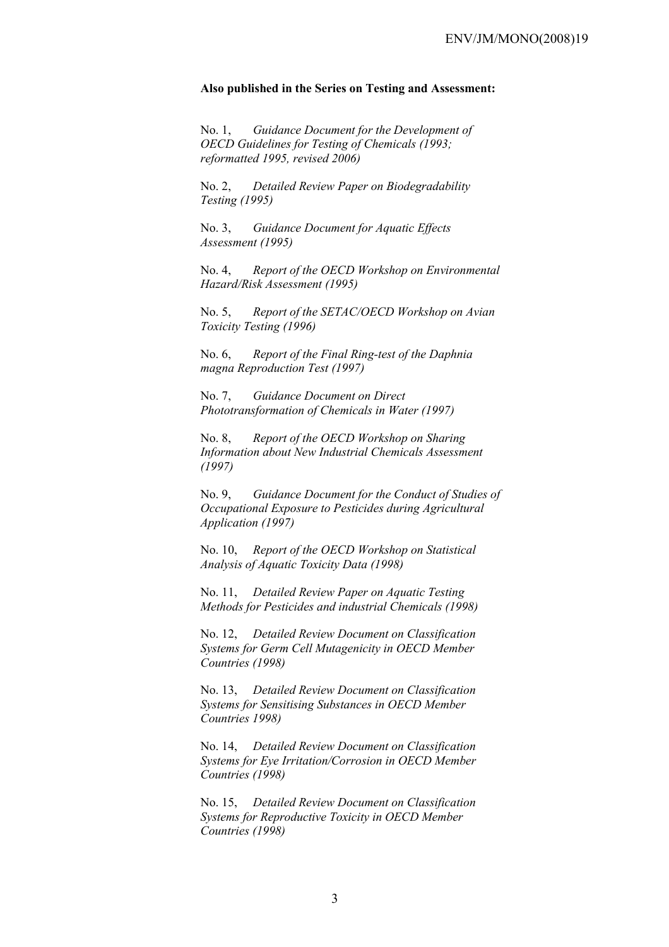### **Also published in the Series on Testing and Assessment:**

No. 1, *Guidance Document for the Development of OECD Guidelines for Testing of Chemicals (1993; reformatted 1995, revised 2006)*

No. 2, *Detailed Review Paper on Biodegradability Testing (1995)*

No. 3, *Guidance Document for Aquatic Effects Assessment (1995)* 

No. 4, *Report of the OECD Workshop on Environmental Hazard/Risk Assessment (1995)*

No. 5, *Report of the SETAC/OECD Workshop on Avian Toxicity Testing (1996)*

No. 6, *Report of the Final Ring-test of the Daphnia magna Reproduction Test (1997)*

No. 7, *Guidance Document on Direct Phototransformation of Chemicals in Water (1997)* 

No. 8, *Report of the OECD Workshop on Sharing Information about New Industrial Chemicals Assessment (1997)*

No. 9, *Guidance Document for the Conduct of Studies of Occupational Exposure to Pesticides during Agricultural Application (1997)*

No. 10, *Report of the OECD Workshop on Statistical Analysis of Aquatic Toxicity Data (1998)*

No. 11, *Detailed Review Paper on Aquatic Testing Methods for Pesticides and industrial Chemicals (1998)*

No. 12, *Detailed Review Document on Classification Systems for Germ Cell Mutagenicity in OECD Member Countries (1998)*

No. 13, *Detailed Review Document on Classification Systems for Sensitising Substances in OECD Member Countries 1998)*

No. 14, *Detailed Review Document on Classification Systems for Eye Irritation/Corrosion in OECD Member Countries (1998)*

No. 15, *Detailed Review Document on Classification Systems for Reproductive Toxicity in OECD Member Countries (1998)*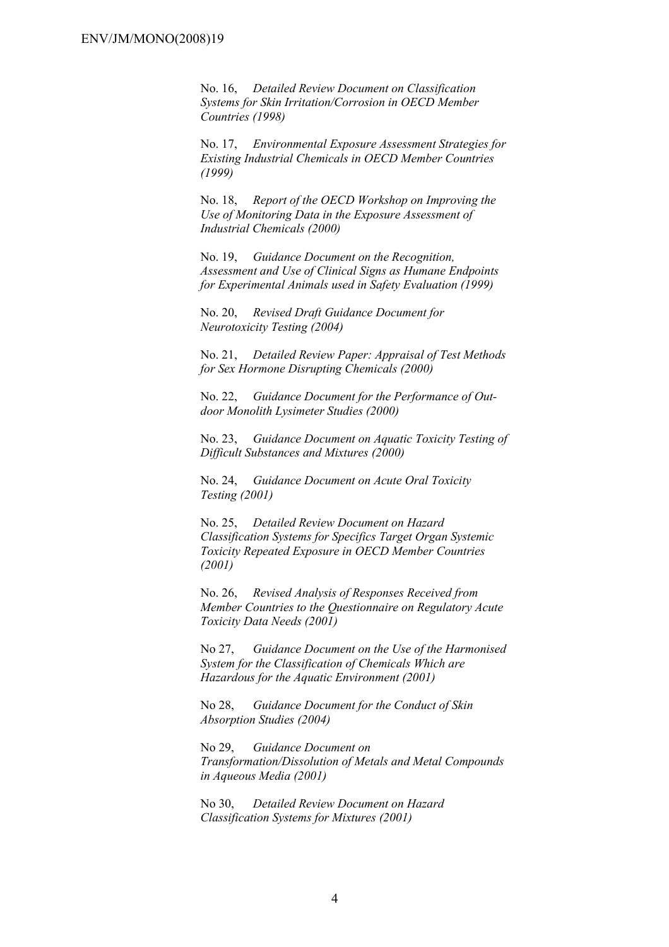No. 16, *Detailed Review Document on Classification Systems for Skin Irritation/Corrosion in OECD Member Countries (1998)*

No. 17, *Environmental Exposure Assessment Strategies for Existing Industrial Chemicals in OECD Member Countries (1999)*

No. 18, *Report of the OECD Workshop on Improving the Use of Monitoring Data in the Exposure Assessment of Industrial Chemicals (2000)*

No. 19, *Guidance Document on the Recognition, Assessment and Use of Clinical Signs as Humane Endpoints for Experimental Animals used in Safety Evaluation (1999)*

No. 20, *Revised Draft Guidance Document for Neurotoxicity Testing (2004)*

No. 21, *Detailed Review Paper: Appraisal of Test Methods for Sex Hormone Disrupting Chemicals (2000)*

No. 22, *Guidance Document for the Performance of Outdoor Monolith Lysimeter Studies (2000)*

No. 23, *Guidance Document on Aquatic Toxicity Testing of Difficult Substances and Mixtures (2000)*

No. 24, *Guidance Document on Acute Oral Toxicity Testing (2001)*

No. 25, *Detailed Review Document on Hazard Classification Systems for Specifics Target Organ Systemic Toxicity Repeated Exposure in OECD Member Countries (2001)*

No. 26, *Revised Analysis of Responses Received from Member Countries to the Questionnaire on Regulatory Acute Toxicity Data Needs (2001)*

No 27, *Guidance Document on the Use of the Harmonised System for the Classification of Chemicals Which are Hazardous for the Aquatic Environment (2001)*

No 28, *Guidance Document for the Conduct of Skin Absorption Studies (2004)*

No 29, *Guidance Document on Transformation/Dissolution of Metals and Metal Compounds in Aqueous Media (2001)*

No 30, *Detailed Review Document on Hazard Classification Systems for Mixtures (2001)*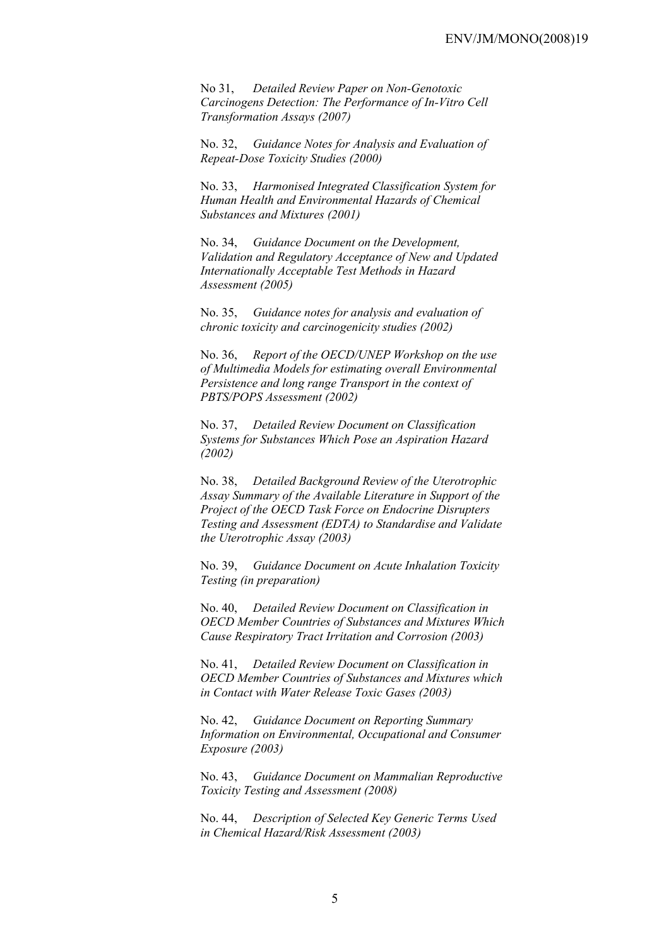No 31, *Detailed Review Paper on Non-Genotoxic Carcinogens Detection: The Performance of In-Vitro Cell Transformation Assays (2007)* 

No. 32, *Guidance Notes for Analysis and Evaluation of Repeat-Dose Toxicity Studies (2000)*

No. 33, *Harmonised Integrated Classification System for Human Health and Environmental Hazards of Chemical Substances and Mixtures (2001)*

No. 34, *Guidance Document on the Development, Validation and Regulatory Acceptance of New and Updated Internationally Acceptable Test Methods in Hazard Assessment (2005)*

No. 35, *Guidance notes for analysis and evaluation of chronic toxicity and carcinogenicity studies (2002)*

No. 36, *Report of the OECD/UNEP Workshop on the use of Multimedia Models for estimating overall Environmental Persistence and long range Transport in the context of PBTS/POPS Assessment (2002)*

No. 37, *Detailed Review Document on Classification Systems for Substances Which Pose an Aspiration Hazard (2002)*

No. 38, *Detailed Background Review of the Uterotrophic Assay Summary of the Available Literature in Support of the Project of the OECD Task Force on Endocrine Disrupters Testing and Assessment (EDTA) to Standardise and Validate the Uterotrophic Assay (2003)*

No. 39, *Guidance Document on Acute Inhalation Toxicity Testing (in preparation)*

No. 40, *Detailed Review Document on Classification in OECD Member Countries of Substances and Mixtures Which Cause Respiratory Tract Irritation and Corrosion (2003)*

No. 41, *Detailed Review Document on Classification in OECD Member Countries of Substances and Mixtures which in Contact with Water Release Toxic Gases (2003)*

No. 42, *Guidance Document on Reporting Summary Information on Environmental, Occupational and Consumer Exposure (2003)*

No. 43, *Guidance Document on Mammalian Reproductive Toxicity Testing and Assessment (2008)*

No. 44, *Description of Selected Key Generic Terms Used in Chemical Hazard/Risk Assessment (2003)*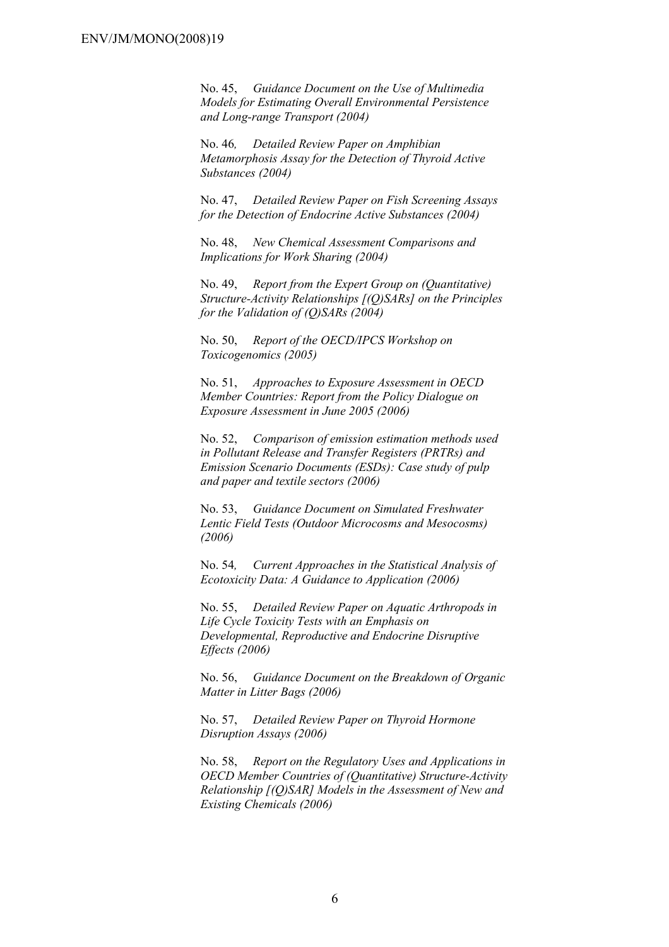No. 45, *Guidance Document on the Use of Multimedia Models for Estimating Overall Environmental Persistence and Long-range Transport (2004)*

No. 46*, Detailed Review Paper on Amphibian Metamorphosis Assay for the Detection of Thyroid Active Substances (2004)* 

No. 47, *Detailed Review Paper on Fish Screening Assays for the Detection of Endocrine Active Substances (2004)* 

No. 48, *New Chemical Assessment Comparisons and Implications for Work Sharing (2004)* 

No. 49, *Report from the Expert Group on (Quantitative) Structure-Activity Relationships [(Q)SARs] on the Principles for the Validation of (Q)SARs (2004)* 

No. 50, *Report of the OECD/IPCS Workshop on Toxicogenomics (2005)* 

No. 51, *Approaches to Exposure Assessment in OECD Member Countries: Report from the Policy Dialogue on Exposure Assessment in June 2005 (2006)* 

No. 52, *Comparison of emission estimation methods used in Pollutant Release and Transfer Registers (PRTRs) and Emission Scenario Documents (ESDs): Case study of pulp and paper and textile sectors (2006)* 

No. 53, *Guidance Document on Simulated Freshwater Lentic Field Tests (Outdoor Microcosms and Mesocosms) (2006)* 

No. 54*, Current Approaches in the Statistical Analysis of Ecotoxicity Data: A Guidance to Application (2006)* 

No. 55, *Detailed Review Paper on Aquatic Arthropods in Life Cycle Toxicity Tests with an Emphasis on Developmental, Reproductive and Endocrine Disruptive Effects (2006)* 

No. 56, *Guidance Document on the Breakdown of Organic Matter in Litter Bags (2006)* 

No. 57, *Detailed Review Paper on Thyroid Hormone Disruption Assays (2006)* 

No. 58, *Report on the Regulatory Uses and Applications in OECD Member Countries of (Quantitative) Structure-Activity Relationship [(Q)SAR] Models in the Assessment of New and Existing Chemicals (2006)*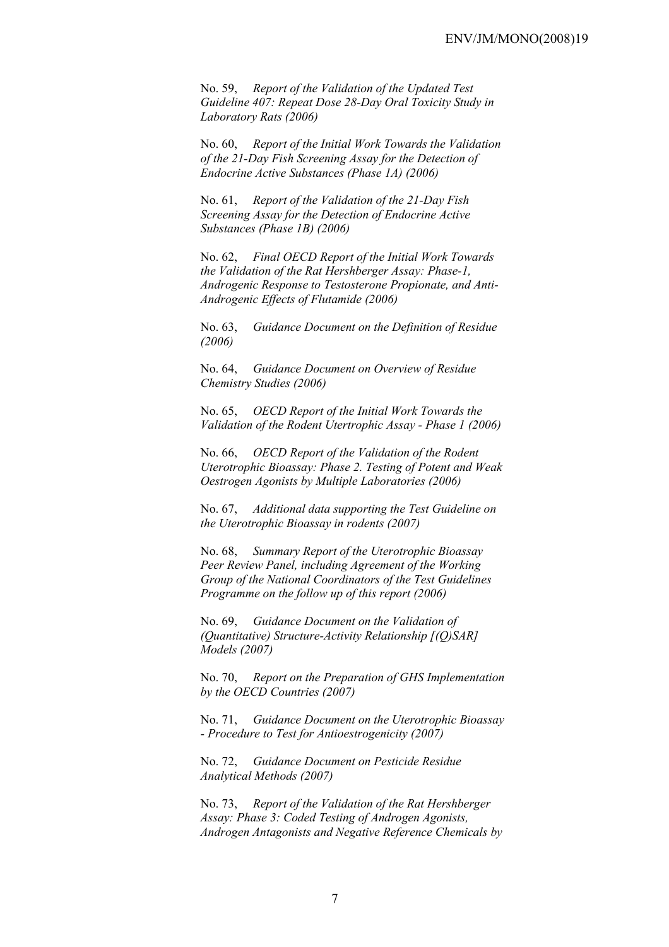No. 59, *Report of the Validation of the Updated Test Guideline 407: Repeat Dose 28-Day Oral Toxicity Study in Laboratory Rats (2006)* 

No. 60, *Report of the Initial Work Towards the Validation of the 21-Day Fish Screening Assay for the Detection of Endocrine Active Substances (Phase 1A) (2006)* 

No. 61, *Report of the Validation of the 21-Day Fish Screening Assay for the Detection of Endocrine Active Substances (Phase 1B) (2006)* 

No. 62, *Final OECD Report of the Initial Work Towards the Validation of the Rat Hershberger Assay: Phase-1, Androgenic Response to Testosterone Propionate, and Anti-Androgenic Effects of Flutamide (2006)* 

No. 63, *Guidance Document on the Definition of Residue (2006)* 

No. 64, *Guidance Document on Overview of Residue Chemistry Studies (2006)* 

No. 65, *OECD Report of the Initial Work Towards the Validation of the Rodent Utertrophic Assay - Phase 1 (2006)* 

No. 66, *OECD Report of the Validation of the Rodent Uterotrophic Bioassay: Phase 2. Testing of Potent and Weak Oestrogen Agonists by Multiple Laboratories (2006)* 

No. 67, *Additional data supporting the Test Guideline on the Uterotrophic Bioassay in rodents (2007)* 

No. 68, *Summary Report of the Uterotrophic Bioassay Peer Review Panel, including Agreement of the Working Group of the National Coordinators of the Test Guidelines Programme on the follow up of this report (2006)* 

No. 69, *Guidance Document on the Validation of (Quantitative) Structure-Activity Relationship [(Q)SAR] Models (2007)* 

No. 70, *Report on the Preparation of GHS Implementation by the OECD Countries (2007)*

No. 71, *Guidance Document on the Uterotrophic Bioassay - Procedure to Test for Antioestrogenicity (2007)*

No. 72, *Guidance Document on Pesticide Residue Analytical Methods (2007)* 

No. 73, *Report of the Validation of the Rat Hershberger Assay: Phase 3: Coded Testing of Androgen Agonists, Androgen Antagonists and Negative Reference Chemicals by*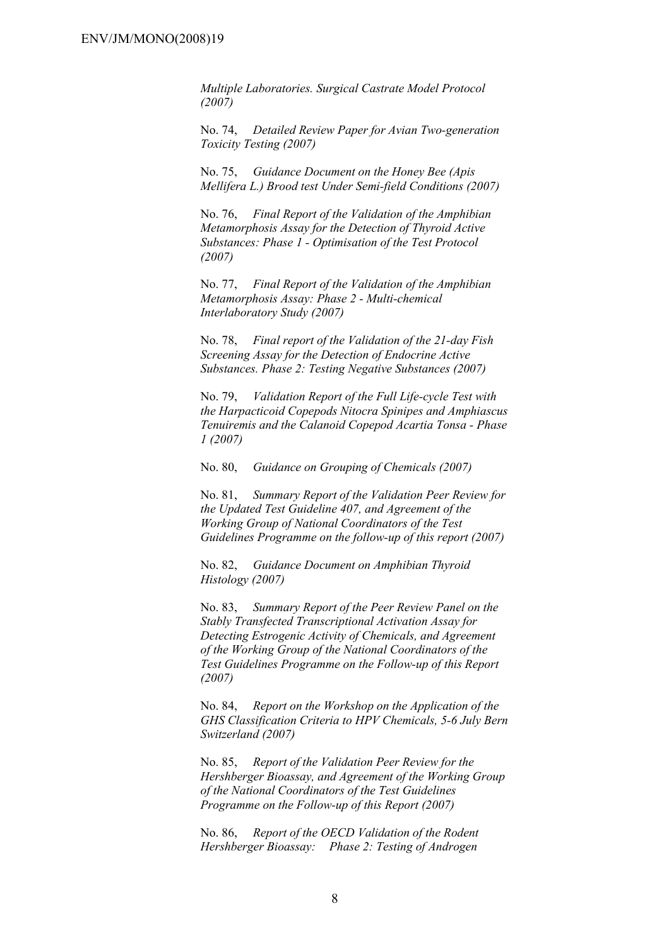*Multiple Laboratories. Surgical Castrate Model Protocol (2007)* 

No. 74, *Detailed Review Paper for Avian Two-generation Toxicity Testing (2007)*

No. 75, *Guidance Document on the Honey Bee (Apis Mellifera L.) Brood test Under Semi-field Conditions (2007)* 

No. 76, *Final Report of the Validation of the Amphibian Metamorphosis Assay for the Detection of Thyroid Active Substances: Phase 1 - Optimisation of the Test Protocol (2007)* 

No. 77, *Final Report of the Validation of the Amphibian Metamorphosis Assay: Phase 2 - Multi-chemical Interlaboratory Study (2007)* 

No. 78, *Final report of the Validation of the 21-day Fish Screening Assay for the Detection of Endocrine Active Substances. Phase 2: Testing Negative Substances (2007)* 

No. 79, *Validation Report of the Full Life-cycle Test with the Harpacticoid Copepods Nitocra Spinipes and Amphiascus Tenuiremis and the Calanoid Copepod Acartia Tonsa - Phase 1 (2007)* 

No. 80, *Guidance on Grouping of Chemicals (2007)* 

No. 81, *Summary Report of the Validation Peer Review for the Updated Test Guideline 407, and Agreement of the Working Group of National Coordinators of the Test Guidelines Programme on the follow-up of this report (2007)* 

No. 82, *Guidance Document on Amphibian Thyroid Histology (2007)* 

No. 83, *Summary Report of the Peer Review Panel on the Stably Transfected Transcriptional Activation Assay for Detecting Estrogenic Activity of Chemicals, and Agreement of the Working Group of the National Coordinators of the Test Guidelines Programme on the Follow-up of this Report (2007)* 

No. 84, *Report on the Workshop on the Application of the GHS Classification Criteria to HPV Chemicals, 5-6 July Bern Switzerland (2007)* 

No. 85, *Report of the Validation Peer Review for the Hershberger Bioassay, and Agreement of the Working Group of the National Coordinators of the Test Guidelines Programme on the Follow-up of this Report (2007)* 

No. 86, *Report of the OECD Validation of the Rodent Hershberger Bioassay: Phase 2: Testing of Androgen*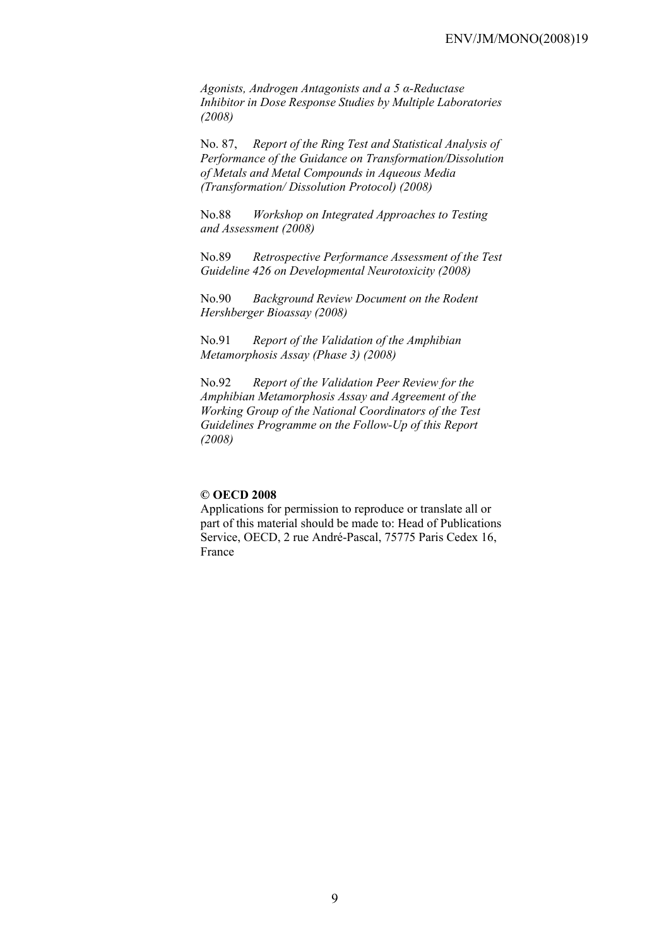*Agonists, Androgen Antagonists and a 5 α-Reductase Inhibitor in Dose Response Studies by Multiple Laboratories (2008)*

No. 87, *Report of the Ring Test and Statistical Analysis of Performance of the Guidance on Transformation/Dissolution of Metals and Metal Compounds in Aqueous Media (Transformation/ Dissolution Protocol) (2008)*

No.88 *Workshop on Integrated Approaches to Testing and Assessment (2008)* 

No.89 *Retrospective Performance Assessment of the Test Guideline 426 on Developmental Neurotoxicity (2008)* 

No.90 *Background Review Document on the Rodent Hershberger Bioassay (2008)* 

No.91 *Report of the Validation of the Amphibian Metamorphosis Assay (Phase 3) (2008)* 

No.92 *Report of the Validation Peer Review for the Amphibian Metamorphosis Assay and Agreement of the Working Group of the National Coordinators of the Test Guidelines Programme on the Follow-Up of this Report (2008)* 

### **© OECD 2008**

Applications for permission to reproduce or translate all or part of this material should be made to: Head of Publications Service, OECD, 2 rue André-Pascal, 75775 Paris Cedex 16, France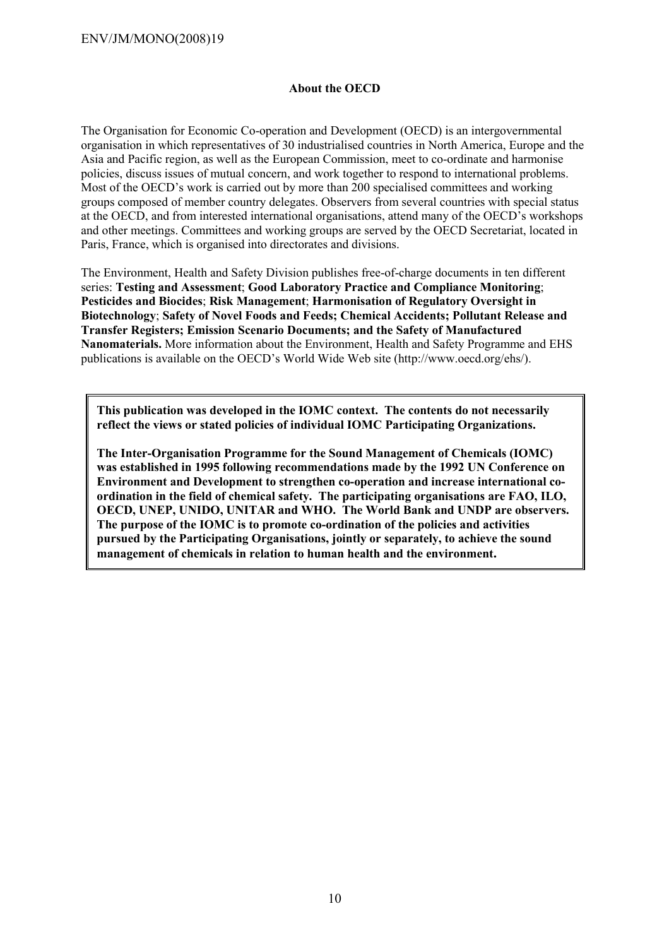### **About the OECD**

The Organisation for Economic Co-operation and Development (OECD) is an intergovernmental organisation in which representatives of 30 industrialised countries in North America, Europe and the Asia and Pacific region, as well as the European Commission, meet to co-ordinate and harmonise policies, discuss issues of mutual concern, and work together to respond to international problems. Most of the OECD's work is carried out by more than 200 specialised committees and working groups composed of member country delegates. Observers from several countries with special status at the OECD, and from interested international organisations, attend many of the OECD's workshops and other meetings. Committees and working groups are served by the OECD Secretariat, located in Paris, France, which is organised into directorates and divisions.

The Environment, Health and Safety Division publishes free-of-charge documents in ten different series: **Testing and Assessment**; **Good Laboratory Practice and Compliance Monitoring**; **Pesticides and Biocides**; **Risk Management**; **Harmonisation of Regulatory Oversight in Biotechnology**; **Safety of Novel Foods and Feeds; Chemical Accidents; Pollutant Release and Transfer Registers; Emission Scenario Documents; and the Safety of Manufactured Nanomaterials.** More information about the Environment, Health and Safety Programme and EHS publications is available on the OECD's World Wide Web site (http://www.oecd.org/ehs/).

**This publication was developed in the IOMC context. The contents do not necessarily reflect the views or stated policies of individual IOMC Participating Organizations.** 

**The Inter-Organisation Programme for the Sound Management of Chemicals (IOMC) was established in 1995 following recommendations made by the 1992 UN Conference on Environment and Development to strengthen co-operation and increase international coordination in the field of chemical safety. The participating organisations are FAO, ILO, OECD, UNEP, UNIDO, UNITAR and WHO. The World Bank and UNDP are observers. The purpose of the IOMC is to promote co-ordination of the policies and activities pursued by the Participating Organisations, jointly or separately, to achieve the sound management of chemicals in relation to human health and the environment.**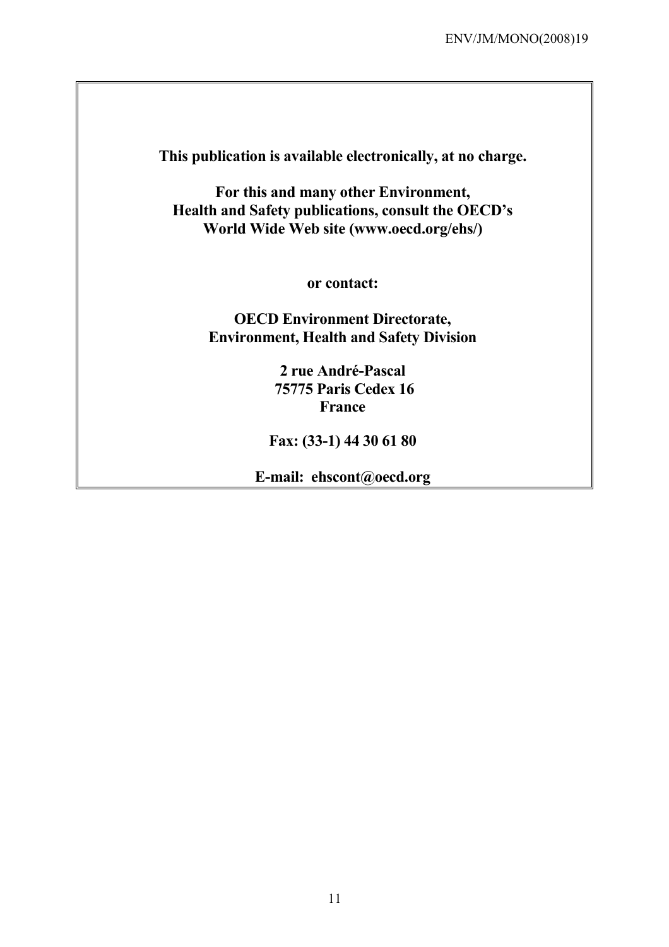**This publication is available electronically, at no charge.** 

**For this and many other Environment, Health and Safety publications, consult the OECD's World Wide Web site (www.oecd.org/ehs/)** 

**or contact:** 

**OECD Environment Directorate, Environment, Health and Safety Division**

> **2 rue André-Pascal 75775 Paris Cedex 16 France**

**Fax: (33-1) 44 30 61 80** 

**E-mail: ehscont@oecd.org**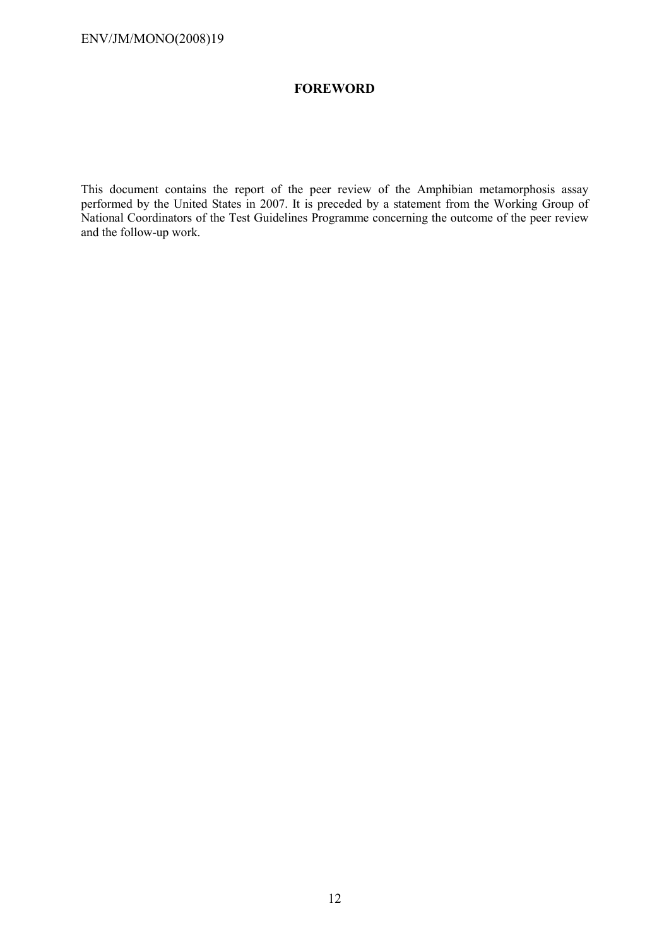### **FOREWORD**

This document contains the report of the peer review of the Amphibian metamorphosis assay performed by the United States in 2007. It is preceded by a statement from the Working Group of National Coordinators of the Test Guidelines Programme concerning the outcome of the peer review and the follow-up work.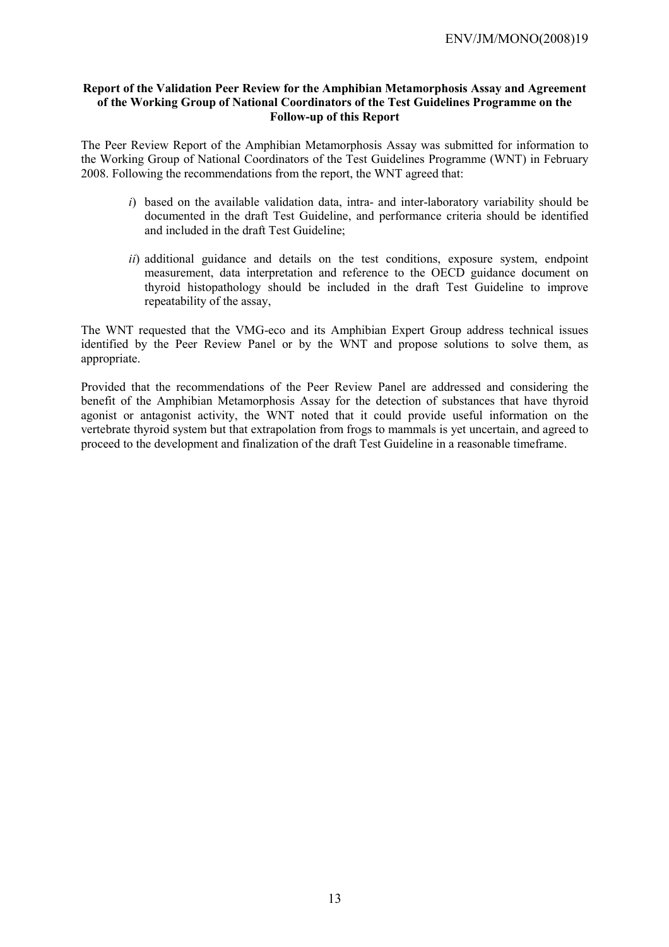### **Report of the Validation Peer Review for the Amphibian Metamorphosis Assay and Agreement of the Working Group of National Coordinators of the Test Guidelines Programme on the Follow-up of this Report**

The Peer Review Report of the Amphibian Metamorphosis Assay was submitted for information to the Working Group of National Coordinators of the Test Guidelines Programme (WNT) in February 2008. Following the recommendations from the report, the WNT agreed that:

- *i*) based on the available validation data, intra- and inter-laboratory variability should be documented in the draft Test Guideline, and performance criteria should be identified and included in the draft Test Guideline;
- *ii*) additional guidance and details on the test conditions, exposure system, endpoint measurement, data interpretation and reference to the OECD guidance document on thyroid histopathology should be included in the draft Test Guideline to improve repeatability of the assay,

The WNT requested that the VMG-eco and its Amphibian Expert Group address technical issues identified by the Peer Review Panel or by the WNT and propose solutions to solve them, as appropriate.

Provided that the recommendations of the Peer Review Panel are addressed and considering the benefit of the Amphibian Metamorphosis Assay for the detection of substances that have thyroid agonist or antagonist activity, the WNT noted that it could provide useful information on the vertebrate thyroid system but that extrapolation from frogs to mammals is yet uncertain, and agreed to proceed to the development and finalization of the draft Test Guideline in a reasonable timeframe.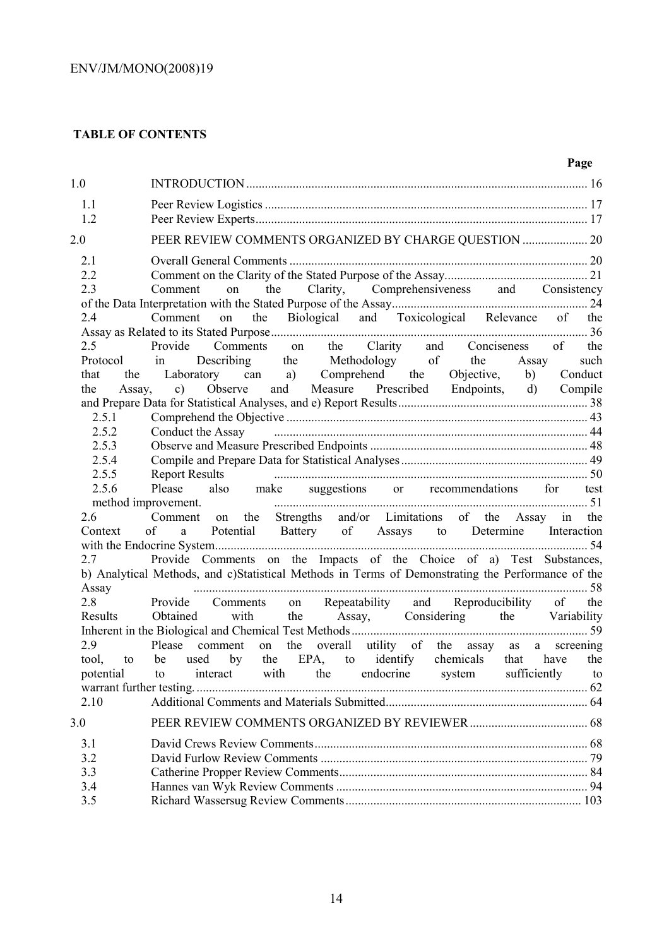# **TABLE OF CONTENTS**

|                |                                                                                                                                                                                                                                | Page |
|----------------|--------------------------------------------------------------------------------------------------------------------------------------------------------------------------------------------------------------------------------|------|
| 1.0            |                                                                                                                                                                                                                                |      |
| 1.1            |                                                                                                                                                                                                                                |      |
| 1.2            |                                                                                                                                                                                                                                |      |
| 2.0            | PEER REVIEW COMMENTS ORGANIZED BY CHARGE QUESTION  20                                                                                                                                                                          |      |
| 2.1            |                                                                                                                                                                                                                                |      |
| 2.2            |                                                                                                                                                                                                                                |      |
| 2.3            | the Clarity, Comprehensiveness and Consistency<br>on<br>Comment                                                                                                                                                                |      |
|                |                                                                                                                                                                                                                                |      |
| 2.4            | on the Biological and Toxicological Relevance of the<br>Comment                                                                                                                                                                |      |
|                |                                                                                                                                                                                                                                |      |
| 2.5            | Provide Comments on the Clarity and Conciseness of the                                                                                                                                                                         |      |
|                | Protocol in Describing the Methodology of the Assay                                                                                                                                                                            | such |
| that           | the Laboratory can a) Comprehend the Objective, b) Conduct                                                                                                                                                                     |      |
| the            | Assay, c) Observe and Measure Prescribed Endpoints, d) Compile                                                                                                                                                                 |      |
|                |                                                                                                                                                                                                                                |      |
| 2.5.1          |                                                                                                                                                                                                                                |      |
| 2.5.2          | Conduct the Assay manufactured and the Assay and the Assay and the Assay and the Assay and the Assay and the Assay and the Assay and the Assay and the Assay and the Assay and the Assay and the Assay and the Assay and the A |      |
| 2.5.3          |                                                                                                                                                                                                                                |      |
| 2.5.4<br>2.5.5 | <b>Report Results</b>                                                                                                                                                                                                          |      |
| 2.5.6          | Please also make suggestions or recommendations for test                                                                                                                                                                       |      |
|                | method improvement.                                                                                                                                                                                                            |      |
| 2.6            | on the Strengths and/or Limitations of the Assay in<br>Comment                                                                                                                                                                 | the  |
| Context        | Potential Battery of Assays to Determine Interaction<br>of<br>a                                                                                                                                                                |      |
|                |                                                                                                                                                                                                                                |      |
| 2.7            | Provide Comments on the Impacts of the Choice of a) Test Substances,                                                                                                                                                           |      |
|                | b) Analytical Methods, and c)Statistical Methods in Terms of Demonstrating the Performance of the                                                                                                                              |      |
| Assay          |                                                                                                                                                                                                                                |      |
| 2.8            | $P_{\text{rovide}}$<br>Comments on Repeatability and Reproducibility of                                                                                                                                                        | the  |
| Results        | Obtained with the Assay, Considering the Variability                                                                                                                                                                           |      |
|                |                                                                                                                                                                                                                                |      |
| 2.9            | on the overall utility of the assay as a screening<br>Please comment                                                                                                                                                           |      |
|                | tool, to be used by the EPA, to identify chemicals that have the                                                                                                                                                               |      |
| potential      | system sufficiently<br>endocrine<br>with<br>the<br>interact<br>to                                                                                                                                                              | to   |
|                |                                                                                                                                                                                                                                |      |
| 2.10           |                                                                                                                                                                                                                                |      |
| 3.0            |                                                                                                                                                                                                                                |      |
| 3.1            |                                                                                                                                                                                                                                |      |
| 3.2            |                                                                                                                                                                                                                                |      |
| 3.3            |                                                                                                                                                                                                                                |      |
| 3.4            |                                                                                                                                                                                                                                |      |
| 3.5            |                                                                                                                                                                                                                                |      |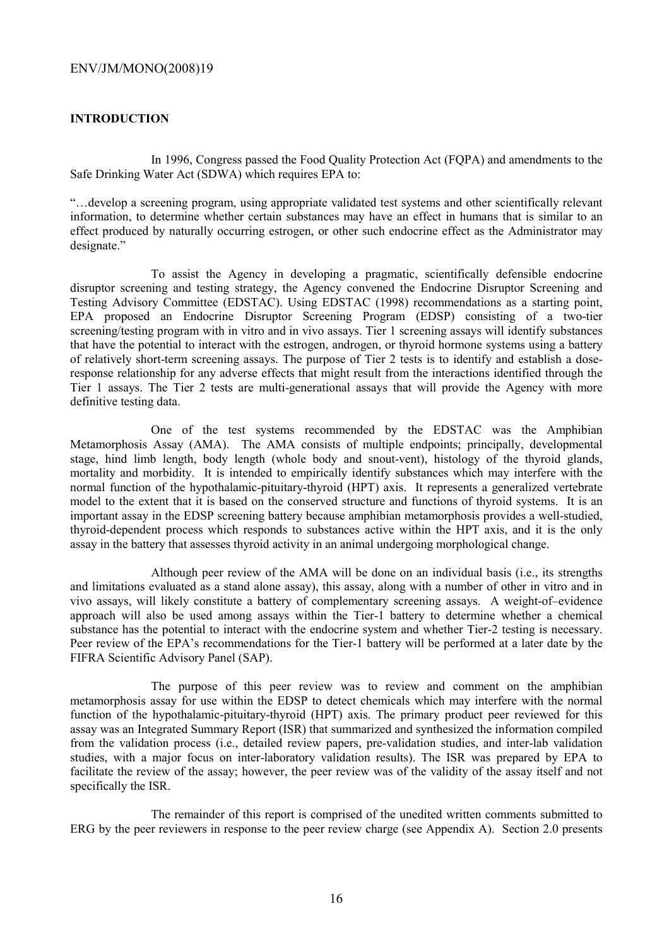### **INTRODUCTION**

 In 1996, Congress passed the Food Quality Protection Act (FQPA) and amendments to the Safe Drinking Water Act (SDWA) which requires EPA to:

"…develop a screening program, using appropriate validated test systems and other scientifically relevant information, to determine whether certain substances may have an effect in humans that is similar to an effect produced by naturally occurring estrogen, or other such endocrine effect as the Administrator may designate."

 To assist the Agency in developing a pragmatic, scientifically defensible endocrine disruptor screening and testing strategy, the Agency convened the Endocrine Disruptor Screening and Testing Advisory Committee (EDSTAC). Using EDSTAC (1998) recommendations as a starting point, EPA proposed an Endocrine Disruptor Screening Program (EDSP) consisting of a two-tier screening/testing program with in vitro and in vivo assays. Tier 1 screening assays will identify substances that have the potential to interact with the estrogen, androgen, or thyroid hormone systems using a battery of relatively short-term screening assays. The purpose of Tier 2 tests is to identify and establish a doseresponse relationship for any adverse effects that might result from the interactions identified through the Tier 1 assays. The Tier 2 tests are multi-generational assays that will provide the Agency with more definitive testing data.

 One of the test systems recommended by the EDSTAC was the Amphibian Metamorphosis Assay (AMA). The AMA consists of multiple endpoints; principally, developmental stage, hind limb length, body length (whole body and snout-vent), histology of the thyroid glands, mortality and morbidity. It is intended to empirically identify substances which may interfere with the normal function of the hypothalamic-pituitary-thyroid (HPT) axis. It represents a generalized vertebrate model to the extent that it is based on the conserved structure and functions of thyroid systems. It is an important assay in the EDSP screening battery because amphibian metamorphosis provides a well-studied, thyroid-dependent process which responds to substances active within the HPT axis, and it is the only assay in the battery that assesses thyroid activity in an animal undergoing morphological change.

 Although peer review of the AMA will be done on an individual basis (i.e., its strengths and limitations evaluated as a stand alone assay), this assay, along with a number of other in vitro and in vivo assays, will likely constitute a battery of complementary screening assays. A weight-of–evidence approach will also be used among assays within the Tier-1 battery to determine whether a chemical substance has the potential to interact with the endocrine system and whether Tier-2 testing is necessary. Peer review of the EPA's recommendations for the Tier-1 battery will be performed at a later date by the FIFRA Scientific Advisory Panel (SAP).

 The purpose of this peer review was to review and comment on the amphibian metamorphosis assay for use within the EDSP to detect chemicals which may interfere with the normal function of the hypothalamic-pituitary-thyroid (HPT) axis. The primary product peer reviewed for this assay was an Integrated Summary Report (ISR) that summarized and synthesized the information compiled from the validation process (i.e., detailed review papers, pre-validation studies, and inter-lab validation studies, with a major focus on inter-laboratory validation results). The ISR was prepared by EPA to facilitate the review of the assay; however, the peer review was of the validity of the assay itself and not specifically the ISR.

 The remainder of this report is comprised of the unedited written comments submitted to ERG by the peer reviewers in response to the peer review charge (see Appendix A). Section 2.0 presents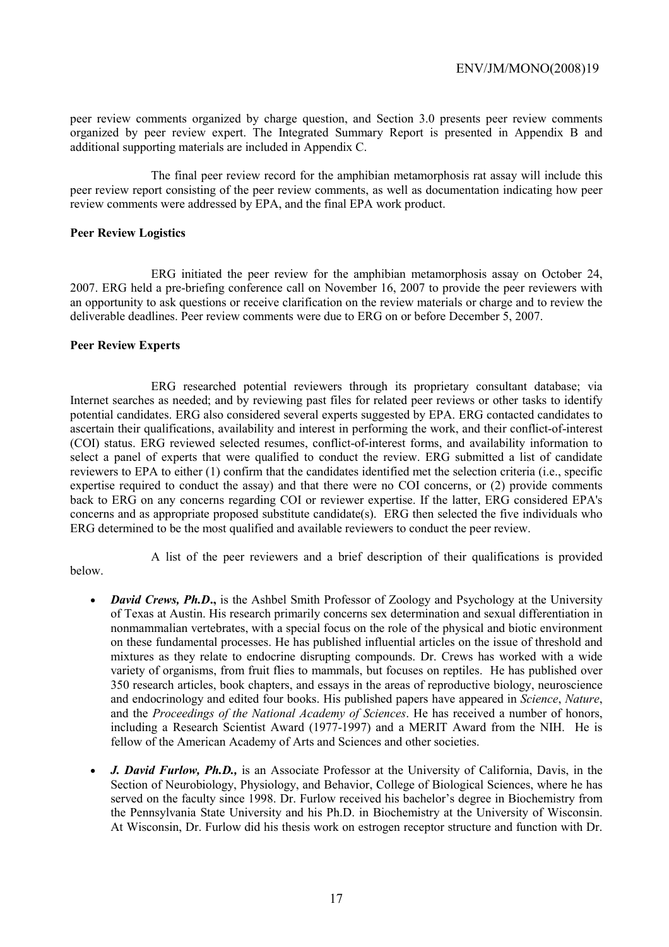peer review comments organized by charge question, and Section 3.0 presents peer review comments organized by peer review expert. The Integrated Summary Report is presented in Appendix B and additional supporting materials are included in Appendix C.

 The final peer review record for the amphibian metamorphosis rat assay will include this peer review report consisting of the peer review comments, as well as documentation indicating how peer review comments were addressed by EPA, and the final EPA work product.

### **Peer Review Logistics**

 ERG initiated the peer review for the amphibian metamorphosis assay on October 24, 2007. ERG held a pre-briefing conference call on November 16, 2007 to provide the peer reviewers with an opportunity to ask questions or receive clarification on the review materials or charge and to review the deliverable deadlines. Peer review comments were due to ERG on or before December 5, 2007.

### **Peer Review Experts**

 ERG researched potential reviewers through its proprietary consultant database; via Internet searches as needed; and by reviewing past files for related peer reviews or other tasks to identify potential candidates. ERG also considered several experts suggested by EPA. ERG contacted candidates to ascertain their qualifications, availability and interest in performing the work, and their conflict-of-interest (COI) status. ERG reviewed selected resumes, conflict-of-interest forms, and availability information to select a panel of experts that were qualified to conduct the review. ERG submitted a list of candidate reviewers to EPA to either (1) confirm that the candidates identified met the selection criteria (i.e., specific expertise required to conduct the assay) and that there were no COI concerns, or (2) provide comments back to ERG on any concerns regarding COI or reviewer expertise. If the latter, ERG considered EPA's concerns and as appropriate proposed substitute candidate(s). ERG then selected the five individuals who ERG determined to be the most qualified and available reviewers to conduct the peer review.

below.

A list of the peer reviewers and a brief description of their qualifications is provided

- - *David Crews, Ph.D.*, is the Ashbel Smith Professor of Zoology and Psychology at the University of Texas at Austin. His research primarily concerns sex determination and sexual differentiation in nonmammalian vertebrates, with a special focus on the role of the physical and biotic environment on these fundamental processes. He has published influential articles on the issue of threshold and mixtures as they relate to endocrine disrupting compounds. Dr. Crews has worked with a wide variety of organisms, from fruit flies to mammals, but focuses on reptiles. He has published over 350 research articles, book chapters, and essays in the areas of reproductive biology, neuroscience and endocrinology and edited four books. His published papers have appeared in *Science*, *Nature*, and the *Proceedings of the National Academy of Sciences*. He has received a number of honors, including a Research Scientist Award (1977-1997) and a MERIT Award from the NIH. He is fellow of the American Academy of Arts and Sciences and other societies.
	- *J. David Furlow, Ph.D.,* is an Associate Professor at the University of California, Davis, in the Section of Neurobiology, Physiology, and Behavior, College of Biological Sciences, where he has served on the faculty since 1998. Dr. Furlow received his bachelor's degree in Biochemistry from the Pennsylvania State University and his Ph.D. in Biochemistry at the University of Wisconsin. At Wisconsin, Dr. Furlow did his thesis work on estrogen receptor structure and function with Dr.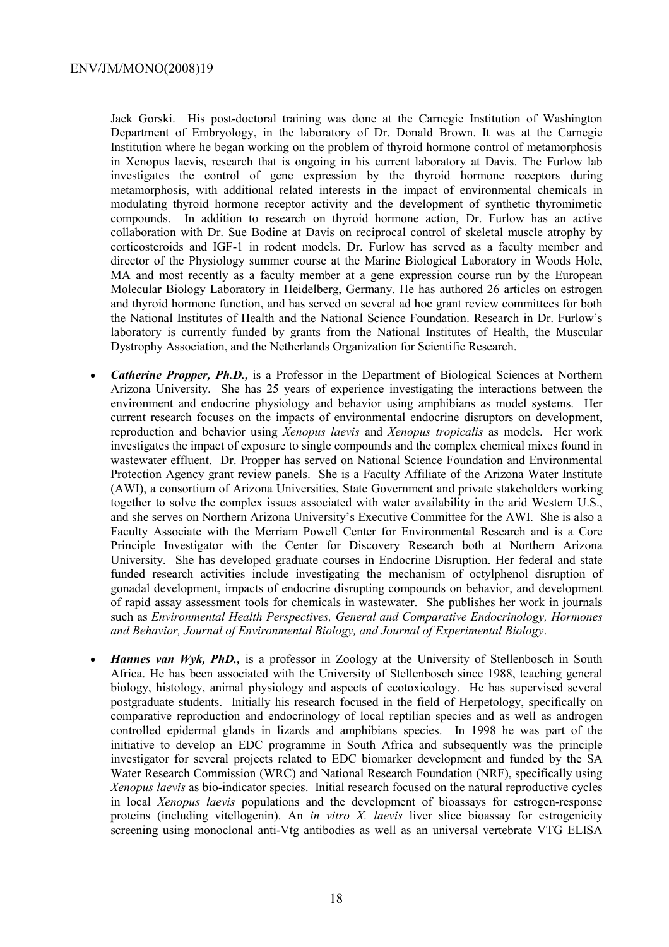Jack Gorski. His post-doctoral training was done at the Carnegie Institution of Washington Department of Embryology, in the laboratory of Dr. Donald Brown. It was at the Carnegie Institution where he began working on the problem of thyroid hormone control of metamorphosis in Xenopus laevis, research that is ongoing in his current laboratory at Davis. The Furlow lab investigates the control of gene expression by the thyroid hormone receptors during metamorphosis, with additional related interests in the impact of environmental chemicals in modulating thyroid hormone receptor activity and the development of synthetic thyromimetic compounds. In addition to research on thyroid hormone action, Dr. Furlow has an active collaboration with Dr. Sue Bodine at Davis on reciprocal control of skeletal muscle atrophy by corticosteroids and IGF-1 in rodent models. Dr. Furlow has served as a faculty member and director of the Physiology summer course at the Marine Biological Laboratory in Woods Hole, MA and most recently as a faculty member at a gene expression course run by the European Molecular Biology Laboratory in Heidelberg, Germany. He has authored 26 articles on estrogen and thyroid hormone function, and has served on several ad hoc grant review committees for both the National Institutes of Health and the National Science Foundation. Research in Dr. Furlow's laboratory is currently funded by grants from the National Institutes of Health, the Muscular Dystrophy Association, and the Netherlands Organization for Scientific Research.

- *Catherine Propper, Ph.D.,* is a Professor in the Department of Biological Sciences at Northern Arizona University. She has 25 years of experience investigating the interactions between the environment and endocrine physiology and behavior using amphibians as model systems. Her current research focuses on the impacts of environmental endocrine disruptors on development, reproduction and behavior using *Xenopus laevis* and *Xenopus tropicalis* as models. Her work investigates the impact of exposure to single compounds and the complex chemical mixes found in wastewater effluent. Dr. Propper has served on National Science Foundation and Environmental Protection Agency grant review panels. She is a Faculty Affiliate of the Arizona Water Institute (AWI), a consortium of Arizona Universities, State Government and private stakeholders working together to solve the complex issues associated with water availability in the arid Western U.S., and she serves on Northern Arizona University's Executive Committee for the AWI. She is also a Faculty Associate with the Merriam Powell Center for Environmental Research and is a Core Principle Investigator with the Center for Discovery Research both at Northern Arizona University. She has developed graduate courses in Endocrine Disruption. Her federal and state funded research activities include investigating the mechanism of octylphenol disruption of gonadal development, impacts of endocrine disrupting compounds on behavior, and development of rapid assay assessment tools for chemicals in wastewater. She publishes her work in journals such as *Environmental Health Perspectives, General and Comparative Endocrinology, Hormones and Behavior, Journal of Environmental Biology, and Journal of Experimental Biology*.
- *Hannes van Wyk, PhD.*, is a professor in Zoology at the University of Stellenbosch in South Africa. He has been associated with the University of Stellenbosch since 1988, teaching general biology, histology, animal physiology and aspects of ecotoxicology. He has supervised several postgraduate students. Initially his research focused in the field of Herpetology, specifically on comparative reproduction and endocrinology of local reptilian species and as well as androgen controlled epidermal glands in lizards and amphibians species. In 1998 he was part of the initiative to develop an EDC programme in South Africa and subsequently was the principle investigator for several projects related to EDC biomarker development and funded by the SA Water Research Commission (WRC) and National Research Foundation (NRF), specifically using *Xenopus laevis* as bio-indicator species. Initial research focused on the natural reproductive cycles in local *Xenopus laevis* populations and the development of bioassays for estrogen-response proteins (including vitellogenin). An *in vitro X. laevis* liver slice bioassay for estrogenicity screening using monoclonal anti-Vtg antibodies as well as an universal vertebrate VTG ELISA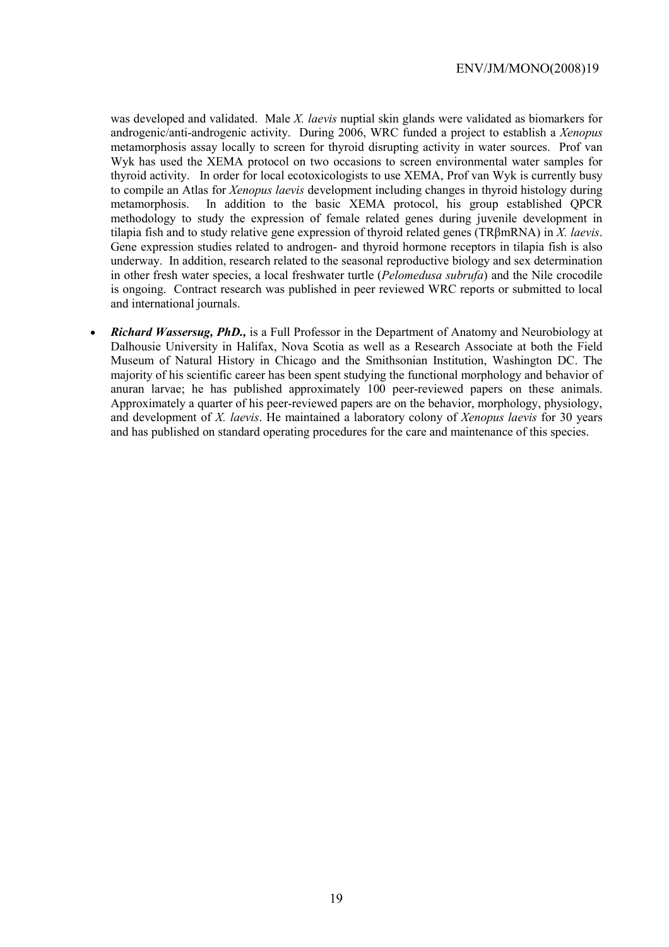was developed and validated. Male *X. laevis* nuptial skin glands were validated as biomarkers for androgenic/anti-androgenic activity. During 2006, WRC funded a project to establish a *Xenopus* metamorphosis assay locally to screen for thyroid disrupting activity in water sources. Prof van Wyk has used the XEMA protocol on two occasions to screen environmental water samples for thyroid activity. In order for local ecotoxicologists to use XEMA, Prof van Wyk is currently busy to compile an Atlas for *Xenopus laevis* development including changes in thyroid histology during metamorphosis. In addition to the basic XEMA protocol, his group established QPCR methodology to study the expression of female related genes during juvenile development in tilapia fish and to study relative gene expression of thyroid related genes (TRβmRNA) in *X. laevis*. Gene expression studies related to androgen- and thyroid hormone receptors in tilapia fish is also underway. In addition, research related to the seasonal reproductive biology and sex determination in other fresh water species, a local freshwater turtle (*Pelomedusa subrufa*) and the Nile crocodile is ongoing. Contract research was published in peer reviewed WRC reports or submitted to local and international journals.

• *Richard Wassersug, PhD.,* is a Full Professor in the Department of Anatomy and Neurobiology at Dalhousie University in Halifax, Nova Scotia as well as a Research Associate at both the Field Museum of Natural History in Chicago and the Smithsonian Institution, Washington DC. The majority of his scientific career has been spent studying the functional morphology and behavior of anuran larvae; he has published approximately 100 peer-reviewed papers on these animals. Approximately a quarter of his peer-reviewed papers are on the behavior, morphology, physiology, and development of *X. laevis*. He maintained a laboratory colony of *Xenopus laevis* for 30 years and has published on standard operating procedures for the care and maintenance of this species.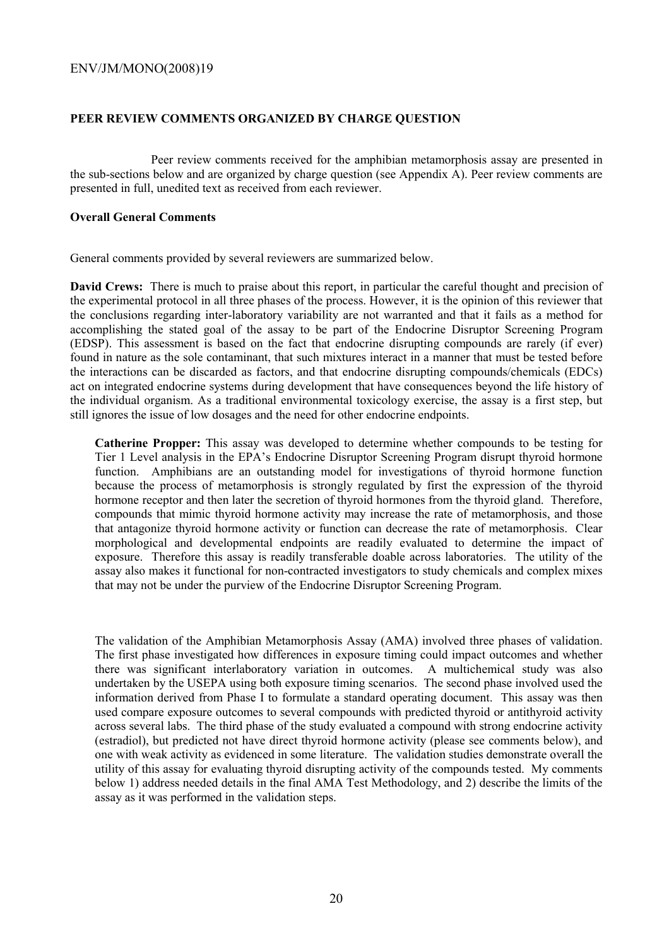### **PEER REVIEW COMMENTS ORGANIZED BY CHARGE QUESTION**

 Peer review comments received for the amphibian metamorphosis assay are presented in the sub-sections below and are organized by charge question (see Appendix A). Peer review comments are presented in full, unedited text as received from each reviewer.

### **Overall General Comments**

General comments provided by several reviewers are summarized below.

**David Crews:** There is much to praise about this report, in particular the careful thought and precision of the experimental protocol in all three phases of the process. However, it is the opinion of this reviewer that the conclusions regarding inter-laboratory variability are not warranted and that it fails as a method for accomplishing the stated goal of the assay to be part of the Endocrine Disruptor Screening Program (EDSP). This assessment is based on the fact that endocrine disrupting compounds are rarely (if ever) found in nature as the sole contaminant, that such mixtures interact in a manner that must be tested before the interactions can be discarded as factors, and that endocrine disrupting compounds/chemicals (EDCs) act on integrated endocrine systems during development that have consequences beyond the life history of the individual organism. As a traditional environmental toxicology exercise, the assay is a first step, but still ignores the issue of low dosages and the need for other endocrine endpoints.

**Catherine Propper:** This assay was developed to determine whether compounds to be testing for Tier 1 Level analysis in the EPA's Endocrine Disruptor Screening Program disrupt thyroid hormone function. Amphibians are an outstanding model for investigations of thyroid hormone function because the process of metamorphosis is strongly regulated by first the expression of the thyroid hormone receptor and then later the secretion of thyroid hormones from the thyroid gland. Therefore, compounds that mimic thyroid hormone activity may increase the rate of metamorphosis, and those that antagonize thyroid hormone activity or function can decrease the rate of metamorphosis. Clear morphological and developmental endpoints are readily evaluated to determine the impact of exposure. Therefore this assay is readily transferable doable across laboratories. The utility of the assay also makes it functional for non-contracted investigators to study chemicals and complex mixes that may not be under the purview of the Endocrine Disruptor Screening Program.

The validation of the Amphibian Metamorphosis Assay (AMA) involved three phases of validation. The first phase investigated how differences in exposure timing could impact outcomes and whether there was significant interlaboratory variation in outcomes. A multichemical study was also undertaken by the USEPA using both exposure timing scenarios. The second phase involved used the information derived from Phase I to formulate a standard operating document. This assay was then used compare exposure outcomes to several compounds with predicted thyroid or antithyroid activity across several labs. The third phase of the study evaluated a compound with strong endocrine activity (estradiol), but predicted not have direct thyroid hormone activity (please see comments below), and one with weak activity as evidenced in some literature. The validation studies demonstrate overall the utility of this assay for evaluating thyroid disrupting activity of the compounds tested. My comments below 1) address needed details in the final AMA Test Methodology, and 2) describe the limits of the assay as it was performed in the validation steps.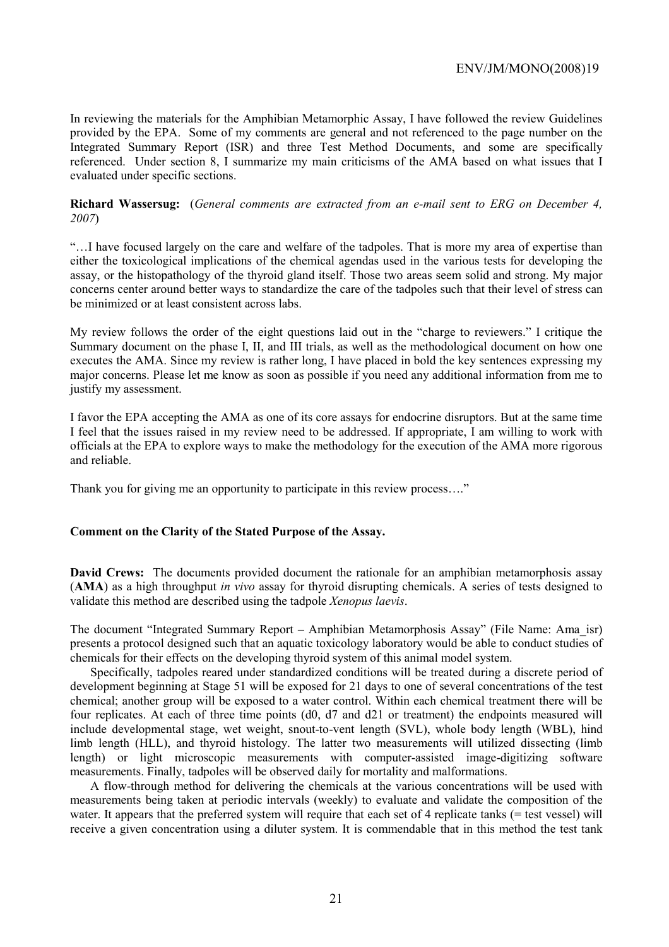In reviewing the materials for the Amphibian Metamorphic Assay, I have followed the review Guidelines provided by the EPA. Some of my comments are general and not referenced to the page number on the Integrated Summary Report (ISR) and three Test Method Documents, and some are specifically referenced. Under section 8, I summarize my main criticisms of the AMA based on what issues that I evaluated under specific sections.

**Richard Wassersug:** (*General comments are extracted from an e-mail sent to ERG on December 4, 2007*)

"…I have focused largely on the care and welfare of the tadpoles. That is more my area of expertise than either the toxicological implications of the chemical agendas used in the various tests for developing the assay, or the histopathology of the thyroid gland itself. Those two areas seem solid and strong. My major concerns center around better ways to standardize the care of the tadpoles such that their level of stress can be minimized or at least consistent across labs.

My review follows the order of the eight questions laid out in the "charge to reviewers." I critique the Summary document on the phase I, II, and III trials, as well as the methodological document on how one executes the AMA. Since my review is rather long, I have placed in bold the key sentences expressing my major concerns. Please let me know as soon as possible if you need any additional information from me to justify my assessment.

I favor the EPA accepting the AMA as one of its core assays for endocrine disruptors. But at the same time I feel that the issues raised in my review need to be addressed. If appropriate, I am willing to work with officials at the EPA to explore ways to make the methodology for the execution of the AMA more rigorous and reliable.

Thank you for giving me an opportunity to participate in this review process...."

### **Comment on the Clarity of the Stated Purpose of the Assay.**

**David Crews:** The documents provided document the rationale for an amphibian metamorphosis assay (**AMA**) as a high throughput *in vivo* assay for thyroid disrupting chemicals. A series of tests designed to validate this method are described using the tadpole *Xenopus laevis*.

The document "Integrated Summary Report – Amphibian Metamorphosis Assay" (File Name: Ama\_isr) presents a protocol designed such that an aquatic toxicology laboratory would be able to conduct studies of chemicals for their effects on the developing thyroid system of this animal model system.

Specifically, tadpoles reared under standardized conditions will be treated during a discrete period of development beginning at Stage 51 will be exposed for 21 days to one of several concentrations of the test chemical; another group will be exposed to a water control. Within each chemical treatment there will be four replicates. At each of three time points (d0, d7 and d21 or treatment) the endpoints measured will include developmental stage, wet weight, snout-to-vent length (SVL), whole body length (WBL), hind limb length (HLL), and thyroid histology. The latter two measurements will utilized dissecting (limb length) or light microscopic measurements with computer-assisted image-digitizing software measurements. Finally, tadpoles will be observed daily for mortality and malformations.

A flow-through method for delivering the chemicals at the various concentrations will be used with measurements being taken at periodic intervals (weekly) to evaluate and validate the composition of the water. It appears that the preferred system will require that each set of 4 replicate tanks (= test vessel) will receive a given concentration using a diluter system. It is commendable that in this method the test tank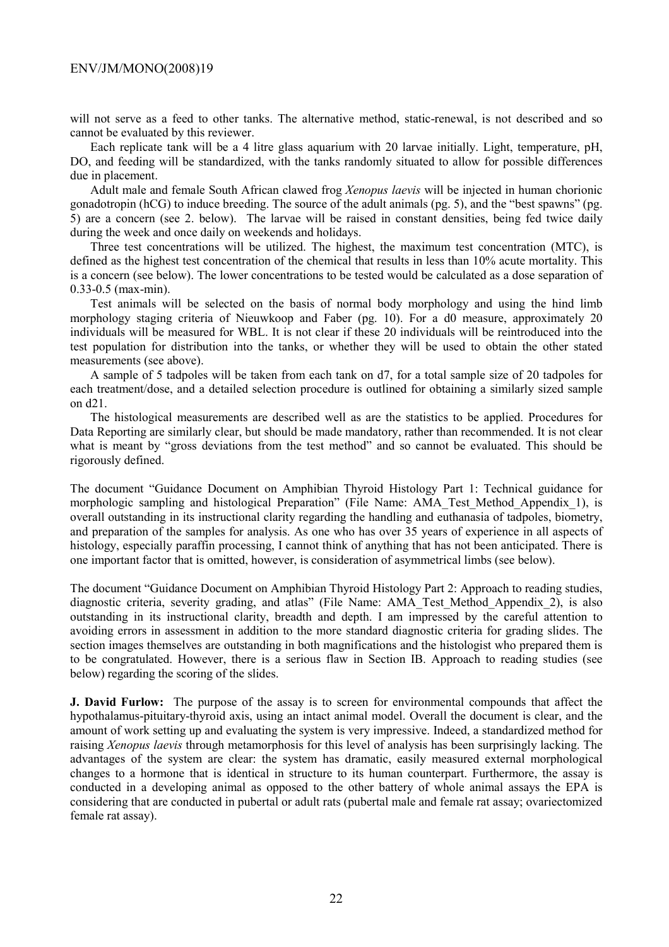will not serve as a feed to other tanks. The alternative method, static-renewal, is not described and so cannot be evaluated by this reviewer.

Each replicate tank will be a 4 litre glass aquarium with 20 larvae initially. Light, temperature, pH, DO, and feeding will be standardized, with the tanks randomly situated to allow for possible differences due in placement.

Adult male and female South African clawed frog *Xenopus laevis* will be injected in human chorionic gonadotropin (hCG) to induce breeding. The source of the adult animals (pg. 5), and the "best spawns" (pg. 5) are a concern (see 2. below). The larvae will be raised in constant densities, being fed twice daily during the week and once daily on weekends and holidays.

Three test concentrations will be utilized. The highest, the maximum test concentration (MTC), is defined as the highest test concentration of the chemical that results in less than 10% acute mortality. This is a concern (see below). The lower concentrations to be tested would be calculated as a dose separation of 0.33-0.5 (max-min).

Test animals will be selected on the basis of normal body morphology and using the hind limb morphology staging criteria of Nieuwkoop and Faber (pg. 10). For a d0 measure, approximately 20 individuals will be measured for WBL. It is not clear if these 20 individuals will be reintroduced into the test population for distribution into the tanks, or whether they will be used to obtain the other stated measurements (see above).

A sample of 5 tadpoles will be taken from each tank on d7, for a total sample size of 20 tadpoles for each treatment/dose, and a detailed selection procedure is outlined for obtaining a similarly sized sample on d21.

The histological measurements are described well as are the statistics to be applied. Procedures for Data Reporting are similarly clear, but should be made mandatory, rather than recommended. It is not clear what is meant by "gross deviations from the test method" and so cannot be evaluated. This should be rigorously defined.

The document "Guidance Document on Amphibian Thyroid Histology Part 1: Technical guidance for morphologic sampling and histological Preparation" (File Name: AMA\_Test\_Method\_Appendix\_1), is overall outstanding in its instructional clarity regarding the handling and euthanasia of tadpoles, biometry, and preparation of the samples for analysis. As one who has over 35 years of experience in all aspects of histology, especially paraffin processing, I cannot think of anything that has not been anticipated. There is one important factor that is omitted, however, is consideration of asymmetrical limbs (see below).

The document "Guidance Document on Amphibian Thyroid Histology Part 2: Approach to reading studies, diagnostic criteria, severity grading, and atlas" (File Name: AMA\_Test\_Method\_Appendix\_2), is also outstanding in its instructional clarity, breadth and depth. I am impressed by the careful attention to avoiding errors in assessment in addition to the more standard diagnostic criteria for grading slides. The section images themselves are outstanding in both magnifications and the histologist who prepared them is to be congratulated. However, there is a serious flaw in Section IB. Approach to reading studies (see below) regarding the scoring of the slides.

**J. David Furlow:** The purpose of the assay is to screen for environmental compounds that affect the hypothalamus-pituitary-thyroid axis, using an intact animal model. Overall the document is clear, and the amount of work setting up and evaluating the system is very impressive. Indeed, a standardized method for raising *Xenopus laevis* through metamorphosis for this level of analysis has been surprisingly lacking. The advantages of the system are clear: the system has dramatic, easily measured external morphological changes to a hormone that is identical in structure to its human counterpart. Furthermore, the assay is conducted in a developing animal as opposed to the other battery of whole animal assays the EPA is considering that are conducted in pubertal or adult rats (pubertal male and female rat assay; ovariectomized female rat assay).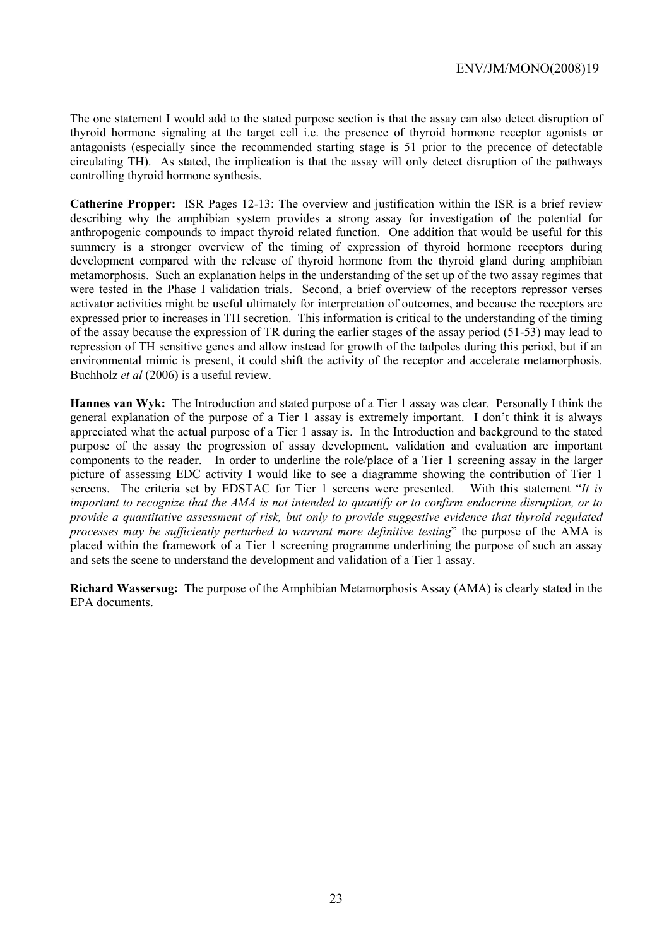The one statement I would add to the stated purpose section is that the assay can also detect disruption of thyroid hormone signaling at the target cell i.e. the presence of thyroid hormone receptor agonists or antagonists (especially since the recommended starting stage is 51 prior to the precence of detectable circulating TH). As stated, the implication is that the assay will only detect disruption of the pathways controlling thyroid hormone synthesis.

**Catherine Propper:** ISR Pages 12-13: The overview and justification within the ISR is a brief review describing why the amphibian system provides a strong assay for investigation of the potential for anthropogenic compounds to impact thyroid related function. One addition that would be useful for this summery is a stronger overview of the timing of expression of thyroid hormone receptors during development compared with the release of thyroid hormone from the thyroid gland during amphibian metamorphosis. Such an explanation helps in the understanding of the set up of the two assay regimes that were tested in the Phase I validation trials. Second, a brief overview of the receptors repressor verses activator activities might be useful ultimately for interpretation of outcomes, and because the receptors are expressed prior to increases in TH secretion. This information is critical to the understanding of the timing of the assay because the expression of TR during the earlier stages of the assay period (51-53) may lead to repression of TH sensitive genes and allow instead for growth of the tadpoles during this period, but if an environmental mimic is present, it could shift the activity of the receptor and accelerate metamorphosis. Buchholz *et al* (2006) is a useful review.

**Hannes van Wyk:** The Introduction and stated purpose of a Tier 1 assay was clear. Personally I think the general explanation of the purpose of a Tier 1 assay is extremely important. I don't think it is always appreciated what the actual purpose of a Tier 1 assay is. In the Introduction and background to the stated purpose of the assay the progression of assay development, validation and evaluation are important components to the reader. In order to underline the role/place of a Tier 1 screening assay in the larger picture of assessing EDC activity I would like to see a diagramme showing the contribution of Tier 1 screens. The criteria set by EDSTAC for Tier 1 screens were presented. With this statement "*It is important to recognize that the AMA is not intended to quantify or to confirm endocrine disruption, or to provide a quantitative assessment of risk, but only to provide suggestive evidence that thyroid regulated processes may be sufficiently perturbed to warrant more definitive testing*" the purpose of the AMA is placed within the framework of a Tier 1 screening programme underlining the purpose of such an assay and sets the scene to understand the development and validation of a Tier 1 assay.

**Richard Wassersug:** The purpose of the Amphibian Metamorphosis Assay (AMA) is clearly stated in the EPA documents.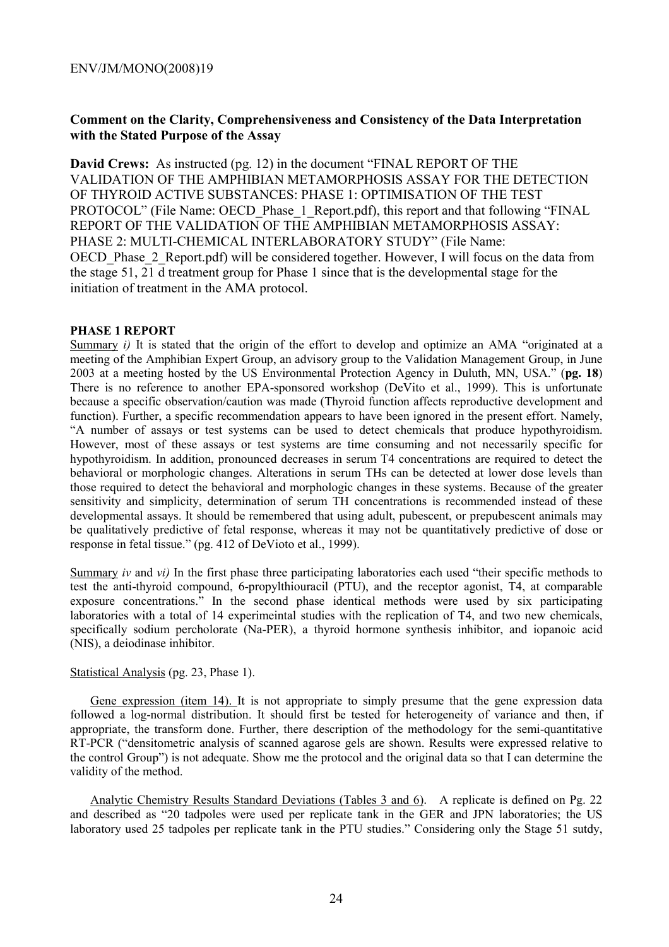# **Comment on the Clarity, Comprehensiveness and Consistency of the Data Interpretation with the Stated Purpose of the Assay**

**David Crews:** As instructed (pg. 12) in the document "FINAL REPORT OF THE VALIDATION OF THE AMPHIBIAN METAMORPHOSIS ASSAY FOR THE DETECTION OF THYROID ACTIVE SUBSTANCES: PHASE 1: OPTIMISATION OF THE TEST PROTOCOL" (File Name: OECD Phase 1 Report.pdf), this report and that following "FINAL REPORT OF THE VALIDATION OF THE AMPHIBIAN METAMORPHOSIS ASSAY: PHASE 2: MULTI-CHEMICAL INTERLABORATORY STUDY" (File Name: OECD Phase 2 Report.pdf) will be considered together. However, I will focus on the data from the stage 51, 21 d treatment group for Phase 1 since that is the developmental stage for the initiation of treatment in the AMA protocol.

# **PHASE 1 REPORT**

Summary *i)* It is stated that the origin of the effort to develop and optimize an AMA "originated at a meeting of the Amphibian Expert Group, an advisory group to the Validation Management Group, in June 2003 at a meeting hosted by the US Environmental Protection Agency in Duluth, MN, USA." (**pg. 18**) There is no reference to another EPA-sponsored workshop (DeVito et al., 1999). This is unfortunate because a specific observation/caution was made (Thyroid function affects reproductive development and function). Further, a specific recommendation appears to have been ignored in the present effort. Namely, "A number of assays or test systems can be used to detect chemicals that produce hypothyroidism. However, most of these assays or test systems are time consuming and not necessarily specific for hypothyroidism. In addition, pronounced decreases in serum T4 concentrations are required to detect the behavioral or morphologic changes. Alterations in serum THs can be detected at lower dose levels than those required to detect the behavioral and morphologic changes in these systems. Because of the greater sensitivity and simplicity, determination of serum TH concentrations is recommended instead of these developmental assays. It should be remembered that using adult, pubescent, or prepubescent animals may be qualitatively predictive of fetal response, whereas it may not be quantitatively predictive of dose or response in fetal tissue." (pg. 412 of DeVioto et al., 1999).

Summary *iv* and *vi)* In the first phase three participating laboratories each used "their specific methods to test the anti-thyroid compound, 6-propylthiouracil (PTU), and the receptor agonist, T4, at comparable exposure concentrations." In the second phase identical methods were used by six participating laboratories with a total of 14 experimeintal studies with the replication of T4, and two new chemicals, specifically sodium percholorate (Na-PER), a thyroid hormone synthesis inhibitor, and iopanoic acid (NIS), a deiodinase inhibitor.

### Statistical Analysis (pg. 23, Phase 1).

Gene expression (item 14). It is not appropriate to simply presume that the gene expression data followed a log-normal distribution. It should first be tested for heterogeneity of variance and then, if appropriate, the transform done. Further, there description of the methodology for the semi-quantitative RT-PCR ("densitometric analysis of scanned agarose gels are shown. Results were expressed relative to the control Group") is not adequate. Show me the protocol and the original data so that I can determine the validity of the method.

Analytic Chemistry Results Standard Deviations (Tables 3 and 6). A replicate is defined on Pg. 22 and described as "20 tadpoles were used per replicate tank in the GER and JPN laboratories; the US laboratory used 25 tadpoles per replicate tank in the PTU studies." Considering only the Stage 51 sutdy,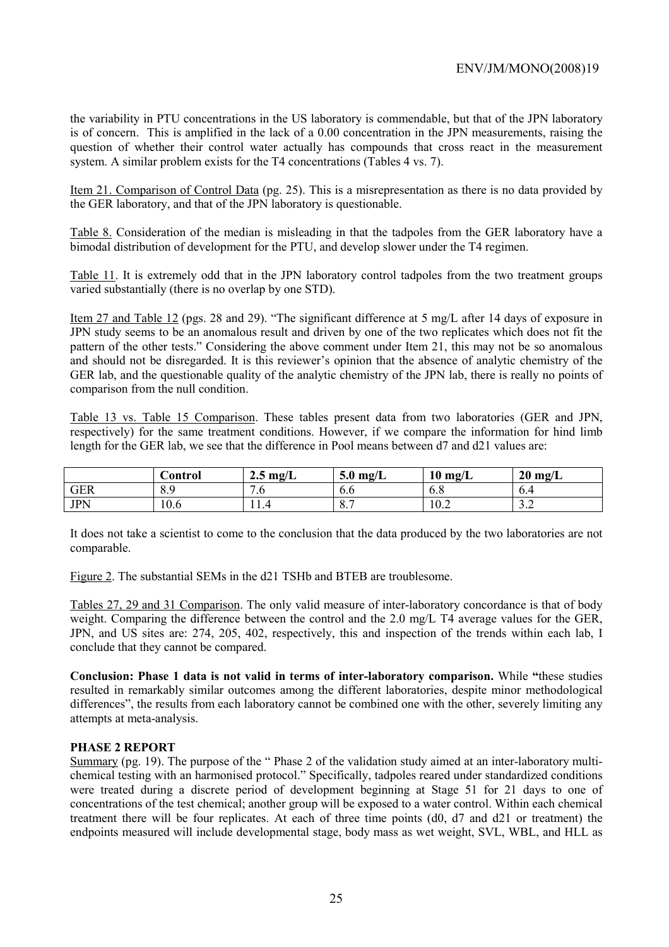the variability in PTU concentrations in the US laboratory is commendable, but that of the JPN laboratory is of concern. This is amplified in the lack of a 0.00 concentration in the JPN measurements, raising the question of whether their control water actually has compounds that cross react in the measurement system. A similar problem exists for the T4 concentrations (Tables 4 vs. 7).

Item 21. Comparison of Control Data (pg. 25). This is a misrepresentation as there is no data provided by the GER laboratory, and that of the JPN laboratory is questionable.

Table 8. Consideration of the median is misleading in that the tadpoles from the GER laboratory have a bimodal distribution of development for the PTU, and develop slower under the T4 regimen.

Table 11. It is extremely odd that in the JPN laboratory control tadpoles from the two treatment groups varied substantially (there is no overlap by one STD).

Item 27 and Table 12 (pgs. 28 and 29). "The significant difference at 5 mg/L after 14 days of exposure in JPN study seems to be an anomalous result and driven by one of the two replicates which does not fit the pattern of the other tests." Considering the above comment under Item 21, this may not be so anomalous and should not be disregarded. It is this reviewer's opinion that the absence of analytic chemistry of the GER lab, and the questionable quality of the analytic chemistry of the JPN lab, there is really no points of comparison from the null condition.

Table 13 vs. Table 15 Comparison. These tables present data from two laboratories (GER and JPN, respectively) for the same treatment conditions. However, if we compare the information for hind limb length for the GER lab, we see that the difference in Pool means between d7 and d21 values are:

|            | Control    | $2.5 \text{ mg/L}$ | $5.0$ mg/L                 | $10 \text{ mg/L}$ | $20 \text{ mg/L}$ |
|------------|------------|--------------------|----------------------------|-------------------|-------------------|
| <b>GER</b> | ର ପ<br>0.5 | . ს                | 0.0                        | 0.8               | 6.4               |
| <b>JPN</b> | 10.6       | 1 1 .T             | $\Omega$<br>$\mathbf{o}$ . | 10.2              | ے ۔               |

It does not take a scientist to come to the conclusion that the data produced by the two laboratories are not comparable.

Figure 2. The substantial SEMs in the d21 TSHb and BTEB are troublesome.

Tables 27, 29 and 31 Comparison. The only valid measure of inter-laboratory concordance is that of body weight. Comparing the difference between the control and the 2.0 mg/L T4 average values for the GER, JPN, and US sites are: 274, 205, 402, respectively, this and inspection of the trends within each lab, I conclude that they cannot be compared.

**Conclusion: Phase 1 data is not valid in terms of inter-laboratory comparison.** While **"**these studies resulted in remarkably similar outcomes among the different laboratories, despite minor methodological differences", the results from each laboratory cannot be combined one with the other, severely limiting any attempts at meta-analysis.

### **PHASE 2 REPORT**

Summary (pg. 19). The purpose of the " Phase 2 of the validation study aimed at an inter-laboratory multichemical testing with an harmonised protocol." Specifically, tadpoles reared under standardized conditions were treated during a discrete period of development beginning at Stage 51 for 21 days to one of concentrations of the test chemical; another group will be exposed to a water control. Within each chemical treatment there will be four replicates. At each of three time points (d0, d7 and d21 or treatment) the endpoints measured will include developmental stage, body mass as wet weight, SVL, WBL, and HLL as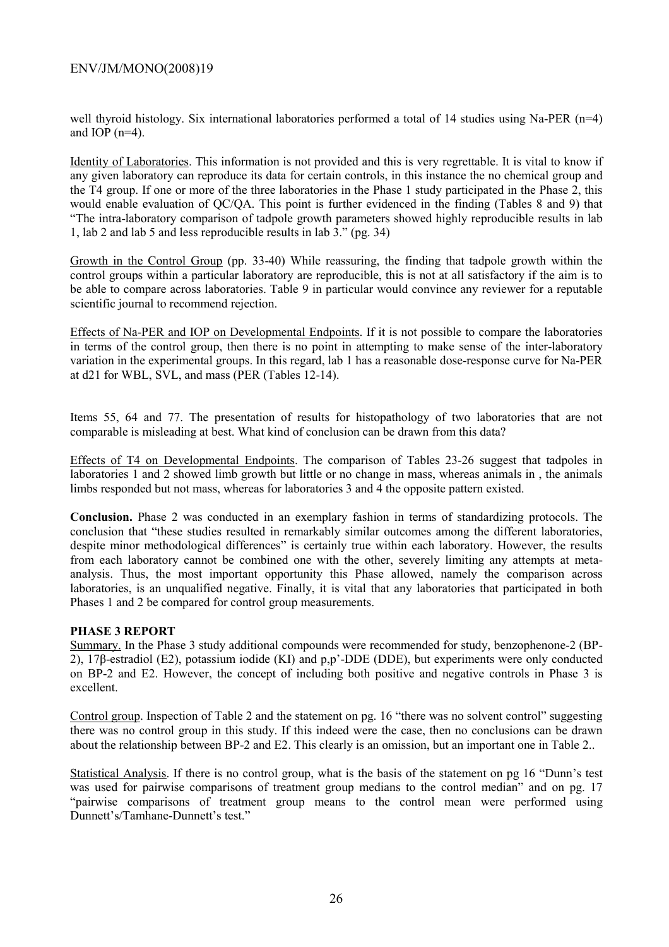well thyroid histology. Six international laboratories performed a total of 14 studies using Na-PER (n=4) and IOP  $(n=4)$ .

Identity of Laboratories. This information is not provided and this is very regrettable. It is vital to know if any given laboratory can reproduce its data for certain controls, in this instance the no chemical group and the T4 group. If one or more of the three laboratories in the Phase 1 study participated in the Phase 2, this would enable evaluation of QC/QA. This point is further evidenced in the finding (Tables 8 and 9) that "The intra-laboratory comparison of tadpole growth parameters showed highly reproducible results in lab 1, lab 2 and lab 5 and less reproducible results in lab 3." (pg. 34)

Growth in the Control Group (pp. 33-40) While reassuring, the finding that tadpole growth within the control groups within a particular laboratory are reproducible, this is not at all satisfactory if the aim is to be able to compare across laboratories. Table 9 in particular would convince any reviewer for a reputable scientific journal to recommend rejection.

Effects of Na-PER and IOP on Developmental Endpoints. If it is not possible to compare the laboratories in terms of the control group, then there is no point in attempting to make sense of the inter-laboratory variation in the experimental groups. In this regard, lab 1 has a reasonable dose-response curve for Na-PER at d21 for WBL, SVL, and mass (PER (Tables 12-14).

Items 55, 64 and 77. The presentation of results for histopathology of two laboratories that are not comparable is misleading at best. What kind of conclusion can be drawn from this data?

Effects of T4 on Developmental Endpoints. The comparison of Tables 23-26 suggest that tadpoles in laboratories 1 and 2 showed limb growth but little or no change in mass, whereas animals in , the animals limbs responded but not mass, whereas for laboratories 3 and 4 the opposite pattern existed.

**Conclusion.** Phase 2 was conducted in an exemplary fashion in terms of standardizing protocols. The conclusion that "these studies resulted in remarkably similar outcomes among the different laboratories, despite minor methodological differences" is certainly true within each laboratory. However, the results from each laboratory cannot be combined one with the other, severely limiting any attempts at metaanalysis. Thus, the most important opportunity this Phase allowed, namely the comparison across laboratories, is an unqualified negative. Finally, it is vital that any laboratories that participated in both Phases 1 and 2 be compared for control group measurements.

### **PHASE 3 REPORT**

Summary. In the Phase 3 study additional compounds were recommended for study, benzophenone-2 (BP-2), 17β-estradiol (E2), potassium iodide (KI) and p,p'-DDE (DDE), but experiments were only conducted on BP-2 and E2. However, the concept of including both positive and negative controls in Phase 3 is excellent.

Control group. Inspection of Table 2 and the statement on pg. 16 "there was no solvent control" suggesting there was no control group in this study. If this indeed were the case, then no conclusions can be drawn about the relationship between BP-2 and E2. This clearly is an omission, but an important one in Table 2..

Statistical Analysis. If there is no control group, what is the basis of the statement on pg 16 "Dunn's test was used for pairwise comparisons of treatment group medians to the control median" and on pg. 17 "pairwise comparisons of treatment group means to the control mean were performed using Dunnett's/Tamhane-Dunnett's test."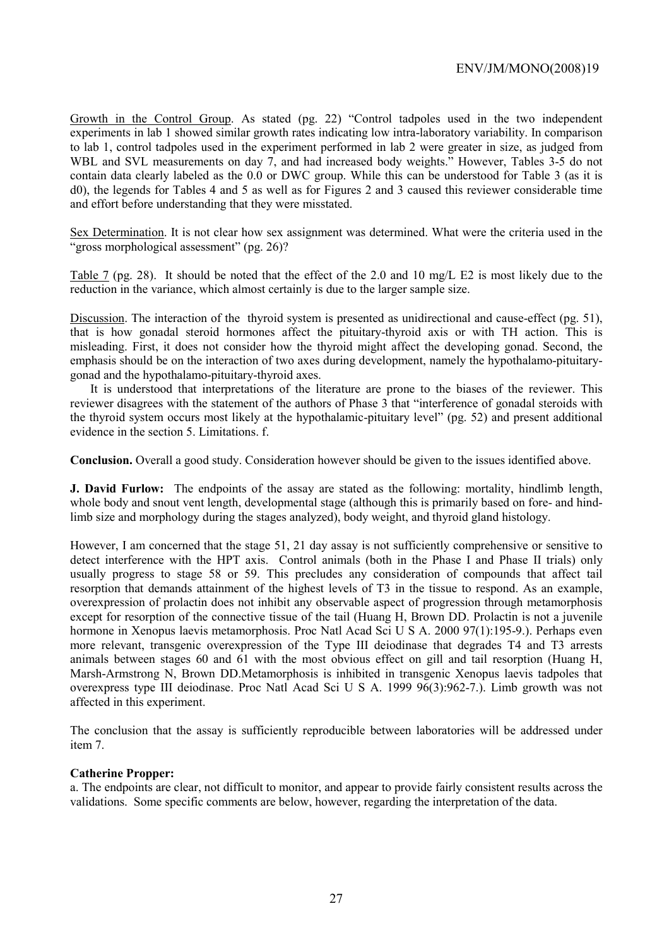Growth in the Control Group. As stated (pg. 22) "Control tadpoles used in the two independent experiments in lab 1 showed similar growth rates indicating low intra-laboratory variability. In comparison to lab 1, control tadpoles used in the experiment performed in lab 2 were greater in size, as judged from WBL and SVL measurements on day 7, and had increased body weights." However, Tables 3-5 do not contain data clearly labeled as the 0.0 or DWC group. While this can be understood for Table 3 (as it is d0), the legends for Tables 4 and 5 as well as for Figures 2 and 3 caused this reviewer considerable time and effort before understanding that they were misstated.

Sex Determination. It is not clear how sex assignment was determined. What were the criteria used in the "gross morphological assessment" (pg. 26)?

Table 7 (pg. 28). It should be noted that the effect of the 2.0 and 10 mg/L E2 is most likely due to the reduction in the variance, which almost certainly is due to the larger sample size.

Discussion. The interaction of the thyroid system is presented as unidirectional and cause-effect (pg. 51), that is how gonadal steroid hormones affect the pituitary-thyroid axis or with TH action. This is misleading. First, it does not consider how the thyroid might affect the developing gonad. Second, the emphasis should be on the interaction of two axes during development, namely the hypothalamo-pituitarygonad and the hypothalamo-pituitary-thyroid axes.

It is understood that interpretations of the literature are prone to the biases of the reviewer. This reviewer disagrees with the statement of the authors of Phase 3 that "interference of gonadal steroids with the thyroid system occurs most likely at the hypothalamic-pituitary level" (pg. 52) and present additional evidence in the section 5. Limitations. f.

**Conclusion.** Overall a good study. Consideration however should be given to the issues identified above.

**J. David Furlow:** The endpoints of the assay are stated as the following: mortality, hindlimb length, whole body and snout vent length, developmental stage (although this is primarily based on fore- and hindlimb size and morphology during the stages analyzed), body weight, and thyroid gland histology.

However, I am concerned that the stage 51, 21 day assay is not sufficiently comprehensive or sensitive to detect interference with the HPT axis. Control animals (both in the Phase I and Phase II trials) only usually progress to stage 58 or 59. This precludes any consideration of compounds that affect tail resorption that demands attainment of the highest levels of T3 in the tissue to respond. As an example, overexpression of prolactin does not inhibit any observable aspect of progression through metamorphosis except for resorption of the connective tissue of the tail (Huang H, Brown DD. Prolactin is not a juvenile hormone in Xenopus laevis metamorphosis. Proc Natl Acad Sci U S A. 2000 97(1):195-9.). Perhaps even more relevant, transgenic overexpression of the Type III deiodinase that degrades T4 and T3 arrests animals between stages 60 and 61 with the most obvious effect on gill and tail resorption (Huang H, Marsh-Armstrong N, Brown DD.Metamorphosis is inhibited in transgenic Xenopus laevis tadpoles that overexpress type III deiodinase. Proc Natl Acad Sci U S A. 1999 96(3):962-7.). Limb growth was not affected in this experiment.

The conclusion that the assay is sufficiently reproducible between laboratories will be addressed under item 7.

### **Catherine Propper:**

a. The endpoints are clear, not difficult to monitor, and appear to provide fairly consistent results across the validations. Some specific comments are below, however, regarding the interpretation of the data.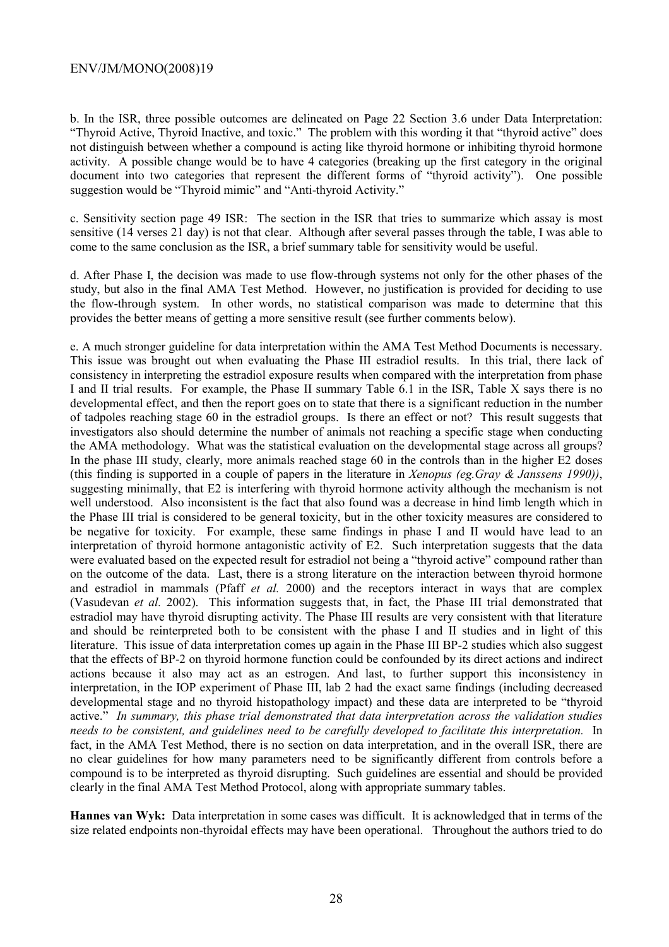b. In the ISR, three possible outcomes are delineated on Page 22 Section 3.6 under Data Interpretation: "Thyroid Active, Thyroid Inactive, and toxic." The problem with this wording it that "thyroid active" does not distinguish between whether a compound is acting like thyroid hormone or inhibiting thyroid hormone activity. A possible change would be to have 4 categories (breaking up the first category in the original document into two categories that represent the different forms of "thyroid activity"). One possible suggestion would be "Thyroid mimic" and "Anti-thyroid Activity."

c. Sensitivity section page 49 ISR: The section in the ISR that tries to summarize which assay is most sensitive (14 verses 21 day) is not that clear. Although after several passes through the table, I was able to come to the same conclusion as the ISR, a brief summary table for sensitivity would be useful.

d. After Phase I, the decision was made to use flow-through systems not only for the other phases of the study, but also in the final AMA Test Method. However, no justification is provided for deciding to use the flow-through system. In other words, no statistical comparison was made to determine that this provides the better means of getting a more sensitive result (see further comments below).

e. A much stronger guideline for data interpretation within the AMA Test Method Documents is necessary. This issue was brought out when evaluating the Phase III estradiol results. In this trial, there lack of consistency in interpreting the estradiol exposure results when compared with the interpretation from phase I and II trial results. For example, the Phase II summary Table 6.1 in the ISR, Table X says there is no developmental effect, and then the report goes on to state that there is a significant reduction in the number of tadpoles reaching stage 60 in the estradiol groups. Is there an effect or not? This result suggests that investigators also should determine the number of animals not reaching a specific stage when conducting the AMA methodology. What was the statistical evaluation on the developmental stage across all groups? In the phase III study, clearly, more animals reached stage 60 in the controls than in the higher E2 doses (this finding is supported in a couple of papers in the literature in *Xenopus (eg.Gray & Janssens 1990))*, suggesting minimally, that E2 is interfering with thyroid hormone activity although the mechanism is not well understood. Also inconsistent is the fact that also found was a decrease in hind limb length which in the Phase III trial is considered to be general toxicity, but in the other toxicity measures are considered to be negative for toxicity. For example, these same findings in phase I and II would have lead to an interpretation of thyroid hormone antagonistic activity of E2. Such interpretation suggests that the data were evaluated based on the expected result for estradiol not being a "thyroid active" compound rather than on the outcome of the data. Last, there is a strong literature on the interaction between thyroid hormone and estradiol in mammals (Pfaff *et al.* 2000) and the receptors interact in ways that are complex (Vasudevan *et al.* 2002). This information suggests that, in fact, the Phase III trial demonstrated that estradiol may have thyroid disrupting activity. The Phase III results are very consistent with that literature and should be reinterpreted both to be consistent with the phase I and II studies and in light of this literature. This issue of data interpretation comes up again in the Phase III BP-2 studies which also suggest that the effects of BP-2 on thyroid hormone function could be confounded by its direct actions and indirect actions because it also may act as an estrogen. And last, to further support this inconsistency in interpretation, in the IOP experiment of Phase III, lab 2 had the exact same findings (including decreased developmental stage and no thyroid histopathology impact) and these data are interpreted to be "thyroid active." *In summary, this phase trial demonstrated that data interpretation across the validation studies needs to be consistent, and guidelines need to be carefully developed to facilitate this interpretation.* In fact, in the AMA Test Method, there is no section on data interpretation, and in the overall ISR, there are no clear guidelines for how many parameters need to be significantly different from controls before a compound is to be interpreted as thyroid disrupting. Such guidelines are essential and should be provided clearly in the final AMA Test Method Protocol, along with appropriate summary tables.

**Hannes van Wyk:** Data interpretation in some cases was difficult. It is acknowledged that in terms of the size related endpoints non-thyroidal effects may have been operational. Throughout the authors tried to do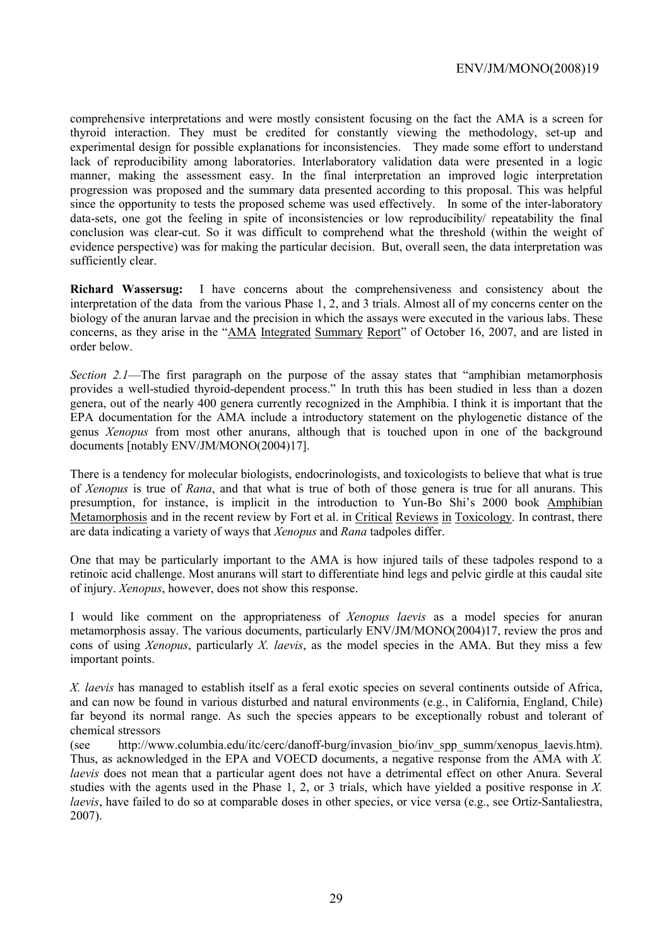comprehensive interpretations and were mostly consistent focusing on the fact the AMA is a screen for thyroid interaction. They must be credited for constantly viewing the methodology, set-up and experimental design for possible explanations for inconsistencies. They made some effort to understand lack of reproducibility among laboratories. Interlaboratory validation data were presented in a logic manner, making the assessment easy. In the final interpretation an improved logic interpretation progression was proposed and the summary data presented according to this proposal. This was helpful since the opportunity to tests the proposed scheme was used effectively. In some of the inter-laboratory data-sets, one got the feeling in spite of inconsistencies or low reproducibility/ repeatability the final conclusion was clear-cut. So it was difficult to comprehend what the threshold (within the weight of evidence perspective) was for making the particular decision. But, overall seen, the data interpretation was sufficiently clear.

**Richard Wassersug:** I have concerns about the comprehensiveness and consistency about the interpretation of the data from the various Phase 1, 2, and 3 trials. Almost all of my concerns center on the biology of the anuran larvae and the precision in which the assays were executed in the various labs. These concerns, as they arise in the "AMA Integrated Summary Report" of October 16, 2007, and are listed in order below.

*Section 2.1*—The first paragraph on the purpose of the assay states that "amphibian metamorphosis" provides a well-studied thyroid-dependent process." In truth this has been studied in less than a dozen genera, out of the nearly 400 genera currently recognized in the Amphibia. I think it is important that the EPA documentation for the AMA include a introductory statement on the phylogenetic distance of the genus *Xenopus* from most other anurans, although that is touched upon in one of the background documents [notably ENV/JM/MONO(2004)17].

There is a tendency for molecular biologists, endocrinologists, and toxicologists to believe that what is true of *Xenopus* is true of *Rana*, and that what is true of both of those genera is true for all anurans. This presumption, for instance, is implicit in the introduction to Yun-Bo Shi's 2000 book Amphibian Metamorphosis and in the recent review by Fort et al. in Critical Reviews in Toxicology. In contrast, there are data indicating a variety of ways that *Xenopus* and *Rana* tadpoles differ.

One that may be particularly important to the AMA is how injured tails of these tadpoles respond to a retinoic acid challenge. Most anurans will start to differentiate hind legs and pelvic girdle at this caudal site of injury. *Xenopus*, however, does not show this response.

I would like comment on the appropriateness of *Xenopus laevis* as a model species for anuran metamorphosis assay. The various documents, particularly ENV/JM/MONO(2004)17, review the pros and cons of using *Xenopus*, particularly *X. laevis*, as the model species in the AMA. But they miss a few important points.

*X. laevis* has managed to establish itself as a feral exotic species on several continents outside of Africa, and can now be found in various disturbed and natural environments (e.g., in California, England, Chile) far beyond its normal range. As such the species appears to be exceptionally robust and tolerant of chemical stressors

(see http://www.columbia.edu/itc/cerc/danoff-burg/invasion\_bio/inv\_spp\_summ/xenopus\_laevis.htm). Thus, as acknowledged in the EPA and VOECD documents, a negative response from the AMA with *X. laevis* does not mean that a particular agent does not have a detrimental effect on other Anura. Several studies with the agents used in the Phase 1, 2, or 3 trials, which have yielded a positive response in *X. laevis*, have failed to do so at comparable doses in other species, or vice versa (e.g., see Ortiz-Santaliestra, 2007).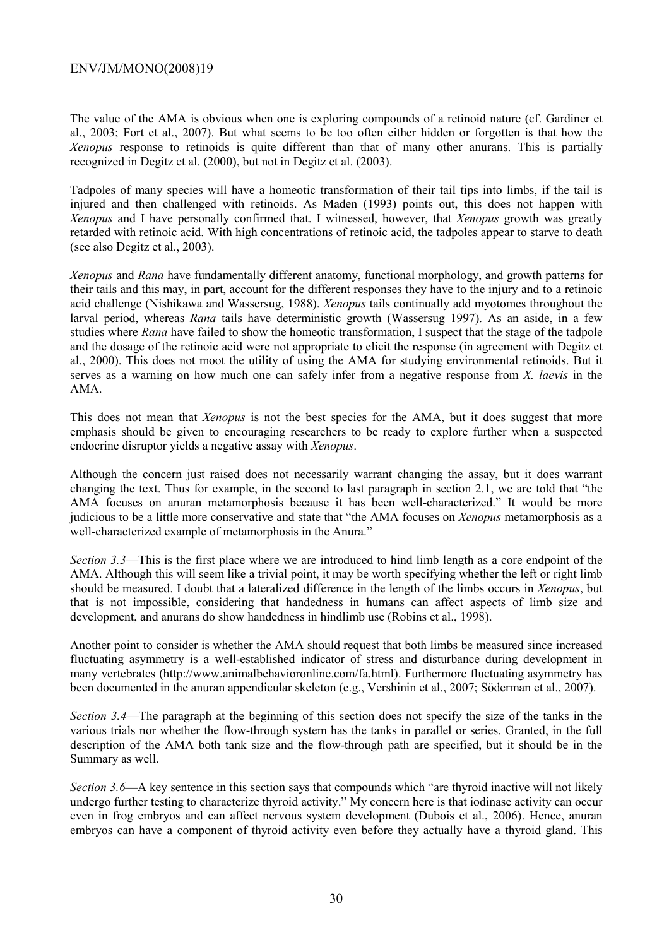The value of the AMA is obvious when one is exploring compounds of a retinoid nature (cf. Gardiner et al., 2003; Fort et al., 2007). But what seems to be too often either hidden or forgotten is that how the *Xenopus* response to retinoids is quite different than that of many other anurans. This is partially recognized in Degitz et al. (2000), but not in Degitz et al. (2003).

Tadpoles of many species will have a homeotic transformation of their tail tips into limbs, if the tail is injured and then challenged with retinoids. As Maden (1993) points out, this does not happen with *Xenopus* and I have personally confirmed that. I witnessed, however, that *Xenopus* growth was greatly retarded with retinoic acid. With high concentrations of retinoic acid, the tadpoles appear to starve to death (see also Degitz et al., 2003).

*Xenopus* and *Rana* have fundamentally different anatomy, functional morphology, and growth patterns for their tails and this may, in part, account for the different responses they have to the injury and to a retinoic acid challenge (Nishikawa and Wassersug, 1988). *Xenopus* tails continually add myotomes throughout the larval period, whereas *Rana* tails have deterministic growth (Wassersug 1997). As an aside, in a few studies where *Rana* have failed to show the homeotic transformation, I suspect that the stage of the tadpole and the dosage of the retinoic acid were not appropriate to elicit the response (in agreement with Degitz et al., 2000). This does not moot the utility of using the AMA for studying environmental retinoids. But it serves as a warning on how much one can safely infer from a negative response from *X. laevis* in the AMA.

This does not mean that *Xenopus* is not the best species for the AMA, but it does suggest that more emphasis should be given to encouraging researchers to be ready to explore further when a suspected endocrine disruptor yields a negative assay with *Xenopus*.

Although the concern just raised does not necessarily warrant changing the assay, but it does warrant changing the text. Thus for example, in the second to last paragraph in section 2.1, we are told that "the AMA focuses on anuran metamorphosis because it has been well-characterized." It would be more judicious to be a little more conservative and state that "the AMA focuses on *Xenopus* metamorphosis as a well-characterized example of metamorphosis in the Anura."

*Section 3.3*—This is the first place where we are introduced to hind limb length as a core endpoint of the AMA. Although this will seem like a trivial point, it may be worth specifying whether the left or right limb should be measured. I doubt that a lateralized difference in the length of the limbs occurs in *Xenopus*, but that is not impossible, considering that handedness in humans can affect aspects of limb size and development, and anurans do show handedness in hindlimb use (Robins et al., 1998).

Another point to consider is whether the AMA should request that both limbs be measured since increased fluctuating asymmetry is a well-established indicator of stress and disturbance during development in many vertebrates (http://www.animalbehavioronline.com/fa.html). Furthermore fluctuating asymmetry has been documented in the anuran appendicular skeleton (e.g., Vershinin et al., 2007; Söderman et al., 2007).

*Section 3.4*—The paragraph at the beginning of this section does not specify the size of the tanks in the various trials nor whether the flow-through system has the tanks in parallel or series. Granted, in the full description of the AMA both tank size and the flow-through path are specified, but it should be in the Summary as well.

*Section 3.6—A* key sentence in this section says that compounds which "are thyroid inactive will not likely undergo further testing to characterize thyroid activity." My concern here is that iodinase activity can occur even in frog embryos and can affect nervous system development (Dubois et al., 2006). Hence, anuran embryos can have a component of thyroid activity even before they actually have a thyroid gland. This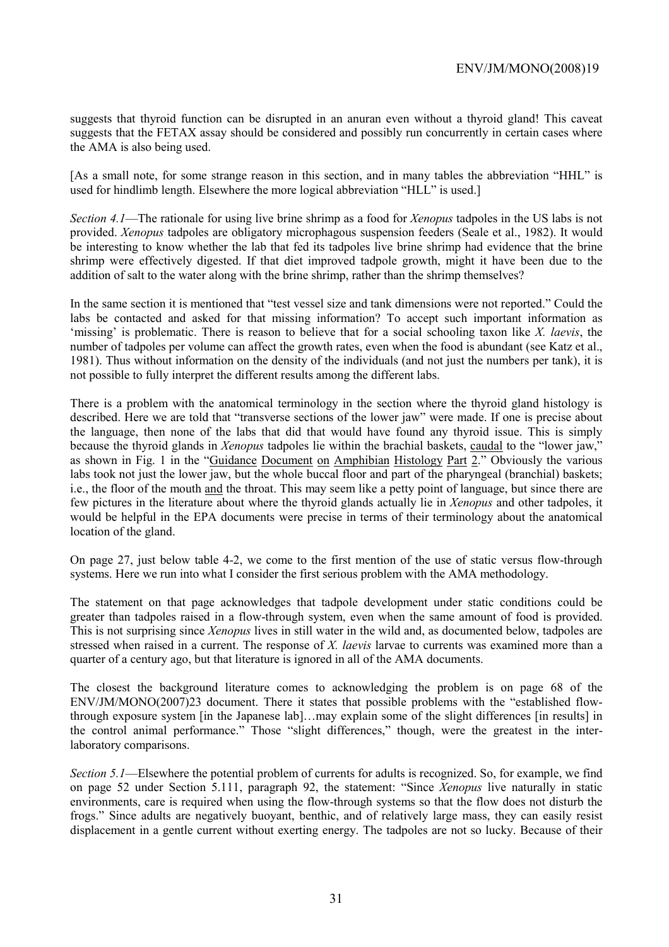suggests that thyroid function can be disrupted in an anuran even without a thyroid gland! This caveat suggests that the FETAX assay should be considered and possibly run concurrently in certain cases where the AMA is also being used.

[As a small note, for some strange reason in this section, and in many tables the abbreviation "HHL" is used for hindlimb length. Elsewhere the more logical abbreviation "HLL" is used.]

*Section 4.1*—The rationale for using live brine shrimp as a food for *Xenopus* tadpoles in the US labs is not provided. *Xenopus* tadpoles are obligatory microphagous suspension feeders (Seale et al., 1982). It would be interesting to know whether the lab that fed its tadpoles live brine shrimp had evidence that the brine shrimp were effectively digested. If that diet improved tadpole growth, might it have been due to the addition of salt to the water along with the brine shrimp, rather than the shrimp themselves?

In the same section it is mentioned that "test vessel size and tank dimensions were not reported." Could the labs be contacted and asked for that missing information? To accept such important information as 'missing' is problematic. There is reason to believe that for a social schooling taxon like *X. laevis*, the number of tadpoles per volume can affect the growth rates, even when the food is abundant (see Katz et al., 1981). Thus without information on the density of the individuals (and not just the numbers per tank), it is not possible to fully interpret the different results among the different labs.

There is a problem with the anatomical terminology in the section where the thyroid gland histology is described. Here we are told that "transverse sections of the lower jaw" were made. If one is precise about the language, then none of the labs that did that would have found any thyroid issue. This is simply because the thyroid glands in *Xenopus* tadpoles lie within the brachial baskets, caudal to the "lower jaw," as shown in Fig. 1 in the "Guidance Document on Amphibian Histology Part 2." Obviously the various labs took not just the lower jaw, but the whole buccal floor and part of the pharyngeal (branchial) baskets; i.e., the floor of the mouth and the throat. This may seem like a petty point of language, but since there are few pictures in the literature about where the thyroid glands actually lie in *Xenopus* and other tadpoles, it would be helpful in the EPA documents were precise in terms of their terminology about the anatomical location of the gland.

On page 27, just below table 4-2, we come to the first mention of the use of static versus flow-through systems. Here we run into what I consider the first serious problem with the AMA methodology.

The statement on that page acknowledges that tadpole development under static conditions could be greater than tadpoles raised in a flow-through system, even when the same amount of food is provided. This is not surprising since *Xenopus* lives in still water in the wild and, as documented below, tadpoles are stressed when raised in a current. The response of *X. laevis* larvae to currents was examined more than a quarter of a century ago, but that literature is ignored in all of the AMA documents.

The closest the background literature comes to acknowledging the problem is on page 68 of the ENV/JM/MONO(2007)23 document. There it states that possible problems with the "established flowthrough exposure system [in the Japanese lab]…may explain some of the slight differences [in results] in the control animal performance." Those "slight differences," though, were the greatest in the interlaboratory comparisons.

*Section 5.1*—Elsewhere the potential problem of currents for adults is recognized. So, for example, we find on page 52 under Section 5.111, paragraph 92, the statement: "Since *Xenopus* live naturally in static environments, care is required when using the flow-through systems so that the flow does not disturb the frogs." Since adults are negatively buoyant, benthic, and of relatively large mass, they can easily resist displacement in a gentle current without exerting energy. The tadpoles are not so lucky. Because of their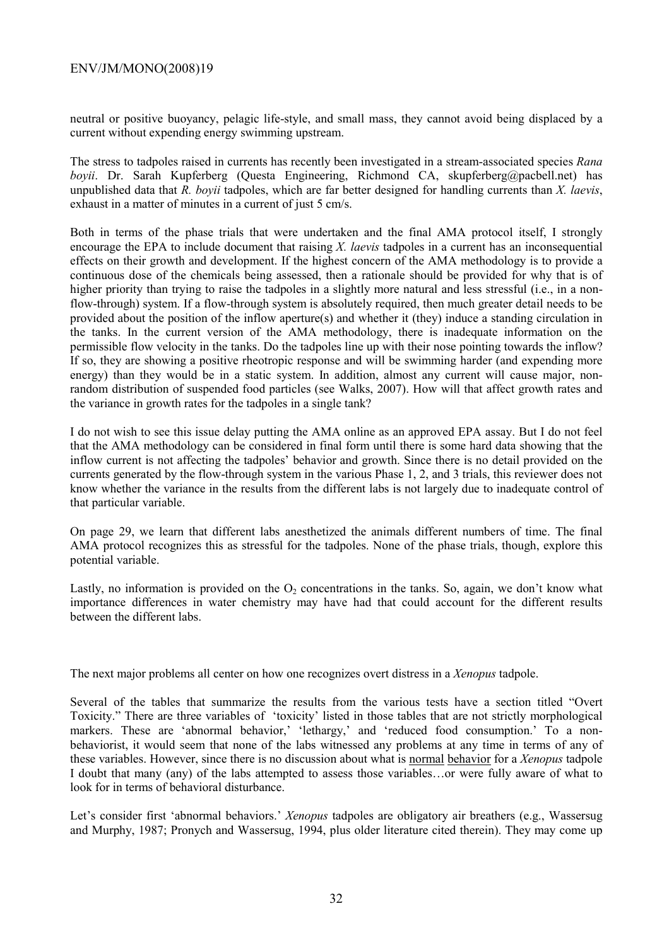neutral or positive buoyancy, pelagic life-style, and small mass, they cannot avoid being displaced by a current without expending energy swimming upstream.

The stress to tadpoles raised in currents has recently been investigated in a stream-associated species *Rana boyii*. Dr. Sarah Kupferberg (Questa Engineering, Richmond CA, skupferberg@pacbell.net) has unpublished data that *R. boyii* tadpoles, which are far better designed for handling currents than *X. laevis*, exhaust in a matter of minutes in a current of just 5 cm/s.

Both in terms of the phase trials that were undertaken and the final AMA protocol itself, I strongly encourage the EPA to include document that raising *X. laevis* tadpoles in a current has an inconsequential effects on their growth and development. If the highest concern of the AMA methodology is to provide a continuous dose of the chemicals being assessed, then a rationale should be provided for why that is of higher priority than trying to raise the tadpoles in a slightly more natural and less stressful (i.e., in a nonflow-through) system. If a flow-through system is absolutely required, then much greater detail needs to be provided about the position of the inflow aperture(s) and whether it (they) induce a standing circulation in the tanks. In the current version of the AMA methodology, there is inadequate information on the permissible flow velocity in the tanks. Do the tadpoles line up with their nose pointing towards the inflow? If so, they are showing a positive rheotropic response and will be swimming harder (and expending more energy) than they would be in a static system. In addition, almost any current will cause major, nonrandom distribution of suspended food particles (see Walks, 2007). How will that affect growth rates and the variance in growth rates for the tadpoles in a single tank?

I do not wish to see this issue delay putting the AMA online as an approved EPA assay. But I do not feel that the AMA methodology can be considered in final form until there is some hard data showing that the inflow current is not affecting the tadpoles' behavior and growth. Since there is no detail provided on the currents generated by the flow-through system in the various Phase 1, 2, and 3 trials, this reviewer does not know whether the variance in the results from the different labs is not largely due to inadequate control of that particular variable.

On page 29, we learn that different labs anesthetized the animals different numbers of time. The final AMA protocol recognizes this as stressful for the tadpoles. None of the phase trials, though, explore this potential variable.

Lastly, no information is provided on the  $O<sub>2</sub>$  concentrations in the tanks. So, again, we don't know what importance differences in water chemistry may have had that could account for the different results between the different labs.

The next major problems all center on how one recognizes overt distress in a *Xenopus* tadpole.

Several of the tables that summarize the results from the various tests have a section titled "Overt Toxicity." There are three variables of 'toxicity' listed in those tables that are not strictly morphological markers. These are 'abnormal behavior,' 'lethargy,' and 'reduced food consumption.' To a nonbehaviorist, it would seem that none of the labs witnessed any problems at any time in terms of any of these variables. However, since there is no discussion about what is normal behavior for a *Xenopus* tadpole I doubt that many (any) of the labs attempted to assess those variables…or were fully aware of what to look for in terms of behavioral disturbance.

Let's consider first 'abnormal behaviors.' *Xenopus* tadpoles are obligatory air breathers (e.g., Wassersug and Murphy, 1987; Pronych and Wassersug, 1994, plus older literature cited therein). They may come up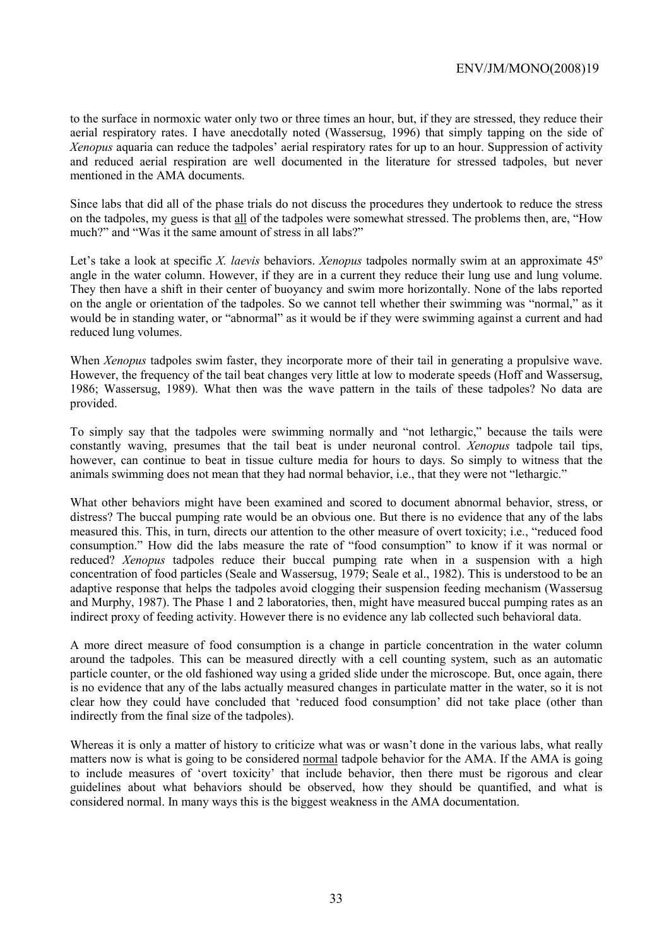to the surface in normoxic water only two or three times an hour, but, if they are stressed, they reduce their aerial respiratory rates. I have anecdotally noted (Wassersug, 1996) that simply tapping on the side of *Xenopus* aquaria can reduce the tadpoles' aerial respiratory rates for up to an hour. Suppression of activity and reduced aerial respiration are well documented in the literature for stressed tadpoles, but never mentioned in the AMA documents.

Since labs that did all of the phase trials do not discuss the procedures they undertook to reduce the stress on the tadpoles, my guess is that all of the tadpoles were somewhat stressed. The problems then, are, "How much?" and "Was it the same amount of stress in all labs?"

Let's take a look at specific *X. laevis* behaviors. *Xenopus* tadpoles normally swim at an approximate 45º angle in the water column. However, if they are in a current they reduce their lung use and lung volume. They then have a shift in their center of buoyancy and swim more horizontally. None of the labs reported on the angle or orientation of the tadpoles. So we cannot tell whether their swimming was "normal," as it would be in standing water, or "abnormal" as it would be if they were swimming against a current and had reduced lung volumes.

When *Xenopus* tadpoles swim faster, they incorporate more of their tail in generating a propulsive wave. However, the frequency of the tail beat changes very little at low to moderate speeds (Hoff and Wassersug, 1986; Wassersug, 1989). What then was the wave pattern in the tails of these tadpoles? No data are provided.

To simply say that the tadpoles were swimming normally and "not lethargic," because the tails were constantly waving, presumes that the tail beat is under neuronal control. *Xenopus* tadpole tail tips, however, can continue to beat in tissue culture media for hours to days. So simply to witness that the animals swimming does not mean that they had normal behavior, i.e., that they were not "lethargic."

What other behaviors might have been examined and scored to document abnormal behavior, stress, or distress? The buccal pumping rate would be an obvious one. But there is no evidence that any of the labs measured this. This, in turn, directs our attention to the other measure of overt toxicity; i.e., "reduced food consumption." How did the labs measure the rate of "food consumption" to know if it was normal or reduced? *Xenopus* tadpoles reduce their buccal pumping rate when in a suspension with a high concentration of food particles (Seale and Wassersug, 1979; Seale et al., 1982). This is understood to be an adaptive response that helps the tadpoles avoid clogging their suspension feeding mechanism (Wassersug and Murphy, 1987). The Phase 1 and 2 laboratories, then, might have measured buccal pumping rates as an indirect proxy of feeding activity. However there is no evidence any lab collected such behavioral data.

A more direct measure of food consumption is a change in particle concentration in the water column around the tadpoles. This can be measured directly with a cell counting system, such as an automatic particle counter, or the old fashioned way using a grided slide under the microscope. But, once again, there is no evidence that any of the labs actually measured changes in particulate matter in the water, so it is not clear how they could have concluded that 'reduced food consumption' did not take place (other than indirectly from the final size of the tadpoles).

Whereas it is only a matter of history to criticize what was or wasn't done in the various labs, what really matters now is what is going to be considered normal tadpole behavior for the AMA. If the AMA is going to include measures of 'overt toxicity' that include behavior, then there must be rigorous and clear guidelines about what behaviors should be observed, how they should be quantified, and what is considered normal. In many ways this is the biggest weakness in the AMA documentation.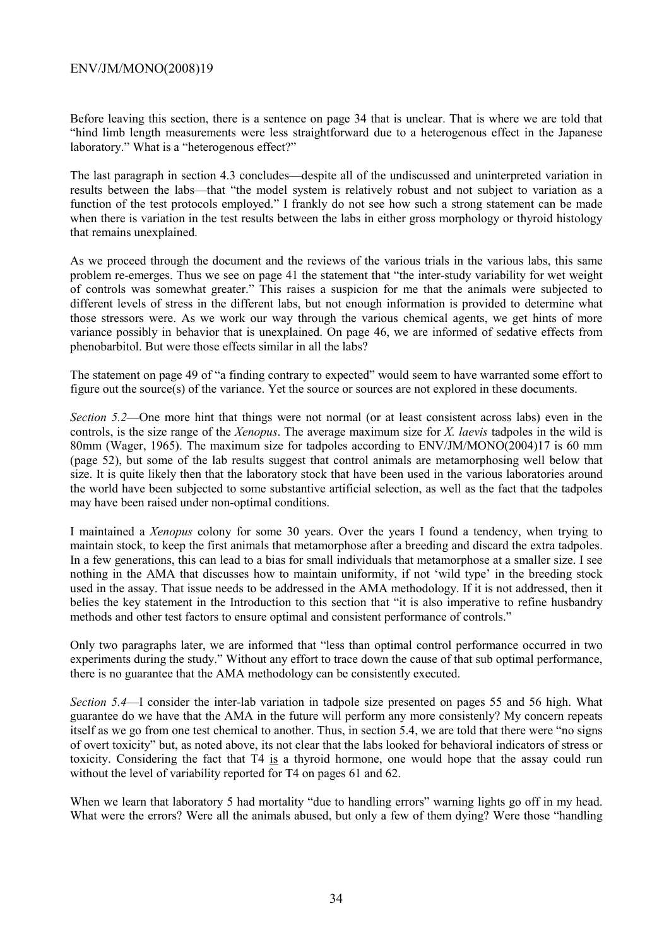Before leaving this section, there is a sentence on page 34 that is unclear. That is where we are told that "hind limb length measurements were less straightforward due to a heterogenous effect in the Japanese laboratory." What is a "heterogenous effect?"

The last paragraph in section 4.3 concludes—despite all of the undiscussed and uninterpreted variation in results between the labs—that "the model system is relatively robust and not subject to variation as a function of the test protocols employed." I frankly do not see how such a strong statement can be made when there is variation in the test results between the labs in either gross morphology or thyroid histology that remains unexplained.

As we proceed through the document and the reviews of the various trials in the various labs, this same problem re-emerges. Thus we see on page 41 the statement that "the inter-study variability for wet weight of controls was somewhat greater." This raises a suspicion for me that the animals were subjected to different levels of stress in the different labs, but not enough information is provided to determine what those stressors were. As we work our way through the various chemical agents, we get hints of more variance possibly in behavior that is unexplained. On page 46, we are informed of sedative effects from phenobarbitol. But were those effects similar in all the labs?

The statement on page 49 of "a finding contrary to expected" would seem to have warranted some effort to figure out the source(s) of the variance. Yet the source or sources are not explored in these documents.

*Section 5.2*—One more hint that things were not normal (or at least consistent across labs) even in the controls, is the size range of the *Xenopus*. The average maximum size for *X. laevis* tadpoles in the wild is 80mm (Wager, 1965). The maximum size for tadpoles according to ENV/JM/MONO(2004)17 is 60 mm (page 52), but some of the lab results suggest that control animals are metamorphosing well below that size. It is quite likely then that the laboratory stock that have been used in the various laboratories around the world have been subjected to some substantive artificial selection, as well as the fact that the tadpoles may have been raised under non-optimal conditions.

I maintained a *Xenopus* colony for some 30 years. Over the years I found a tendency, when trying to maintain stock, to keep the first animals that metamorphose after a breeding and discard the extra tadpoles. In a few generations, this can lead to a bias for small individuals that metamorphose at a smaller size. I see nothing in the AMA that discusses how to maintain uniformity, if not 'wild type' in the breeding stock used in the assay. That issue needs to be addressed in the AMA methodology. If it is not addressed, then it belies the key statement in the Introduction to this section that "it is also imperative to refine husbandry methods and other test factors to ensure optimal and consistent performance of controls."

Only two paragraphs later, we are informed that "less than optimal control performance occurred in two experiments during the study." Without any effort to trace down the cause of that sub optimal performance, there is no guarantee that the AMA methodology can be consistently executed.

*Section 5.4*—I consider the inter-lab variation in tadpole size presented on pages 55 and 56 high. What guarantee do we have that the AMA in the future will perform any more consistenly? My concern repeats itself as we go from one test chemical to another. Thus, in section 5.4, we are told that there were "no signs of overt toxicity" but, as noted above, its not clear that the labs looked for behavioral indicators of stress or toxicity. Considering the fact that T4 is a thyroid hormone, one would hope that the assay could run without the level of variability reported for T4 on pages 61 and 62.

When we learn that laboratory 5 had mortality "due to handling errors" warning lights go off in my head. What were the errors? Were all the animals abused, but only a few of them dying? Were those "handling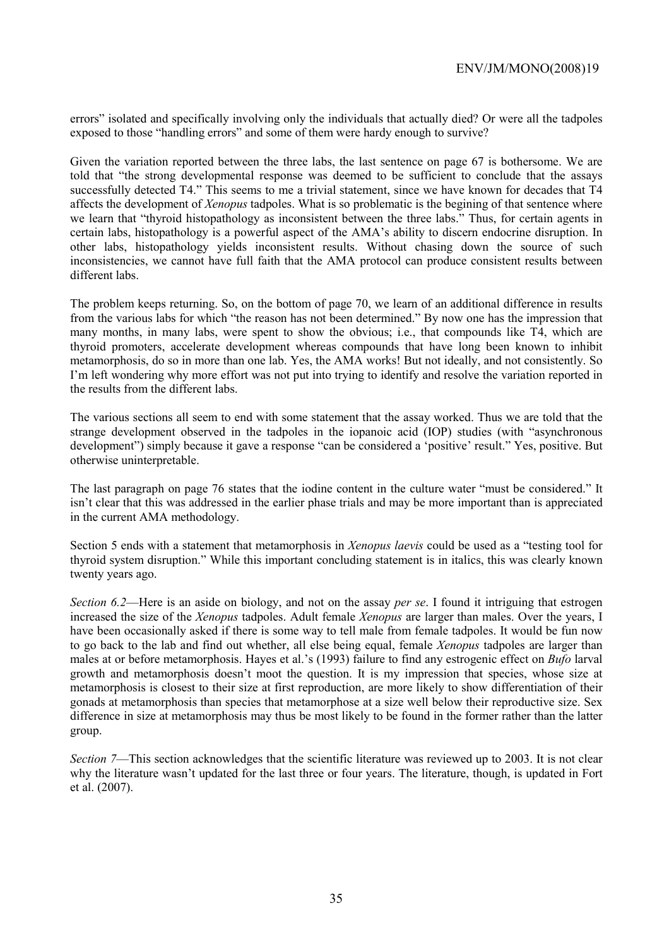errors" isolated and specifically involving only the individuals that actually died? Or were all the tadpoles exposed to those "handling errors" and some of them were hardy enough to survive?

Given the variation reported between the three labs, the last sentence on page 67 is bothersome. We are told that "the strong developmental response was deemed to be sufficient to conclude that the assays successfully detected T4." This seems to me a trivial statement, since we have known for decades that T4 affects the development of *Xenopus* tadpoles. What is so problematic is the begining of that sentence where we learn that "thyroid histopathology as inconsistent between the three labs." Thus, for certain agents in certain labs, histopathology is a powerful aspect of the AMA's ability to discern endocrine disruption. In other labs, histopathology yields inconsistent results. Without chasing down the source of such inconsistencies, we cannot have full faith that the AMA protocol can produce consistent results between different labs.

The problem keeps returning. So, on the bottom of page 70, we learn of an additional difference in results from the various labs for which "the reason has not been determined." By now one has the impression that many months, in many labs, were spent to show the obvious; i.e., that compounds like T4, which are thyroid promoters, accelerate development whereas compounds that have long been known to inhibit metamorphosis, do so in more than one lab. Yes, the AMA works! But not ideally, and not consistently. So I'm left wondering why more effort was not put into trying to identify and resolve the variation reported in the results from the different labs.

The various sections all seem to end with some statement that the assay worked. Thus we are told that the strange development observed in the tadpoles in the iopanoic acid (IOP) studies (with "asynchronous development") simply because it gave a response "can be considered a 'positive' result." Yes, positive. But otherwise uninterpretable.

The last paragraph on page 76 states that the iodine content in the culture water "must be considered." It isn't clear that this was addressed in the earlier phase trials and may be more important than is appreciated in the current AMA methodology.

Section 5 ends with a statement that metamorphosis in *Xenopus laevis* could be used as a "testing tool for thyroid system disruption." While this important concluding statement is in italics, this was clearly known twenty years ago.

*Section 6.2*—Here is an aside on biology, and not on the assay *per se*. I found it intriguing that estrogen increased the size of the *Xenopus* tadpoles. Adult female *Xenopus* are larger than males. Over the years, I have been occasionally asked if there is some way to tell male from female tadpoles. It would be fun now to go back to the lab and find out whether, all else being equal, female *Xenopus* tadpoles are larger than males at or before metamorphosis. Hayes et al.'s (1993) failure to find any estrogenic effect on *Bufo* larval growth and metamorphosis doesn't moot the question. It is my impression that species, whose size at metamorphosis is closest to their size at first reproduction, are more likely to show differentiation of their gonads at metamorphosis than species that metamorphose at a size well below their reproductive size. Sex difference in size at metamorphosis may thus be most likely to be found in the former rather than the latter group.

*Section 7*—This section acknowledges that the scientific literature was reviewed up to 2003. It is not clear why the literature wasn't updated for the last three or four years. The literature, though, is updated in Fort et al. (2007).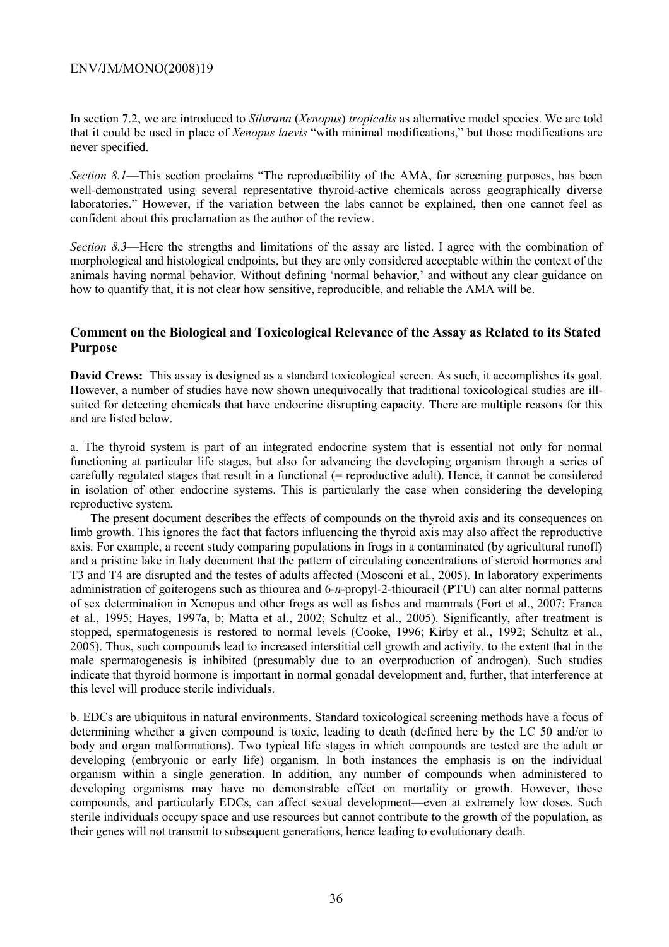In section 7.2, we are introduced to *Silurana* (*Xenopus*) *tropicalis* as alternative model species. We are told that it could be used in place of *Xenopus laevis* "with minimal modifications," but those modifications are never specified.

*Section 8.1—This section proclaims* "The reproducibility of the AMA, for screening purposes, has been well-demonstrated using several representative thyroid-active chemicals across geographically diverse laboratories." However, if the variation between the labs cannot be explained, then one cannot feel as confident about this proclamation as the author of the review.

*Section 8.3*—Here the strengths and limitations of the assay are listed. I agree with the combination of morphological and histological endpoints, but they are only considered acceptable within the context of the animals having normal behavior. Without defining 'normal behavior,' and without any clear guidance on how to quantify that, it is not clear how sensitive, reproducible, and reliable the AMA will be.

# **Comment on the Biological and Toxicological Relevance of the Assay as Related to its Stated Purpose**

**David Crews:** This assay is designed as a standard toxicological screen. As such, it accomplishes its goal. However, a number of studies have now shown unequivocally that traditional toxicological studies are illsuited for detecting chemicals that have endocrine disrupting capacity. There are multiple reasons for this and are listed below.

a. The thyroid system is part of an integrated endocrine system that is essential not only for normal functioning at particular life stages, but also for advancing the developing organism through a series of carefully regulated stages that result in a functional (= reproductive adult). Hence, it cannot be considered in isolation of other endocrine systems. This is particularly the case when considering the developing reproductive system.

The present document describes the effects of compounds on the thyroid axis and its consequences on limb growth. This ignores the fact that factors influencing the thyroid axis may also affect the reproductive axis. For example, a recent study comparing populations in frogs in a contaminated (by agricultural runoff) and a pristine lake in Italy document that the pattern of circulating concentrations of steroid hormones and T3 and T4 are disrupted and the testes of adults affected (Mosconi et al., 2005). In laboratory experiments administration of goiterogens such as thiourea and 6-*n*-propyl-2-thiouracil (**PTU**) can alter normal patterns of sex determination in Xenopus and other frogs as well as fishes and mammals (Fort et al., 2007; Franca et al., 1995; Hayes, 1997a, b; Matta et al., 2002; Schultz et al., 2005). Significantly, after treatment is stopped, spermatogenesis is restored to normal levels (Cooke, 1996; Kirby et al., 1992; Schultz et al., 2005). Thus, such compounds lead to increased interstitial cell growth and activity, to the extent that in the male spermatogenesis is inhibited (presumably due to an overproduction of androgen). Such studies indicate that thyroid hormone is important in normal gonadal development and, further, that interference at this level will produce sterile individuals.

b. EDCs are ubiquitous in natural environments. Standard toxicological screening methods have a focus of determining whether a given compound is toxic, leading to death (defined here by the LC 50 and/or to body and organ malformations). Two typical life stages in which compounds are tested are the adult or developing (embryonic or early life) organism. In both instances the emphasis is on the individual organism within a single generation. In addition, any number of compounds when administered to developing organisms may have no demonstrable effect on mortality or growth. However, these compounds, and particularly EDCs, can affect sexual development—even at extremely low doses. Such sterile individuals occupy space and use resources but cannot contribute to the growth of the population, as their genes will not transmit to subsequent generations, hence leading to evolutionary death.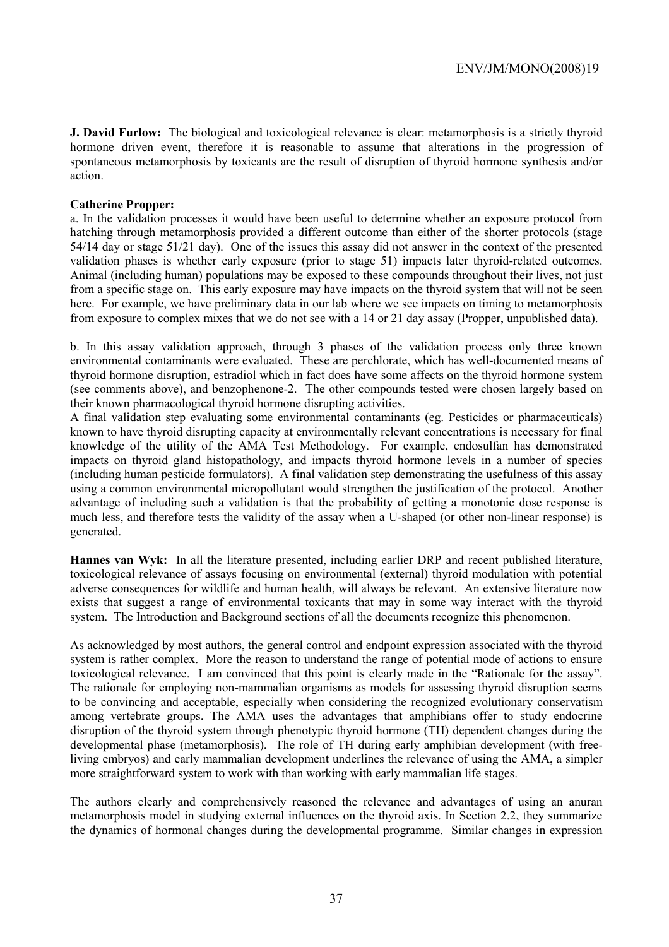**J. David Furlow:** The biological and toxicological relevance is clear: metamorphosis is a strictly thyroid hormone driven event, therefore it is reasonable to assume that alterations in the progression of spontaneous metamorphosis by toxicants are the result of disruption of thyroid hormone synthesis and/or action.

### **Catherine Propper:**

a. In the validation processes it would have been useful to determine whether an exposure protocol from hatching through metamorphosis provided a different outcome than either of the shorter protocols (stage 54/14 day or stage 51/21 day). One of the issues this assay did not answer in the context of the presented validation phases is whether early exposure (prior to stage 51) impacts later thyroid-related outcomes. Animal (including human) populations may be exposed to these compounds throughout their lives, not just from a specific stage on. This early exposure may have impacts on the thyroid system that will not be seen here. For example, we have preliminary data in our lab where we see impacts on timing to metamorphosis from exposure to complex mixes that we do not see with a 14 or 21 day assay (Propper, unpublished data).

b. In this assay validation approach, through 3 phases of the validation process only three known environmental contaminants were evaluated. These are perchlorate, which has well-documented means of thyroid hormone disruption, estradiol which in fact does have some affects on the thyroid hormone system (see comments above), and benzophenone-2. The other compounds tested were chosen largely based on their known pharmacological thyroid hormone disrupting activities.

A final validation step evaluating some environmental contaminants (eg. Pesticides or pharmaceuticals) known to have thyroid disrupting capacity at environmentally relevant concentrations is necessary for final knowledge of the utility of the AMA Test Methodology. For example, endosulfan has demonstrated impacts on thyroid gland histopathology, and impacts thyroid hormone levels in a number of species (including human pesticide formulators). A final validation step demonstrating the usefulness of this assay using a common environmental micropollutant would strengthen the justification of the protocol. Another advantage of including such a validation is that the probability of getting a monotonic dose response is much less, and therefore tests the validity of the assay when a U-shaped (or other non-linear response) is generated.

**Hannes van Wyk:** In all the literature presented, including earlier DRP and recent published literature, toxicological relevance of assays focusing on environmental (external) thyroid modulation with potential adverse consequences for wildlife and human health, will always be relevant. An extensive literature now exists that suggest a range of environmental toxicants that may in some way interact with the thyroid system. The Introduction and Background sections of all the documents recognize this phenomenon.

As acknowledged by most authors, the general control and endpoint expression associated with the thyroid system is rather complex. More the reason to understand the range of potential mode of actions to ensure toxicological relevance. I am convinced that this point is clearly made in the "Rationale for the assay". The rationale for employing non-mammalian organisms as models for assessing thyroid disruption seems to be convincing and acceptable, especially when considering the recognized evolutionary conservatism among vertebrate groups. The AMA uses the advantages that amphibians offer to study endocrine disruption of the thyroid system through phenotypic thyroid hormone (TH) dependent changes during the developmental phase (metamorphosis). The role of TH during early amphibian development (with freeliving embryos) and early mammalian development underlines the relevance of using the AMA, a simpler more straightforward system to work with than working with early mammalian life stages.

The authors clearly and comprehensively reasoned the relevance and advantages of using an anuran metamorphosis model in studying external influences on the thyroid axis. In Section 2.2, they summarize the dynamics of hormonal changes during the developmental programme. Similar changes in expression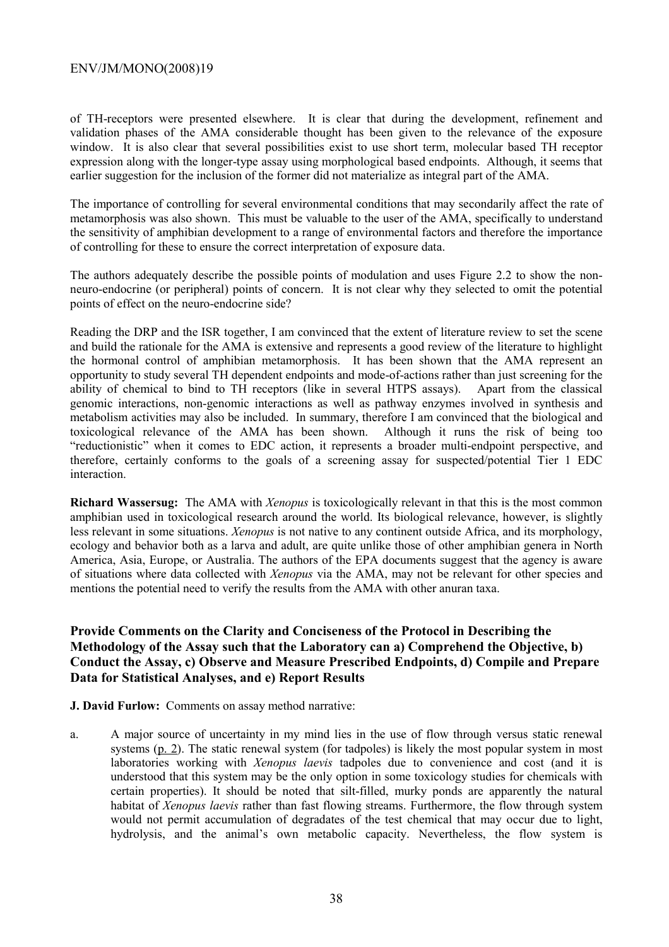of TH-receptors were presented elsewhere. It is clear that during the development, refinement and validation phases of the AMA considerable thought has been given to the relevance of the exposure window. It is also clear that several possibilities exist to use short term, molecular based TH receptor expression along with the longer-type assay using morphological based endpoints. Although, it seems that earlier suggestion for the inclusion of the former did not materialize as integral part of the AMA.

The importance of controlling for several environmental conditions that may secondarily affect the rate of metamorphosis was also shown. This must be valuable to the user of the AMA, specifically to understand the sensitivity of amphibian development to a range of environmental factors and therefore the importance of controlling for these to ensure the correct interpretation of exposure data.

The authors adequately describe the possible points of modulation and uses Figure 2.2 to show the nonneuro-endocrine (or peripheral) points of concern. It is not clear why they selected to omit the potential points of effect on the neuro-endocrine side?

Reading the DRP and the ISR together, I am convinced that the extent of literature review to set the scene and build the rationale for the AMA is extensive and represents a good review of the literature to highlight the hormonal control of amphibian metamorphosis. It has been shown that the AMA represent an opportunity to study several TH dependent endpoints and mode-of-actions rather than just screening for the ability of chemical to bind to TH receptors (like in several HTPS assays). Apart from the classical genomic interactions, non-genomic interactions as well as pathway enzymes involved in synthesis and metabolism activities may also be included. In summary, therefore I am convinced that the biological and toxicological relevance of the AMA has been shown. Although it runs the risk of being too "reductionistic" when it comes to EDC action, it represents a broader multi-endpoint perspective, and therefore, certainly conforms to the goals of a screening assay for suspected/potential Tier 1 EDC interaction.

**Richard Wassersug:** The AMA with *Xenopus* is toxicologically relevant in that this is the most common amphibian used in toxicological research around the world. Its biological relevance, however, is slightly less relevant in some situations. *Xenopus* is not native to any continent outside Africa, and its morphology, ecology and behavior both as a larva and adult, are quite unlike those of other amphibian genera in North America, Asia, Europe, or Australia. The authors of the EPA documents suggest that the agency is aware of situations where data collected with *Xenopus* via the AMA, may not be relevant for other species and mentions the potential need to verify the results from the AMA with other anuran taxa.

## **Provide Comments on the Clarity and Conciseness of the Protocol in Describing the Methodology of the Assay such that the Laboratory can a) Comprehend the Objective, b) Conduct the Assay, c) Observe and Measure Prescribed Endpoints, d) Compile and Prepare Data for Statistical Analyses, and e) Report Results**

**J. David Furlow:** Comments on assay method narrative:

a. A major source of uncertainty in my mind lies in the use of flow through versus static renewal systems (p. 2). The static renewal system (for tadpoles) is likely the most popular system in most laboratories working with *Xenopus laevis* tadpoles due to convenience and cost (and it is understood that this system may be the only option in some toxicology studies for chemicals with certain properties). It should be noted that silt-filled, murky ponds are apparently the natural habitat of *Xenopus laevis* rather than fast flowing streams. Furthermore, the flow through system would not permit accumulation of degradates of the test chemical that may occur due to light, hydrolysis, and the animal's own metabolic capacity. Nevertheless, the flow system is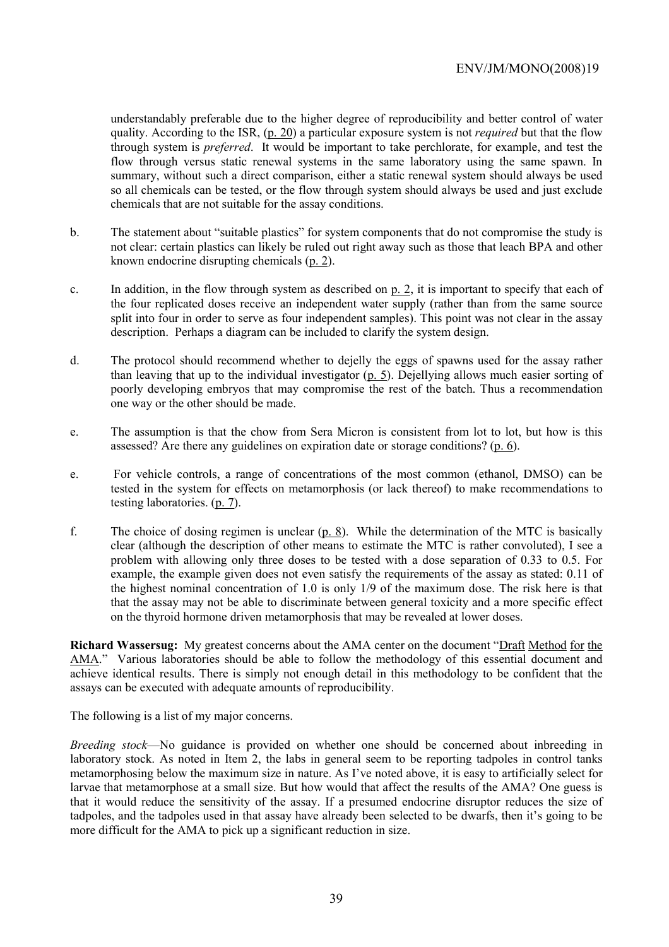understandably preferable due to the higher degree of reproducibility and better control of water quality. According to the ISR, (p. 20) a particular exposure system is not *required* but that the flow through system is *preferred*. It would be important to take perchlorate, for example, and test the flow through versus static renewal systems in the same laboratory using the same spawn. In summary, without such a direct comparison, either a static renewal system should always be used so all chemicals can be tested, or the flow through system should always be used and just exclude chemicals that are not suitable for the assay conditions.

- b. The statement about "suitable plastics" for system components that do not compromise the study is not clear: certain plastics can likely be ruled out right away such as those that leach BPA and other known endocrine disrupting chemicals (p. 2).
- c. In addition, in the flow through system as described on p. 2, it is important to specify that each of the four replicated doses receive an independent water supply (rather than from the same source split into four in order to serve as four independent samples). This point was not clear in the assay description. Perhaps a diagram can be included to clarify the system design.
- d. The protocol should recommend whether to dejelly the eggs of spawns used for the assay rather than leaving that up to the individual investigator (p. 5). Dejellying allows much easier sorting of poorly developing embryos that may compromise the rest of the batch. Thus a recommendation one way or the other should be made.
- e. The assumption is that the chow from Sera Micron is consistent from lot to lot, but how is this assessed? Are there any guidelines on expiration date or storage conditions? (p. 6).
- e. For vehicle controls, a range of concentrations of the most common (ethanol, DMSO) can be tested in the system for effects on metamorphosis (or lack thereof) to make recommendations to testing laboratories. (p. 7).
- f. The choice of dosing regimen is unclear (p. 8). While the determination of the MTC is basically clear (although the description of other means to estimate the MTC is rather convoluted), I see a problem with allowing only three doses to be tested with a dose separation of 0.33 to 0.5. For example, the example given does not even satisfy the requirements of the assay as stated: 0.11 of the highest nominal concentration of 1.0 is only 1/9 of the maximum dose. The risk here is that that the assay may not be able to discriminate between general toxicity and a more specific effect on the thyroid hormone driven metamorphosis that may be revealed at lower doses.

**Richard Wassersug:** My greatest concerns about the AMA center on the document "Draft Method for the AMA." Various laboratories should be able to follow the methodology of this essential document and achieve identical results. There is simply not enough detail in this methodology to be confident that the assays can be executed with adequate amounts of reproducibility.

The following is a list of my major concerns.

*Breeding stock*—No guidance is provided on whether one should be concerned about inbreeding in laboratory stock. As noted in Item 2, the labs in general seem to be reporting tadpoles in control tanks metamorphosing below the maximum size in nature. As I've noted above, it is easy to artificially select for larvae that metamorphose at a small size. But how would that affect the results of the AMA? One guess is that it would reduce the sensitivity of the assay. If a presumed endocrine disruptor reduces the size of tadpoles, and the tadpoles used in that assay have already been selected to be dwarfs, then it's going to be more difficult for the AMA to pick up a significant reduction in size.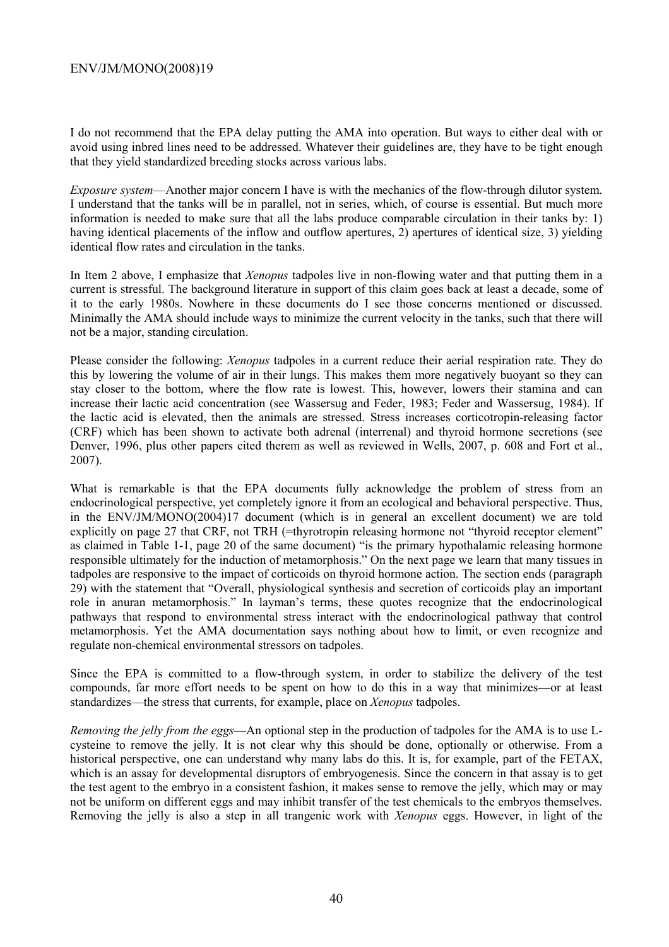I do not recommend that the EPA delay putting the AMA into operation. But ways to either deal with or avoid using inbred lines need to be addressed. Whatever their guidelines are, they have to be tight enough that they yield standardized breeding stocks across various labs.

*Exposure system*—Another major concern I have is with the mechanics of the flow-through dilutor system. I understand that the tanks will be in parallel, not in series, which, of course is essential. But much more information is needed to make sure that all the labs produce comparable circulation in their tanks by: 1) having identical placements of the inflow and outflow apertures, 2) apertures of identical size, 3) yielding identical flow rates and circulation in the tanks.

In Item 2 above, I emphasize that *Xenopus* tadpoles live in non-flowing water and that putting them in a current is stressful. The background literature in support of this claim goes back at least a decade, some of it to the early 1980s. Nowhere in these documents do I see those concerns mentioned or discussed. Minimally the AMA should include ways to minimize the current velocity in the tanks, such that there will not be a major, standing circulation.

Please consider the following: *Xenopus* tadpoles in a current reduce their aerial respiration rate. They do this by lowering the volume of air in their lungs. This makes them more negatively buoyant so they can stay closer to the bottom, where the flow rate is lowest. This, however, lowers their stamina and can increase their lactic acid concentration (see Wassersug and Feder, 1983; Feder and Wassersug, 1984). If the lactic acid is elevated, then the animals are stressed. Stress increases corticotropin-releasing factor (CRF) which has been shown to activate both adrenal (interrenal) and thyroid hormone secretions (see Denver, 1996, plus other papers cited therem as well as reviewed in Wells, 2007, p. 608 and Fort et al., 2007).

What is remarkable is that the EPA documents fully acknowledge the problem of stress from an endocrinological perspective, yet completely ignore it from an ecological and behavioral perspective. Thus, in the ENV/JM/MONO(2004)17 document (which is in general an excellent document) we are told explicitly on page 27 that CRF, not TRH (=thyrotropin releasing hormone not "thyroid receptor element" as claimed in Table 1-1, page 20 of the same document) "is the primary hypothalamic releasing hormone responsible ultimately for the induction of metamorphosis." On the next page we learn that many tissues in tadpoles are responsive to the impact of corticoids on thyroid hormone action. The section ends (paragraph 29) with the statement that "Overall, physiological synthesis and secretion of corticoids play an important role in anuran metamorphosis." In layman's terms, these quotes recognize that the endocrinological pathways that respond to environmental stress interact with the endocrinological pathway that control metamorphosis. Yet the AMA documentation says nothing about how to limit, or even recognize and regulate non-chemical environmental stressors on tadpoles.

Since the EPA is committed to a flow-through system, in order to stabilize the delivery of the test compounds, far more effort needs to be spent on how to do this in a way that minimizes—or at least standardizes—the stress that currents, for example, place on *Xenopus* tadpoles.

*Removing the jelly from the eggs*—An optional step in the production of tadpoles for the AMA is to use Lcysteine to remove the jelly. It is not clear why this should be done, optionally or otherwise. From a historical perspective, one can understand why many labs do this. It is, for example, part of the FETAX, which is an assay for developmental disruptors of embryogenesis. Since the concern in that assay is to get the test agent to the embryo in a consistent fashion, it makes sense to remove the jelly, which may or may not be uniform on different eggs and may inhibit transfer of the test chemicals to the embryos themselves. Removing the jelly is also a step in all trangenic work with *Xenopus* eggs. However, in light of the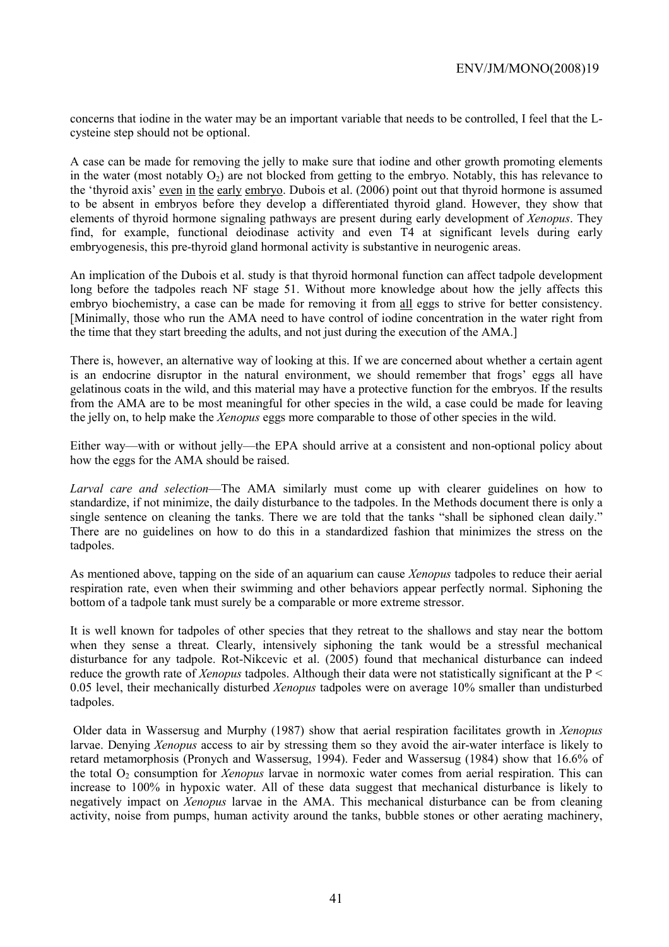concerns that iodine in the water may be an important variable that needs to be controlled, I feel that the Lcysteine step should not be optional.

A case can be made for removing the jelly to make sure that iodine and other growth promoting elements in the water (most notably  $O_2$ ) are not blocked from getting to the embryo. Notably, this has relevance to the 'thyroid axis' even in the early embryo. Dubois et al. (2006) point out that thyroid hormone is assumed to be absent in embryos before they develop a differentiated thyroid gland. However, they show that elements of thyroid hormone signaling pathways are present during early development of *Xenopus*. They find, for example, functional deiodinase activity and even T4 at significant levels during early embryogenesis, this pre-thyroid gland hormonal activity is substantive in neurogenic areas.

An implication of the Dubois et al. study is that thyroid hormonal function can affect tadpole development long before the tadpoles reach NF stage 51. Without more knowledge about how the jelly affects this embryo biochemistry, a case can be made for removing it from all eggs to strive for better consistency. [Minimally, those who run the AMA need to have control of iodine concentration in the water right from the time that they start breeding the adults, and not just during the execution of the AMA.]

There is, however, an alternative way of looking at this. If we are concerned about whether a certain agent is an endocrine disruptor in the natural environment, we should remember that frogs' eggs all have gelatinous coats in the wild, and this material may have a protective function for the embryos. If the results from the AMA are to be most meaningful for other species in the wild, a case could be made for leaving the jelly on, to help make the *Xenopus* eggs more comparable to those of other species in the wild.

Either way—with or without jelly—the EPA should arrive at a consistent and non-optional policy about how the eggs for the AMA should be raised.

*Larval care and selection*—The AMA similarly must come up with clearer guidelines on how to standardize, if not minimize, the daily disturbance to the tadpoles. In the Methods document there is only a single sentence on cleaning the tanks. There we are told that the tanks "shall be siphoned clean daily." There are no guidelines on how to do this in a standardized fashion that minimizes the stress on the tadpoles.

As mentioned above, tapping on the side of an aquarium can cause *Xenopus* tadpoles to reduce their aerial respiration rate, even when their swimming and other behaviors appear perfectly normal. Siphoning the bottom of a tadpole tank must surely be a comparable or more extreme stressor.

It is well known for tadpoles of other species that they retreat to the shallows and stay near the bottom when they sense a threat. Clearly, intensively siphoning the tank would be a stressful mechanical disturbance for any tadpole. Rot-Nikcevic et al. (2005) found that mechanical disturbance can indeed reduce the growth rate of *Xenopus* tadpoles. Although their data were not statistically significant at the P < 0.05 level, their mechanically disturbed *Xenopus* tadpoles were on average 10% smaller than undisturbed tadpoles.

 Older data in Wassersug and Murphy (1987) show that aerial respiration facilitates growth in *Xenopus* larvae. Denying *Xenopus* access to air by stressing them so they avoid the air-water interface is likely to retard metamorphosis (Pronych and Wassersug, 1994). Feder and Wassersug (1984) show that 16.6% of the total O2 consumption for *Xenopus* larvae in normoxic water comes from aerial respiration. This can increase to 100% in hypoxic water. All of these data suggest that mechanical disturbance is likely to negatively impact on *Xenopus* larvae in the AMA. This mechanical disturbance can be from cleaning activity, noise from pumps, human activity around the tanks, bubble stones or other aerating machinery,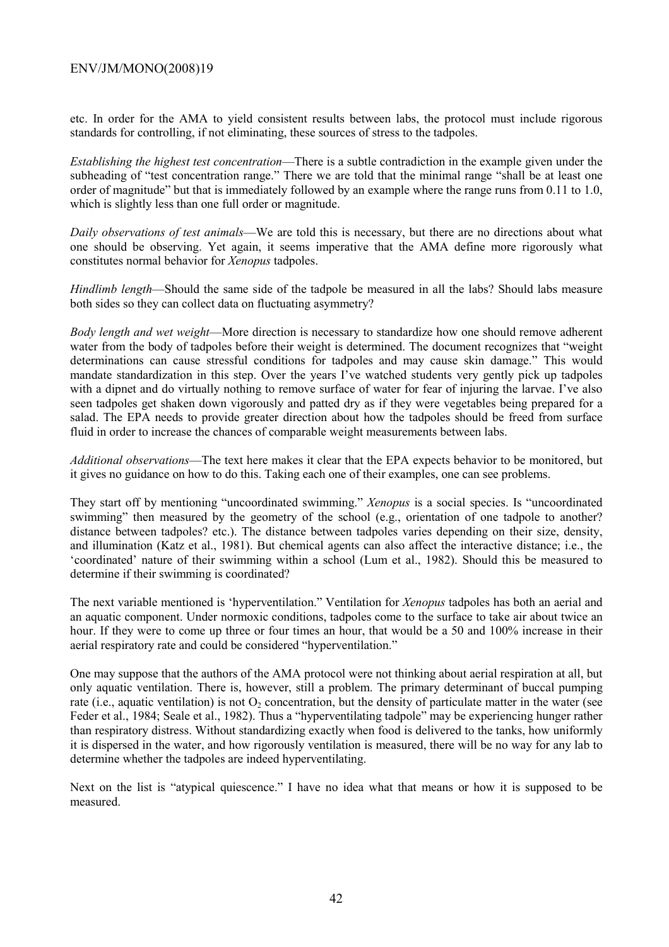etc. In order for the AMA to yield consistent results between labs, the protocol must include rigorous standards for controlling, if not eliminating, these sources of stress to the tadpoles.

*Establishing the highest test concentration*—There is a subtle contradiction in the example given under the subheading of "test concentration range." There we are told that the minimal range "shall be at least one order of magnitude" but that is immediately followed by an example where the range runs from 0.11 to 1.0, which is slightly less than one full order or magnitude.

*Daily observations of test animals*—We are told this is necessary, but there are no directions about what one should be observing. Yet again, it seems imperative that the AMA define more rigorously what constitutes normal behavior for *Xenopus* tadpoles.

*Hindlimb length*—Should the same side of the tadpole be measured in all the labs? Should labs measure both sides so they can collect data on fluctuating asymmetry?

*Body length and wet weight*—More direction is necessary to standardize how one should remove adherent water from the body of tadpoles before their weight is determined. The document recognizes that "weight determinations can cause stressful conditions for tadpoles and may cause skin damage." This would mandate standardization in this step. Over the years I've watched students very gently pick up tadpoles with a dipnet and do virtually nothing to remove surface of water for fear of injuring the larvae. I've also seen tadpoles get shaken down vigorously and patted dry as if they were vegetables being prepared for a salad. The EPA needs to provide greater direction about how the tadpoles should be freed from surface fluid in order to increase the chances of comparable weight measurements between labs.

*Additional observations*—The text here makes it clear that the EPA expects behavior to be monitored, but it gives no guidance on how to do this. Taking each one of their examples, one can see problems.

They start off by mentioning "uncoordinated swimming." *Xenopus* is a social species. Is "uncoordinated swimming" then measured by the geometry of the school (e.g., orientation of one tadpole to another? distance between tadpoles? etc.). The distance between tadpoles varies depending on their size, density, and illumination (Katz et al., 1981). But chemical agents can also affect the interactive distance; i.e., the 'coordinated' nature of their swimming within a school (Lum et al., 1982). Should this be measured to determine if their swimming is coordinated?

The next variable mentioned is 'hyperventilation." Ventilation for *Xenopus* tadpoles has both an aerial and an aquatic component. Under normoxic conditions, tadpoles come to the surface to take air about twice an hour. If they were to come up three or four times an hour, that would be a 50 and 100% increase in their aerial respiratory rate and could be considered "hyperventilation."

One may suppose that the authors of the AMA protocol were not thinking about aerial respiration at all, but only aquatic ventilation. There is, however, still a problem. The primary determinant of buccal pumping rate (i.e., aquatic ventilation) is not  $O_2$  concentration, but the density of particulate matter in the water (see Feder et al., 1984; Seale et al., 1982). Thus a "hyperventilating tadpole" may be experiencing hunger rather than respiratory distress. Without standardizing exactly when food is delivered to the tanks, how uniformly it is dispersed in the water, and how rigorously ventilation is measured, there will be no way for any lab to determine whether the tadpoles are indeed hyperventilating.

Next on the list is "atypical quiescence." I have no idea what that means or how it is supposed to be measured.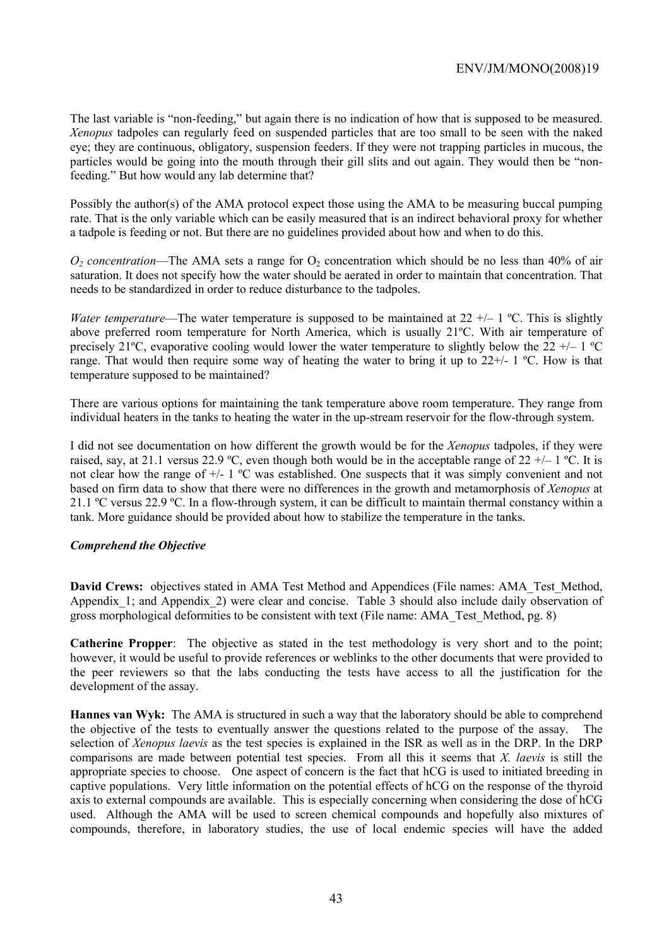The last variable is "non-feeding," but again there is no indication of how that is supposed to be measured. *Xenopus* tadpoles can regularly feed on suspended particles that are too small to be seen with the naked eye; they are continuous, obligatory, suspension feeders. If they were not trapping particles in mucous, the particles would be going into the mouth through their gill slits and out again. They would then be "nonfeeding." But how would any lab determine that?

Possibly the author(s) of the AMA protocol expect those using the AMA to be measuring buccal pumping rate. That is the only variable which can be easily measured that is an indirect behavioral proxy for whether a tadpole is feeding or not. But there are no guidelines provided about how and when to do this.

*O<sub>2</sub> concentration*—The AMA sets a range for  $O_2$  concentration which should be no less than 40% of air saturation. It does not specify how the water should be aerated in order to maintain that concentration. That needs to be standardized in order to reduce disturbance to the tadpoles.

*Water temperature*—The water temperature is supposed to be maintained at  $22 +1$  °C. This is slightly above preferred room temperature for North America, which is usually 21ºC. With air temperature of precisely 21<sup>o</sup>C, evaporative cooling would lower the water temperature to slightly below the 22  $+/- 1$ <sup>o</sup>C range. That would then require some way of heating the water to bring it up to  $22+/- 1$  °C. How is that temperature supposed to be maintained?

There are various options for maintaining the tank temperature above room temperature. They range from individual heaters in the tanks to heating the water in the up-stream reservoir for the flow-through system.

I did not see documentation on how different the growth would be for the *Xenopus* tadpoles, if they were raised, say, at 21.1 versus 22.9 °C, even though both would be in the acceptable range of 22 +/- 1 °C. It is not clear how the range of +/- 1 ºC was established. One suspects that it was simply convenient and not based on firm data to show that there were no differences in the growth and metamorphosis of *Xenopus* at 21.1 ºC versus 22.9 ºC. In a flow-through system, it can be difficult to maintain thermal constancy within a tank. More guidance should be provided about how to stabilize the temperature in the tanks.

### *Comprehend the Objective*

**David Crews:** objectives stated in AMA Test Method and Appendices (File names: AMA Test Method, Appendix 1; and Appendix 2) were clear and concise. Table 3 should also include daily observation of gross morphological deformities to be consistent with text (File name: AMA\_Test\_Method, pg. 8)

**Catherine Propper**: The objective as stated in the test methodology is very short and to the point; however, it would be useful to provide references or weblinks to the other documents that were provided to the peer reviewers so that the labs conducting the tests have access to all the justification for the development of the assay.

**Hannes van Wyk:** The AMA is structured in such a way that the laboratory should be able to comprehend the objective of the tests to eventually answer the questions related to the purpose of the assay. The selection of *Xenopus laevis* as the test species is explained in the ISR as well as in the DRP. In the DRP comparisons are made between potential test species. From all this it seems that *X. laevis* is still the appropriate species to choose. One aspect of concern is the fact that hCG is used to initiated breeding in captive populations. Very little information on the potential effects of hCG on the response of the thyroid axis to external compounds are available. This is especially concerning when considering the dose of hCG used. Although the AMA will be used to screen chemical compounds and hopefully also mixtures of compounds, therefore, in laboratory studies, the use of local endemic species will have the added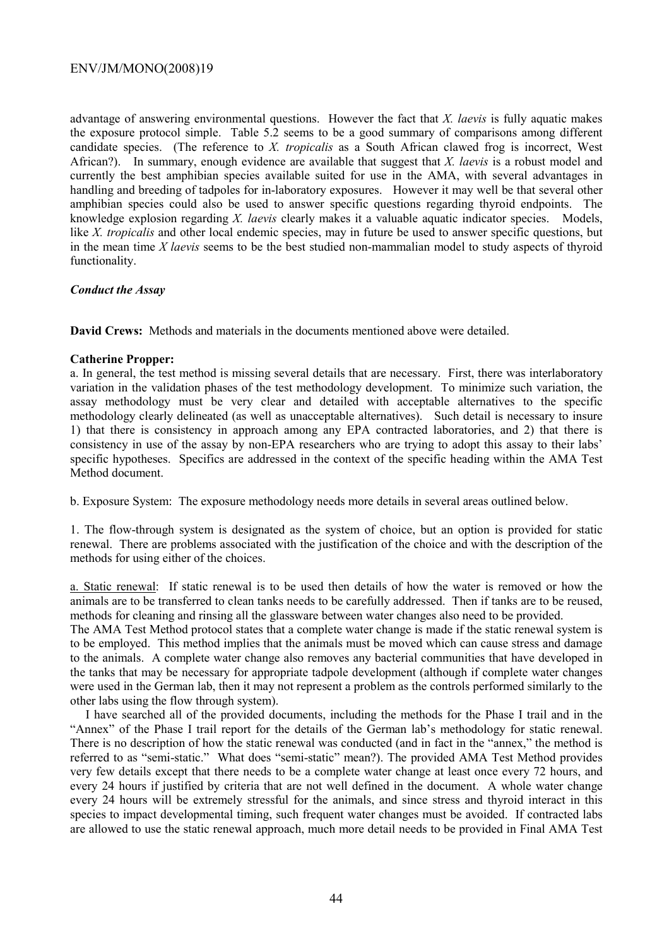advantage of answering environmental questions. However the fact that *X. laevis* is fully aquatic makes the exposure protocol simple. Table 5.2 seems to be a good summary of comparisons among different candidate species. (The reference to *X. tropicalis* as a South African clawed frog is incorrect, West African?). In summary, enough evidence are available that suggest that *X. laevis* is a robust model and currently the best amphibian species available suited for use in the AMA, with several advantages in handling and breeding of tadpoles for in-laboratory exposures. However it may well be that several other amphibian species could also be used to answer specific questions regarding thyroid endpoints. The knowledge explosion regarding *X. laevis* clearly makes it a valuable aquatic indicator species. Models, like *X. tropicalis* and other local endemic species, may in future be used to answer specific questions, but in the mean time *X laevis* seems to be the best studied non-mammalian model to study aspects of thyroid functionality.

### *Conduct the Assay*

**David Crews:** Methods and materials in the documents mentioned above were detailed.

### **Catherine Propper:**

a. In general, the test method is missing several details that are necessary. First, there was interlaboratory variation in the validation phases of the test methodology development. To minimize such variation, the assay methodology must be very clear and detailed with acceptable alternatives to the specific methodology clearly delineated (as well as unacceptable alternatives). Such detail is necessary to insure 1) that there is consistency in approach among any EPA contracted laboratories, and 2) that there is consistency in use of the assay by non-EPA researchers who are trying to adopt this assay to their labs' specific hypotheses. Specifics are addressed in the context of the specific heading within the AMA Test Method document.

b. Exposure System: The exposure methodology needs more details in several areas outlined below.

1. The flow-through system is designated as the system of choice, but an option is provided for static renewal. There are problems associated with the justification of the choice and with the description of the methods for using either of the choices.

a. Static renewal: If static renewal is to be used then details of how the water is removed or how the animals are to be transferred to clean tanks needs to be carefully addressed. Then if tanks are to be reused, methods for cleaning and rinsing all the glassware between water changes also need to be provided.

The AMA Test Method protocol states that a complete water change is made if the static renewal system is to be employed. This method implies that the animals must be moved which can cause stress and damage to the animals. A complete water change also removes any bacterial communities that have developed in the tanks that may be necessary for appropriate tadpole development (although if complete water changes were used in the German lab, then it may not represent a problem as the controls performed similarly to the other labs using the flow through system).

 I have searched all of the provided documents, including the methods for the Phase I trail and in the "Annex" of the Phase I trail report for the details of the German lab's methodology for static renewal. There is no description of how the static renewal was conducted (and in fact in the "annex," the method is referred to as "semi-static." What does "semi-static" mean?). The provided AMA Test Method provides very few details except that there needs to be a complete water change at least once every 72 hours, and every 24 hours if justified by criteria that are not well defined in the document. A whole water change every 24 hours will be extremely stressful for the animals, and since stress and thyroid interact in this species to impact developmental timing, such frequent water changes must be avoided. If contracted labs are allowed to use the static renewal approach, much more detail needs to be provided in Final AMA Test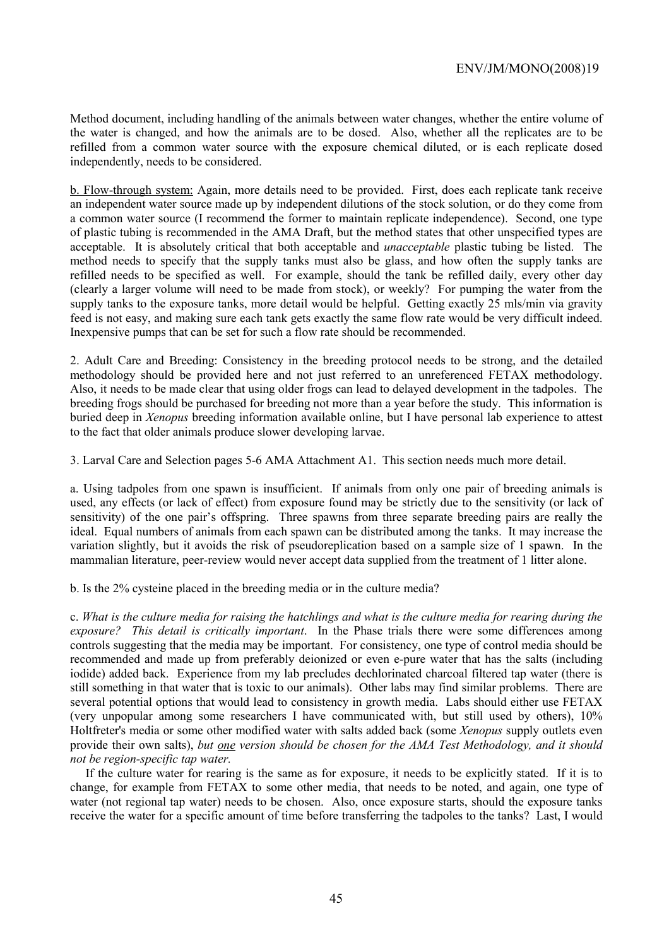Method document, including handling of the animals between water changes, whether the entire volume of the water is changed, and how the animals are to be dosed. Also, whether all the replicates are to be refilled from a common water source with the exposure chemical diluted, or is each replicate dosed independently, needs to be considered.

b. Flow-through system: Again, more details need to be provided. First, does each replicate tank receive an independent water source made up by independent dilutions of the stock solution, or do they come from a common water source (I recommend the former to maintain replicate independence). Second, one type of plastic tubing is recommended in the AMA Draft, but the method states that other unspecified types are acceptable. It is absolutely critical that both acceptable and *unacceptable* plastic tubing be listed. The method needs to specify that the supply tanks must also be glass, and how often the supply tanks are refilled needs to be specified as well. For example, should the tank be refilled daily, every other day (clearly a larger volume will need to be made from stock), or weekly? For pumping the water from the supply tanks to the exposure tanks, more detail would be helpful. Getting exactly 25 mls/min via gravity feed is not easy, and making sure each tank gets exactly the same flow rate would be very difficult indeed. Inexpensive pumps that can be set for such a flow rate should be recommended.

2. Adult Care and Breeding: Consistency in the breeding protocol needs to be strong, and the detailed methodology should be provided here and not just referred to an unreferenced FETAX methodology. Also, it needs to be made clear that using older frogs can lead to delayed development in the tadpoles. The breeding frogs should be purchased for breeding not more than a year before the study. This information is buried deep in *Xenopus* breeding information available online, but I have personal lab experience to attest to the fact that older animals produce slower developing larvae.

3. Larval Care and Selection pages 5-6 AMA Attachment A1. This section needs much more detail.

a. Using tadpoles from one spawn is insufficient. If animals from only one pair of breeding animals is used, any effects (or lack of effect) from exposure found may be strictly due to the sensitivity (or lack of sensitivity) of the one pair's offspring. Three spawns from three separate breeding pairs are really the ideal. Equal numbers of animals from each spawn can be distributed among the tanks. It may increase the variation slightly, but it avoids the risk of pseudoreplication based on a sample size of 1 spawn. In the mammalian literature, peer-review would never accept data supplied from the treatment of 1 litter alone.

b. Is the 2% cysteine placed in the breeding media or in the culture media?

c. *What is the culture media for raising the hatchlings and what is the culture media for rearing during the exposure? This detail is critically important*. In the Phase trials there were some differences among controls suggesting that the media may be important. For consistency, one type of control media should be recommended and made up from preferably deionized or even e-pure water that has the salts (including iodide) added back. Experience from my lab precludes dechlorinated charcoal filtered tap water (there is still something in that water that is toxic to our animals). Other labs may find similar problems. There are several potential options that would lead to consistency in growth media. Labs should either use FETAX (very unpopular among some researchers I have communicated with, but still used by others), 10% Holtfreter's media or some other modified water with salts added back (some *Xenopus* supply outlets even provide their own salts), *but one version should be chosen for the AMA Test Methodology, and it should not be region-specific tap water.* 

 If the culture water for rearing is the same as for exposure, it needs to be explicitly stated. If it is to change, for example from FETAX to some other media, that needs to be noted, and again, one type of water (not regional tap water) needs to be chosen. Also, once exposure starts, should the exposure tanks receive the water for a specific amount of time before transferring the tadpoles to the tanks? Last, I would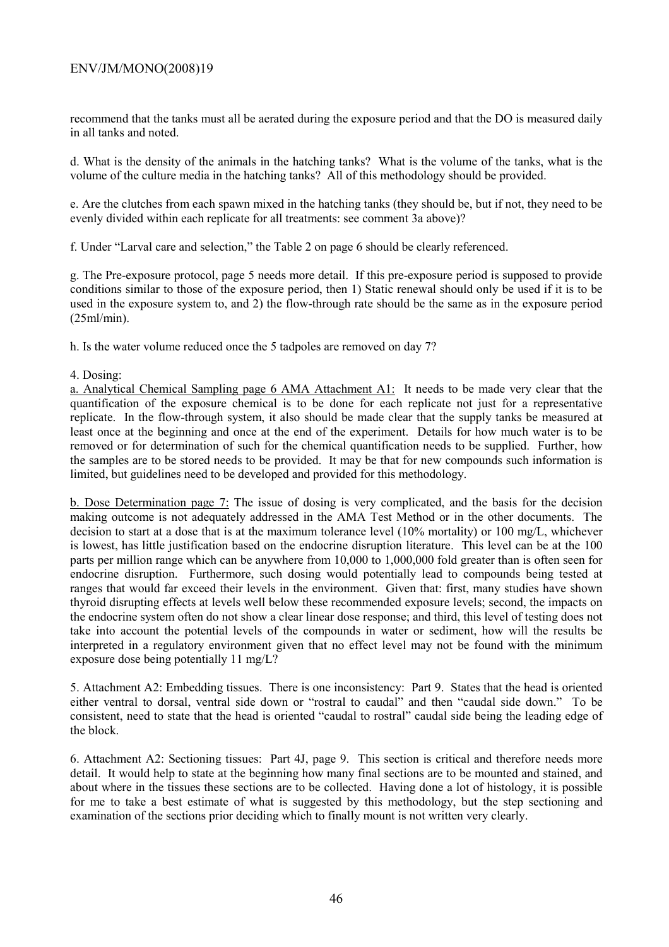recommend that the tanks must all be aerated during the exposure period and that the DO is measured daily in all tanks and noted.

d. What is the density of the animals in the hatching tanks? What is the volume of the tanks, what is the volume of the culture media in the hatching tanks? All of this methodology should be provided.

e. Are the clutches from each spawn mixed in the hatching tanks (they should be, but if not, they need to be evenly divided within each replicate for all treatments: see comment 3a above)?

f. Under "Larval care and selection," the Table 2 on page 6 should be clearly referenced.

g. The Pre-exposure protocol, page 5 needs more detail. If this pre-exposure period is supposed to provide conditions similar to those of the exposure period, then 1) Static renewal should only be used if it is to be used in the exposure system to, and 2) the flow-through rate should be the same as in the exposure period (25ml/min).

h. Is the water volume reduced once the 5 tadpoles are removed on day 7?

#### 4. Dosing:

a. Analytical Chemical Sampling page 6 AMA Attachment A1: It needs to be made very clear that the quantification of the exposure chemical is to be done for each replicate not just for a representative replicate. In the flow-through system, it also should be made clear that the supply tanks be measured at least once at the beginning and once at the end of the experiment. Details for how much water is to be removed or for determination of such for the chemical quantification needs to be supplied. Further, how the samples are to be stored needs to be provided. It may be that for new compounds such information is limited, but guidelines need to be developed and provided for this methodology.

b. Dose Determination page 7: The issue of dosing is very complicated, and the basis for the decision making outcome is not adequately addressed in the AMA Test Method or in the other documents. The decision to start at a dose that is at the maximum tolerance level (10% mortality) or 100 mg/L, whichever is lowest, has little justification based on the endocrine disruption literature. This level can be at the 100 parts per million range which can be anywhere from 10,000 to 1,000,000 fold greater than is often seen for endocrine disruption. Furthermore, such dosing would potentially lead to compounds being tested at ranges that would far exceed their levels in the environment. Given that: first, many studies have shown thyroid disrupting effects at levels well below these recommended exposure levels; second, the impacts on the endocrine system often do not show a clear linear dose response; and third, this level of testing does not take into account the potential levels of the compounds in water or sediment, how will the results be interpreted in a regulatory environment given that no effect level may not be found with the minimum exposure dose being potentially 11 mg/L?

5. Attachment A2: Embedding tissues. There is one inconsistency: Part 9. States that the head is oriented either ventral to dorsal, ventral side down or "rostral to caudal" and then "caudal side down." To be consistent, need to state that the head is oriented "caudal to rostral" caudal side being the leading edge of the block.

6. Attachment A2: Sectioning tissues: Part 4J, page 9. This section is critical and therefore needs more detail. It would help to state at the beginning how many final sections are to be mounted and stained, and about where in the tissues these sections are to be collected. Having done a lot of histology, it is possible for me to take a best estimate of what is suggested by this methodology, but the step sectioning and examination of the sections prior deciding which to finally mount is not written very clearly.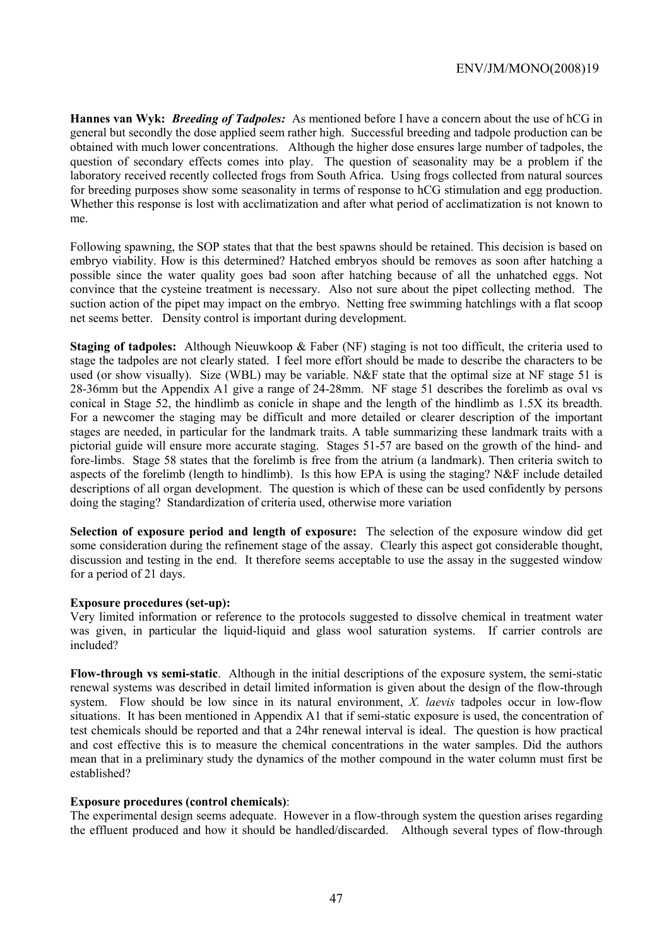**Hannes van Wyk:** *Breeding of Tadpoles:* As mentioned before I have a concern about the use of hCG in general but secondly the dose applied seem rather high. Successful breeding and tadpole production can be obtained with much lower concentrations. Although the higher dose ensures large number of tadpoles, the question of secondary effects comes into play. The question of seasonality may be a problem if the laboratory received recently collected frogs from South Africa. Using frogs collected from natural sources for breeding purposes show some seasonality in terms of response to hCG stimulation and egg production. Whether this response is lost with acclimatization and after what period of acclimatization is not known to me.

Following spawning, the SOP states that that the best spawns should be retained. This decision is based on embryo viability. How is this determined? Hatched embryos should be removes as soon after hatching a possible since the water quality goes bad soon after hatching because of all the unhatched eggs. Not convince that the cysteine treatment is necessary. Also not sure about the pipet collecting method. The suction action of the pipet may impact on the embryo. Netting free swimming hatchlings with a flat scoop net seems better. Density control is important during development.

**Staging of tadpoles:** Although Nieuwkoop & Faber (NF) staging is not too difficult, the criteria used to stage the tadpoles are not clearly stated. I feel more effort should be made to describe the characters to be used (or show visually). Size (WBL) may be variable. N&F state that the optimal size at NF stage 51 is 28-36mm but the Appendix A1 give a range of 24-28mm. NF stage 51 describes the forelimb as oval vs conical in Stage 52, the hindlimb as conicle in shape and the length of the hindlimb as 1.5X its breadth. For a newcomer the staging may be difficult and more detailed or clearer description of the important stages are needed, in particular for the landmark traits. A table summarizing these landmark traits with a pictorial guide will ensure more accurate staging. Stages 51-57 are based on the growth of the hind- and fore-limbs. Stage 58 states that the forelimb is free from the atrium (a landmark). Then criteria switch to aspects of the forelimb (length to hindlimb). Is this how EPA is using the staging? N&F include detailed descriptions of all organ development. The question is which of these can be used confidently by persons doing the staging? Standardization of criteria used, otherwise more variation

**Selection of exposure period and length of exposure:** The selection of the exposure window did get some consideration during the refinement stage of the assay. Clearly this aspect got considerable thought, discussion and testing in the end. It therefore seems acceptable to use the assay in the suggested window for a period of 21 days.

### **Exposure procedures (set-up):**

Very limited information or reference to the protocols suggested to dissolve chemical in treatment water was given, in particular the liquid-liquid and glass wool saturation systems. If carrier controls are included?

**Flow-through vs semi-static**. Although in the initial descriptions of the exposure system, the semi-static renewal systems was described in detail limited information is given about the design of the flow-through system. Flow should be low since in its natural environment, *X. laevis* tadpoles occur in low-flow situations. It has been mentioned in Appendix A1 that if semi-static exposure is used, the concentration of test chemicals should be reported and that a 24hr renewal interval is ideal. The question is how practical and cost effective this is to measure the chemical concentrations in the water samples. Did the authors mean that in a preliminary study the dynamics of the mother compound in the water column must first be established?

#### **Exposure procedures (control chemicals)**:

The experimental design seems adequate. However in a flow-through system the question arises regarding the effluent produced and how it should be handled/discarded.Although several types of flow-through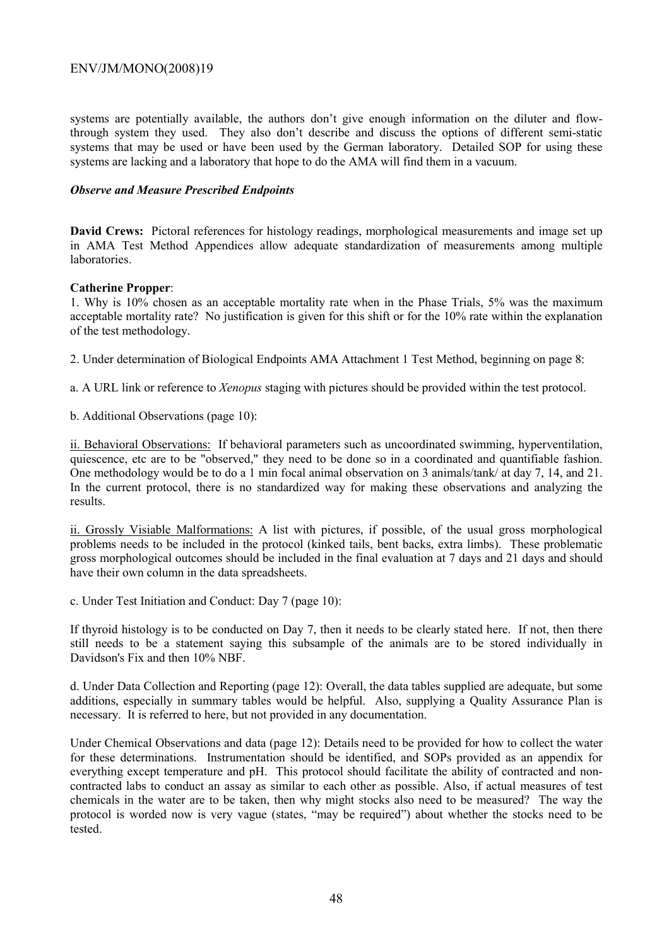systems are potentially available, the authors don't give enough information on the diluter and flowthrough system they used. They also don't describe and discuss the options of different semi-static systems that may be used or have been used by the German laboratory. Detailed SOP for using these systems are lacking and a laboratory that hope to do the AMA will find them in a vacuum.

### *Observe and Measure Prescribed Endpoints*

**David Crews:** Pictoral references for histology readings, morphological measurements and image set up in AMA Test Method Appendices allow adequate standardization of measurements among multiple laboratories.

### **Catherine Propper**:

1. Why is 10% chosen as an acceptable mortality rate when in the Phase Trials, 5% was the maximum acceptable mortality rate? No justification is given for this shift or for the 10% rate within the explanation of the test methodology.

2. Under determination of Biological Endpoints AMA Attachment 1 Test Method, beginning on page 8:

a. A URL link or reference to *Xenopus* staging with pictures should be provided within the test protocol.

b. Additional Observations (page 10):

ii. Behavioral Observations: If behavioral parameters such as uncoordinated swimming, hyperventilation, quiescence, etc are to be "observed," they need to be done so in a coordinated and quantifiable fashion. One methodology would be to do a 1 min focal animal observation on 3 animals/tank/ at day 7, 14, and 21. In the current protocol, there is no standardized way for making these observations and analyzing the results.

ii. Grossly Visiable Malformations: A list with pictures, if possible, of the usual gross morphological problems needs to be included in the protocol (kinked tails, bent backs, extra limbs). These problematic gross morphological outcomes should be included in the final evaluation at 7 days and 21 days and should have their own column in the data spreadsheets.

c. Under Test Initiation and Conduct: Day 7 (page 10):

If thyroid histology is to be conducted on Day 7, then it needs to be clearly stated here. If not, then there still needs to be a statement saying this subsample of the animals are to be stored individually in Davidson's Fix and then 10% NBF.

d. Under Data Collection and Reporting (page 12): Overall, the data tables supplied are adequate, but some additions, especially in summary tables would be helpful. Also, supplying a Quality Assurance Plan is necessary. It is referred to here, but not provided in any documentation.

Under Chemical Observations and data (page 12): Details need to be provided for how to collect the water for these determinations. Instrumentation should be identified, and SOPs provided as an appendix for everything except temperature and pH. This protocol should facilitate the ability of contracted and noncontracted labs to conduct an assay as similar to each other as possible. Also, if actual measures of test chemicals in the water are to be taken, then why might stocks also need to be measured? The way the protocol is worded now is very vague (states, "may be required") about whether the stocks need to be tested.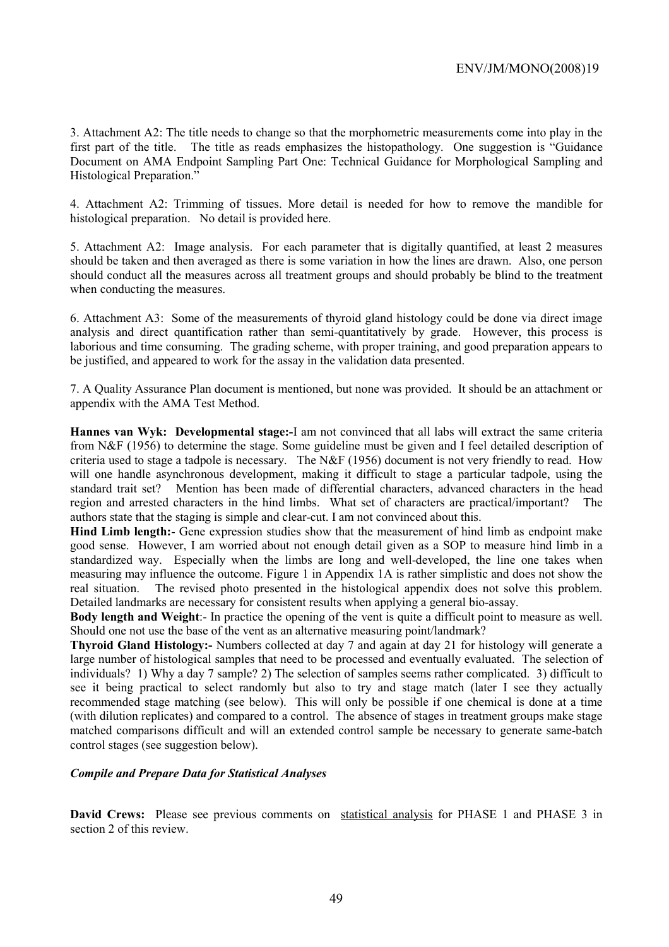3. Attachment A2: The title needs to change so that the morphometric measurements come into play in the first part of the title. The title as reads emphasizes the histopathology. One suggestion is "Guidance Document on AMA Endpoint Sampling Part One: Technical Guidance for Morphological Sampling and Histological Preparation."

4. Attachment A2: Trimming of tissues. More detail is needed for how to remove the mandible for histological preparation. No detail is provided here.

5. Attachment A2: Image analysis. For each parameter that is digitally quantified, at least 2 measures should be taken and then averaged as there is some variation in how the lines are drawn. Also, one person should conduct all the measures across all treatment groups and should probably be blind to the treatment when conducting the measures.

6. Attachment A3: Some of the measurements of thyroid gland histology could be done via direct image analysis and direct quantification rather than semi-quantitatively by grade. However, this process is laborious and time consuming. The grading scheme, with proper training, and good preparation appears to be justified, and appeared to work for the assay in the validation data presented.

7. A Quality Assurance Plan document is mentioned, but none was provided. It should be an attachment or appendix with the AMA Test Method.

**Hannes van Wyk: Developmental stage:-**I am not convinced that all labs will extract the same criteria from N&F (1956) to determine the stage. Some guideline must be given and I feel detailed description of criteria used to stage a tadpole is necessary. The N&F (1956) document is not very friendly to read. How will one handle asynchronous development, making it difficult to stage a particular tadpole, using the standard trait set? Mention has been made of differential characters, advanced characters in the head region and arrested characters in the hind limbs. What set of characters are practical/important? The authors state that the staging is simple and clear-cut. I am not convinced about this.

**Hind Limb length:**- Gene expression studies show that the measurement of hind limb as endpoint make good sense. However, I am worried about not enough detail given as a SOP to measure hind limb in a standardized way. Especially when the limbs are long and well-developed, the line one takes when measuring may influence the outcome. Figure 1 in Appendix 1A is rather simplistic and does not show the real situation. The revised photo presented in the histological appendix does not solve this problem. Detailed landmarks are necessary for consistent results when applying a general bio-assay.

**Body length and Weight**:- In practice the opening of the vent is quite a difficult point to measure as well. Should one not use the base of the vent as an alternative measuring point/landmark?

**Thyroid Gland Histology:-** Numbers collected at day 7 and again at day 21 for histology will generate a large number of histological samples that need to be processed and eventually evaluated. The selection of individuals? 1) Why a day 7 sample? 2) The selection of samples seems rather complicated. 3) difficult to see it being practical to select randomly but also to try and stage match (later I see they actually recommended stage matching (see below). This will only be possible if one chemical is done at a time (with dilution replicates) and compared to a control. The absence of stages in treatment groups make stage matched comparisons difficult and will an extended control sample be necessary to generate same-batch control stages (see suggestion below).

### *Compile and Prepare Data for Statistical Analyses*

**David Crews:** Please see previous comments on statistical analysis for PHASE 1 and PHASE 3 in section 2 of this review.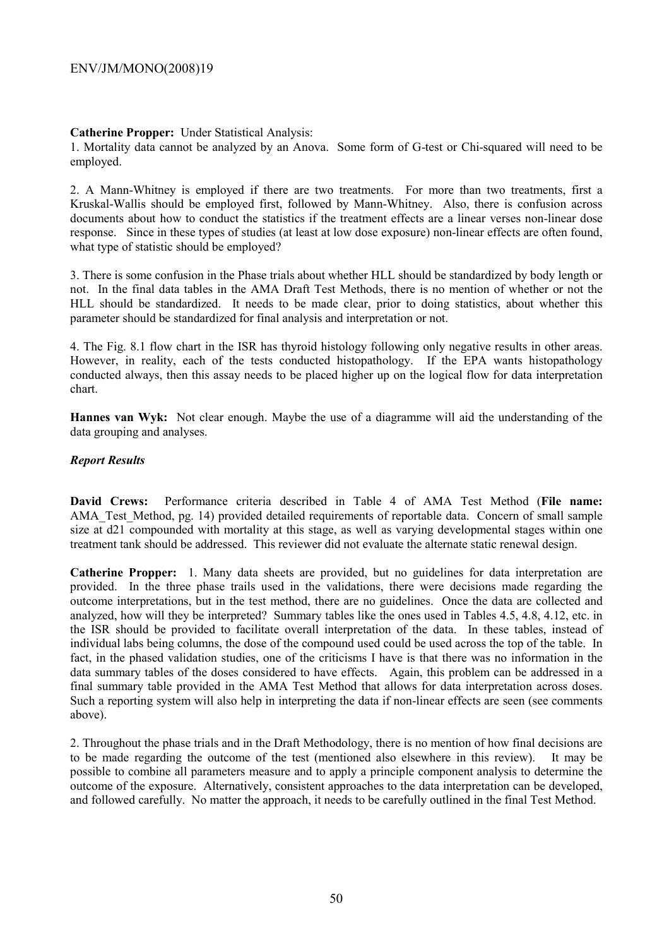### **Catherine Propper:** Under Statistical Analysis:

1. Mortality data cannot be analyzed by an Anova. Some form of G-test or Chi-squared will need to be employed.

2. A Mann-Whitney is employed if there are two treatments. For more than two treatments, first a Kruskal-Wallis should be employed first, followed by Mann-Whitney. Also, there is confusion across documents about how to conduct the statistics if the treatment effects are a linear verses non-linear dose response. Since in these types of studies (at least at low dose exposure) non-linear effects are often found, what type of statistic should be employed?

3. There is some confusion in the Phase trials about whether HLL should be standardized by body length or not. In the final data tables in the AMA Draft Test Methods, there is no mention of whether or not the HLL should be standardized. It needs to be made clear, prior to doing statistics, about whether this parameter should be standardized for final analysis and interpretation or not.

4. The Fig. 8.1 flow chart in the ISR has thyroid histology following only negative results in other areas. However, in reality, each of the tests conducted histopathology. If the EPA wants histopathology conducted always, then this assay needs to be placed higher up on the logical flow for data interpretation chart.

**Hannes van Wyk:** Not clear enough. Maybe the use of a diagramme will aid the understanding of the data grouping and analyses.

### *Report Results*

**David Crews:** Performance criteria described in Table 4 of AMA Test Method (**File name:**  AMA Test Method, pg. 14) provided detailed requirements of reportable data. Concern of small sample size at d21 compounded with mortality at this stage, as well as varying developmental stages within one treatment tank should be addressed. This reviewer did not evaluate the alternate static renewal design.

**Catherine Propper:** 1. Many data sheets are provided, but no guidelines for data interpretation are provided. In the three phase trails used in the validations, there were decisions made regarding the outcome interpretations, but in the test method, there are no guidelines. Once the data are collected and analyzed, how will they be interpreted? Summary tables like the ones used in Tables 4.5, 4.8, 4.12, etc. in the ISR should be provided to facilitate overall interpretation of the data. In these tables, instead of individual labs being columns, the dose of the compound used could be used across the top of the table. In fact, in the phased validation studies, one of the criticisms I have is that there was no information in the data summary tables of the doses considered to have effects. Again, this problem can be addressed in a final summary table provided in the AMA Test Method that allows for data interpretation across doses. Such a reporting system will also help in interpreting the data if non-linear effects are seen (see comments above).

2. Throughout the phase trials and in the Draft Methodology, there is no mention of how final decisions are to be made regarding the outcome of the test (mentioned also elsewhere in this review). It may be possible to combine all parameters measure and to apply a principle component analysis to determine the outcome of the exposure. Alternatively, consistent approaches to the data interpretation can be developed, and followed carefully. No matter the approach, it needs to be carefully outlined in the final Test Method.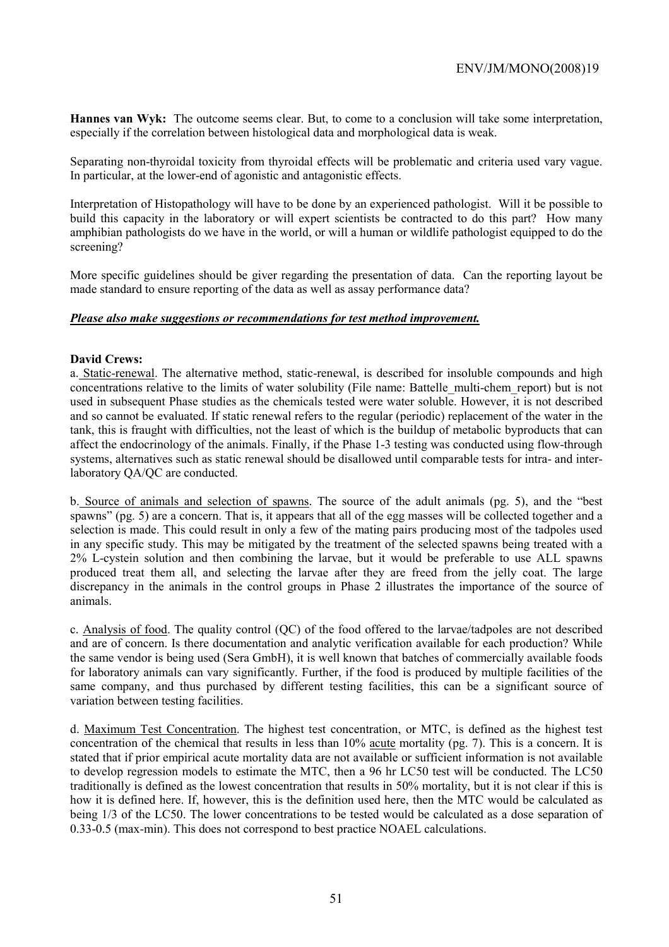**Hannes van Wyk:** The outcome seems clear. But, to come to a conclusion will take some interpretation, especially if the correlation between histological data and morphological data is weak.

Separating non-thyroidal toxicity from thyroidal effects will be problematic and criteria used vary vague. In particular, at the lower-end of agonistic and antagonistic effects.

Interpretation of Histopathology will have to be done by an experienced pathologist. Will it be possible to build this capacity in the laboratory or will expert scientists be contracted to do this part? How many amphibian pathologists do we have in the world, or will a human or wildlife pathologist equipped to do the screening?

More specific guidelines should be giver regarding the presentation of data. Can the reporting layout be made standard to ensure reporting of the data as well as assay performance data?

### *Please also make suggestions or recommendations for test method improvement.*

#### **David Crews:**

a. Static-renewal. The alternative method, static-renewal, is described for insoluble compounds and high concentrations relative to the limits of water solubility (File name: Battelle\_multi-chem\_report) but is not used in subsequent Phase studies as the chemicals tested were water soluble. However, it is not described and so cannot be evaluated. If static renewal refers to the regular (periodic) replacement of the water in the tank, this is fraught with difficulties, not the least of which is the buildup of metabolic byproducts that can affect the endocrinology of the animals. Finally, if the Phase 1-3 testing was conducted using flow-through systems, alternatives such as static renewal should be disallowed until comparable tests for intra- and interlaboratory QA/QC are conducted.

b. Source of animals and selection of spawns. The source of the adult animals (pg. 5), and the "best spawns" (pg. 5) are a concern. That is, it appears that all of the egg masses will be collected together and a selection is made. This could result in only a few of the mating pairs producing most of the tadpoles used in any specific study. This may be mitigated by the treatment of the selected spawns being treated with a 2% L-cystein solution and then combining the larvae, but it would be preferable to use ALL spawns produced treat them all, and selecting the larvae after they are freed from the jelly coat. The large discrepancy in the animals in the control groups in Phase 2 illustrates the importance of the source of animals.

c. Analysis of food. The quality control (QC) of the food offered to the larvae/tadpoles are not described and are of concern. Is there documentation and analytic verification available for each production? While the same vendor is being used (Sera GmbH), it is well known that batches of commercially available foods for laboratory animals can vary significantly. Further, if the food is produced by multiple facilities of the same company, and thus purchased by different testing facilities, this can be a significant source of variation between testing facilities.

d. Maximum Test Concentration. The highest test concentration, or MTC, is defined as the highest test concentration of the chemical that results in less than 10% acute mortality (pg. 7). This is a concern. It is stated that if prior empirical acute mortality data are not available or sufficient information is not available to develop regression models to estimate the MTC, then a 96 hr LC50 test will be conducted. The LC50 traditionally is defined as the lowest concentration that results in 50% mortality, but it is not clear if this is how it is defined here. If, however, this is the definition used here, then the MTC would be calculated as being 1/3 of the LC50. The lower concentrations to be tested would be calculated as a dose separation of 0.33-0.5 (max-min). This does not correspond to best practice NOAEL calculations.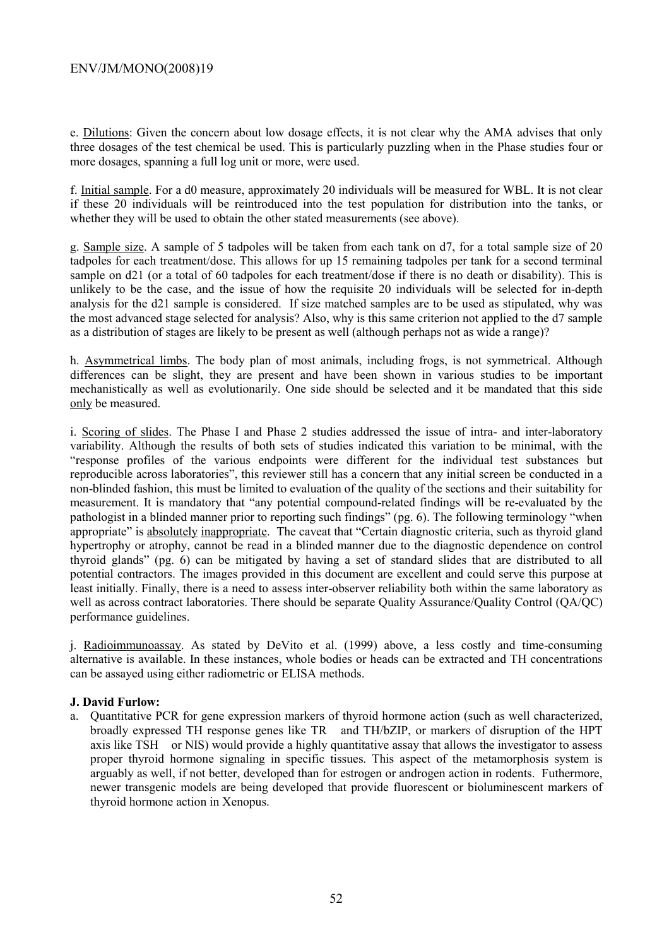e. Dilutions: Given the concern about low dosage effects, it is not clear why the AMA advises that only three dosages of the test chemical be used. This is particularly puzzling when in the Phase studies four or more dosages, spanning a full log unit or more, were used.

f. Initial sample. For a d0 measure, approximately 20 individuals will be measured for WBL. It is not clear if these 20 individuals will be reintroduced into the test population for distribution into the tanks, or whether they will be used to obtain the other stated measurements (see above).

g. Sample size. A sample of 5 tadpoles will be taken from each tank on d7, for a total sample size of 20 tadpoles for each treatment/dose. This allows for up 15 remaining tadpoles per tank for a second terminal sample on d21 (or a total of 60 tadpoles for each treatment/dose if there is no death or disability). This is unlikely to be the case, and the issue of how the requisite 20 individuals will be selected for in-depth analysis for the d21 sample is considered. If size matched samples are to be used as stipulated, why was the most advanced stage selected for analysis? Also, why is this same criterion not applied to the d7 sample as a distribution of stages are likely to be present as well (although perhaps not as wide a range)?

h. Asymmetrical limbs. The body plan of most animals, including frogs, is not symmetrical. Although differences can be slight, they are present and have been shown in various studies to be important mechanistically as well as evolutionarily. One side should be selected and it be mandated that this side only be measured.

i. Scoring of slides. The Phase I and Phase 2 studies addressed the issue of intra- and inter-laboratory variability. Although the results of both sets of studies indicated this variation to be minimal, with the "response profiles of the various endpoints were different for the individual test substances but reproducible across laboratories", this reviewer still has a concern that any initial screen be conducted in a non-blinded fashion, this must be limited to evaluation of the quality of the sections and their suitability for measurement. It is mandatory that "any potential compound-related findings will be re-evaluated by the pathologist in a blinded manner prior to reporting such findings" (pg. 6). The following terminology "when appropriate" is absolutely inappropriate. The caveat that "Certain diagnostic criteria, such as thyroid gland hypertrophy or atrophy, cannot be read in a blinded manner due to the diagnostic dependence on control thyroid glands" (pg. 6) can be mitigated by having a set of standard slides that are distributed to all potential contractors. The images provided in this document are excellent and could serve this purpose at least initially. Finally, there is a need to assess inter-observer reliability both within the same laboratory as well as across contract laboratories. There should be separate Quality Assurance/Quality Control (QA/QC) performance guidelines.

j. Radioimmunoassay. As stated by DeVito et al. (1999) above, a less costly and time-consuming alternative is available. In these instances, whole bodies or heads can be extracted and TH concentrations can be assayed using either radiometric or ELISA methods.

### **J. David Furlow:**

a. Quantitative PCR for gene expression markers of thyroid hormone action (such as well characterized, broadly expressed TH response genes like TR and TH/bZIP, or markers of disruption of the HPT axis like TSH or NIS) would provide a highly quantitative assay that allows the investigator to assess proper thyroid hormone signaling in specific tissues. This aspect of the metamorphosis system is arguably as well, if not better, developed than for estrogen or androgen action in rodents. Futhermore, newer transgenic models are being developed that provide fluorescent or bioluminescent markers of thyroid hormone action in Xenopus.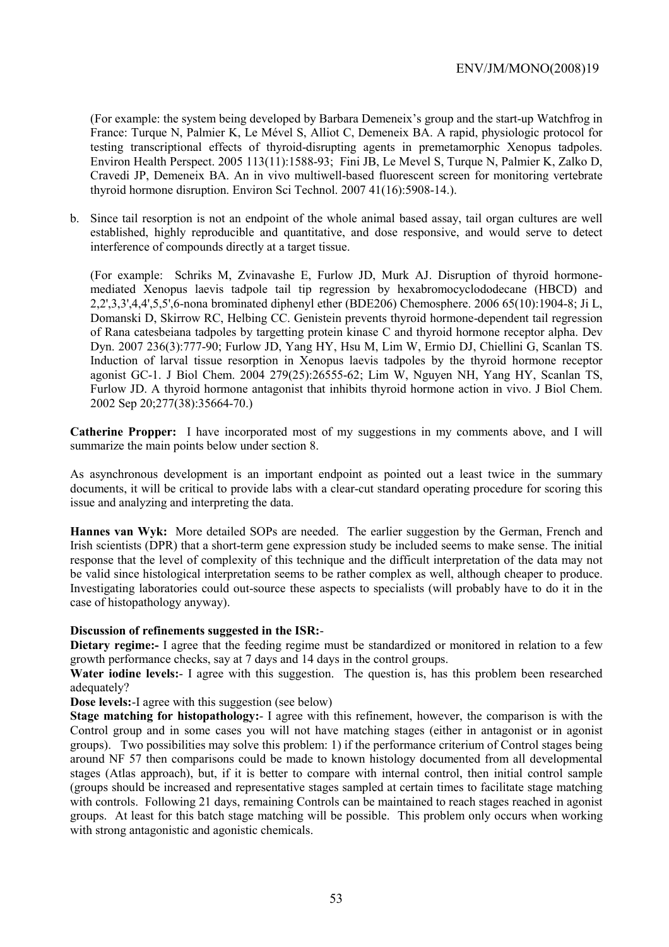(For example: the system being developed by Barbara Demeneix's group and the start-up Watchfrog in France: Turque N, Palmier K, Le Mével S, Alliot C, Demeneix BA. A rapid, physiologic protocol for testing transcriptional effects of thyroid-disrupting agents in premetamorphic Xenopus tadpoles. Environ Health Perspect. 2005 113(11):1588-93; Fini JB, Le Mevel S, Turque N, Palmier K, Zalko D, Cravedi JP, Demeneix BA. An in vivo multiwell-based fluorescent screen for monitoring vertebrate thyroid hormone disruption. Environ Sci Technol. 2007 41(16):5908-14.).

b. Since tail resorption is not an endpoint of the whole animal based assay, tail organ cultures are well established, highly reproducible and quantitative, and dose responsive, and would serve to detect interference of compounds directly at a target tissue.

(For example: Schriks M, Zvinavashe E, Furlow JD, Murk AJ. Disruption of thyroid hormonemediated Xenopus laevis tadpole tail tip regression by hexabromocyclododecane (HBCD) and 2,2',3,3',4,4',5,5',6-nona brominated diphenyl ether (BDE206) Chemosphere. 2006 65(10):1904-8; Ji L, Domanski D, Skirrow RC, Helbing CC. Genistein prevents thyroid hormone-dependent tail regression of Rana catesbeiana tadpoles by targetting protein kinase C and thyroid hormone receptor alpha. Dev Dyn. 2007 236(3):777-90; Furlow JD, Yang HY, Hsu M, Lim W, Ermio DJ, Chiellini G, Scanlan TS. Induction of larval tissue resorption in Xenopus laevis tadpoles by the thyroid hormone receptor agonist GC-1. J Biol Chem. 2004 279(25):26555-62; Lim W, Nguyen NH, Yang HY, Scanlan TS, Furlow JD. A thyroid hormone antagonist that inhibits thyroid hormone action in vivo. J Biol Chem. 2002 Sep 20;277(38):35664-70.)

**Catherine Propper:** I have incorporated most of my suggestions in my comments above, and I will summarize the main points below under section 8.

As asynchronous development is an important endpoint as pointed out a least twice in the summary documents, it will be critical to provide labs with a clear-cut standard operating procedure for scoring this issue and analyzing and interpreting the data.

**Hannes van Wyk:** More detailed SOPs are needed. The earlier suggestion by the German, French and Irish scientists (DPR) that a short-term gene expression study be included seems to make sense. The initial response that the level of complexity of this technique and the difficult interpretation of the data may not be valid since histological interpretation seems to be rather complex as well, although cheaper to produce. Investigating laboratories could out-source these aspects to specialists (will probably have to do it in the case of histopathology anyway).

### **Discussion of refinements suggested in the ISR:**-

**Dietary regime:-** I agree that the feeding regime must be standardized or monitored in relation to a few growth performance checks, say at 7 days and 14 days in the control groups.

**Water iodine levels:**- I agree with this suggestion. The question is, has this problem been researched adequately?

**Dose levels:**-I agree with this suggestion (see below)

**Stage matching for histopathology:**- I agree with this refinement, however, the comparison is with the Control group and in some cases you will not have matching stages (either in antagonist or in agonist groups). Two possibilities may solve this problem: 1) if the performance criterium of Control stages being around NF 57 then comparisons could be made to known histology documented from all developmental stages (Atlas approach), but, if it is better to compare with internal control, then initial control sample (groups should be increased and representative stages sampled at certain times to facilitate stage matching with controls. Following 21 days, remaining Controls can be maintained to reach stages reached in agonist groups. At least for this batch stage matching will be possible. This problem only occurs when working with strong antagonistic and agonistic chemicals.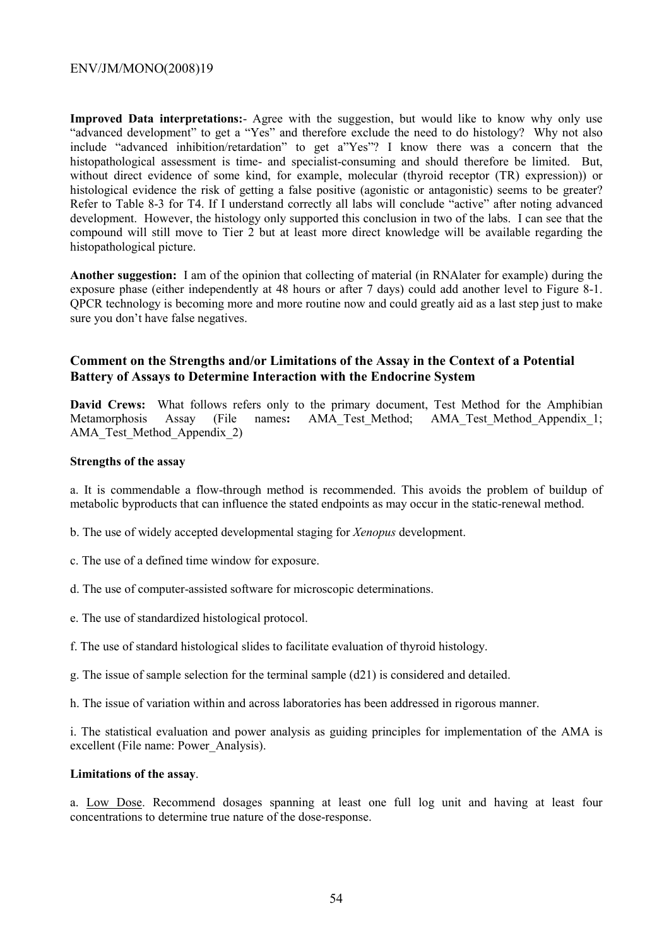**Improved Data interpretations:** Agree with the suggestion, but would like to know why only use "advanced development" to get a "Yes" and therefore exclude the need to do histology? Why not also include "advanced inhibition/retardation" to get a"Yes"? I know there was a concern that the histopathological assessment is time- and specialist-consuming and should therefore be limited. But, without direct evidence of some kind, for example, molecular (thyroid receptor (TR) expression)) or histological evidence the risk of getting a false positive (agonistic or antagonistic) seems to be greater? Refer to Table 8-3 for T4. If I understand correctly all labs will conclude "active" after noting advanced development. However, the histology only supported this conclusion in two of the labs. I can see that the compound will still move to Tier 2 but at least more direct knowledge will be available regarding the histopathological picture.

**Another suggestion:** I am of the opinion that collecting of material (in RNAlater for example) during the exposure phase (either independently at 48 hours or after 7 days) could add another level to Figure 8-1. QPCR technology is becoming more and more routine now and could greatly aid as a last step just to make sure you don't have false negatives.

### **Comment on the Strengths and/or Limitations of the Assay in the Context of a Potential Battery of Assays to Determine Interaction with the Endocrine System**

**David Crews:** What follows refers only to the primary document, Test Method for the Amphibian Metamorphosis Assay (File names: AMA Test Method; AMA Test Method Appendix 1; AMA Test Method Appendix 2)

### **Strengths of the assay**

a. It is commendable a flow-through method is recommended. This avoids the problem of buildup of metabolic byproducts that can influence the stated endpoints as may occur in the static-renewal method.

- b. The use of widely accepted developmental staging for *Xenopus* development.
- c. The use of a defined time window for exposure.
- d. The use of computer-assisted software for microscopic determinations.
- e. The use of standardized histological protocol.
- f. The use of standard histological slides to facilitate evaluation of thyroid histology.
- g. The issue of sample selection for the terminal sample (d21) is considered and detailed.
- h. The issue of variation within and across laboratories has been addressed in rigorous manner.

i. The statistical evaluation and power analysis as guiding principles for implementation of the AMA is excellent (File name: Power\_Analysis).

#### **Limitations of the assay**.

a. Low Dose. Recommend dosages spanning at least one full log unit and having at least four concentrations to determine true nature of the dose-response.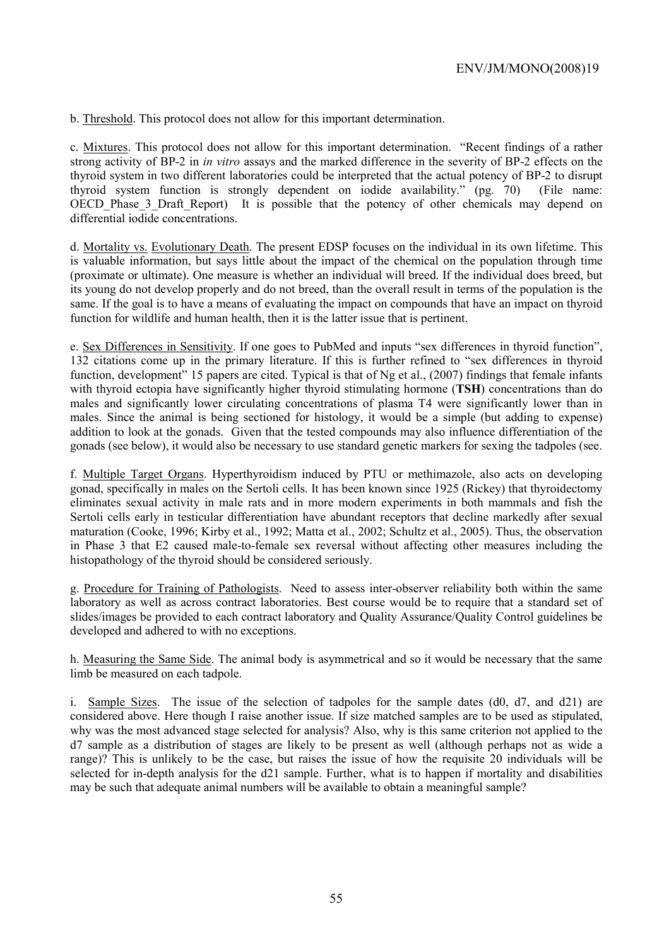b. Threshold. This protocol does not allow for this important determination.

c. Mixtures. This protocol does not allow for this important determination. "Recent findings of a rather strong activity of BP-2 in *in vitro* assays and the marked difference in the severity of BP-2 effects on the thyroid system in two different laboratories could be interpreted that the actual potency of BP-2 to disrupt thyroid system function is strongly dependent on iodide availability." (pg. 70) (File name: OECD Phase 3 Draft Report) It is possible that the potency of other chemicals may depend on differential iodide concentrations.

d. Mortality vs. Evolutionary Death. The present EDSP focuses on the individual in its own lifetime. This is valuable information, but says little about the impact of the chemical on the population through time (proximate or ultimate). One measure is whether an individual will breed. If the individual does breed, but its young do not develop properly and do not breed, than the overall result in terms of the population is the same. If the goal is to have a means of evaluating the impact on compounds that have an impact on thyroid function for wildlife and human health, then it is the latter issue that is pertinent.

e. Sex Differences in Sensitivity. If one goes to PubMed and inputs "sex differences in thyroid function", 132 citations come up in the primary literature. If this is further refined to "sex differences in thyroid function, development" 15 papers are cited. Typical is that of Ng et al., (2007) findings that female infants with thyroid ectopia have significantly higher thyroid stimulating hormone (**TSH**) concentrations than do males and significantly lower circulating concentrations of plasma T4 were significantly lower than in males. Since the animal is being sectioned for histology, it would be a simple (but adding to expense) addition to look at the gonads. Given that the tested compounds may also influence differentiation of the gonads (see below), it would also be necessary to use standard genetic markers for sexing the tadpoles (see.

f. Multiple Target Organs. Hyperthyroidism induced by PTU or methimazole, also acts on developing gonad, specifically in males on the Sertoli cells. It has been known since 1925 (Rickey) that thyroidectomy eliminates sexual activity in male rats and in more modern experiments in both mammals and fish the Sertoli cells early in testicular differentiation have abundant receptors that decline markedly after sexual maturation (Cooke, 1996; Kirby et al., 1992; Matta et al., 2002; Schultz et al., 2005). Thus, the observation in Phase 3 that E2 caused male-to-female sex reversal without affecting other measures including the histopathology of the thyroid should be considered seriously.

g. Procedure for Training of Pathologists. Need to assess inter-observer reliability both within the same laboratory as well as across contract laboratories. Best course would be to require that a standard set of slides/images be provided to each contract laboratory and Quality Assurance/Quality Control guidelines be developed and adhered to with no exceptions.

h. Measuring the Same Side. The animal body is asymmetrical and so it would be necessary that the same limb be measured on each tadpole.

i. Sample Sizes. The issue of the selection of tadpoles for the sample dates (d0, d7, and d21) are considered above. Here though I raise another issue. If size matched samples are to be used as stipulated, why was the most advanced stage selected for analysis? Also, why is this same criterion not applied to the d7 sample as a distribution of stages are likely to be present as well (although perhaps not as wide a range)? This is unlikely to be the case, but raises the issue of how the requisite 20 individuals will be selected for in-depth analysis for the d21 sample. Further, what is to happen if mortality and disabilities may be such that adequate animal numbers will be available to obtain a meaningful sample?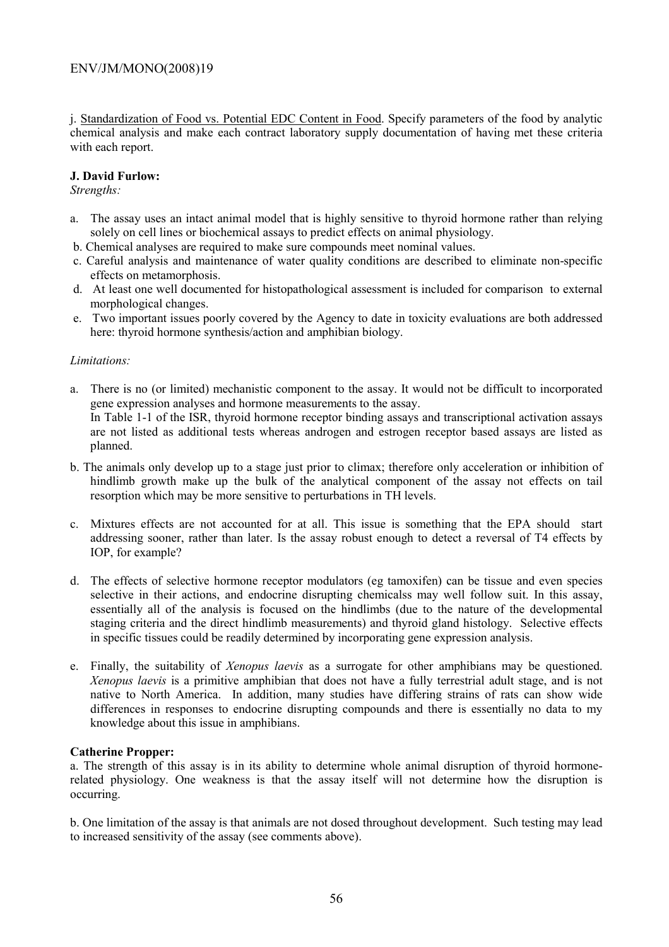j. Standardization of Food vs. Potential EDC Content in Food. Specify parameters of the food by analytic chemical analysis and make each contract laboratory supply documentation of having met these criteria with each report.

#### **J. David Furlow:**

*Strengths:*

- a. The assay uses an intact animal model that is highly sensitive to thyroid hormone rather than relying solely on cell lines or biochemical assays to predict effects on animal physiology.
- b. Chemical analyses are required to make sure compounds meet nominal values.
- c. Careful analysis and maintenance of water quality conditions are described to eliminate non-specific effects on metamorphosis.
- d. At least one well documented for histopathological assessment is included for comparison to external morphological changes.
- e. Two important issues poorly covered by the Agency to date in toxicity evaluations are both addressed here: thyroid hormone synthesis/action and amphibian biology.

#### *Limitations:*

- a. There is no (or limited) mechanistic component to the assay. It would not be difficult to incorporated gene expression analyses and hormone measurements to the assay. In Table 1-1 of the ISR, thyroid hormone receptor binding assays and transcriptional activation assays are not listed as additional tests whereas androgen and estrogen receptor based assays are listed as planned.
- b. The animals only develop up to a stage just prior to climax; therefore only acceleration or inhibition of hindlimb growth make up the bulk of the analytical component of the assay not effects on tail resorption which may be more sensitive to perturbations in TH levels.
- c. Mixtures effects are not accounted for at all. This issue is something that the EPA should start addressing sooner, rather than later. Is the assay robust enough to detect a reversal of T4 effects by IOP, for example?
- d. The effects of selective hormone receptor modulators (eg tamoxifen) can be tissue and even species selective in their actions, and endocrine disrupting chemicalss may well follow suit. In this assay, essentially all of the analysis is focused on the hindlimbs (due to the nature of the developmental staging criteria and the direct hindlimb measurements) and thyroid gland histology. Selective effects in specific tissues could be readily determined by incorporating gene expression analysis.
- e. Finally, the suitability of *Xenopus laevis* as a surrogate for other amphibians may be questioned. *Xenopus laevis* is a primitive amphibian that does not have a fully terrestrial adult stage, and is not native to North America. In addition, many studies have differing strains of rats can show wide differences in responses to endocrine disrupting compounds and there is essentially no data to my knowledge about this issue in amphibians.

### **Catherine Propper:**

a. The strength of this assay is in its ability to determine whole animal disruption of thyroid hormonerelated physiology. One weakness is that the assay itself will not determine how the disruption is occurring.

b. One limitation of the assay is that animals are not dosed throughout development. Such testing may lead to increased sensitivity of the assay (see comments above).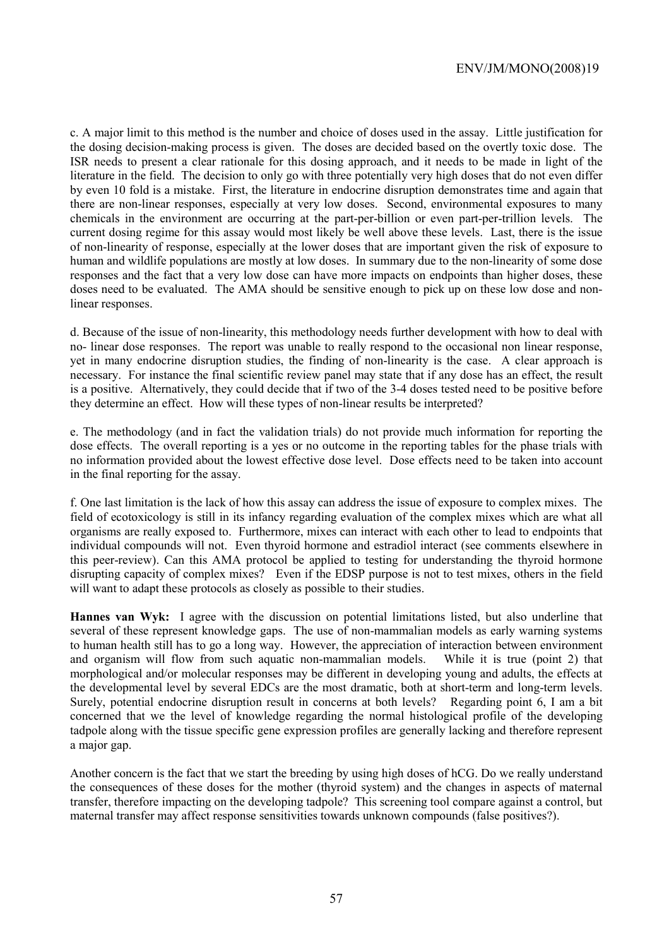c. A major limit to this method is the number and choice of doses used in the assay. Little justification for the dosing decision-making process is given. The doses are decided based on the overtly toxic dose. The ISR needs to present a clear rationale for this dosing approach, and it needs to be made in light of the literature in the field. The decision to only go with three potentially very high doses that do not even differ by even 10 fold is a mistake. First, the literature in endocrine disruption demonstrates time and again that there are non-linear responses, especially at very low doses. Second, environmental exposures to many chemicals in the environment are occurring at the part-per-billion or even part-per-trillion levels. The current dosing regime for this assay would most likely be well above these levels. Last, there is the issue of non-linearity of response, especially at the lower doses that are important given the risk of exposure to human and wildlife populations are mostly at low doses. In summary due to the non-linearity of some dose responses and the fact that a very low dose can have more impacts on endpoints than higher doses, these doses need to be evaluated. The AMA should be sensitive enough to pick up on these low dose and nonlinear responses.

d. Because of the issue of non-linearity, this methodology needs further development with how to deal with no- linear dose responses. The report was unable to really respond to the occasional non linear response, yet in many endocrine disruption studies, the finding of non-linearity is the case. A clear approach is necessary. For instance the final scientific review panel may state that if any dose has an effect, the result is a positive. Alternatively, they could decide that if two of the 3-4 doses tested need to be positive before they determine an effect. How will these types of non-linear results be interpreted?

e. The methodology (and in fact the validation trials) do not provide much information for reporting the dose effects. The overall reporting is a yes or no outcome in the reporting tables for the phase trials with no information provided about the lowest effective dose level. Dose effects need to be taken into account in the final reporting for the assay.

f. One last limitation is the lack of how this assay can address the issue of exposure to complex mixes. The field of ecotoxicology is still in its infancy regarding evaluation of the complex mixes which are what all organisms are really exposed to. Furthermore, mixes can interact with each other to lead to endpoints that individual compounds will not. Even thyroid hormone and estradiol interact (see comments elsewhere in this peer-review). Can this AMA protocol be applied to testing for understanding the thyroid hormone disrupting capacity of complex mixes? Even if the EDSP purpose is not to test mixes, others in the field will want to adapt these protocols as closely as possible to their studies.

**Hannes van Wyk:** I agree with the discussion on potential limitations listed, but also underline that several of these represent knowledge gaps. The use of non-mammalian models as early warning systems to human health still has to go a long way. However, the appreciation of interaction between environment and organism will flow from such aquatic non-mammalian models. While it is true (point 2) that morphological and/or molecular responses may be different in developing young and adults, the effects at the developmental level by several EDCs are the most dramatic, both at short-term and long-term levels. Surely, potential endocrine disruption result in concerns at both levels? Regarding point 6, I am a bit concerned that we the level of knowledge regarding the normal histological profile of the developing tadpole along with the tissue specific gene expression profiles are generally lacking and therefore represent a major gap.

Another concern is the fact that we start the breeding by using high doses of hCG. Do we really understand the consequences of these doses for the mother (thyroid system) and the changes in aspects of maternal transfer, therefore impacting on the developing tadpole? This screening tool compare against a control, but maternal transfer may affect response sensitivities towards unknown compounds (false positives?).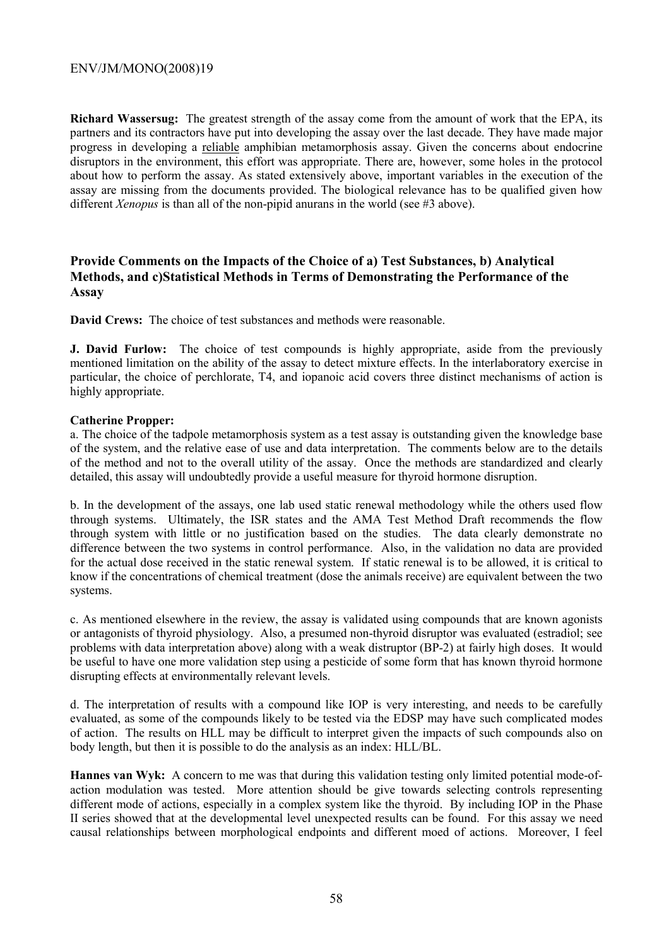**Richard Wassersug:** The greatest strength of the assay come from the amount of work that the EPA, its partners and its contractors have put into developing the assay over the last decade. They have made major progress in developing a reliable amphibian metamorphosis assay. Given the concerns about endocrine disruptors in the environment, this effort was appropriate. There are, however, some holes in the protocol about how to perform the assay. As stated extensively above, important variables in the execution of the assay are missing from the documents provided. The biological relevance has to be qualified given how different *Xenopus* is than all of the non-pipid anurans in the world (see #3 above).

### **Provide Comments on the Impacts of the Choice of a) Test Substances, b) Analytical Methods, and c)Statistical Methods in Terms of Demonstrating the Performance of the Assay**

**David Crews:** The choice of test substances and methods were reasonable.

**J. David Furlow:** The choice of test compounds is highly appropriate, aside from the previously mentioned limitation on the ability of the assay to detect mixture effects. In the interlaboratory exercise in particular, the choice of perchlorate, T4, and iopanoic acid covers three distinct mechanisms of action is highly appropriate.

### **Catherine Propper:**

a. The choice of the tadpole metamorphosis system as a test assay is outstanding given the knowledge base of the system, and the relative ease of use and data interpretation. The comments below are to the details of the method and not to the overall utility of the assay. Once the methods are standardized and clearly detailed, this assay will undoubtedly provide a useful measure for thyroid hormone disruption.

b. In the development of the assays, one lab used static renewal methodology while the others used flow through systems. Ultimately, the ISR states and the AMA Test Method Draft recommends the flow through system with little or no justification based on the studies. The data clearly demonstrate no difference between the two systems in control performance. Also, in the validation no data are provided for the actual dose received in the static renewal system. If static renewal is to be allowed, it is critical to know if the concentrations of chemical treatment (dose the animals receive) are equivalent between the two systems.

c. As mentioned elsewhere in the review, the assay is validated using compounds that are known agonists or antagonists of thyroid physiology. Also, a presumed non-thyroid disruptor was evaluated (estradiol; see problems with data interpretation above) along with a weak distruptor (BP-2) at fairly high doses. It would be useful to have one more validation step using a pesticide of some form that has known thyroid hormone disrupting effects at environmentally relevant levels.

d. The interpretation of results with a compound like IOP is very interesting, and needs to be carefully evaluated, as some of the compounds likely to be tested via the EDSP may have such complicated modes of action. The results on HLL may be difficult to interpret given the impacts of such compounds also on body length, but then it is possible to do the analysis as an index: HLL/BL.

**Hannes van Wyk:** A concern to me was that during this validation testing only limited potential mode-ofaction modulation was tested. More attention should be give towards selecting controls representing different mode of actions, especially in a complex system like the thyroid. By including IOP in the Phase II series showed that at the developmental level unexpected results can be found. For this assay we need causal relationships between morphological endpoints and different moed of actions. Moreover, I feel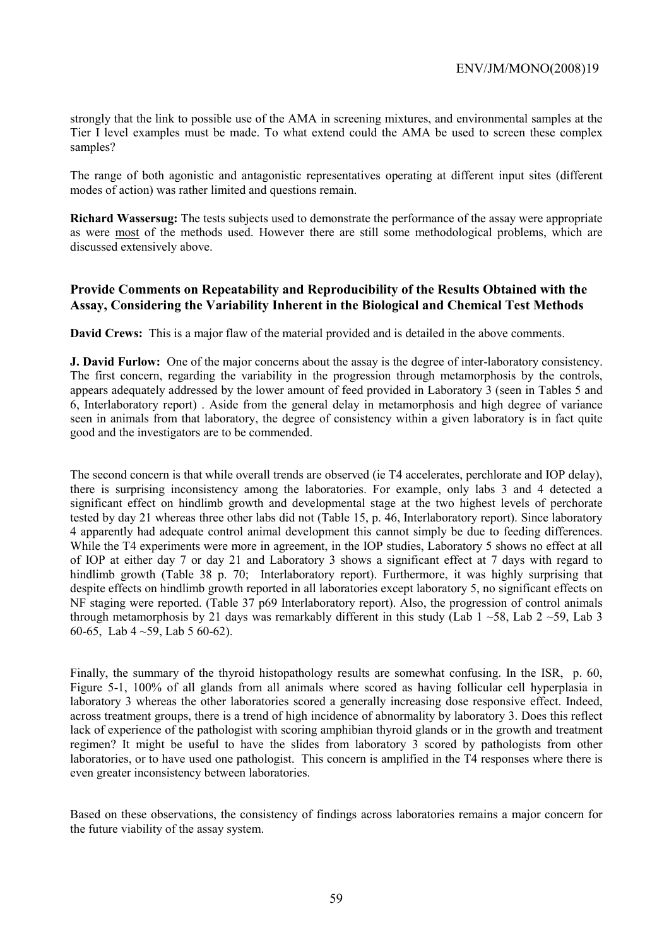strongly that the link to possible use of the AMA in screening mixtures, and environmental samples at the Tier I level examples must be made. To what extend could the AMA be used to screen these complex samples?

The range of both agonistic and antagonistic representatives operating at different input sites (different modes of action) was rather limited and questions remain.

**Richard Wassersug:** The tests subjects used to demonstrate the performance of the assay were appropriate as were most of the methods used. However there are still some methodological problems, which are discussed extensively above.

## **Provide Comments on Repeatability and Reproducibility of the Results Obtained with the Assay, Considering the Variability Inherent in the Biological and Chemical Test Methods**

**David Crews:** This is a major flaw of the material provided and is detailed in the above comments.

**J. David Furlow:** One of the major concerns about the assay is the degree of inter-laboratory consistency. The first concern, regarding the variability in the progression through metamorphosis by the controls, appears adequately addressed by the lower amount of feed provided in Laboratory 3 (seen in Tables 5 and 6, Interlaboratory report) . Aside from the general delay in metamorphosis and high degree of variance seen in animals from that laboratory, the degree of consistency within a given laboratory is in fact quite good and the investigators are to be commended.

The second concern is that while overall trends are observed (ie T4 accelerates, perchlorate and IOP delay), there is surprising inconsistency among the laboratories. For example, only labs 3 and 4 detected a significant effect on hindlimb growth and developmental stage at the two highest levels of perchorate tested by day 21 whereas three other labs did not (Table 15, p. 46, Interlaboratory report). Since laboratory 4 apparently had adequate control animal development this cannot simply be due to feeding differences. While the T4 experiments were more in agreement, in the IOP studies, Laboratory 5 shows no effect at all of IOP at either day 7 or day 21 and Laboratory 3 shows a significant effect at 7 days with regard to hindlimb growth (Table 38 p. 70; Interlaboratory report). Furthermore, it was highly surprising that despite effects on hindlimb growth reported in all laboratories except laboratory 5, no significant effects on NF staging were reported. (Table 37 p69 Interlaboratory report). Also, the progression of control animals through metamorphosis by 21 days was remarkably different in this study (Lab  $1 \sim 58$ , Lab  $2 \sim 59$ , Lab 3 60-65, Lab  $4 \sim 59$ , Lab  $5 \, 60 \, 62$ ).

Finally, the summary of the thyroid histopathology results are somewhat confusing. In the ISR, p. 60, Figure 5-1, 100% of all glands from all animals where scored as having follicular cell hyperplasia in laboratory 3 whereas the other laboratories scored a generally increasing dose responsive effect. Indeed, across treatment groups, there is a trend of high incidence of abnormality by laboratory 3. Does this reflect lack of experience of the pathologist with scoring amphibian thyroid glands or in the growth and treatment regimen? It might be useful to have the slides from laboratory 3 scored by pathologists from other laboratories, or to have used one pathologist. This concern is amplified in the T4 responses where there is even greater inconsistency between laboratories.

Based on these observations, the consistency of findings across laboratories remains a major concern for the future viability of the assay system.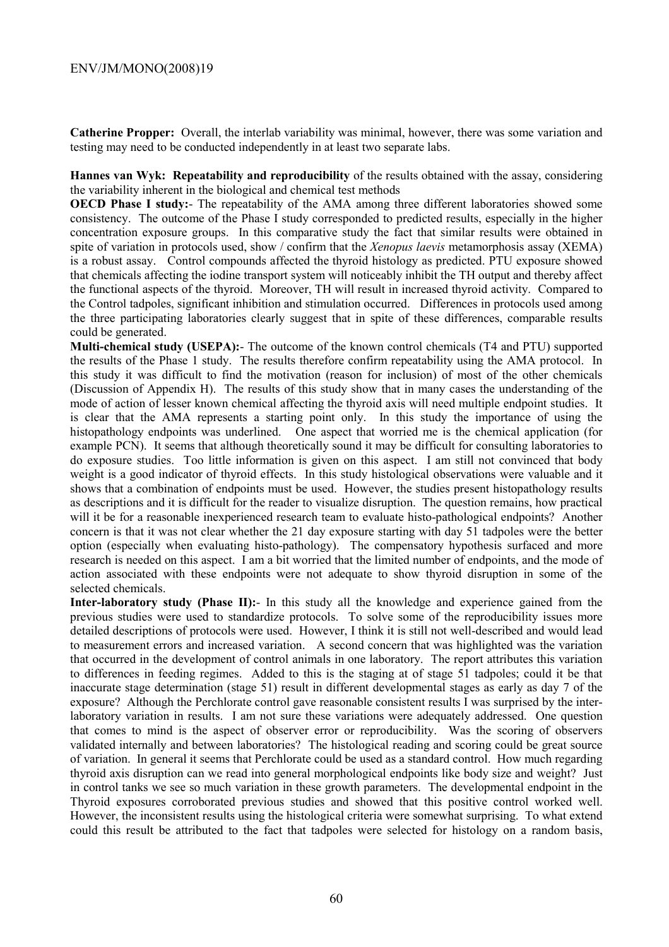**Catherine Propper:** Overall, the interlab variability was minimal, however, there was some variation and testing may need to be conducted independently in at least two separate labs.

**Hannes van Wyk: Repeatability and reproducibility** of the results obtained with the assay, considering the variability inherent in the biological and chemical test methods

**OECD Phase I study:**- The repeatability of the AMA among three different laboratories showed some consistency. The outcome of the Phase I study corresponded to predicted results, especially in the higher concentration exposure groups. In this comparative study the fact that similar results were obtained in spite of variation in protocols used, show / confirm that the *Xenopus laevis* metamorphosis assay (XEMA) is a robust assay. Control compounds affected the thyroid histology as predicted. PTU exposure showed that chemicals affecting the iodine transport system will noticeably inhibit the TH output and thereby affect the functional aspects of the thyroid. Moreover, TH will result in increased thyroid activity. Compared to the Control tadpoles, significant inhibition and stimulation occurred. Differences in protocols used among the three participating laboratories clearly suggest that in spite of these differences, comparable results could be generated.

**Multi-chemical study (USEPA):**- The outcome of the known control chemicals (T4 and PTU) supported the results of the Phase 1 study. The results therefore confirm repeatability using the AMA protocol. In this study it was difficult to find the motivation (reason for inclusion) of most of the other chemicals (Discussion of Appendix H). The results of this study show that in many cases the understanding of the mode of action of lesser known chemical affecting the thyroid axis will need multiple endpoint studies. It is clear that the AMA represents a starting point only. In this study the importance of using the histopathology endpoints was underlined. One aspect that worried me is the chemical application (for example PCN). It seems that although theoretically sound it may be difficult for consulting laboratories to do exposure studies. Too little information is given on this aspect. I am still not convinced that body weight is a good indicator of thyroid effects. In this study histological observations were valuable and it shows that a combination of endpoints must be used. However, the studies present histopathology results as descriptions and it is difficult for the reader to visualize disruption. The question remains, how practical will it be for a reasonable inexperienced research team to evaluate histo-pathological endpoints? Another concern is that it was not clear whether the 21 day exposure starting with day 51 tadpoles were the better option (especially when evaluating histo-pathology). The compensatory hypothesis surfaced and more research is needed on this aspect. I am a bit worried that the limited number of endpoints, and the mode of action associated with these endpoints were not adequate to show thyroid disruption in some of the selected chemicals.

**Inter-laboratory study (Phase II):**- In this study all the knowledge and experience gained from the previous studies were used to standardize protocols. To solve some of the reproducibility issues more detailed descriptions of protocols were used. However, I think it is still not well-described and would lead to measurement errors and increased variation. A second concern that was highlighted was the variation that occurred in the development of control animals in one laboratory. The report attributes this variation to differences in feeding regimes. Added to this is the staging at of stage 51 tadpoles; could it be that inaccurate stage determination (stage 51) result in different developmental stages as early as day 7 of the exposure? Although the Perchlorate control gave reasonable consistent results I was surprised by the interlaboratory variation in results. I am not sure these variations were adequately addressed. One question that comes to mind is the aspect of observer error or reproducibility. Was the scoring of observers validated internally and between laboratories? The histological reading and scoring could be great source of variation. In general it seems that Perchlorate could be used as a standard control. How much regarding thyroid axis disruption can we read into general morphological endpoints like body size and weight? Just in control tanks we see so much variation in these growth parameters. The developmental endpoint in the Thyroid exposures corroborated previous studies and showed that this positive control worked well. However, the inconsistent results using the histological criteria were somewhat surprising. To what extend could this result be attributed to the fact that tadpoles were selected for histology on a random basis,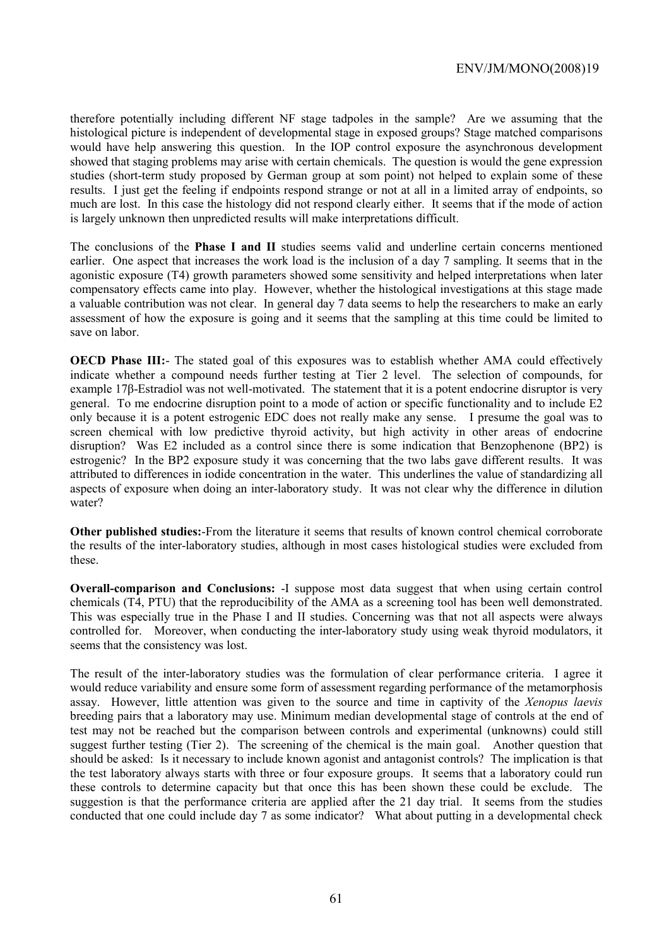therefore potentially including different NF stage tadpoles in the sample? Are we assuming that the histological picture is independent of developmental stage in exposed groups? Stage matched comparisons would have help answering this question. In the IOP control exposure the asynchronous development showed that staging problems may arise with certain chemicals. The question is would the gene expression studies (short-term study proposed by German group at som point) not helped to explain some of these results. I just get the feeling if endpoints respond strange or not at all in a limited array of endpoints, so much are lost. In this case the histology did not respond clearly either. It seems that if the mode of action is largely unknown then unpredicted results will make interpretations difficult.

The conclusions of the **Phase I and II** studies seems valid and underline certain concerns mentioned earlier. One aspect that increases the work load is the inclusion of a day 7 sampling. It seems that in the agonistic exposure (T4) growth parameters showed some sensitivity and helped interpretations when later compensatory effects came into play. However, whether the histological investigations at this stage made a valuable contribution was not clear. In general day 7 data seems to help the researchers to make an early assessment of how the exposure is going and it seems that the sampling at this time could be limited to save on labor.

**OECD Phase III:**- The stated goal of this exposures was to establish whether AMA could effectively indicate whether a compound needs further testing at Tier 2 level. The selection of compounds, for example 17β-Estradiol was not well-motivated. The statement that it is a potent endocrine disruptor is very general. To me endocrine disruption point to a mode of action or specific functionality and to include E2 only because it is a potent estrogenic EDC does not really make any sense. I presume the goal was to screen chemical with low predictive thyroid activity, but high activity in other areas of endocrine disruption? Was E2 included as a control since there is some indication that Benzophenone (BP2) is estrogenic? In the BP2 exposure study it was concerning that the two labs gave different results. It was attributed to differences in iodide concentration in the water. This underlines the value of standardizing all aspects of exposure when doing an inter-laboratory study. It was not clear why the difference in dilution water?

**Other published studies:**-From the literature it seems that results of known control chemical corroborate the results of the inter-laboratory studies, although in most cases histological studies were excluded from these.

**Overall-comparison and Conclusions:** -I suppose most data suggest that when using certain control chemicals (T4, PTU) that the reproducibility of the AMA as a screening tool has been well demonstrated. This was especially true in the Phase I and II studies. Concerning was that not all aspects were always controlled for. Moreover, when conducting the inter-laboratory study using weak thyroid modulators, it seems that the consistency was lost.

The result of the inter-laboratory studies was the formulation of clear performance criteria. I agree it would reduce variability and ensure some form of assessment regarding performance of the metamorphosis assay. However, little attention was given to the source and time in captivity of the *Xenopus laevis* breeding pairs that a laboratory may use. Minimum median developmental stage of controls at the end of test may not be reached but the comparison between controls and experimental (unknowns) could still suggest further testing (Tier 2). The screening of the chemical is the main goal. Another question that should be asked: Is it necessary to include known agonist and antagonist controls? The implication is that the test laboratory always starts with three or four exposure groups. It seems that a laboratory could run these controls to determine capacity but that once this has been shown these could be exclude. The suggestion is that the performance criteria are applied after the 21 day trial. It seems from the studies conducted that one could include day 7 as some indicator? What about putting in a developmental check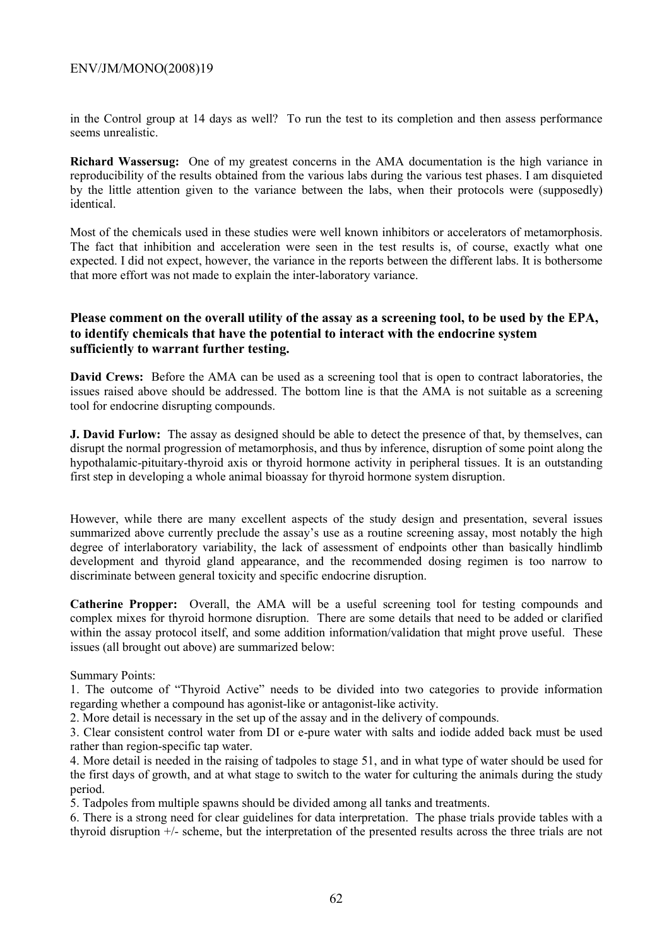in the Control group at 14 days as well? To run the test to its completion and then assess performance seems unrealistic.

**Richard Wassersug:** One of my greatest concerns in the AMA documentation is the high variance in reproducibility of the results obtained from the various labs during the various test phases. I am disquieted by the little attention given to the variance between the labs, when their protocols were (supposedly) identical.

Most of the chemicals used in these studies were well known inhibitors or accelerators of metamorphosis. The fact that inhibition and acceleration were seen in the test results is, of course, exactly what one expected. I did not expect, however, the variance in the reports between the different labs. It is bothersome that more effort was not made to explain the inter-laboratory variance.

### **Please comment on the overall utility of the assay as a screening tool, to be used by the EPA, to identify chemicals that have the potential to interact with the endocrine system sufficiently to warrant further testing.**

**David Crews:** Before the AMA can be used as a screening tool that is open to contract laboratories, the issues raised above should be addressed. The bottom line is that the AMA is not suitable as a screening tool for endocrine disrupting compounds.

**J. David Furlow:** The assay as designed should be able to detect the presence of that, by themselves, can disrupt the normal progression of metamorphosis, and thus by inference, disruption of some point along the hypothalamic-pituitary-thyroid axis or thyroid hormone activity in peripheral tissues. It is an outstanding first step in developing a whole animal bioassay for thyroid hormone system disruption.

However, while there are many excellent aspects of the study design and presentation, several issues summarized above currently preclude the assay's use as a routine screening assay, most notably the high degree of interlaboratory variability, the lack of assessment of endpoints other than basically hindlimb development and thyroid gland appearance, and the recommended dosing regimen is too narrow to discriminate between general toxicity and specific endocrine disruption.

**Catherine Propper:** Overall, the AMA will be a useful screening tool for testing compounds and complex mixes for thyroid hormone disruption. There are some details that need to be added or clarified within the assay protocol itself, and some addition information/validation that might prove useful. These issues (all brought out above) are summarized below:

Summary Points:

1. The outcome of "Thyroid Active" needs to be divided into two categories to provide information regarding whether a compound has agonist-like or antagonist-like activity.

2. More detail is necessary in the set up of the assay and in the delivery of compounds.

3. Clear consistent control water from DI or e-pure water with salts and iodide added back must be used rather than region-specific tap water.

4. More detail is needed in the raising of tadpoles to stage 51, and in what type of water should be used for the first days of growth, and at what stage to switch to the water for culturing the animals during the study period.

5. Tadpoles from multiple spawns should be divided among all tanks and treatments.

6. There is a strong need for clear guidelines for data interpretation. The phase trials provide tables with a thyroid disruption +/- scheme, but the interpretation of the presented results across the three trials are not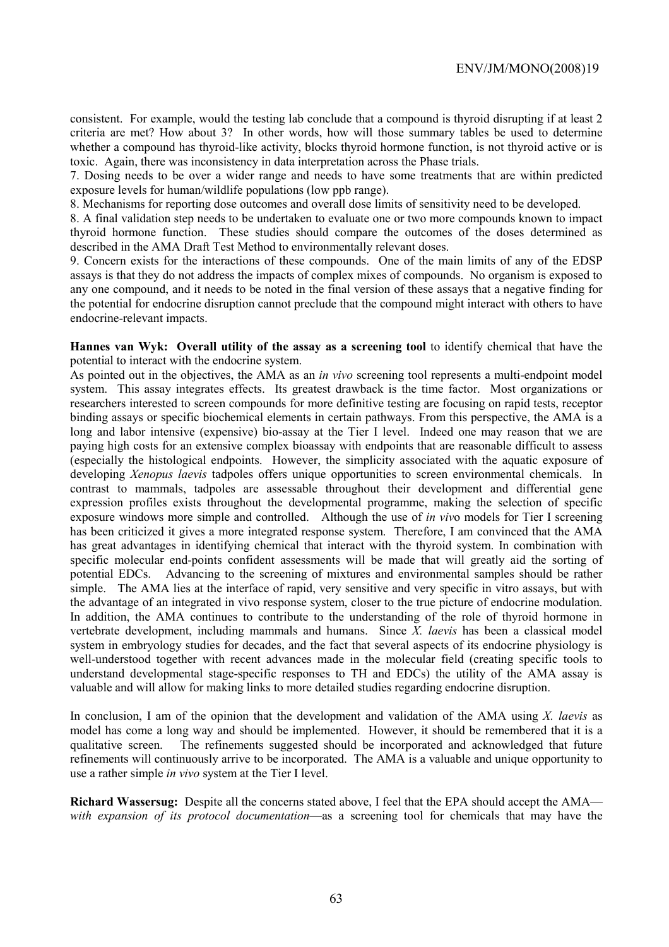consistent. For example, would the testing lab conclude that a compound is thyroid disrupting if at least 2 criteria are met? How about 3? In other words, how will those summary tables be used to determine whether a compound has thyroid-like activity, blocks thyroid hormone function, is not thyroid active or is toxic. Again, there was inconsistency in data interpretation across the Phase trials.

7. Dosing needs to be over a wider range and needs to have some treatments that are within predicted exposure levels for human/wildlife populations (low ppb range).

8. Mechanisms for reporting dose outcomes and overall dose limits of sensitivity need to be developed.

8. A final validation step needs to be undertaken to evaluate one or two more compounds known to impact thyroid hormone function. These studies should compare the outcomes of the doses determined as described in the AMA Draft Test Method to environmentally relevant doses.

9. Concern exists for the interactions of these compounds. One of the main limits of any of the EDSP assays is that they do not address the impacts of complex mixes of compounds. No organism is exposed to any one compound, and it needs to be noted in the final version of these assays that a negative finding for the potential for endocrine disruption cannot preclude that the compound might interact with others to have endocrine-relevant impacts.

**Hannes van Wyk: Overall utility of the assay as a screening tool** to identify chemical that have the potential to interact with the endocrine system.

As pointed out in the objectives, the AMA as an *in vivo* screening tool represents a multi-endpoint model system. This assay integrates effects. Its greatest drawback is the time factor. Most organizations or researchers interested to screen compounds for more definitive testing are focusing on rapid tests, receptor binding assays or specific biochemical elements in certain pathways. From this perspective, the AMA is a long and labor intensive (expensive) bio-assay at the Tier I level. Indeed one may reason that we are paying high costs for an extensive complex bioassay with endpoints that are reasonable difficult to assess (especially the histological endpoints. However, the simplicity associated with the aquatic exposure of developing *Xenopus laevis* tadpoles offers unique opportunities to screen environmental chemicals. In contrast to mammals, tadpoles are assessable throughout their development and differential gene expression profiles exists throughout the developmental programme, making the selection of specific exposure windows more simple and controlled. Although the use of *in viv*o models for Tier I screening has been criticized it gives a more integrated response system. Therefore, I am convinced that the AMA has great advantages in identifying chemical that interact with the thyroid system. In combination with specific molecular end-points confident assessments will be made that will greatly aid the sorting of potential EDCs. Advancing to the screening of mixtures and environmental samples should be rather simple. The AMA lies at the interface of rapid, very sensitive and very specific in vitro assays, but with the advantage of an integrated in vivo response system, closer to the true picture of endocrine modulation. In addition, the AMA continues to contribute to the understanding of the role of thyroid hormone in vertebrate development, including mammals and humans. Since *X. laevis* has been a classical model system in embryology studies for decades, and the fact that several aspects of its endocrine physiology is well-understood together with recent advances made in the molecular field (creating specific tools to understand developmental stage-specific responses to TH and EDCs) the utility of the AMA assay is valuable and will allow for making links to more detailed studies regarding endocrine disruption.

In conclusion, I am of the opinion that the development and validation of the AMA using *X. laevis* as model has come a long way and should be implemented. However, it should be remembered that it is a qualitative screen. The refinements suggested should be incorporated and acknowledged that future refinements will continuously arrive to be incorporated. The AMA is a valuable and unique opportunity to use a rather simple *in vivo* system at the Tier I level.

**Richard Wassersug:** Despite all the concerns stated above, I feel that the EPA should accept the AMA *with expansion of its protocol documentation*—as a screening tool for chemicals that may have the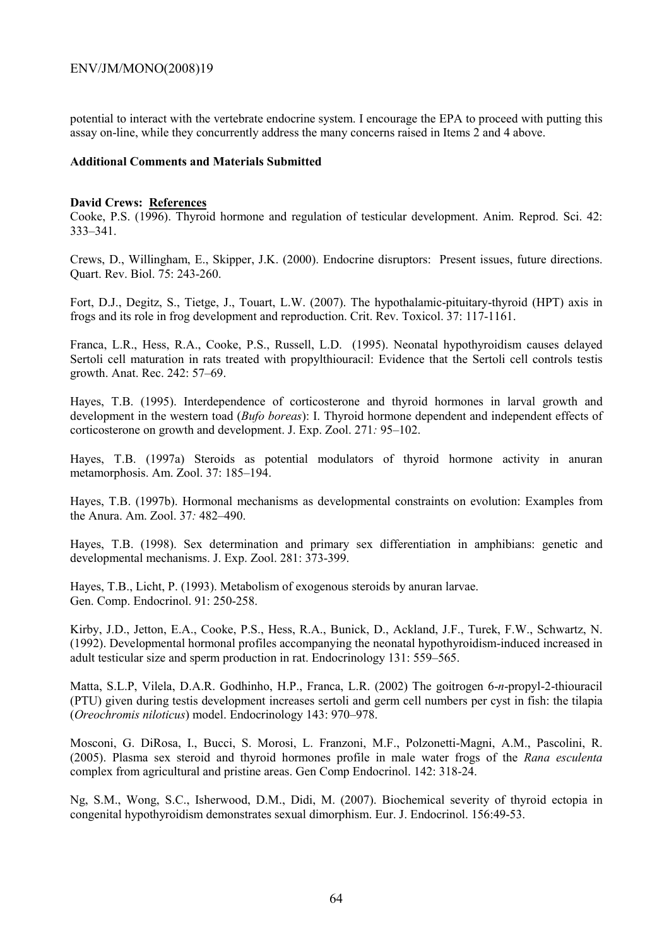potential to interact with the vertebrate endocrine system. I encourage the EPA to proceed with putting this assay on-line, while they concurrently address the many concerns raised in Items 2 and 4 above.

### **Additional Comments and Materials Submitted**

#### **David Crews: References**

Cooke, P.S. (1996). Thyroid hormone and regulation of testicular development. Anim. Reprod. Sci. 42: 333–341.

Crews, D., Willingham, E., Skipper, J.K. (2000). Endocrine disruptors: Present issues, future directions. Quart. Rev. Biol. 75: 243-260.

Fort, D.J., Degitz, S., Tietge, J., Touart, L.W. (2007). The hypothalamic-pituitary-thyroid (HPT) axis in frogs and its role in frog development and reproduction. Crit. Rev. Toxicol. 37: 117-1161.

Franca, L.R., Hess, R.A., Cooke, P.S., Russell, L.D. (1995). Neonatal hypothyroidism causes delayed Sertoli cell maturation in rats treated with propylthiouracil: Evidence that the Sertoli cell controls testis growth. Anat. Rec. 242: 57–69.

Hayes, T.B. (1995). Interdependence of corticosterone and thyroid hormones in larval growth and development in the western toad (*Bufo boreas*): I. Thyroid hormone dependent and independent effects of corticosterone on growth and development. J. Exp. Zool. 271*:* 95–102.

Hayes, T.B. (1997a) Steroids as potential modulators of thyroid hormone activity in anuran metamorphosis. Am. Zool. 37: 185–194.

Hayes, T.B. (1997b). Hormonal mechanisms as developmental constraints on evolution: Examples from the Anura. Am. Zool. 37*:* 482–490.

Hayes, T.B. (1998). Sex determination and primary sex differentiation in amphibians: genetic and developmental mechanisms. J. Exp. Zool. 281: 373-399.

Hayes, T.B., Licht, P. (1993). Metabolism of exogenous steroids by anuran larvae. Gen. Comp. Endocrinol. 91: 250-258.

Kirby, J.D., Jetton, E.A., Cooke, P.S., Hess, R.A., Bunick, D., Ackland, J.F., Turek, F.W., Schwartz, N. (1992). Developmental hormonal profiles accompanying the neonatal hypothyroidism-induced increased in adult testicular size and sperm production in rat. Endocrinology 131: 559–565.

Matta, S.L.P, Vilela, D.A.R. Godhinho, H.P., Franca, L.R. (2002) The goitrogen 6-*n*-propyl-2-thiouracil (PTU) given during testis development increases sertoli and germ cell numbers per cyst in fish: the tilapia (*Oreochromis niloticus*) model. Endocrinology 143: 970–978.

Mosconi, G. DiRosa, I., Bucci, S. Morosi, L. Franzoni, M.F., Polzonetti-Magni, A.M., Pascolini, R. (2005). Plasma sex steroid and thyroid hormones profile in male water frogs of the *Rana esculenta* complex from agricultural and pristine areas. Gen Comp Endocrinol. 142: 318-24.

Ng, S.M., Wong, S.C., Isherwood, D.M., Didi, M. (2007). Biochemical severity of thyroid ectopia in congenital hypothyroidism demonstrates sexual dimorphism. Eur. J. Endocrinol. 156:49-53.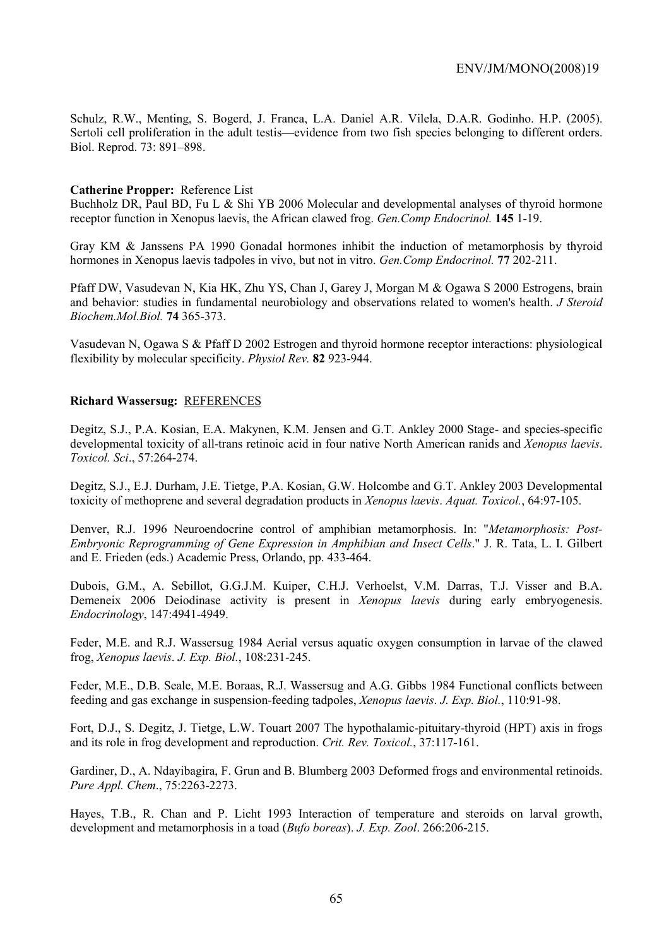Schulz, R.W., Menting, S. Bogerd, J. Franca, L.A. Daniel A.R. Vilela, D.A.R. Godinho. H.P. (2005). Sertoli cell proliferation in the adult testis—evidence from two fish species belonging to different orders. Biol. Reprod. 73: 891–898.

### **Catherine Propper:** Reference List

Buchholz DR, Paul BD, Fu L & Shi YB 2006 Molecular and developmental analyses of thyroid hormone receptor function in Xenopus laevis, the African clawed frog. *Gen.Comp Endocrinol.* **145** 1-19.

Gray KM & Janssens PA 1990 Gonadal hormones inhibit the induction of metamorphosis by thyroid hormones in Xenopus laevis tadpoles in vivo, but not in vitro. *Gen.Comp Endocrinol.* **77** 202-211.

Pfaff DW, Vasudevan N, Kia HK, Zhu YS, Chan J, Garey J, Morgan M & Ogawa S 2000 Estrogens, brain and behavior: studies in fundamental neurobiology and observations related to women's health. *J Steroid Biochem.Mol.Biol.* **74** 365-373.

Vasudevan N, Ogawa S & Pfaff D 2002 Estrogen and thyroid hormone receptor interactions: physiological flexibility by molecular specificity. *Physiol Rev.* **82** 923-944.

### **Richard Wassersug:** REFERENCES

Degitz, S.J., P.A. Kosian, E.A. Makynen, K.M. Jensen and G.T. Ankley 2000 Stage- and species-specific developmental toxicity of all-trans retinoic acid in four native North American ranids and *Xenopus laevis*. *Toxicol. Sci*., 57:264-274.

Degitz, S.J., E.J. Durham, J.E. Tietge, P.A. Kosian, G.W. Holcombe and G.T. Ankley 2003 Developmental toxicity of methoprene and several degradation products in *Xenopus laevis*. *Aquat. Toxicol.*, 64:97-105.

Denver, R.J. 1996 Neuroendocrine control of amphibian metamorphosis. In: "*Metamorphosis: Post-Embryonic Reprogramming of Gene Expression in Amphibian and Insect Cells*." J. R. Tata, L. I. Gilbert and E. Frieden (eds.) Academic Press, Orlando, pp. 433-464.

Dubois, G.M., A. Sebillot, G.G.J.M. Kuiper, C.H.J. Verhoelst, V.M. Darras, T.J. Visser and B.A. Demeneix 2006 Deiodinase activity is present in *Xenopus laevis* during early embryogenesis. *Endocrinology*, 147:4941-4949.

Feder, M.E. and R.J. Wassersug 1984 Aerial versus aquatic oxygen consumption in larvae of the clawed frog, *Xenopus laevis*. *J. Exp. Biol.*, 108:231-245.

Feder, M.E., D.B. Seale, M.E. Boraas, R.J. Wassersug and A.G. Gibbs 1984 Functional conflicts between feeding and gas exchange in suspension-feeding tadpoles, *Xenopus laevis*. *J. Exp. Biol.*, 110:91-98.

Fort, D.J., S. Degitz, J. Tietge, L.W. Touart 2007 The hypothalamic-pituitary-thyroid (HPT) axis in frogs and its role in frog development and reproduction. *Crit. Rev. Toxicol.*, 37:117-161.

Gardiner, D., A. Ndayibagira, F. Grun and B. Blumberg 2003 Deformed frogs and environmental retinoids. *Pure Appl. Chem*., 75:2263-2273.

Hayes, T.B., R. Chan and P. Licht 1993 Interaction of temperature and steroids on larval growth, development and metamorphosis in a toad (*Bufo boreas*). *J. Exp. Zool*. 266:206-215.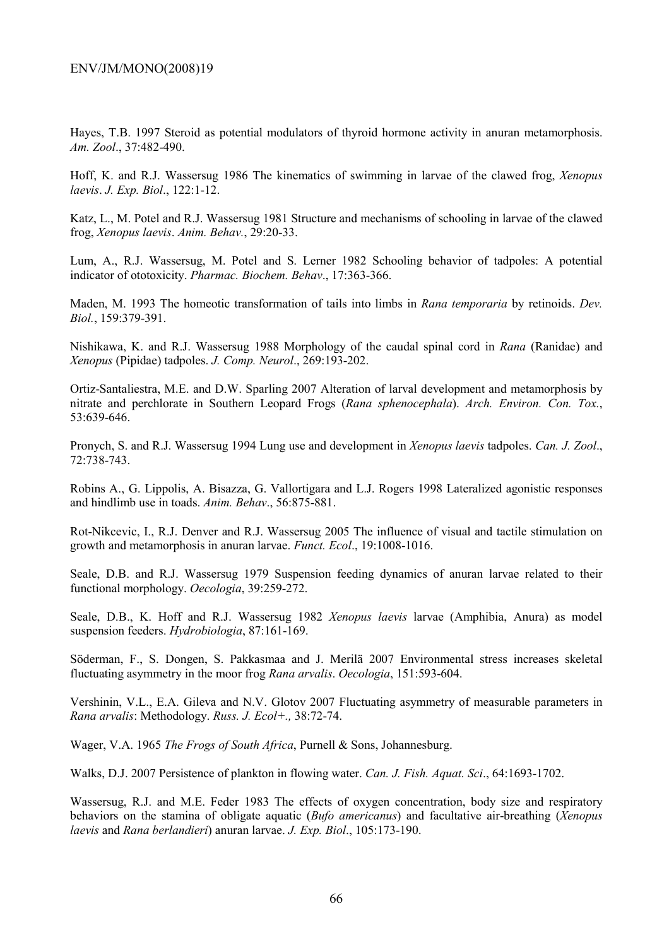Hayes, T.B. 1997 Steroid as potential modulators of thyroid hormone activity in anuran metamorphosis. *Am. Zool*., 37:482-490.

Hoff, K. and R.J. Wassersug 1986 The kinematics of swimming in larvae of the clawed frog, *Xenopus laevis*. *J. Exp. Biol*., 122:1-12.

Katz, L., M. Potel and R.J. Wassersug 1981 Structure and mechanisms of schooling in larvae of the clawed frog, *Xenopus laevis*. *Anim. Behav.*, 29:20-33.

Lum, A., R.J. Wassersug, M. Potel and S. Lerner 1982 Schooling behavior of tadpoles: A potential indicator of ototoxicity. *Pharmac. Biochem. Behav*., 17:363-366.

Maden, M. 1993 The homeotic transformation of tails into limbs in *Rana temporaria* by retinoids. *Dev. Biol.*, 159:379-391.

Nishikawa, K. and R.J. Wassersug 1988 Morphology of the caudal spinal cord in *Rana* (Ranidae) and *Xenopus* (Pipidae) tadpoles. *J. Comp. Neurol*., 269:193-202.

Ortiz-Santaliestra, M.E. and D.W. Sparling 2007 Alteration of larval development and metamorphosis by nitrate and perchlorate in Southern Leopard Frogs (*Rana sphenocephala*). *Arch. Environ. Con. Tox.*, 53:639-646.

Pronych, S. and R.J. Wassersug 1994 Lung use and development in *Xenopus laevis* tadpoles. *Can. J. Zool*., 72:738-743.

Robins A., G. Lippolis, A. Bisazza, G. Vallortigara and L.J. Rogers 1998 Lateralized agonistic responses and hindlimb use in toads. *Anim. Behav*., 56:875-881.

Rot-Nikcevic, I., R.J. Denver and R.J. Wassersug 2005 The influence of visual and tactile stimulation on growth and metamorphosis in anuran larvae. *Funct. Ecol*., 19:1008-1016.

Seale, D.B. and R.J. Wassersug 1979 Suspension feeding dynamics of anuran larvae related to their functional morphology. *Oecologia*, 39:259-272.

Seale, D.B., K. Hoff and R.J. Wassersug 1982 *Xenopus laevis* larvae (Amphibia, Anura) as model suspension feeders. *Hydrobiologia*, 87:161-169.

Söderman, F., S. Dongen, S. Pakkasmaa and J. Merilä 2007 Environmental stress increases skeletal fluctuating asymmetry in the moor frog *Rana arvalis*. *Oecologia*, 151:593-604.

Vershinin, V.L., E.A. Gileva and N.V. Glotov 2007 Fluctuating asymmetry of measurable parameters in *Rana arvalis*: Methodology. *Russ. J. Ecol+.,* 38:72-74.

Wager, V.A. 1965 *The Frogs of South Africa*, Purnell & Sons, Johannesburg.

Walks, D.J. 2007 Persistence of plankton in flowing water. *Can. J. Fish. Aquat. Sci*., 64:1693-1702.

Wassersug, R.J. and M.E. Feder 1983 The effects of oxygen concentration, body size and respiratory behaviors on the stamina of obligate aquatic (*Bufo americanus*) and facultative air-breathing (*Xenopus laevis* and *Rana berlandieri*) anuran larvae. *J. Exp. Biol*., 105:173-190.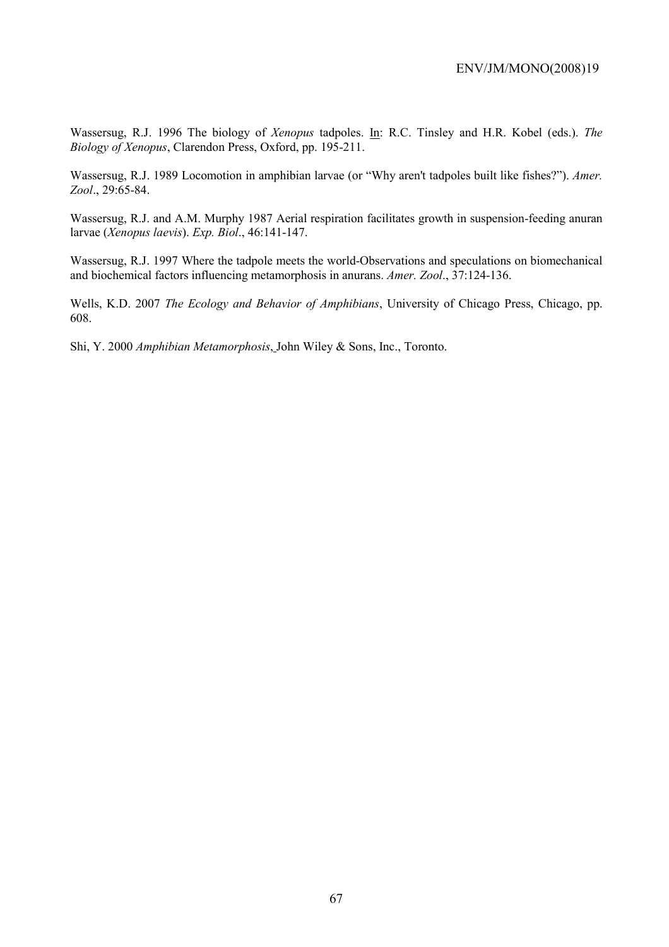Wassersug, R.J. 1996 The biology of *Xenopus* tadpoles. In: R.C. Tinsley and H.R. Kobel (eds.). *The Biology of Xenopus*, Clarendon Press, Oxford, pp. 195-211.

Wassersug, R.J. 1989 Locomotion in amphibian larvae (or "Why aren't tadpoles built like fishes?"). *Amer. Zool*., 29:65-84.

Wassersug, R.J. and A.M. Murphy 1987 Aerial respiration facilitates growth in suspension-feeding anuran larvae (*Xenopus laevis*). *Exp. Biol*., 46:141-147.

Wassersug, R.J. 1997 Where the tadpole meets the world-Observations and speculations on biomechanical and biochemical factors influencing metamorphosis in anurans. *Amer. Zool*., 37:124-136.

Wells, K.D. 2007 *The Ecology and Behavior of Amphibians*, University of Chicago Press, Chicago, pp. 608.

Shi, Y. 2000 *Amphibian Metamorphosis*, John Wiley & Sons, Inc., Toronto.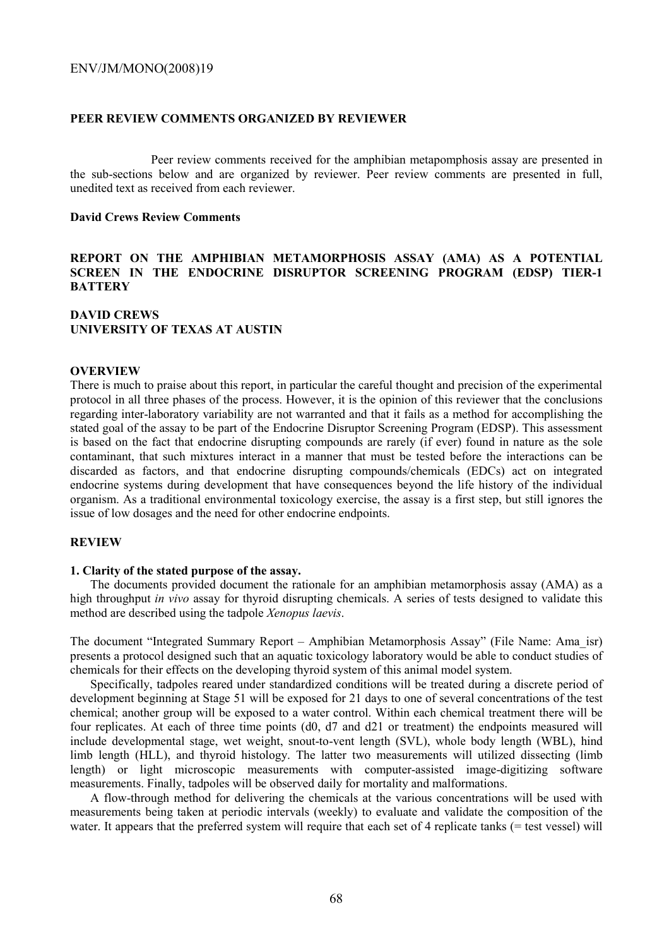## **PEER REVIEW COMMENTS ORGANIZED BY REVIEWER**

 Peer review comments received for the amphibian metapomphosis assay are presented in the sub-sections below and are organized by reviewer. Peer review comments are presented in full, unedited text as received from each reviewer.

#### **David Crews Review Comments**

### **REPORT ON THE AMPHIBIAN METAMORPHOSIS ASSAY (AMA) AS A POTENTIAL SCREEN IN THE ENDOCRINE DISRUPTOR SCREENING PROGRAM (EDSP) TIER-1 BATTERY**

### **DAVID CREWS UNIVERSITY OF TEXAS AT AUSTIN**

#### **OVERVIEW**

There is much to praise about this report, in particular the careful thought and precision of the experimental protocol in all three phases of the process. However, it is the opinion of this reviewer that the conclusions regarding inter-laboratory variability are not warranted and that it fails as a method for accomplishing the stated goal of the assay to be part of the Endocrine Disruptor Screening Program (EDSP). This assessment is based on the fact that endocrine disrupting compounds are rarely (if ever) found in nature as the sole contaminant, that such mixtures interact in a manner that must be tested before the interactions can be discarded as factors, and that endocrine disrupting compounds/chemicals (EDCs) act on integrated endocrine systems during development that have consequences beyond the life history of the individual organism. As a traditional environmental toxicology exercise, the assay is a first step, but still ignores the issue of low dosages and the need for other endocrine endpoints.

#### **REVIEW**

#### **1. Clarity of the stated purpose of the assay.**

The documents provided document the rationale for an amphibian metamorphosis assay (AMA) as a high throughput *in vivo* assay for thyroid disrupting chemicals. A series of tests designed to validate this method are described using the tadpole *Xenopus laevis*.

The document "Integrated Summary Report – Amphibian Metamorphosis Assay" (File Name: Ama\_isr) presents a protocol designed such that an aquatic toxicology laboratory would be able to conduct studies of chemicals for their effects on the developing thyroid system of this animal model system.

Specifically, tadpoles reared under standardized conditions will be treated during a discrete period of development beginning at Stage 51 will be exposed for 21 days to one of several concentrations of the test chemical; another group will be exposed to a water control. Within each chemical treatment there will be four replicates. At each of three time points (d0, d7 and d21 or treatment) the endpoints measured will include developmental stage, wet weight, snout-to-vent length (SVL), whole body length (WBL), hind limb length (HLL), and thyroid histology. The latter two measurements will utilized dissecting (limb length) or light microscopic measurements with computer-assisted image-digitizing software measurements. Finally, tadpoles will be observed daily for mortality and malformations.

A flow-through method for delivering the chemicals at the various concentrations will be used with measurements being taken at periodic intervals (weekly) to evaluate and validate the composition of the water. It appears that the preferred system will require that each set of 4 replicate tanks (= test vessel) will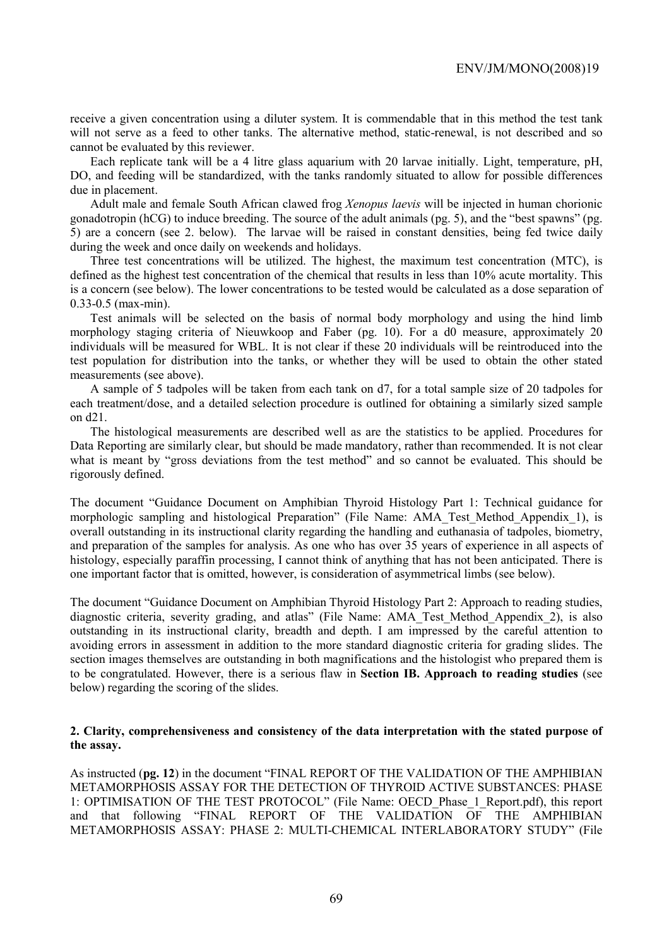receive a given concentration using a diluter system. It is commendable that in this method the test tank will not serve as a feed to other tanks. The alternative method, static-renewal, is not described and so cannot be evaluated by this reviewer.

Each replicate tank will be a 4 litre glass aquarium with 20 larvae initially. Light, temperature, pH, DO, and feeding will be standardized, with the tanks randomly situated to allow for possible differences due in placement.

Adult male and female South African clawed frog *Xenopus laevis* will be injected in human chorionic gonadotropin (hCG) to induce breeding. The source of the adult animals (pg. 5), and the "best spawns" (pg. 5) are a concern (see 2. below). The larvae will be raised in constant densities, being fed twice daily during the week and once daily on weekends and holidays.

Three test concentrations will be utilized. The highest, the maximum test concentration (MTC), is defined as the highest test concentration of the chemical that results in less than 10% acute mortality. This is a concern (see below). The lower concentrations to be tested would be calculated as a dose separation of 0.33-0.5 (max-min).

Test animals will be selected on the basis of normal body morphology and using the hind limb morphology staging criteria of Nieuwkoop and Faber (pg. 10). For a d0 measure, approximately 20 individuals will be measured for WBL. It is not clear if these 20 individuals will be reintroduced into the test population for distribution into the tanks, or whether they will be used to obtain the other stated measurements (see above).

A sample of 5 tadpoles will be taken from each tank on d7, for a total sample size of 20 tadpoles for each treatment/dose, and a detailed selection procedure is outlined for obtaining a similarly sized sample on d21.

The histological measurements are described well as are the statistics to be applied. Procedures for Data Reporting are similarly clear, but should be made mandatory, rather than recommended. It is not clear what is meant by "gross deviations from the test method" and so cannot be evaluated. This should be rigorously defined.

The document "Guidance Document on Amphibian Thyroid Histology Part 1: Technical guidance for morphologic sampling and histological Preparation" (File Name: AMA\_Test\_Method\_Appendix\_1), is overall outstanding in its instructional clarity regarding the handling and euthanasia of tadpoles, biometry, and preparation of the samples for analysis. As one who has over 35 years of experience in all aspects of histology, especially paraffin processing, I cannot think of anything that has not been anticipated. There is one important factor that is omitted, however, is consideration of asymmetrical limbs (see below).

The document "Guidance Document on Amphibian Thyroid Histology Part 2: Approach to reading studies, diagnostic criteria, severity grading, and atlas" (File Name: AMA\_Test\_Method\_Appendix\_2), is also outstanding in its instructional clarity, breadth and depth. I am impressed by the careful attention to avoiding errors in assessment in addition to the more standard diagnostic criteria for grading slides. The section images themselves are outstanding in both magnifications and the histologist who prepared them is to be congratulated. However, there is a serious flaw in **Section IB. Approach to reading studies** (see below) regarding the scoring of the slides.

#### **2. Clarity, comprehensiveness and consistency of the data interpretation with the stated purpose of the assay.**

As instructed (**pg. 12**) in the document "FINAL REPORT OF THE VALIDATION OF THE AMPHIBIAN METAMORPHOSIS ASSAY FOR THE DETECTION OF THYROID ACTIVE SUBSTANCES: PHASE 1: OPTIMISATION OF THE TEST PROTOCOL" (File Name: OECD\_Phase\_1\_Report.pdf), this report and that following "FINAL REPORT OF THE VALIDATION OF THE AMPHIBIAN METAMORPHOSIS ASSAY: PHASE 2: MULTI-CHEMICAL INTERLABORATORY STUDY" (File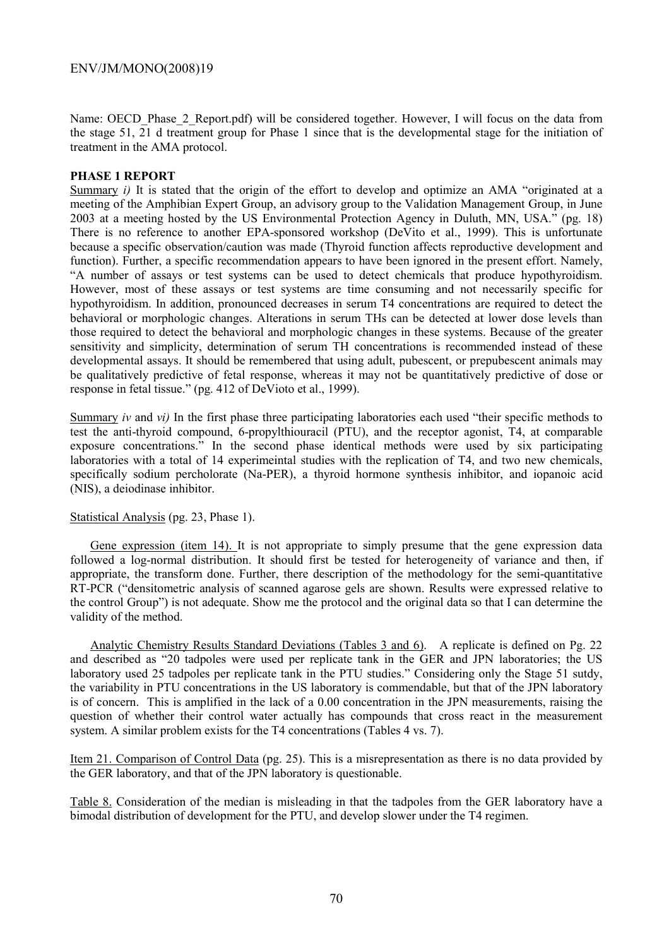Name: OECD Phase 2 Report.pdf) will be considered together. However, I will focus on the data from the stage 51, 21 d treatment group for Phase 1 since that is the developmental stage for the initiation of treatment in the AMA protocol.

### **PHASE 1 REPORT**

Summary *i)* It is stated that the origin of the effort to develop and optimize an AMA "originated at a meeting of the Amphibian Expert Group, an advisory group to the Validation Management Group, in June 2003 at a meeting hosted by the US Environmental Protection Agency in Duluth, MN, USA." (pg. 18) There is no reference to another EPA-sponsored workshop (DeVito et al., 1999). This is unfortunate because a specific observation/caution was made (Thyroid function affects reproductive development and function). Further, a specific recommendation appears to have been ignored in the present effort. Namely, "A number of assays or test systems can be used to detect chemicals that produce hypothyroidism. However, most of these assays or test systems are time consuming and not necessarily specific for hypothyroidism. In addition, pronounced decreases in serum T4 concentrations are required to detect the behavioral or morphologic changes. Alterations in serum THs can be detected at lower dose levels than those required to detect the behavioral and morphologic changes in these systems. Because of the greater sensitivity and simplicity, determination of serum TH concentrations is recommended instead of these developmental assays. It should be remembered that using adult, pubescent, or prepubescent animals may be qualitatively predictive of fetal response, whereas it may not be quantitatively predictive of dose or response in fetal tissue." (pg. 412 of DeVioto et al., 1999).

Summary *iv* and *vi)* In the first phase three participating laboratories each used "their specific methods to test the anti-thyroid compound, 6-propylthiouracil (PTU), and the receptor agonist, T4, at comparable exposure concentrations." In the second phase identical methods were used by six participating laboratories with a total of 14 experimeintal studies with the replication of T4, and two new chemicals, specifically sodium percholorate (Na-PER), a thyroid hormone synthesis inhibitor, and iopanoic acid (NIS), a deiodinase inhibitor.

### Statistical Analysis (pg. 23, Phase 1).

Gene expression (item 14). It is not appropriate to simply presume that the gene expression data followed a log-normal distribution. It should first be tested for heterogeneity of variance and then, if appropriate, the transform done. Further, there description of the methodology for the semi-quantitative RT-PCR ("densitometric analysis of scanned agarose gels are shown. Results were expressed relative to the control Group") is not adequate. Show me the protocol and the original data so that I can determine the validity of the method.

Analytic Chemistry Results Standard Deviations (Tables 3 and 6). A replicate is defined on Pg. 22 and described as "20 tadpoles were used per replicate tank in the GER and JPN laboratories; the US laboratory used 25 tadpoles per replicate tank in the PTU studies." Considering only the Stage 51 sutdy, the variability in PTU concentrations in the US laboratory is commendable, but that of the JPN laboratory is of concern. This is amplified in the lack of a 0.00 concentration in the JPN measurements, raising the question of whether their control water actually has compounds that cross react in the measurement system. A similar problem exists for the T4 concentrations (Tables 4 vs. 7).

Item 21. Comparison of Control Data (pg. 25). This is a misrepresentation as there is no data provided by the GER laboratory, and that of the JPN laboratory is questionable.

Table 8. Consideration of the median is misleading in that the tadpoles from the GER laboratory have a bimodal distribution of development for the PTU, and develop slower under the T4 regimen.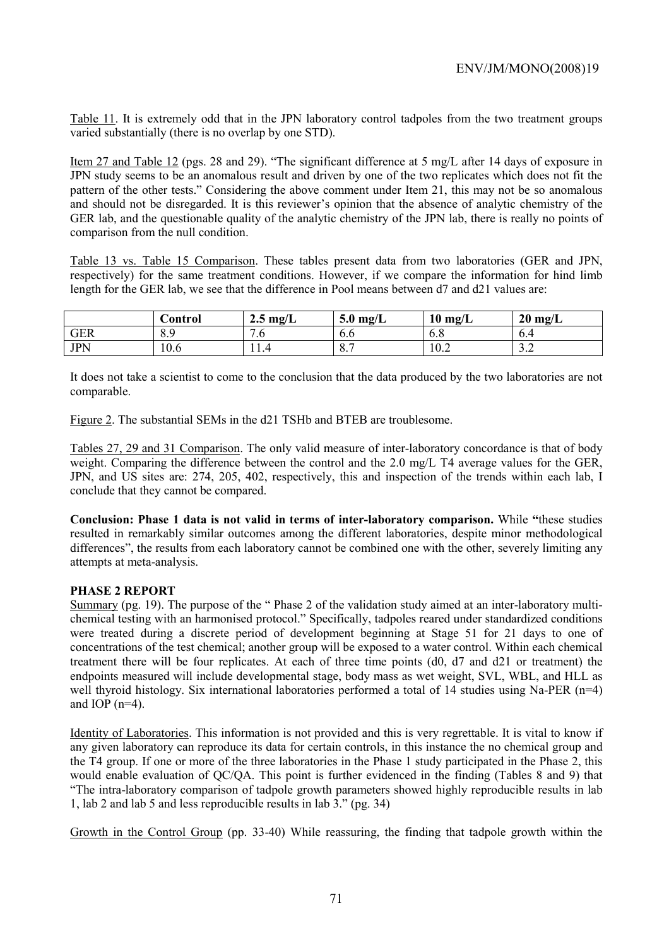Table 11. It is extremely odd that in the JPN laboratory control tadpoles from the two treatment groups varied substantially (there is no overlap by one STD).

Item 27 and Table 12 (pgs. 28 and 29). "The significant difference at 5 mg/L after 14 days of exposure in JPN study seems to be an anomalous result and driven by one of the two replicates which does not fit the pattern of the other tests." Considering the above comment under Item 21, this may not be so anomalous and should not be disregarded. It is this reviewer's opinion that the absence of analytic chemistry of the GER lab, and the questionable quality of the analytic chemistry of the JPN lab, there is really no points of comparison from the null condition.

Table 13 vs. Table 15 Comparison. These tables present data from two laboratories (GER and JPN, respectively) for the same treatment conditions. However, if we compare the information for hind limb length for the GER lab, we see that the difference in Pool means between d7 and d21 values are:

|            | Control         | $2.5 \text{ mg/L}$ | 5.0<br>mg/L                | $10 \text{ mg/L}$ | $20 \text{ mg/L}$ |
|------------|-----------------|--------------------|----------------------------|-------------------|-------------------|
| <b>GER</b> | $\Omega$<br>0.5 | $\sim$<br>. ს      | 0.0                        | 0.8               | 0.4               |
| <b>JPN</b> | 10.6            | 11.4               | $\Omega$<br>$\mathsf{O}$ . | 10.2              | ے. ب              |

It does not take a scientist to come to the conclusion that the data produced by the two laboratories are not comparable.

Figure 2. The substantial SEMs in the d21 TSHb and BTEB are troublesome.

Tables 27, 29 and 31 Comparison. The only valid measure of inter-laboratory concordance is that of body weight. Comparing the difference between the control and the 2.0 mg/L T4 average values for the GER. JPN, and US sites are: 274, 205, 402, respectively, this and inspection of the trends within each lab, I conclude that they cannot be compared.

**Conclusion: Phase 1 data is not valid in terms of inter-laboratory comparison.** While **"**these studies resulted in remarkably similar outcomes among the different laboratories, despite minor methodological differences", the results from each laboratory cannot be combined one with the other, severely limiting any attempts at meta-analysis.

### **PHASE 2 REPORT**

Summary (pg. 19). The purpose of the " Phase 2 of the validation study aimed at an inter-laboratory multichemical testing with an harmonised protocol." Specifically, tadpoles reared under standardized conditions were treated during a discrete period of development beginning at Stage 51 for 21 days to one of concentrations of the test chemical; another group will be exposed to a water control. Within each chemical treatment there will be four replicates. At each of three time points (d0, d7 and d21 or treatment) the endpoints measured will include developmental stage, body mass as wet weight, SVL, WBL, and HLL as well thyroid histology. Six international laboratories performed a total of 14 studies using Na-PER (n=4) and IOP  $(n=4)$ .

Identity of Laboratories. This information is not provided and this is very regrettable. It is vital to know if any given laboratory can reproduce its data for certain controls, in this instance the no chemical group and the T4 group. If one or more of the three laboratories in the Phase 1 study participated in the Phase 2, this would enable evaluation of QC/QA. This point is further evidenced in the finding (Tables 8 and 9) that "The intra-laboratory comparison of tadpole growth parameters showed highly reproducible results in lab 1, lab 2 and lab 5 and less reproducible results in lab 3." (pg. 34)

Growth in the Control Group (pp. 33-40) While reassuring, the finding that tadpole growth within the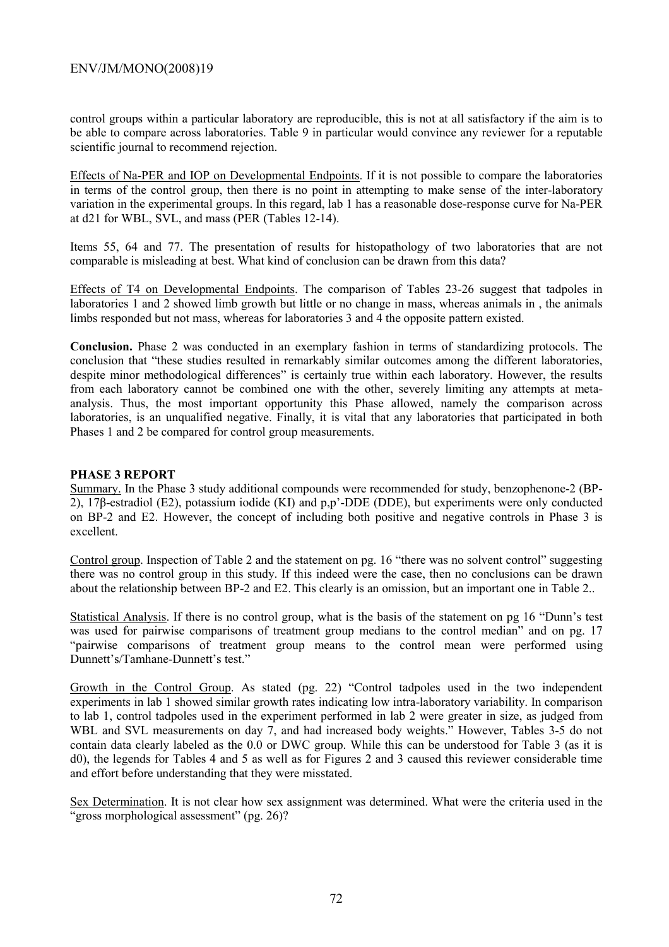control groups within a particular laboratory are reproducible, this is not at all satisfactory if the aim is to be able to compare across laboratories. Table 9 in particular would convince any reviewer for a reputable scientific journal to recommend rejection.

Effects of Na-PER and IOP on Developmental Endpoints. If it is not possible to compare the laboratories in terms of the control group, then there is no point in attempting to make sense of the inter-laboratory variation in the experimental groups. In this regard, lab 1 has a reasonable dose-response curve for Na-PER at d21 for WBL, SVL, and mass (PER (Tables 12-14).

Items 55, 64 and 77. The presentation of results for histopathology of two laboratories that are not comparable is misleading at best. What kind of conclusion can be drawn from this data?

Effects of T4 on Developmental Endpoints. The comparison of Tables 23-26 suggest that tadpoles in laboratories 1 and 2 showed limb growth but little or no change in mass, whereas animals in , the animals limbs responded but not mass, whereas for laboratories 3 and 4 the opposite pattern existed.

**Conclusion.** Phase 2 was conducted in an exemplary fashion in terms of standardizing protocols. The conclusion that "these studies resulted in remarkably similar outcomes among the different laboratories, despite minor methodological differences" is certainly true within each laboratory. However, the results from each laboratory cannot be combined one with the other, severely limiting any attempts at metaanalysis. Thus, the most important opportunity this Phase allowed, namely the comparison across laboratories, is an unqualified negative. Finally, it is vital that any laboratories that participated in both Phases 1 and 2 be compared for control group measurements.

### **PHASE 3 REPORT**

Summary. In the Phase 3 study additional compounds were recommended for study, benzophenone-2 (BP-2), 17β-estradiol (E2), potassium iodide (KI) and p,p'-DDE (DDE), but experiments were only conducted on BP-2 and E2. However, the concept of including both positive and negative controls in Phase 3 is excellent.

Control group. Inspection of Table 2 and the statement on pg. 16 "there was no solvent control" suggesting there was no control group in this study. If this indeed were the case, then no conclusions can be drawn about the relationship between BP-2 and E2. This clearly is an omission, but an important one in Table 2..

Statistical Analysis. If there is no control group, what is the basis of the statement on pg 16 "Dunn's test was used for pairwise comparisons of treatment group medians to the control median" and on pg. 17 "pairwise comparisons of treatment group means to the control mean were performed using Dunnett's/Tamhane-Dunnett's test."

Growth in the Control Group. As stated (pg. 22) "Control tadpoles used in the two independent experiments in lab 1 showed similar growth rates indicating low intra-laboratory variability. In comparison to lab 1, control tadpoles used in the experiment performed in lab 2 were greater in size, as judged from WBL and SVL measurements on day 7, and had increased body weights." However, Tables 3-5 do not contain data clearly labeled as the 0.0 or DWC group. While this can be understood for Table 3 (as it is d0), the legends for Tables 4 and 5 as well as for Figures 2 and 3 caused this reviewer considerable time and effort before understanding that they were misstated.

Sex Determination. It is not clear how sex assignment was determined. What were the criteria used in the "gross morphological assessment" (pg. 26)?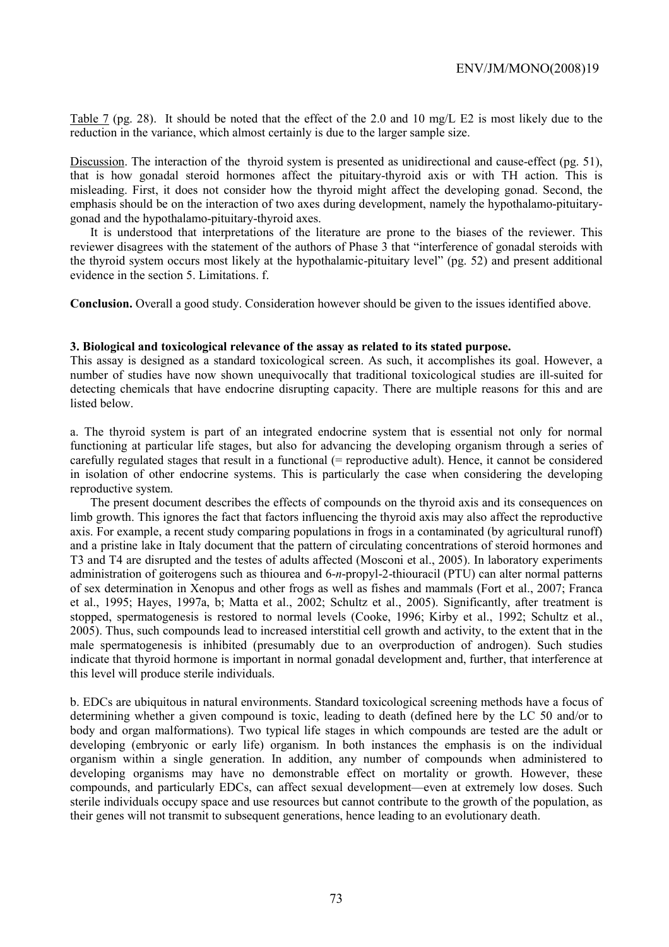Table 7 (pg. 28). It should be noted that the effect of the 2.0 and 10 mg/L E2 is most likely due to the reduction in the variance, which almost certainly is due to the larger sample size.

Discussion. The interaction of the thyroid system is presented as unidirectional and cause-effect (pg. 51), that is how gonadal steroid hormones affect the pituitary-thyroid axis or with TH action. This is misleading. First, it does not consider how the thyroid might affect the developing gonad. Second, the emphasis should be on the interaction of two axes during development, namely the hypothalamo-pituitarygonad and the hypothalamo-pituitary-thyroid axes.

It is understood that interpretations of the literature are prone to the biases of the reviewer. This reviewer disagrees with the statement of the authors of Phase 3 that "interference of gonadal steroids with the thyroid system occurs most likely at the hypothalamic-pituitary level" (pg. 52) and present additional evidence in the section 5. Limitations. f.

**Conclusion.** Overall a good study. Consideration however should be given to the issues identified above.

#### **3. Biological and toxicological relevance of the assay as related to its stated purpose.**

This assay is designed as a standard toxicological screen. As such, it accomplishes its goal. However, a number of studies have now shown unequivocally that traditional toxicological studies are ill-suited for detecting chemicals that have endocrine disrupting capacity. There are multiple reasons for this and are listed below.

a. The thyroid system is part of an integrated endocrine system that is essential not only for normal functioning at particular life stages, but also for advancing the developing organism through a series of carefully regulated stages that result in a functional (= reproductive adult). Hence, it cannot be considered in isolation of other endocrine systems. This is particularly the case when considering the developing reproductive system.

The present document describes the effects of compounds on the thyroid axis and its consequences on limb growth. This ignores the fact that factors influencing the thyroid axis may also affect the reproductive axis. For example, a recent study comparing populations in frogs in a contaminated (by agricultural runoff) and a pristine lake in Italy document that the pattern of circulating concentrations of steroid hormones and T3 and T4 are disrupted and the testes of adults affected (Mosconi et al., 2005). In laboratory experiments administration of goiterogens such as thiourea and 6-*n*-propyl-2-thiouracil (PTU) can alter normal patterns of sex determination in Xenopus and other frogs as well as fishes and mammals (Fort et al., 2007; Franca et al., 1995; Hayes, 1997a, b; Matta et al., 2002; Schultz et al., 2005). Significantly, after treatment is stopped, spermatogenesis is restored to normal levels (Cooke, 1996; Kirby et al., 1992; Schultz et al., 2005). Thus, such compounds lead to increased interstitial cell growth and activity, to the extent that in the male spermatogenesis is inhibited (presumably due to an overproduction of androgen). Such studies indicate that thyroid hormone is important in normal gonadal development and, further, that interference at this level will produce sterile individuals.

b. EDCs are ubiquitous in natural environments. Standard toxicological screening methods have a focus of determining whether a given compound is toxic, leading to death (defined here by the LC 50 and/or to body and organ malformations). Two typical life stages in which compounds are tested are the adult or developing (embryonic or early life) organism. In both instances the emphasis is on the individual organism within a single generation. In addition, any number of compounds when administered to developing organisms may have no demonstrable effect on mortality or growth. However, these compounds, and particularly EDCs, can affect sexual development—even at extremely low doses. Such sterile individuals occupy space and use resources but cannot contribute to the growth of the population, as their genes will not transmit to subsequent generations, hence leading to an evolutionary death.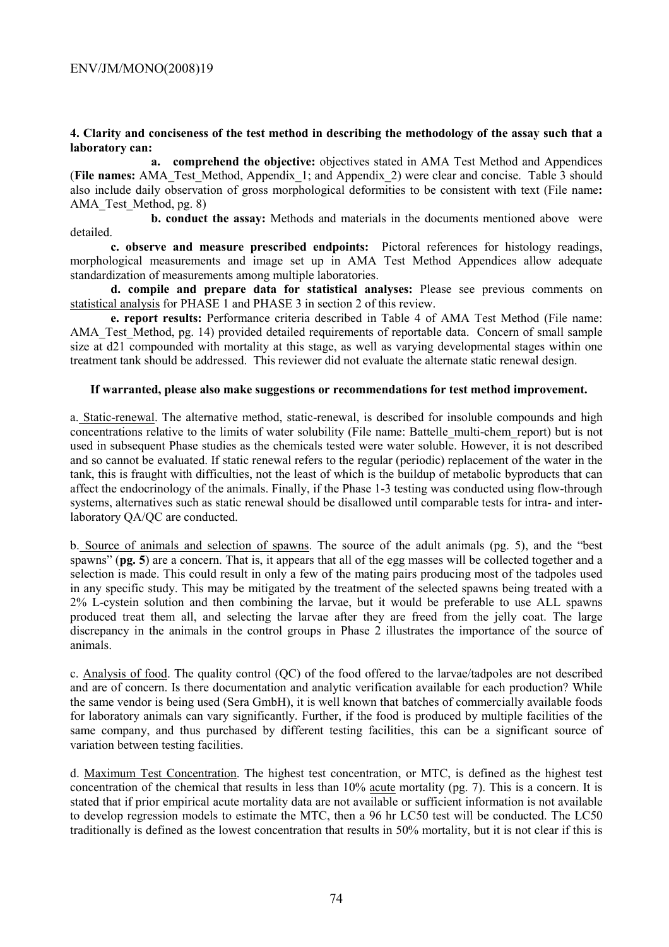## **4. Clarity and conciseness of the test method in describing the methodology of the assay such that a laboratory can:**

 **a. comprehend the objective:** objectives stated in AMA Test Method and Appendices (**File names:** AMA\_Test\_Method, Appendix\_1; and Appendix\_2) were clear and concise. Table 3 should also include daily observation of gross morphological deformities to be consistent with text (File name**:** AMA Test Method, pg. 8)

 **b. conduct the assay:** Methods and materials in the documents mentioned above were detailed.

 **c. observe and measure prescribed endpoints:** Pictoral references for histology readings, morphological measurements and image set up in AMA Test Method Appendices allow adequate standardization of measurements among multiple laboratories.

 **d. compile and prepare data for statistical analyses:** Please see previous comments on statistical analysis for PHASE 1 and PHASE 3 in section 2 of this review.

 **e. report results:** Performance criteria described in Table 4 of AMA Test Method (File name: AMA Test Method, pg. 14) provided detailed requirements of reportable data. Concern of small sample size at d21 compounded with mortality at this stage, as well as varying developmental stages within one treatment tank should be addressed. This reviewer did not evaluate the alternate static renewal design.

#### **If warranted, please also make suggestions or recommendations for test method improvement.**

a. Static-renewal. The alternative method, static-renewal, is described for insoluble compounds and high concentrations relative to the limits of water solubility (File name: Battelle\_multi-chem\_report) but is not used in subsequent Phase studies as the chemicals tested were water soluble. However, it is not described and so cannot be evaluated. If static renewal refers to the regular (periodic) replacement of the water in the tank, this is fraught with difficulties, not the least of which is the buildup of metabolic byproducts that can affect the endocrinology of the animals. Finally, if the Phase 1-3 testing was conducted using flow-through systems, alternatives such as static renewal should be disallowed until comparable tests for intra- and interlaboratory QA/QC are conducted.

b. Source of animals and selection of spawns. The source of the adult animals (pg. 5), and the "best spawns" (**pg. 5**) are a concern. That is, it appears that all of the egg masses will be collected together and a selection is made. This could result in only a few of the mating pairs producing most of the tadpoles used in any specific study. This may be mitigated by the treatment of the selected spawns being treated with a 2% L-cystein solution and then combining the larvae, but it would be preferable to use ALL spawns produced treat them all, and selecting the larvae after they are freed from the jelly coat. The large discrepancy in the animals in the control groups in Phase 2 illustrates the importance of the source of animals.

c. Analysis of food. The quality control (QC) of the food offered to the larvae/tadpoles are not described and are of concern. Is there documentation and analytic verification available for each production? While the same vendor is being used (Sera GmbH), it is well known that batches of commercially available foods for laboratory animals can vary significantly. Further, if the food is produced by multiple facilities of the same company, and thus purchased by different testing facilities, this can be a significant source of variation between testing facilities.

d. Maximum Test Concentration. The highest test concentration, or MTC, is defined as the highest test concentration of the chemical that results in less than 10% acute mortality (pg. 7). This is a concern. It is stated that if prior empirical acute mortality data are not available or sufficient information is not available to develop regression models to estimate the MTC, then a 96 hr LC50 test will be conducted. The LC50 traditionally is defined as the lowest concentration that results in 50% mortality, but it is not clear if this is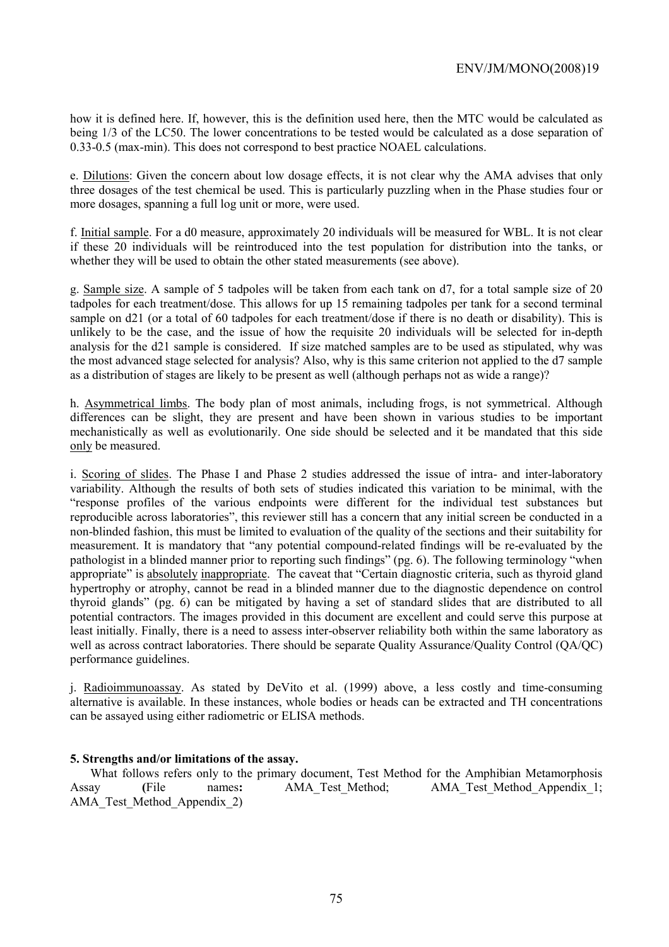how it is defined here. If, however, this is the definition used here, then the MTC would be calculated as being 1/3 of the LC50. The lower concentrations to be tested would be calculated as a dose separation of 0.33-0.5 (max-min). This does not correspond to best practice NOAEL calculations.

e. Dilutions: Given the concern about low dosage effects, it is not clear why the AMA advises that only three dosages of the test chemical be used. This is particularly puzzling when in the Phase studies four or more dosages, spanning a full log unit or more, were used.

f. Initial sample. For a d0 measure, approximately 20 individuals will be measured for WBL. It is not clear if these 20 individuals will be reintroduced into the test population for distribution into the tanks, or whether they will be used to obtain the other stated measurements (see above).

g. Sample size. A sample of 5 tadpoles will be taken from each tank on d7, for a total sample size of 20 tadpoles for each treatment/dose. This allows for up 15 remaining tadpoles per tank for a second terminal sample on d21 (or a total of 60 tadpoles for each treatment/dose if there is no death or disability). This is unlikely to be the case, and the issue of how the requisite 20 individuals will be selected for in-depth analysis for the d21 sample is considered. If size matched samples are to be used as stipulated, why was the most advanced stage selected for analysis? Also, why is this same criterion not applied to the d7 sample as a distribution of stages are likely to be present as well (although perhaps not as wide a range)?

h. Asymmetrical limbs. The body plan of most animals, including frogs, is not symmetrical. Although differences can be slight, they are present and have been shown in various studies to be important mechanistically as well as evolutionarily. One side should be selected and it be mandated that this side only be measured.

i. Scoring of slides. The Phase I and Phase 2 studies addressed the issue of intra- and inter-laboratory variability. Although the results of both sets of studies indicated this variation to be minimal, with the "response profiles of the various endpoints were different for the individual test substances but reproducible across laboratories", this reviewer still has a concern that any initial screen be conducted in a non-blinded fashion, this must be limited to evaluation of the quality of the sections and their suitability for measurement. It is mandatory that "any potential compound-related findings will be re-evaluated by the pathologist in a blinded manner prior to reporting such findings" (pg. 6). The following terminology "when appropriate" is absolutely inappropriate. The caveat that "Certain diagnostic criteria, such as thyroid gland hypertrophy or atrophy, cannot be read in a blinded manner due to the diagnostic dependence on control thyroid glands" (pg. 6) can be mitigated by having a set of standard slides that are distributed to all potential contractors. The images provided in this document are excellent and could serve this purpose at least initially. Finally, there is a need to assess inter-observer reliability both within the same laboratory as well as across contract laboratories. There should be separate Quality Assurance/Quality Control (QA/QC) performance guidelines.

j. Radioimmunoassay. As stated by DeVito et al. (1999) above, a less costly and time-consuming alternative is available. In these instances, whole bodies or heads can be extracted and TH concentrations can be assayed using either radiometric or ELISA methods.

# **5. Strengths and/or limitations of the assay.**

What follows refers only to the primary document, Test Method for the Amphibian Metamorphosis Assay **(File names: AMA Test Method; AMA Test Method Appendix 1;** AMA\_Test\_Method\_Appendix\_2)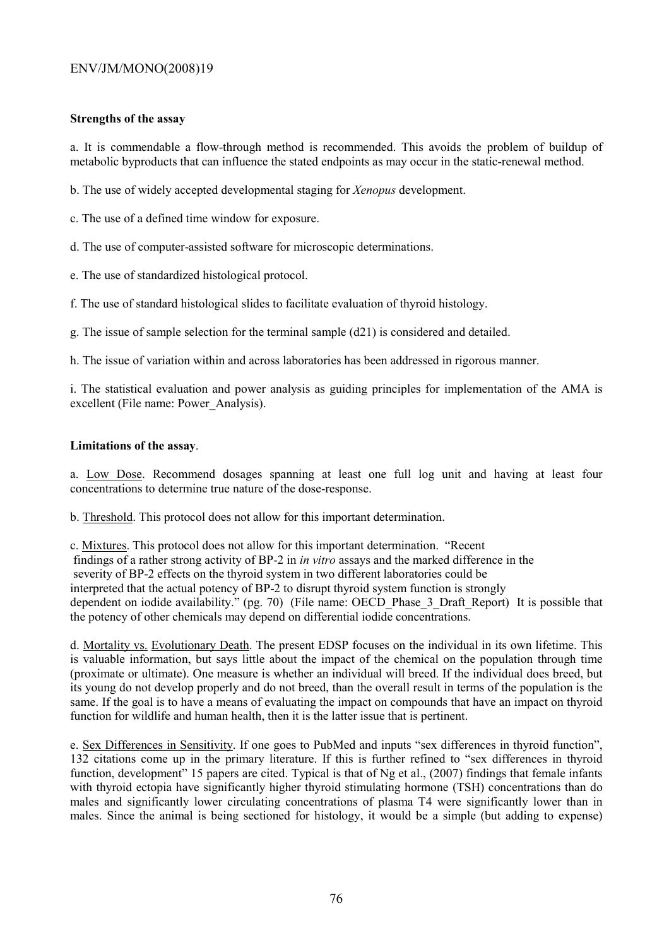# **Strengths of the assay**

a. It is commendable a flow-through method is recommended. This avoids the problem of buildup of metabolic byproducts that can influence the stated endpoints as may occur in the static-renewal method.

b. The use of widely accepted developmental staging for *Xenopus* development.

c. The use of a defined time window for exposure.

d. The use of computer-assisted software for microscopic determinations.

e. The use of standardized histological protocol.

f. The use of standard histological slides to facilitate evaluation of thyroid histology.

g. The issue of sample selection for the terminal sample (d21) is considered and detailed.

h. The issue of variation within and across laboratories has been addressed in rigorous manner.

i. The statistical evaluation and power analysis as guiding principles for implementation of the AMA is excellent (File name: Power\_Analysis).

## **Limitations of the assay**.

a. Low Dose. Recommend dosages spanning at least one full log unit and having at least four concentrations to determine true nature of the dose-response.

b. Threshold. This protocol does not allow for this important determination.

c. Mixtures. This protocol does not allow for this important determination. "Recent findings of a rather strong activity of BP-2 in *in vitro* assays and the marked difference in the severity of BP-2 effects on the thyroid system in two different laboratories could be interpreted that the actual potency of BP-2 to disrupt thyroid system function is strongly dependent on iodide availability." (pg. 70) (File name: OECD\_Phase\_3\_Draft\_Report) It is possible that the potency of other chemicals may depend on differential iodide concentrations.

d. Mortality vs. Evolutionary Death. The present EDSP focuses on the individual in its own lifetime. This is valuable information, but says little about the impact of the chemical on the population through time (proximate or ultimate). One measure is whether an individual will breed. If the individual does breed, but its young do not develop properly and do not breed, than the overall result in terms of the population is the same. If the goal is to have a means of evaluating the impact on compounds that have an impact on thyroid function for wildlife and human health, then it is the latter issue that is pertinent.

e. Sex Differences in Sensitivity. If one goes to PubMed and inputs "sex differences in thyroid function", 132 citations come up in the primary literature. If this is further refined to "sex differences in thyroid function, development" 15 papers are cited. Typical is that of Ng et al., (2007) findings that female infants with thyroid ectopia have significantly higher thyroid stimulating hormone (TSH) concentrations than do males and significantly lower circulating concentrations of plasma T4 were significantly lower than in males. Since the animal is being sectioned for histology, it would be a simple (but adding to expense)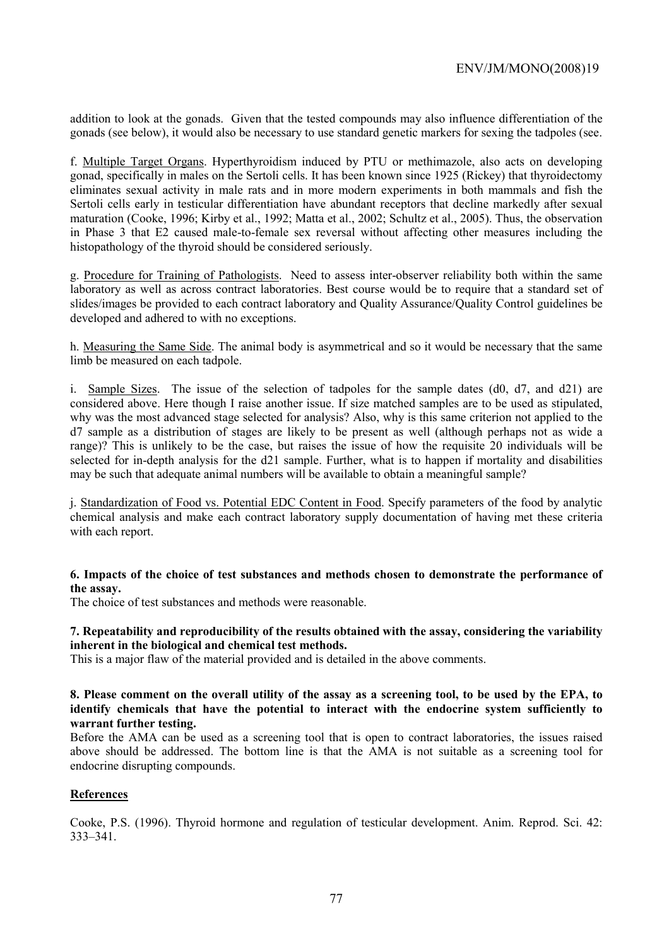addition to look at the gonads. Given that the tested compounds may also influence differentiation of the gonads (see below), it would also be necessary to use standard genetic markers for sexing the tadpoles (see.

f. Multiple Target Organs. Hyperthyroidism induced by PTU or methimazole, also acts on developing gonad, specifically in males on the Sertoli cells. It has been known since 1925 (Rickey) that thyroidectomy eliminates sexual activity in male rats and in more modern experiments in both mammals and fish the Sertoli cells early in testicular differentiation have abundant receptors that decline markedly after sexual maturation (Cooke, 1996; Kirby et al., 1992; Matta et al., 2002; Schultz et al., 2005). Thus, the observation in Phase 3 that E2 caused male-to-female sex reversal without affecting other measures including the histopathology of the thyroid should be considered seriously.

g. Procedure for Training of Pathologists. Need to assess inter-observer reliability both within the same laboratory as well as across contract laboratories. Best course would be to require that a standard set of slides/images be provided to each contract laboratory and Quality Assurance/Quality Control guidelines be developed and adhered to with no exceptions.

h. Measuring the Same Side. The animal body is asymmetrical and so it would be necessary that the same limb be measured on each tadpole.

i. Sample Sizes. The issue of the selection of tadpoles for the sample dates (d0, d7, and d21) are considered above. Here though I raise another issue. If size matched samples are to be used as stipulated, why was the most advanced stage selected for analysis? Also, why is this same criterion not applied to the d7 sample as a distribution of stages are likely to be present as well (although perhaps not as wide a range)? This is unlikely to be the case, but raises the issue of how the requisite 20 individuals will be selected for in-depth analysis for the d21 sample. Further, what is to happen if mortality and disabilities may be such that adequate animal numbers will be available to obtain a meaningful sample?

j. Standardization of Food vs. Potential EDC Content in Food. Specify parameters of the food by analytic chemical analysis and make each contract laboratory supply documentation of having met these criteria with each report.

#### **6. Impacts of the choice of test substances and methods chosen to demonstrate the performance of the assay.**

The choice of test substances and methods were reasonable.

#### **7. Repeatability and reproducibility of the results obtained with the assay, considering the variability inherent in the biological and chemical test methods.**

This is a major flaw of the material provided and is detailed in the above comments.

## **8. Please comment on the overall utility of the assay as a screening tool, to be used by the EPA, to identify chemicals that have the potential to interact with the endocrine system sufficiently to warrant further testing.**

Before the AMA can be used as a screening tool that is open to contract laboratories, the issues raised above should be addressed. The bottom line is that the AMA is not suitable as a screening tool for endocrine disrupting compounds.

# **References**

Cooke, P.S. (1996). Thyroid hormone and regulation of testicular development. Anim. Reprod. Sci. 42: 333–341.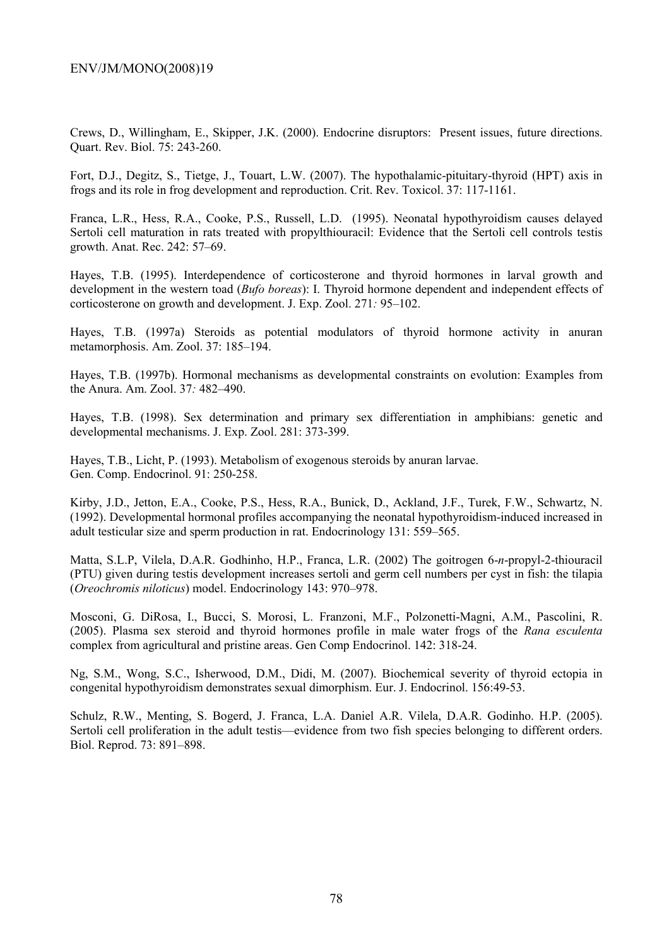Crews, D., Willingham, E., Skipper, J.K. (2000). Endocrine disruptors: Present issues, future directions. Quart. Rev. Biol. 75: 243-260.

Fort, D.J., Degitz, S., Tietge, J., Touart, L.W. (2007). The hypothalamic-pituitary-thyroid (HPT) axis in frogs and its role in frog development and reproduction. Crit. Rev. Toxicol. 37: 117-1161.

Franca, L.R., Hess, R.A., Cooke, P.S., Russell, L.D. (1995). Neonatal hypothyroidism causes delayed Sertoli cell maturation in rats treated with propylthiouracil: Evidence that the Sertoli cell controls testis growth. Anat. Rec. 242: 57–69.

Hayes, T.B. (1995). Interdependence of corticosterone and thyroid hormones in larval growth and development in the western toad (*Bufo boreas*): I. Thyroid hormone dependent and independent effects of corticosterone on growth and development. J. Exp. Zool. 271*:* 95–102.

Hayes, T.B. (1997a) Steroids as potential modulators of thyroid hormone activity in anuran metamorphosis. Am. Zool. 37: 185–194.

Hayes, T.B. (1997b). Hormonal mechanisms as developmental constraints on evolution: Examples from the Anura. Am. Zool. 37*:* 482–490.

Hayes, T.B. (1998). Sex determination and primary sex differentiation in amphibians: genetic and developmental mechanisms. J. Exp. Zool. 281: 373-399.

Hayes, T.B., Licht, P. (1993). Metabolism of exogenous steroids by anuran larvae. Gen. Comp. Endocrinol. 91: 250-258.

Kirby, J.D., Jetton, E.A., Cooke, P.S., Hess, R.A., Bunick, D., Ackland, J.F., Turek, F.W., Schwartz, N. (1992). Developmental hormonal profiles accompanying the neonatal hypothyroidism-induced increased in adult testicular size and sperm production in rat. Endocrinology 131: 559–565.

Matta, S.L.P, Vilela, D.A.R. Godhinho, H.P., Franca, L.R. (2002) The goitrogen 6-*n*-propyl-2-thiouracil (PTU) given during testis development increases sertoli and germ cell numbers per cyst in fish: the tilapia (*Oreochromis niloticus*) model. Endocrinology 143: 970–978.

Mosconi, G. DiRosa, I., Bucci, S. Morosi, L. Franzoni, M.F., Polzonetti-Magni, A.M., Pascolini, R. (2005). Plasma sex steroid and thyroid hormones profile in male water frogs of the *Rana esculenta* complex from agricultural and pristine areas. Gen Comp Endocrinol. 142: 318-24.

Ng, S.M., Wong, S.C., Isherwood, D.M., Didi, M. (2007). Biochemical severity of thyroid ectopia in congenital hypothyroidism demonstrates sexual dimorphism. Eur. J. Endocrinol. 156:49-53.

Schulz, R.W., Menting, S. Bogerd, J. Franca, L.A. Daniel A.R. Vilela, D.A.R. Godinho. H.P. (2005). Sertoli cell proliferation in the adult testis—evidence from two fish species belonging to different orders. Biol. Reprod. 73: 891–898.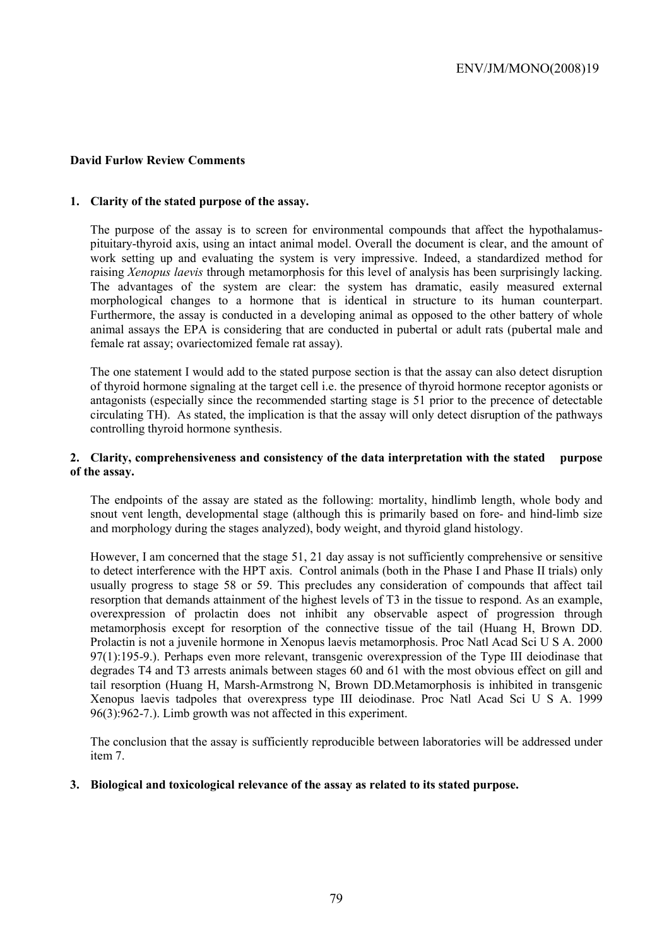# **David Furlow Review Comments**

#### **1. Clarity of the stated purpose of the assay.**

 The purpose of the assay is to screen for environmental compounds that affect the hypothalamuspituitary-thyroid axis, using an intact animal model. Overall the document is clear, and the amount of work setting up and evaluating the system is very impressive. Indeed, a standardized method for raising *Xenopus laevis* through metamorphosis for this level of analysis has been surprisingly lacking. The advantages of the system are clear: the system has dramatic, easily measured external morphological changes to a hormone that is identical in structure to its human counterpart. Furthermore, the assay is conducted in a developing animal as opposed to the other battery of whole animal assays the EPA is considering that are conducted in pubertal or adult rats (pubertal male and female rat assay; ovariectomized female rat assay).

 The one statement I would add to the stated purpose section is that the assay can also detect disruption of thyroid hormone signaling at the target cell i.e. the presence of thyroid hormone receptor agonists or antagonists (especially since the recommended starting stage is 51 prior to the precence of detectable circulating TH). As stated, the implication is that the assay will only detect disruption of the pathways controlling thyroid hormone synthesis.

## **2. Clarity, comprehensiveness and consistency of the data interpretation with the stated purpose of the assay.**

 The endpoints of the assay are stated as the following: mortality, hindlimb length, whole body and snout vent length, developmental stage (although this is primarily based on fore- and hind-limb size and morphology during the stages analyzed), body weight, and thyroid gland histology.

However, I am concerned that the stage 51, 21 day assay is not sufficiently comprehensive or sensitive to detect interference with the HPT axis. Control animals (both in the Phase I and Phase II trials) only usually progress to stage 58 or 59. This precludes any consideration of compounds that affect tail resorption that demands attainment of the highest levels of T3 in the tissue to respond. As an example, overexpression of prolactin does not inhibit any observable aspect of progression through metamorphosis except for resorption of the connective tissue of the tail (Huang H, Brown DD. Prolactin is not a juvenile hormone in Xenopus laevis metamorphosis. Proc Natl Acad Sci U S A. 2000 97(1):195-9.). Perhaps even more relevant, transgenic overexpression of the Type III deiodinase that degrades T4 and T3 arrests animals between stages 60 and 61 with the most obvious effect on gill and tail resorption (Huang H, Marsh-Armstrong N, Brown DD.Metamorphosis is inhibited in transgenic Xenopus laevis tadpoles that overexpress type III deiodinase. Proc Natl Acad Sci U S A. 1999 96(3):962-7.). Limb growth was not affected in this experiment.

 The conclusion that the assay is sufficiently reproducible between laboratories will be addressed under item 7.

#### **3. Biological and toxicological relevance of the assay as related to its stated purpose.**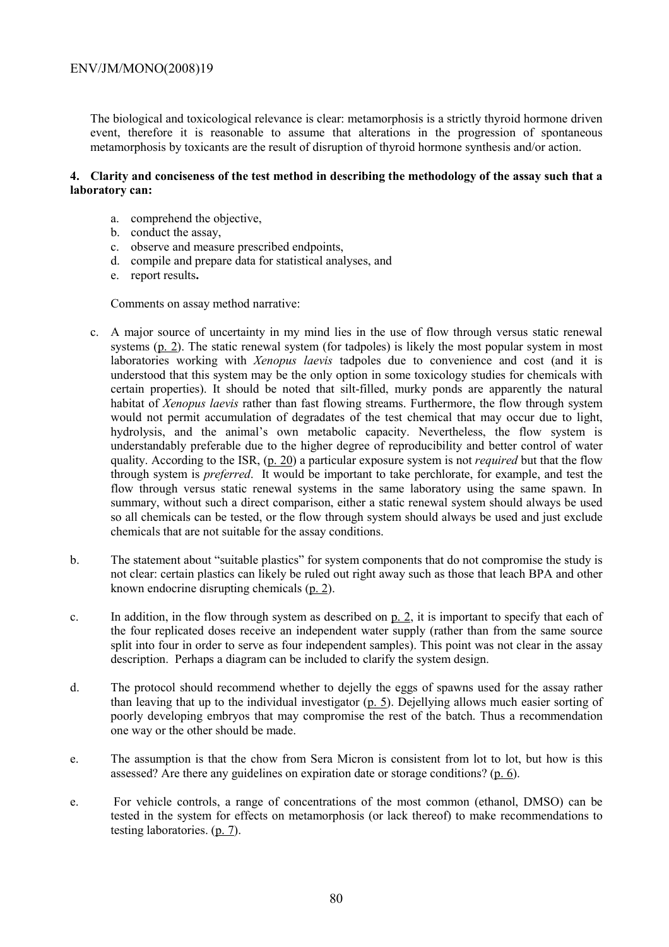The biological and toxicological relevance is clear: metamorphosis is a strictly thyroid hormone driven event, therefore it is reasonable to assume that alterations in the progression of spontaneous metamorphosis by toxicants are the result of disruption of thyroid hormone synthesis and/or action.

# **4. Clarity and conciseness of the test method in describing the methodology of the assay such that a laboratory can:**

- a. comprehend the objective,
- b. conduct the assay,
- c. observe and measure prescribed endpoints,
- d. compile and prepare data for statistical analyses, and
- e. report results**.**

Comments on assay method narrative:

- c. A major source of uncertainty in my mind lies in the use of flow through versus static renewal systems (p. 2). The static renewal system (for tadpoles) is likely the most popular system in most laboratories working with *Xenopus laevis* tadpoles due to convenience and cost (and it is understood that this system may be the only option in some toxicology studies for chemicals with certain properties). It should be noted that silt-filled, murky ponds are apparently the natural habitat of *Xenopus laevis* rather than fast flowing streams. Furthermore, the flow through system would not permit accumulation of degradates of the test chemical that may occur due to light, hydrolysis, and the animal's own metabolic capacity. Nevertheless, the flow system is understandably preferable due to the higher degree of reproducibility and better control of water quality. According to the ISR, (p. 20) a particular exposure system is not *required* but that the flow through system is *preferred*. It would be important to take perchlorate, for example, and test the flow through versus static renewal systems in the same laboratory using the same spawn. In summary, without such a direct comparison, either a static renewal system should always be used so all chemicals can be tested, or the flow through system should always be used and just exclude chemicals that are not suitable for the assay conditions.
- b. The statement about "suitable plastics" for system components that do not compromise the study is not clear: certain plastics can likely be ruled out right away such as those that leach BPA and other known endocrine disrupting chemicals (p. 2).
- c. In addition, in the flow through system as described on p. 2, it is important to specify that each of the four replicated doses receive an independent water supply (rather than from the same source split into four in order to serve as four independent samples). This point was not clear in the assay description. Perhaps a diagram can be included to clarify the system design.
- d. The protocol should recommend whether to dejelly the eggs of spawns used for the assay rather than leaving that up to the individual investigator (p. 5). Dejellying allows much easier sorting of poorly developing embryos that may compromise the rest of the batch. Thus a recommendation one way or the other should be made.
- e. The assumption is that the chow from Sera Micron is consistent from lot to lot, but how is this assessed? Are there any guidelines on expiration date or storage conditions? (p. 6).
- e. For vehicle controls, a range of concentrations of the most common (ethanol, DMSO) can be tested in the system for effects on metamorphosis (or lack thereof) to make recommendations to testing laboratories. (p. 7).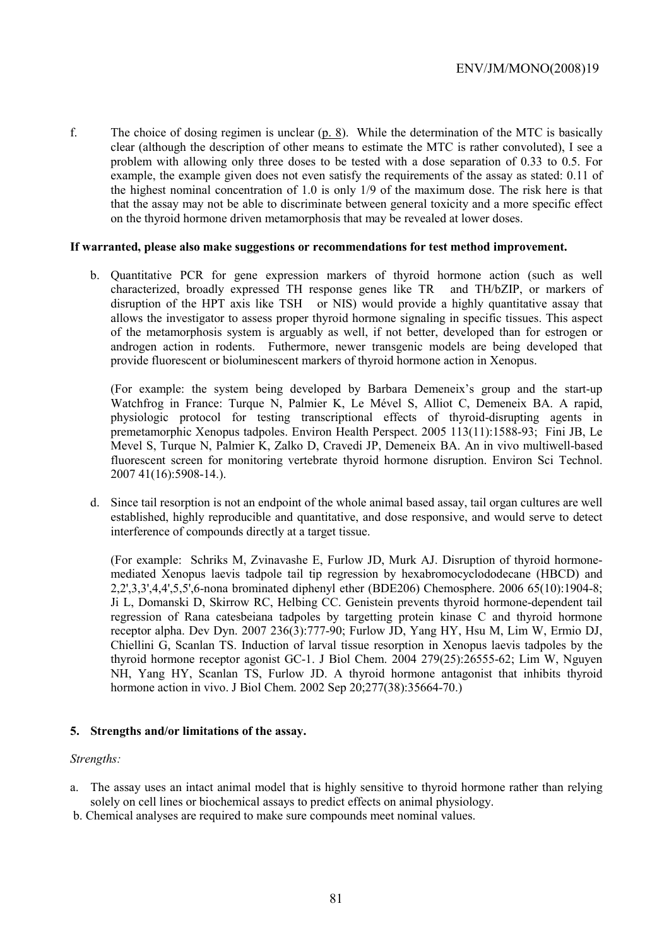f. The choice of dosing regimen is unclear (p. 8). While the determination of the MTC is basically clear (although the description of other means to estimate the MTC is rather convoluted), I see a problem with allowing only three doses to be tested with a dose separation of 0.33 to 0.5. For example, the example given does not even satisfy the requirements of the assay as stated: 0.11 of the highest nominal concentration of 1.0 is only 1/9 of the maximum dose. The risk here is that that the assay may not be able to discriminate between general toxicity and a more specific effect on the thyroid hormone driven metamorphosis that may be revealed at lower doses.

#### **If warranted, please also make suggestions or recommendations for test method improvement.**

b. Quantitative PCR for gene expression markers of thyroid hormone action (such as well characterized, broadly expressed TH response genes like TR and TH/bZIP, or markers of disruption of the HPT axis like TSH or NIS) would provide a highly quantitative assay that allows the investigator to assess proper thyroid hormone signaling in specific tissues. This aspect of the metamorphosis system is arguably as well, if not better, developed than for estrogen or androgen action in rodents. Futhermore, newer transgenic models are being developed that provide fluorescent or bioluminescent markers of thyroid hormone action in Xenopus.

(For example: the system being developed by Barbara Demeneix's group and the start-up Watchfrog in France: Turque N, Palmier K, Le Mével S, Alliot C, Demeneix BA. A rapid, physiologic protocol for testing transcriptional effects of thyroid-disrupting agents in premetamorphic Xenopus tadpoles. Environ Health Perspect. 2005 113(11):1588-93; Fini JB, Le Mevel S, Turque N, Palmier K, Zalko D, Cravedi JP, Demeneix BA. An in vivo multiwell-based fluorescent screen for monitoring vertebrate thyroid hormone disruption. Environ Sci Technol. 2007 41(16):5908-14.).

d. Since tail resorption is not an endpoint of the whole animal based assay, tail organ cultures are well established, highly reproducible and quantitative, and dose responsive, and would serve to detect interference of compounds directly at a target tissue.

(For example: Schriks M, Zvinavashe E, Furlow JD, Murk AJ. Disruption of thyroid hormonemediated Xenopus laevis tadpole tail tip regression by hexabromocyclododecane (HBCD) and 2,2',3,3',4,4',5,5',6-nona brominated diphenyl ether (BDE206) Chemosphere. 2006 65(10):1904-8; Ji L, Domanski D, Skirrow RC, Helbing CC. Genistein prevents thyroid hormone-dependent tail regression of Rana catesbeiana tadpoles by targetting protein kinase C and thyroid hormone receptor alpha. Dev Dyn. 2007 236(3):777-90; Furlow JD, Yang HY, Hsu M, Lim W, Ermio DJ, Chiellini G, Scanlan TS. Induction of larval tissue resorption in Xenopus laevis tadpoles by the thyroid hormone receptor agonist GC-1. J Biol Chem. 2004 279(25):26555-62; Lim W, Nguyen NH, Yang HY, Scanlan TS, Furlow JD. A thyroid hormone antagonist that inhibits thyroid hormone action in vivo. J Biol Chem. 2002 Sep 20;277(38):35664-70.)

## **5. Strengths and/or limitations of the assay.**

## *Strengths:*

- a. The assay uses an intact animal model that is highly sensitive to thyroid hormone rather than relying solely on cell lines or biochemical assays to predict effects on animal physiology.
- b. Chemical analyses are required to make sure compounds meet nominal values.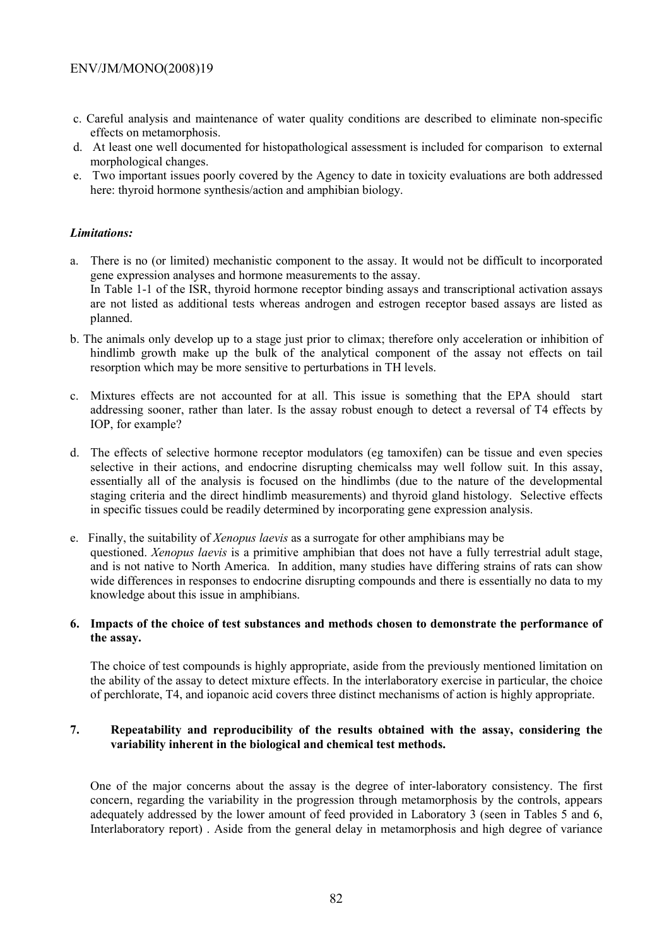- c. Careful analysis and maintenance of water quality conditions are described to eliminate non-specific effects on metamorphosis.
- d. At least one well documented for histopathological assessment is included for comparison to external morphological changes.
- e. Two important issues poorly covered by the Agency to date in toxicity evaluations are both addressed here: thyroid hormone synthesis/action and amphibian biology.

# *Limitations:*

- a. There is no (or limited) mechanistic component to the assay. It would not be difficult to incorporated gene expression analyses and hormone measurements to the assay. In Table 1-1 of the ISR, thyroid hormone receptor binding assays and transcriptional activation assays are not listed as additional tests whereas androgen and estrogen receptor based assays are listed as planned.
- b. The animals only develop up to a stage just prior to climax; therefore only acceleration or inhibition of hindlimb growth make up the bulk of the analytical component of the assay not effects on tail resorption which may be more sensitive to perturbations in TH levels.
- c. Mixtures effects are not accounted for at all. This issue is something that the EPA should start addressing sooner, rather than later. Is the assay robust enough to detect a reversal of T4 effects by IOP, for example?
- d. The effects of selective hormone receptor modulators (eg tamoxifen) can be tissue and even species selective in their actions, and endocrine disrupting chemicalss may well follow suit. In this assay, essentially all of the analysis is focused on the hindlimbs (due to the nature of the developmental staging criteria and the direct hindlimb measurements) and thyroid gland histology. Selective effects in specific tissues could be readily determined by incorporating gene expression analysis.
- e. Finally, the suitability of *Xenopus laevis* as a surrogate for other amphibians may be questioned. *Xenopus laevis* is a primitive amphibian that does not have a fully terrestrial adult stage, and is not native to North America. In addition, many studies have differing strains of rats can show wide differences in responses to endocrine disrupting compounds and there is essentially no data to my knowledge about this issue in amphibians.

# **6. Impacts of the choice of test substances and methods chosen to demonstrate the performance of the assay.**

The choice of test compounds is highly appropriate, aside from the previously mentioned limitation on the ability of the assay to detect mixture effects. In the interlaboratory exercise in particular, the choice of perchlorate, T4, and iopanoic acid covers three distinct mechanisms of action is highly appropriate.

## **7. Repeatability and reproducibility of the results obtained with the assay, considering the variability inherent in the biological and chemical test methods.**

One of the major concerns about the assay is the degree of inter-laboratory consistency. The first concern, regarding the variability in the progression through metamorphosis by the controls, appears adequately addressed by the lower amount of feed provided in Laboratory 3 (seen in Tables 5 and 6, Interlaboratory report) . Aside from the general delay in metamorphosis and high degree of variance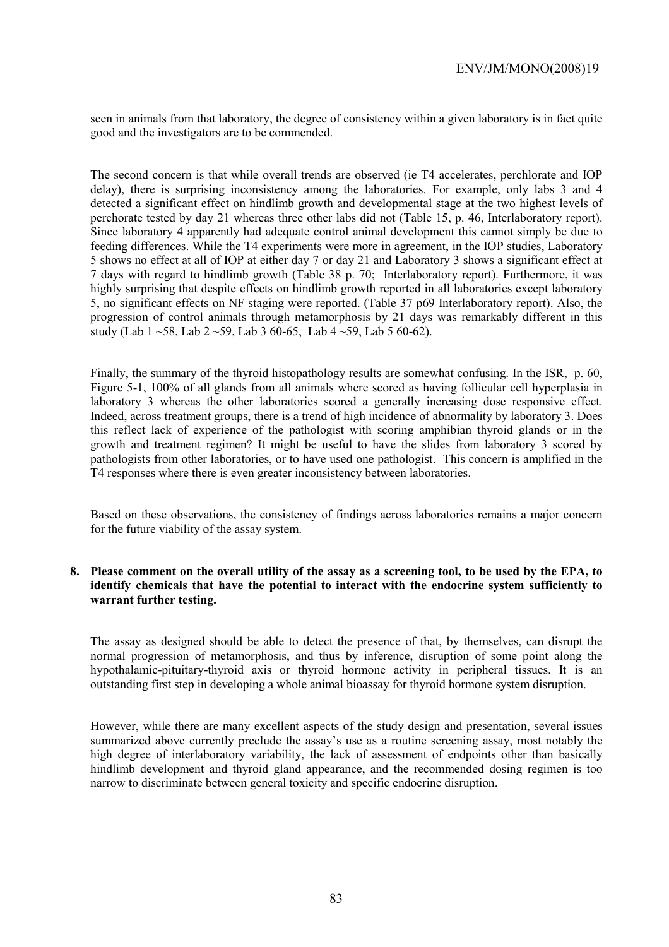seen in animals from that laboratory, the degree of consistency within a given laboratory is in fact quite good and the investigators are to be commended.

The second concern is that while overall trends are observed (ie T4 accelerates, perchlorate and IOP delay), there is surprising inconsistency among the laboratories. For example, only labs 3 and 4 detected a significant effect on hindlimb growth and developmental stage at the two highest levels of perchorate tested by day 21 whereas three other labs did not (Table 15, p. 46, Interlaboratory report). Since laboratory 4 apparently had adequate control animal development this cannot simply be due to feeding differences. While the T4 experiments were more in agreement, in the IOP studies, Laboratory 5 shows no effect at all of IOP at either day 7 or day 21 and Laboratory 3 shows a significant effect at 7 days with regard to hindlimb growth (Table 38 p. 70; Interlaboratory report). Furthermore, it was highly surprising that despite effects on hindlimb growth reported in all laboratories except laboratory 5, no significant effects on NF staging were reported. (Table 37 p69 Interlaboratory report). Also, the progression of control animals through metamorphosis by 21 days was remarkably different in this study (Lab  $1 \sim 58$ , Lab  $2 \sim 59$ , Lab  $360 - 65$ , Lab  $4 \sim 59$ , Lab  $560 - 62$ ).

Finally, the summary of the thyroid histopathology results are somewhat confusing. In the ISR, p. 60, Figure 5-1, 100% of all glands from all animals where scored as having follicular cell hyperplasia in laboratory 3 whereas the other laboratories scored a generally increasing dose responsive effect. Indeed, across treatment groups, there is a trend of high incidence of abnormality by laboratory 3. Does this reflect lack of experience of the pathologist with scoring amphibian thyroid glands or in the growth and treatment regimen? It might be useful to have the slides from laboratory 3 scored by pathologists from other laboratories, or to have used one pathologist. This concern is amplified in the T4 responses where there is even greater inconsistency between laboratories.

Based on these observations, the consistency of findings across laboratories remains a major concern for the future viability of the assay system.

# **8. Please comment on the overall utility of the assay as a screening tool, to be used by the EPA, to identify chemicals that have the potential to interact with the endocrine system sufficiently to warrant further testing.**

The assay as designed should be able to detect the presence of that, by themselves, can disrupt the normal progression of metamorphosis, and thus by inference, disruption of some point along the hypothalamic-pituitary-thyroid axis or thyroid hormone activity in peripheral tissues. It is an outstanding first step in developing a whole animal bioassay for thyroid hormone system disruption.

However, while there are many excellent aspects of the study design and presentation, several issues summarized above currently preclude the assay's use as a routine screening assay, most notably the high degree of interlaboratory variability, the lack of assessment of endpoints other than basically hindlimb development and thyroid gland appearance, and the recommended dosing regimen is too narrow to discriminate between general toxicity and specific endocrine disruption.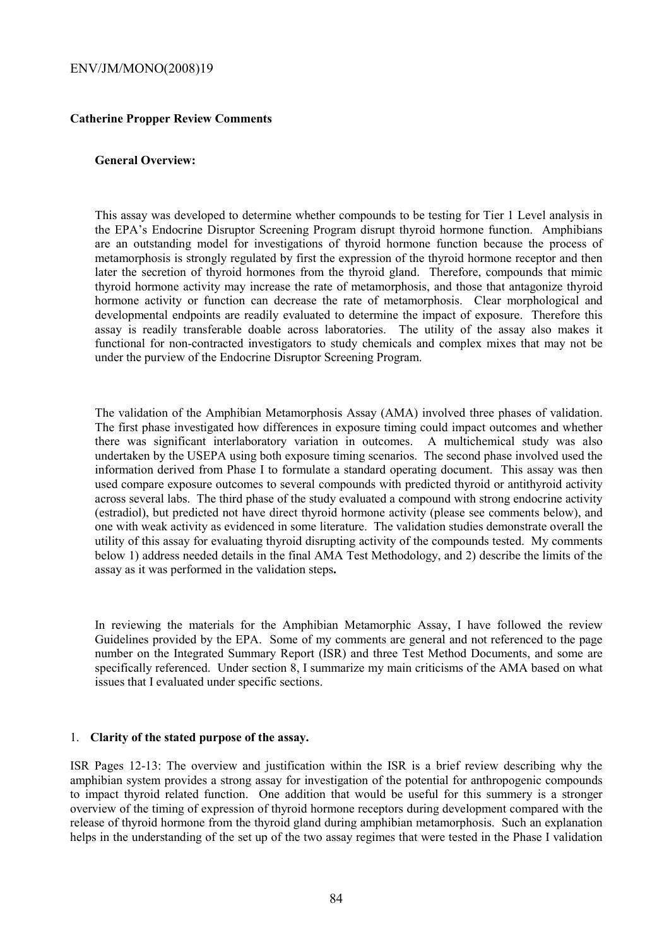# **Catherine Propper Review Comments**

#### **General Overview:**

This assay was developed to determine whether compounds to be testing for Tier 1 Level analysis in the EPA's Endocrine Disruptor Screening Program disrupt thyroid hormone function. Amphibians are an outstanding model for investigations of thyroid hormone function because the process of metamorphosis is strongly regulated by first the expression of the thyroid hormone receptor and then later the secretion of thyroid hormones from the thyroid gland. Therefore, compounds that mimic thyroid hormone activity may increase the rate of metamorphosis, and those that antagonize thyroid hormone activity or function can decrease the rate of metamorphosis. Clear morphological and developmental endpoints are readily evaluated to determine the impact of exposure. Therefore this assay is readily transferable doable across laboratories. The utility of the assay also makes it functional for non-contracted investigators to study chemicals and complex mixes that may not be under the purview of the Endocrine Disruptor Screening Program.

The validation of the Amphibian Metamorphosis Assay (AMA) involved three phases of validation. The first phase investigated how differences in exposure timing could impact outcomes and whether there was significant interlaboratory variation in outcomes. A multichemical study was also undertaken by the USEPA using both exposure timing scenarios. The second phase involved used the information derived from Phase I to formulate a standard operating document. This assay was then used compare exposure outcomes to several compounds with predicted thyroid or antithyroid activity across several labs. The third phase of the study evaluated a compound with strong endocrine activity (estradiol), but predicted not have direct thyroid hormone activity (please see comments below), and one with weak activity as evidenced in some literature. The validation studies demonstrate overall the utility of this assay for evaluating thyroid disrupting activity of the compounds tested. My comments below 1) address needed details in the final AMA Test Methodology, and 2) describe the limits of the assay as it was performed in the validation steps**.** 

In reviewing the materials for the Amphibian Metamorphic Assay, I have followed the review Guidelines provided by the EPA. Some of my comments are general and not referenced to the page number on the Integrated Summary Report (ISR) and three Test Method Documents, and some are specifically referenced. Under section 8, I summarize my main criticisms of the AMA based on what issues that I evaluated under specific sections.

## 1. **Clarity of the stated purpose of the assay.**

ISR Pages 12-13: The overview and justification within the ISR is a brief review describing why the amphibian system provides a strong assay for investigation of the potential for anthropogenic compounds to impact thyroid related function. One addition that would be useful for this summery is a stronger overview of the timing of expression of thyroid hormone receptors during development compared with the release of thyroid hormone from the thyroid gland during amphibian metamorphosis. Such an explanation helps in the understanding of the set up of the two assay regimes that were tested in the Phase I validation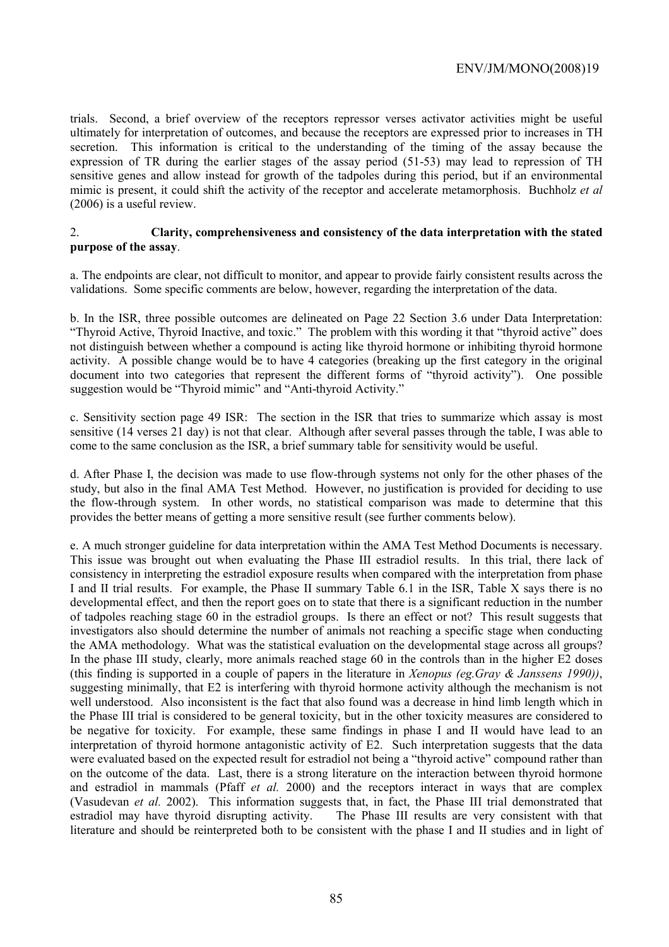trials. Second, a brief overview of the receptors repressor verses activator activities might be useful ultimately for interpretation of outcomes, and because the receptors are expressed prior to increases in TH secretion. This information is critical to the understanding of the timing of the assay because the expression of TR during the earlier stages of the assay period (51-53) may lead to repression of TH sensitive genes and allow instead for growth of the tadpoles during this period, but if an environmental mimic is present, it could shift the activity of the receptor and accelerate metamorphosis. Buchholz *et al* (2006) is a useful review.

# 2. **Clarity, comprehensiveness and consistency of the data interpretation with the stated purpose of the assay**.

a. The endpoints are clear, not difficult to monitor, and appear to provide fairly consistent results across the validations. Some specific comments are below, however, regarding the interpretation of the data.

b. In the ISR, three possible outcomes are delineated on Page 22 Section 3.6 under Data Interpretation: "Thyroid Active, Thyroid Inactive, and toxic." The problem with this wording it that "thyroid active" does not distinguish between whether a compound is acting like thyroid hormone or inhibiting thyroid hormone activity. A possible change would be to have 4 categories (breaking up the first category in the original document into two categories that represent the different forms of "thyroid activity"). One possible suggestion would be "Thyroid mimic" and "Anti-thyroid Activity."

c. Sensitivity section page 49 ISR: The section in the ISR that tries to summarize which assay is most sensitive (14 verses 21 day) is not that clear. Although after several passes through the table, I was able to come to the same conclusion as the ISR, a brief summary table for sensitivity would be useful.

d. After Phase I, the decision was made to use flow-through systems not only for the other phases of the study, but also in the final AMA Test Method. However, no justification is provided for deciding to use the flow-through system. In other words, no statistical comparison was made to determine that this provides the better means of getting a more sensitive result (see further comments below).

e. A much stronger guideline for data interpretation within the AMA Test Method Documents is necessary. This issue was brought out when evaluating the Phase III estradiol results. In this trial, there lack of consistency in interpreting the estradiol exposure results when compared with the interpretation from phase I and II trial results. For example, the Phase II summary Table 6.1 in the ISR, Table X says there is no developmental effect, and then the report goes on to state that there is a significant reduction in the number of tadpoles reaching stage 60 in the estradiol groups. Is there an effect or not? This result suggests that investigators also should determine the number of animals not reaching a specific stage when conducting the AMA methodology. What was the statistical evaluation on the developmental stage across all groups? In the phase III study, clearly, more animals reached stage 60 in the controls than in the higher E2 doses (this finding is supported in a couple of papers in the literature in *Xenopus (eg.Gray & Janssens 1990))*, suggesting minimally, that E2 is interfering with thyroid hormone activity although the mechanism is not well understood. Also inconsistent is the fact that also found was a decrease in hind limb length which in the Phase III trial is considered to be general toxicity, but in the other toxicity measures are considered to be negative for toxicity. For example, these same findings in phase I and II would have lead to an interpretation of thyroid hormone antagonistic activity of E2. Such interpretation suggests that the data were evaluated based on the expected result for estradiol not being a "thyroid active" compound rather than on the outcome of the data. Last, there is a strong literature on the interaction between thyroid hormone and estradiol in mammals (Pfaff *et al.* 2000) and the receptors interact in ways that are complex (Vasudevan *et al.* 2002). This information suggests that, in fact, the Phase III trial demonstrated that estradiol may have thyroid disrupting activity. The Phase III results are very consistent with that literature and should be reinterpreted both to be consistent with the phase I and II studies and in light of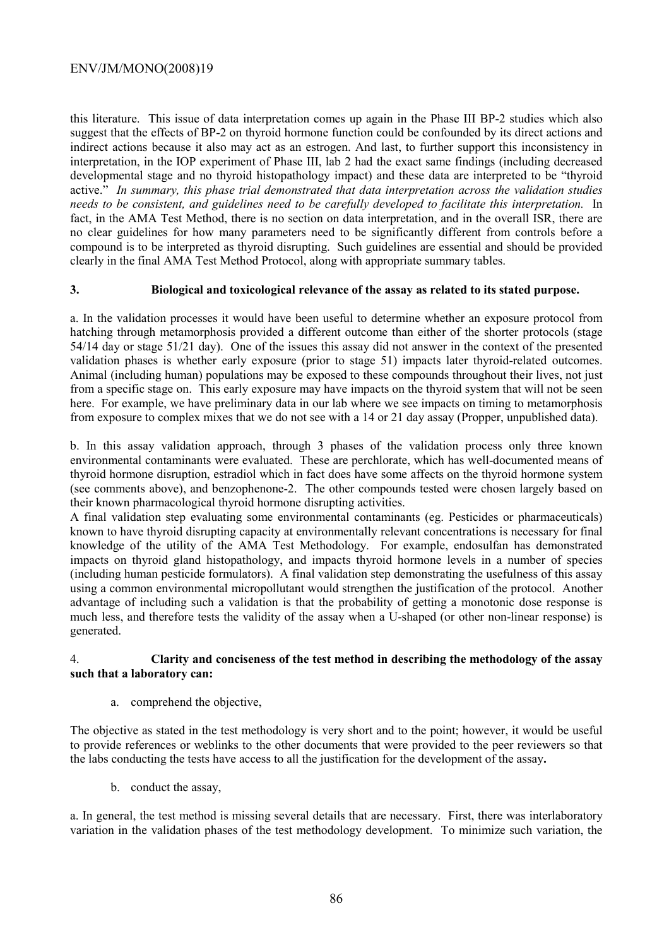this literature. This issue of data interpretation comes up again in the Phase III BP-2 studies which also suggest that the effects of BP-2 on thyroid hormone function could be confounded by its direct actions and indirect actions because it also may act as an estrogen. And last, to further support this inconsistency in interpretation, in the IOP experiment of Phase III, lab 2 had the exact same findings (including decreased developmental stage and no thyroid histopathology impact) and these data are interpreted to be "thyroid active." *In summary, this phase trial demonstrated that data interpretation across the validation studies needs to be consistent, and guidelines need to be carefully developed to facilitate this interpretation.* In fact, in the AMA Test Method, there is no section on data interpretation, and in the overall ISR, there are no clear guidelines for how many parameters need to be significantly different from controls before a compound is to be interpreted as thyroid disrupting. Such guidelines are essential and should be provided clearly in the final AMA Test Method Protocol, along with appropriate summary tables.

# **3. Biological and toxicological relevance of the assay as related to its stated purpose.**

a. In the validation processes it would have been useful to determine whether an exposure protocol from hatching through metamorphosis provided a different outcome than either of the shorter protocols (stage 54/14 day or stage 51/21 day). One of the issues this assay did not answer in the context of the presented validation phases is whether early exposure (prior to stage 51) impacts later thyroid-related outcomes. Animal (including human) populations may be exposed to these compounds throughout their lives, not just from a specific stage on. This early exposure may have impacts on the thyroid system that will not be seen here. For example, we have preliminary data in our lab where we see impacts on timing to metamorphosis from exposure to complex mixes that we do not see with a 14 or 21 day assay (Propper, unpublished data).

b. In this assay validation approach, through 3 phases of the validation process only three known environmental contaminants were evaluated. These are perchlorate, which has well-documented means of thyroid hormone disruption, estradiol which in fact does have some affects on the thyroid hormone system (see comments above), and benzophenone-2. The other compounds tested were chosen largely based on their known pharmacological thyroid hormone disrupting activities.

A final validation step evaluating some environmental contaminants (eg. Pesticides or pharmaceuticals) known to have thyroid disrupting capacity at environmentally relevant concentrations is necessary for final knowledge of the utility of the AMA Test Methodology. For example, endosulfan has demonstrated impacts on thyroid gland histopathology, and impacts thyroid hormone levels in a number of species (including human pesticide formulators). A final validation step demonstrating the usefulness of this assay using a common environmental micropollutant would strengthen the justification of the protocol. Another advantage of including such a validation is that the probability of getting a monotonic dose response is much less, and therefore tests the validity of the assay when a U-shaped (or other non-linear response) is generated.

# 4. **Clarity and conciseness of the test method in describing the methodology of the assay such that a laboratory can:**

a. comprehend the objective,

The objective as stated in the test methodology is very short and to the point; however, it would be useful to provide references or weblinks to the other documents that were provided to the peer reviewers so that the labs conducting the tests have access to all the justification for the development of the assay**.** 

b. conduct the assay,

a. In general, the test method is missing several details that are necessary. First, there was interlaboratory variation in the validation phases of the test methodology development. To minimize such variation, the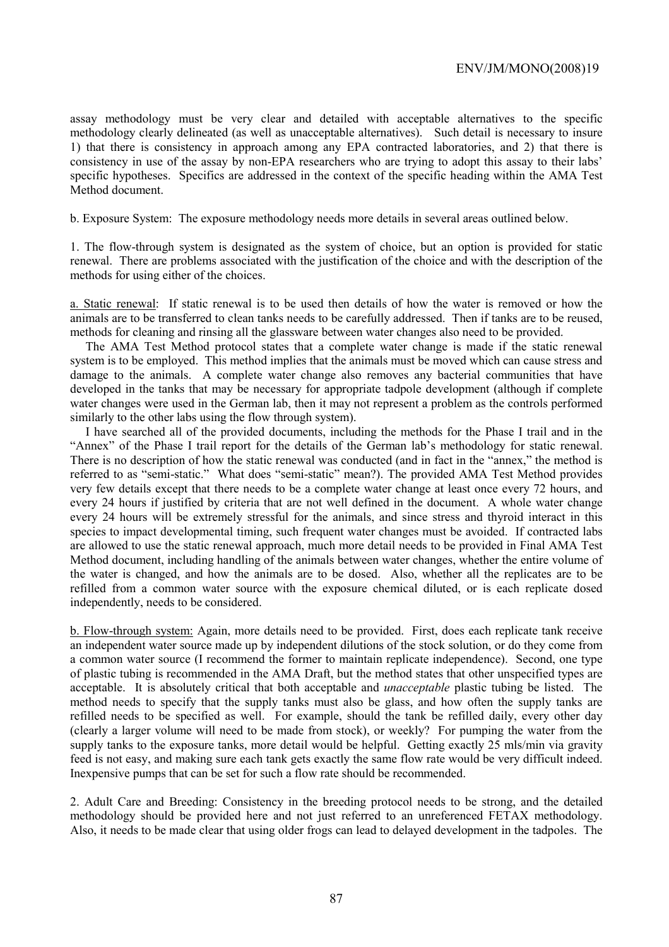assay methodology must be very clear and detailed with acceptable alternatives to the specific methodology clearly delineated (as well as unacceptable alternatives). Such detail is necessary to insure 1) that there is consistency in approach among any EPA contracted laboratories, and 2) that there is consistency in use of the assay by non-EPA researchers who are trying to adopt this assay to their labs' specific hypotheses. Specifics are addressed in the context of the specific heading within the AMA Test Method document.

b. Exposure System: The exposure methodology needs more details in several areas outlined below.

1. The flow-through system is designated as the system of choice, but an option is provided for static renewal. There are problems associated with the justification of the choice and with the description of the methods for using either of the choices.

a. Static renewal: If static renewal is to be used then details of how the water is removed or how the animals are to be transferred to clean tanks needs to be carefully addressed. Then if tanks are to be reused, methods for cleaning and rinsing all the glassware between water changes also need to be provided.

 The AMA Test Method protocol states that a complete water change is made if the static renewal system is to be employed. This method implies that the animals must be moved which can cause stress and damage to the animals. A complete water change also removes any bacterial communities that have developed in the tanks that may be necessary for appropriate tadpole development (although if complete water changes were used in the German lab, then it may not represent a problem as the controls performed similarly to the other labs using the flow through system).

 I have searched all of the provided documents, including the methods for the Phase I trail and in the "Annex" of the Phase I trail report for the details of the German lab's methodology for static renewal. There is no description of how the static renewal was conducted (and in fact in the "annex," the method is referred to as "semi-static." What does "semi-static" mean?). The provided AMA Test Method provides very few details except that there needs to be a complete water change at least once every 72 hours, and every 24 hours if justified by criteria that are not well defined in the document. A whole water change every 24 hours will be extremely stressful for the animals, and since stress and thyroid interact in this species to impact developmental timing, such frequent water changes must be avoided. If contracted labs are allowed to use the static renewal approach, much more detail needs to be provided in Final AMA Test Method document, including handling of the animals between water changes, whether the entire volume of the water is changed, and how the animals are to be dosed. Also, whether all the replicates are to be refilled from a common water source with the exposure chemical diluted, or is each replicate dosed independently, needs to be considered.

b. Flow-through system: Again, more details need to be provided. First, does each replicate tank receive an independent water source made up by independent dilutions of the stock solution, or do they come from a common water source (I recommend the former to maintain replicate independence). Second, one type of plastic tubing is recommended in the AMA Draft, but the method states that other unspecified types are acceptable. It is absolutely critical that both acceptable and *unacceptable* plastic tubing be listed. The method needs to specify that the supply tanks must also be glass, and how often the supply tanks are refilled needs to be specified as well. For example, should the tank be refilled daily, every other day (clearly a larger volume will need to be made from stock), or weekly? For pumping the water from the supply tanks to the exposure tanks, more detail would be helpful. Getting exactly 25 mls/min via gravity feed is not easy, and making sure each tank gets exactly the same flow rate would be very difficult indeed. Inexpensive pumps that can be set for such a flow rate should be recommended.

2. Adult Care and Breeding: Consistency in the breeding protocol needs to be strong, and the detailed methodology should be provided here and not just referred to an unreferenced FETAX methodology. Also, it needs to be made clear that using older frogs can lead to delayed development in the tadpoles. The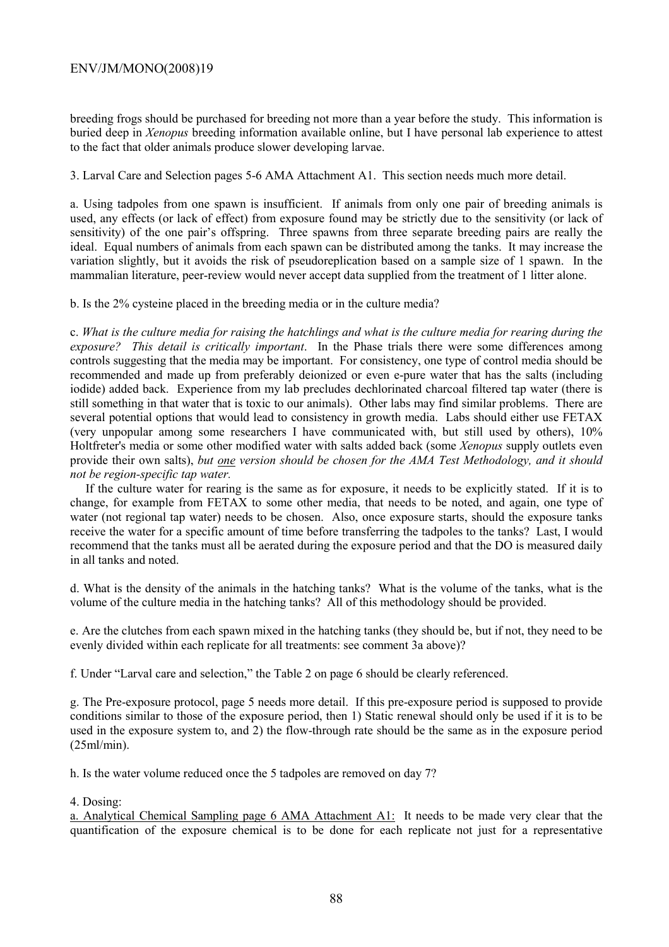breeding frogs should be purchased for breeding not more than a year before the study. This information is buried deep in *Xenopus* breeding information available online, but I have personal lab experience to attest to the fact that older animals produce slower developing larvae.

3. Larval Care and Selection pages 5-6 AMA Attachment A1. This section needs much more detail.

a. Using tadpoles from one spawn is insufficient. If animals from only one pair of breeding animals is used, any effects (or lack of effect) from exposure found may be strictly due to the sensitivity (or lack of sensitivity) of the one pair's offspring. Three spawns from three separate breeding pairs are really the ideal. Equal numbers of animals from each spawn can be distributed among the tanks. It may increase the variation slightly, but it avoids the risk of pseudoreplication based on a sample size of 1 spawn. In the mammalian literature, peer-review would never accept data supplied from the treatment of 1 litter alone.

b. Is the 2% cysteine placed in the breeding media or in the culture media?

c. *What is the culture media for raising the hatchlings and what is the culture media for rearing during the exposure? This detail is critically important*. In the Phase trials there were some differences among controls suggesting that the media may be important. For consistency, one type of control media should be recommended and made up from preferably deionized or even e-pure water that has the salts (including iodide) added back. Experience from my lab precludes dechlorinated charcoal filtered tap water (there is still something in that water that is toxic to our animals). Other labs may find similar problems. There are several potential options that would lead to consistency in growth media. Labs should either use FETAX (very unpopular among some researchers I have communicated with, but still used by others), 10% Holtfreter's media or some other modified water with salts added back (some *Xenopus* supply outlets even provide their own salts), *but one version should be chosen for the AMA Test Methodology, and it should not be region-specific tap water.* 

 If the culture water for rearing is the same as for exposure, it needs to be explicitly stated. If it is to change, for example from FETAX to some other media, that needs to be noted, and again, one type of water (not regional tap water) needs to be chosen. Also, once exposure starts, should the exposure tanks receive the water for a specific amount of time before transferring the tadpoles to the tanks? Last, I would recommend that the tanks must all be aerated during the exposure period and that the DO is measured daily in all tanks and noted.

d. What is the density of the animals in the hatching tanks? What is the volume of the tanks, what is the volume of the culture media in the hatching tanks? All of this methodology should be provided.

e. Are the clutches from each spawn mixed in the hatching tanks (they should be, but if not, they need to be evenly divided within each replicate for all treatments: see comment 3a above)?

f. Under "Larval care and selection," the Table 2 on page 6 should be clearly referenced.

g. The Pre-exposure protocol, page 5 needs more detail. If this pre-exposure period is supposed to provide conditions similar to those of the exposure period, then 1) Static renewal should only be used if it is to be used in the exposure system to, and 2) the flow-through rate should be the same as in the exposure period (25ml/min).

h. Is the water volume reduced once the 5 tadpoles are removed on day 7?

4. Dosing:

a. Analytical Chemical Sampling page 6 AMA Attachment A1: It needs to be made very clear that the quantification of the exposure chemical is to be done for each replicate not just for a representative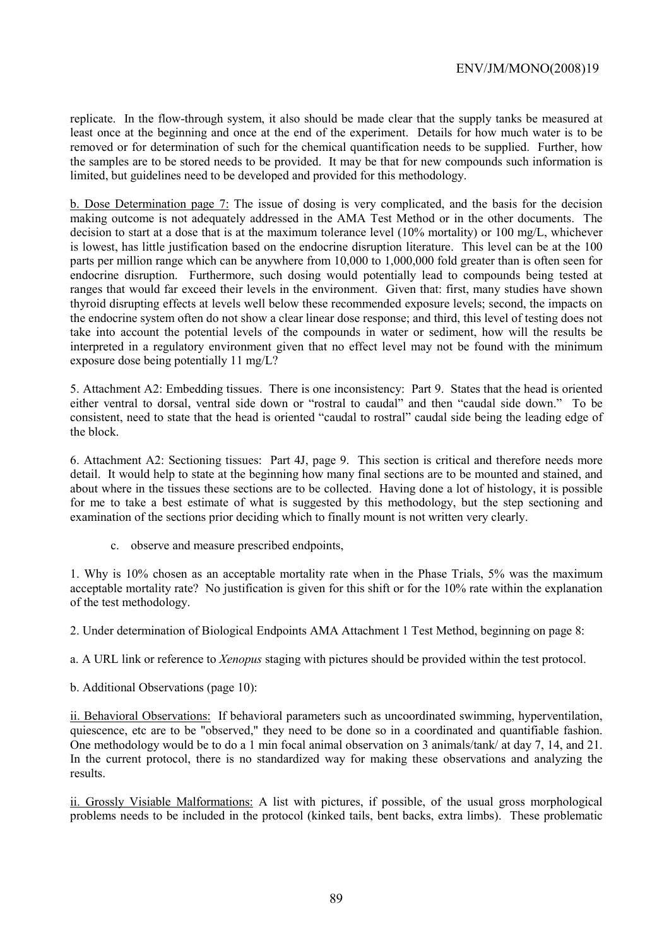replicate. In the flow-through system, it also should be made clear that the supply tanks be measured at least once at the beginning and once at the end of the experiment. Details for how much water is to be removed or for determination of such for the chemical quantification needs to be supplied. Further, how the samples are to be stored needs to be provided. It may be that for new compounds such information is limited, but guidelines need to be developed and provided for this methodology.

b. Dose Determination page 7: The issue of dosing is very complicated, and the basis for the decision making outcome is not adequately addressed in the AMA Test Method or in the other documents. The decision to start at a dose that is at the maximum tolerance level (10% mortality) or 100 mg/L, whichever is lowest, has little justification based on the endocrine disruption literature. This level can be at the 100 parts per million range which can be anywhere from 10,000 to 1,000,000 fold greater than is often seen for endocrine disruption. Furthermore, such dosing would potentially lead to compounds being tested at ranges that would far exceed their levels in the environment. Given that: first, many studies have shown thyroid disrupting effects at levels well below these recommended exposure levels; second, the impacts on the endocrine system often do not show a clear linear dose response; and third, this level of testing does not take into account the potential levels of the compounds in water or sediment, how will the results be interpreted in a regulatory environment given that no effect level may not be found with the minimum exposure dose being potentially 11 mg/L?

5. Attachment A2: Embedding tissues. There is one inconsistency: Part 9. States that the head is oriented either ventral to dorsal, ventral side down or "rostral to caudal" and then "caudal side down." To be consistent, need to state that the head is oriented "caudal to rostral" caudal side being the leading edge of the block.

6. Attachment A2: Sectioning tissues: Part 4J, page 9. This section is critical and therefore needs more detail. It would help to state at the beginning how many final sections are to be mounted and stained, and about where in the tissues these sections are to be collected. Having done a lot of histology, it is possible for me to take a best estimate of what is suggested by this methodology, but the step sectioning and examination of the sections prior deciding which to finally mount is not written very clearly.

c. observe and measure prescribed endpoints,

1. Why is 10% chosen as an acceptable mortality rate when in the Phase Trials, 5% was the maximum acceptable mortality rate? No justification is given for this shift or for the 10% rate within the explanation of the test methodology.

2. Under determination of Biological Endpoints AMA Attachment 1 Test Method, beginning on page 8:

a. A URL link or reference to *Xenopus* staging with pictures should be provided within the test protocol.

b. Additional Observations (page 10):

ii. Behavioral Observations: If behavioral parameters such as uncoordinated swimming, hyperventilation, quiescence, etc are to be "observed," they need to be done so in a coordinated and quantifiable fashion. One methodology would be to do a 1 min focal animal observation on 3 animals/tank/ at day 7, 14, and 21. In the current protocol, there is no standardized way for making these observations and analyzing the results.

ii. Grossly Visiable Malformations: A list with pictures, if possible, of the usual gross morphological problems needs to be included in the protocol (kinked tails, bent backs, extra limbs). These problematic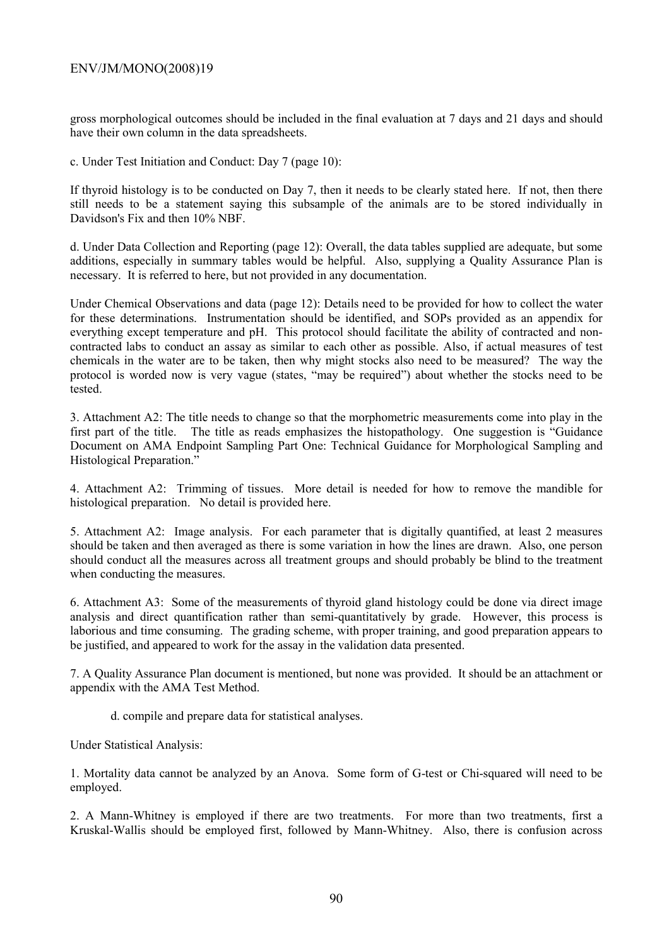gross morphological outcomes should be included in the final evaluation at 7 days and 21 days and should have their own column in the data spreadsheets.

c. Under Test Initiation and Conduct: Day 7 (page 10):

If thyroid histology is to be conducted on Day 7, then it needs to be clearly stated here. If not, then there still needs to be a statement saying this subsample of the animals are to be stored individually in Davidson's Fix and then 10% NBF.

d. Under Data Collection and Reporting (page 12): Overall, the data tables supplied are adequate, but some additions, especially in summary tables would be helpful. Also, supplying a Quality Assurance Plan is necessary. It is referred to here, but not provided in any documentation.

Under Chemical Observations and data (page 12): Details need to be provided for how to collect the water for these determinations. Instrumentation should be identified, and SOPs provided as an appendix for everything except temperature and pH. This protocol should facilitate the ability of contracted and noncontracted labs to conduct an assay as similar to each other as possible. Also, if actual measures of test chemicals in the water are to be taken, then why might stocks also need to be measured? The way the protocol is worded now is very vague (states, "may be required") about whether the stocks need to be tested.

3. Attachment A2: The title needs to change so that the morphometric measurements come into play in the first part of the title. The title as reads emphasizes the histopathology. One suggestion is "Guidance Document on AMA Endpoint Sampling Part One: Technical Guidance for Morphological Sampling and Histological Preparation."

4. Attachment A2: Trimming of tissues. More detail is needed for how to remove the mandible for histological preparation. No detail is provided here.

5. Attachment A2: Image analysis. For each parameter that is digitally quantified, at least 2 measures should be taken and then averaged as there is some variation in how the lines are drawn. Also, one person should conduct all the measures across all treatment groups and should probably be blind to the treatment when conducting the measures.

6. Attachment A3: Some of the measurements of thyroid gland histology could be done via direct image analysis and direct quantification rather than semi-quantitatively by grade. However, this process is laborious and time consuming. The grading scheme, with proper training, and good preparation appears to be justified, and appeared to work for the assay in the validation data presented.

7. A Quality Assurance Plan document is mentioned, but none was provided. It should be an attachment or appendix with the AMA Test Method.

d. compile and prepare data for statistical analyses.

Under Statistical Analysis:

1. Mortality data cannot be analyzed by an Anova. Some form of G-test or Chi-squared will need to be employed.

2. A Mann-Whitney is employed if there are two treatments. For more than two treatments, first a Kruskal-Wallis should be employed first, followed by Mann-Whitney. Also, there is confusion across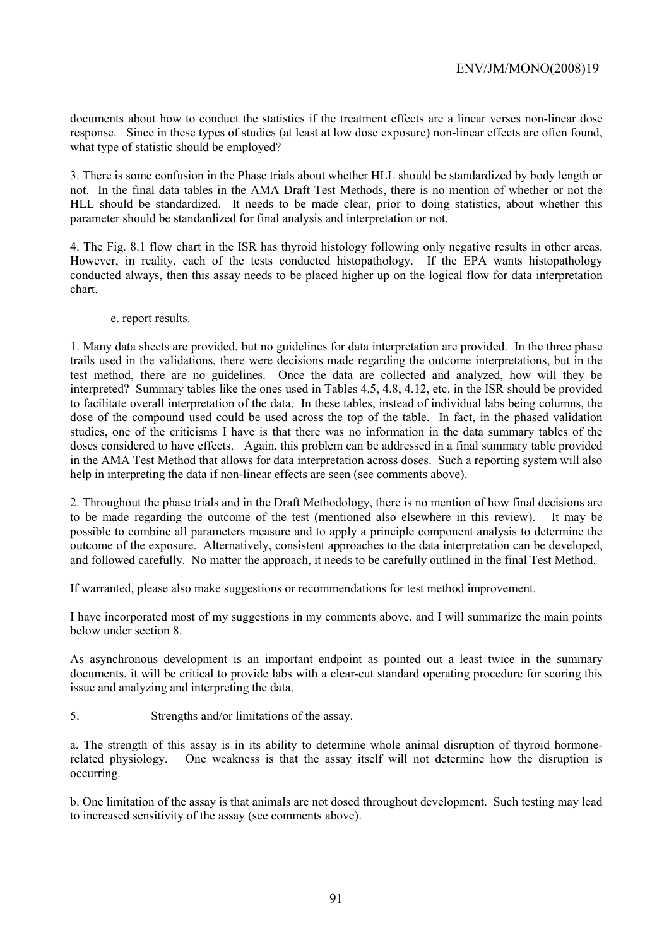documents about how to conduct the statistics if the treatment effects are a linear verses non-linear dose response. Since in these types of studies (at least at low dose exposure) non-linear effects are often found, what type of statistic should be employed?

3. There is some confusion in the Phase trials about whether HLL should be standardized by body length or not. In the final data tables in the AMA Draft Test Methods, there is no mention of whether or not the HLL should be standardized. It needs to be made clear, prior to doing statistics, about whether this parameter should be standardized for final analysis and interpretation or not.

4. The Fig. 8.1 flow chart in the ISR has thyroid histology following only negative results in other areas. However, in reality, each of the tests conducted histopathology. If the EPA wants histopathology conducted always, then this assay needs to be placed higher up on the logical flow for data interpretation chart.

e. report results.

1. Many data sheets are provided, but no guidelines for data interpretation are provided. In the three phase trails used in the validations, there were decisions made regarding the outcome interpretations, but in the test method, there are no guidelines. Once the data are collected and analyzed, how will they be interpreted? Summary tables like the ones used in Tables 4.5, 4.8, 4.12, etc. in the ISR should be provided to facilitate overall interpretation of the data. In these tables, instead of individual labs being columns, the dose of the compound used could be used across the top of the table. In fact, in the phased validation studies, one of the criticisms I have is that there was no information in the data summary tables of the doses considered to have effects. Again, this problem can be addressed in a final summary table provided in the AMA Test Method that allows for data interpretation across doses. Such a reporting system will also help in interpreting the data if non-linear effects are seen (see comments above).

2. Throughout the phase trials and in the Draft Methodology, there is no mention of how final decisions are to be made regarding the outcome of the test (mentioned also elsewhere in this review). It may be possible to combine all parameters measure and to apply a principle component analysis to determine the outcome of the exposure. Alternatively, consistent approaches to the data interpretation can be developed, and followed carefully. No matter the approach, it needs to be carefully outlined in the final Test Method.

If warranted, please also make suggestions or recommendations for test method improvement.

I have incorporated most of my suggestions in my comments above, and I will summarize the main points below under section 8.

As asynchronous development is an important endpoint as pointed out a least twice in the summary documents, it will be critical to provide labs with a clear-cut standard operating procedure for scoring this issue and analyzing and interpreting the data.

5. Strengths and/or limitations of the assay.

a. The strength of this assay is in its ability to determine whole animal disruption of thyroid hormonerelated physiology. One weakness is that the assay itself will not determine how the disruption is occurring.

b. One limitation of the assay is that animals are not dosed throughout development. Such testing may lead to increased sensitivity of the assay (see comments above).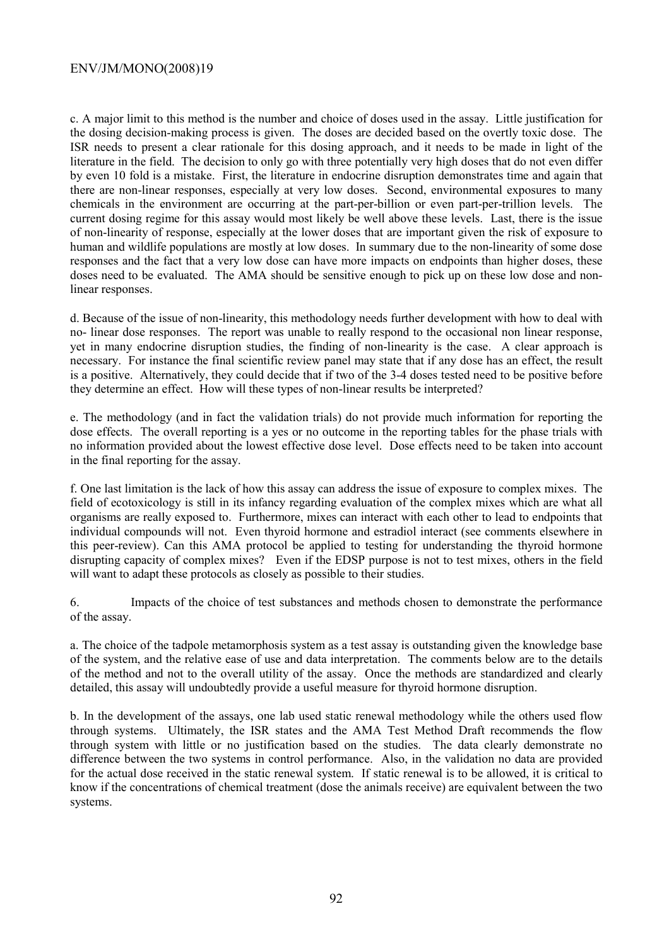c. A major limit to this method is the number and choice of doses used in the assay. Little justification for the dosing decision-making process is given. The doses are decided based on the overtly toxic dose. The ISR needs to present a clear rationale for this dosing approach, and it needs to be made in light of the literature in the field. The decision to only go with three potentially very high doses that do not even differ by even 10 fold is a mistake. First, the literature in endocrine disruption demonstrates time and again that there are non-linear responses, especially at very low doses. Second, environmental exposures to many chemicals in the environment are occurring at the part-per-billion or even part-per-trillion levels. The current dosing regime for this assay would most likely be well above these levels. Last, there is the issue of non-linearity of response, especially at the lower doses that are important given the risk of exposure to human and wildlife populations are mostly at low doses. In summary due to the non-linearity of some dose responses and the fact that a very low dose can have more impacts on endpoints than higher doses, these doses need to be evaluated. The AMA should be sensitive enough to pick up on these low dose and nonlinear responses.

d. Because of the issue of non-linearity, this methodology needs further development with how to deal with no- linear dose responses. The report was unable to really respond to the occasional non linear response, yet in many endocrine disruption studies, the finding of non-linearity is the case. A clear approach is necessary. For instance the final scientific review panel may state that if any dose has an effect, the result is a positive. Alternatively, they could decide that if two of the 3-4 doses tested need to be positive before they determine an effect. How will these types of non-linear results be interpreted?

e. The methodology (and in fact the validation trials) do not provide much information for reporting the dose effects. The overall reporting is a yes or no outcome in the reporting tables for the phase trials with no information provided about the lowest effective dose level. Dose effects need to be taken into account in the final reporting for the assay.

f. One last limitation is the lack of how this assay can address the issue of exposure to complex mixes. The field of ecotoxicology is still in its infancy regarding evaluation of the complex mixes which are what all organisms are really exposed to. Furthermore, mixes can interact with each other to lead to endpoints that individual compounds will not. Even thyroid hormone and estradiol interact (see comments elsewhere in this peer-review). Can this AMA protocol be applied to testing for understanding the thyroid hormone disrupting capacity of complex mixes? Even if the EDSP purpose is not to test mixes, others in the field will want to adapt these protocols as closely as possible to their studies.

6. Impacts of the choice of test substances and methods chosen to demonstrate the performance of the assay.

a. The choice of the tadpole metamorphosis system as a test assay is outstanding given the knowledge base of the system, and the relative ease of use and data interpretation. The comments below are to the details of the method and not to the overall utility of the assay. Once the methods are standardized and clearly detailed, this assay will undoubtedly provide a useful measure for thyroid hormone disruption.

b. In the development of the assays, one lab used static renewal methodology while the others used flow through systems. Ultimately, the ISR states and the AMA Test Method Draft recommends the flow through system with little or no justification based on the studies. The data clearly demonstrate no difference between the two systems in control performance. Also, in the validation no data are provided for the actual dose received in the static renewal system. If static renewal is to be allowed, it is critical to know if the concentrations of chemical treatment (dose the animals receive) are equivalent between the two systems.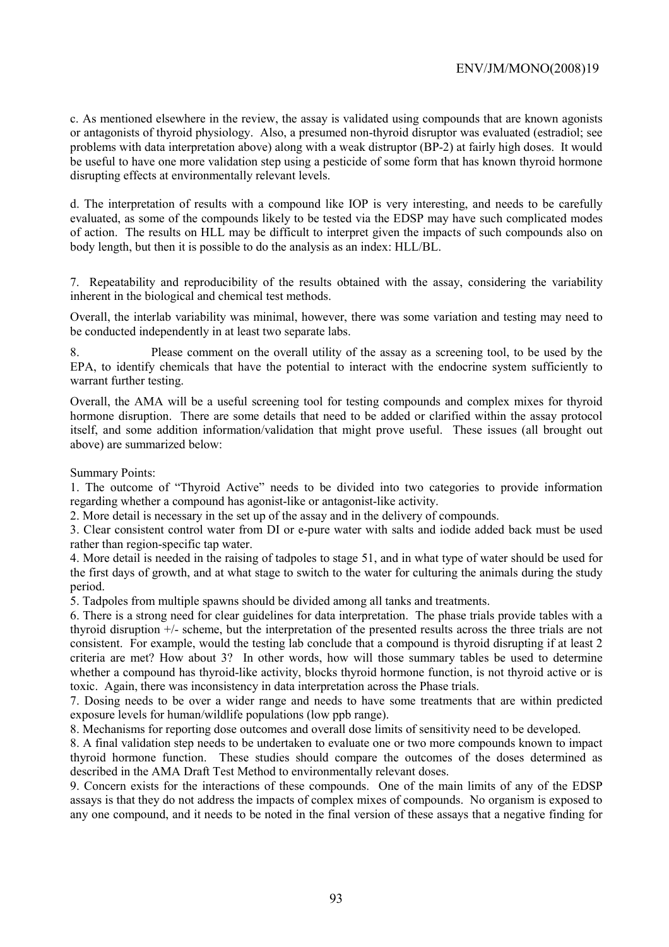c. As mentioned elsewhere in the review, the assay is validated using compounds that are known agonists or antagonists of thyroid physiology. Also, a presumed non-thyroid disruptor was evaluated (estradiol; see problems with data interpretation above) along with a weak distruptor (BP-2) at fairly high doses. It would be useful to have one more validation step using a pesticide of some form that has known thyroid hormone disrupting effects at environmentally relevant levels.

d. The interpretation of results with a compound like IOP is very interesting, and needs to be carefully evaluated, as some of the compounds likely to be tested via the EDSP may have such complicated modes of action. The results on HLL may be difficult to interpret given the impacts of such compounds also on body length, but then it is possible to do the analysis as an index: HLL/BL.

7. Repeatability and reproducibility of the results obtained with the assay, considering the variability inherent in the biological and chemical test methods.

Overall, the interlab variability was minimal, however, there was some variation and testing may need to be conducted independently in at least two separate labs.

8. Please comment on the overall utility of the assay as a screening tool, to be used by the EPA, to identify chemicals that have the potential to interact with the endocrine system sufficiently to warrant further testing.

Overall, the AMA will be a useful screening tool for testing compounds and complex mixes for thyroid hormone disruption. There are some details that need to be added or clarified within the assay protocol itself, and some addition information/validation that might prove useful. These issues (all brought out above) are summarized below:

Summary Points:

1. The outcome of "Thyroid Active" needs to be divided into two categories to provide information regarding whether a compound has agonist-like or antagonist-like activity.

2. More detail is necessary in the set up of the assay and in the delivery of compounds.

3. Clear consistent control water from DI or e-pure water with salts and iodide added back must be used rather than region-specific tap water.

4. More detail is needed in the raising of tadpoles to stage 51, and in what type of water should be used for the first days of growth, and at what stage to switch to the water for culturing the animals during the study period.

5. Tadpoles from multiple spawns should be divided among all tanks and treatments.

6. There is a strong need for clear guidelines for data interpretation. The phase trials provide tables with a thyroid disruption +/- scheme, but the interpretation of the presented results across the three trials are not consistent. For example, would the testing lab conclude that a compound is thyroid disrupting if at least 2 criteria are met? How about 3? In other words, how will those summary tables be used to determine whether a compound has thyroid-like activity, blocks thyroid hormone function, is not thyroid active or is toxic. Again, there was inconsistency in data interpretation across the Phase trials.

7. Dosing needs to be over a wider range and needs to have some treatments that are within predicted exposure levels for human/wildlife populations (low ppb range).

8. Mechanisms for reporting dose outcomes and overall dose limits of sensitivity need to be developed.

8. A final validation step needs to be undertaken to evaluate one or two more compounds known to impact thyroid hormone function. These studies should compare the outcomes of the doses determined as described in the AMA Draft Test Method to environmentally relevant doses.

9. Concern exists for the interactions of these compounds. One of the main limits of any of the EDSP assays is that they do not address the impacts of complex mixes of compounds. No organism is exposed to any one compound, and it needs to be noted in the final version of these assays that a negative finding for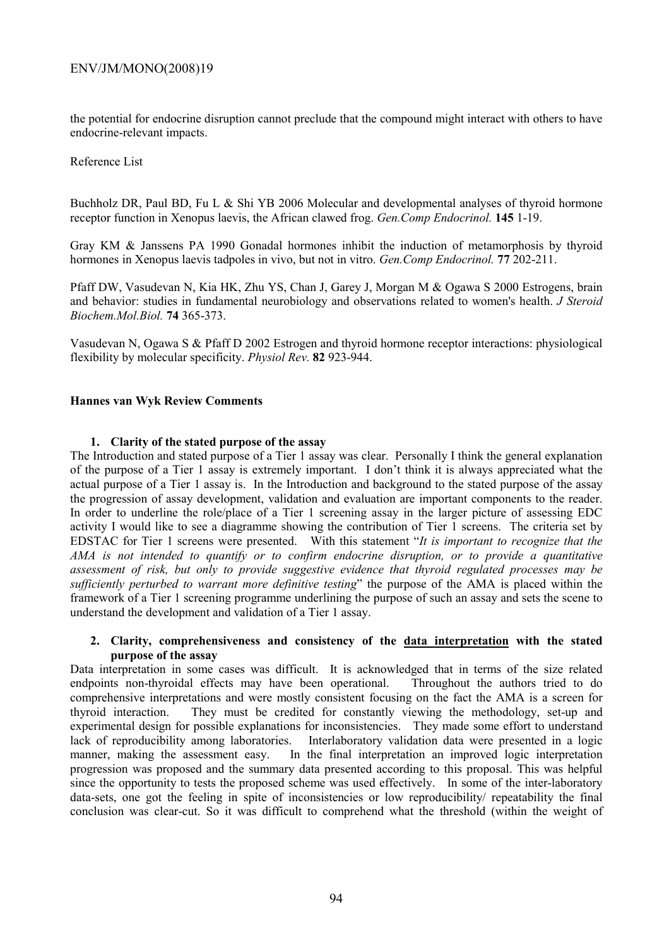the potential for endocrine disruption cannot preclude that the compound might interact with others to have endocrine-relevant impacts.

Reference List

Buchholz DR, Paul BD, Fu L & Shi YB 2006 Molecular and developmental analyses of thyroid hormone receptor function in Xenopus laevis, the African clawed frog. *Gen.Comp Endocrinol.* **145** 1-19.

Gray KM & Janssens PA 1990 Gonadal hormones inhibit the induction of metamorphosis by thyroid hormones in Xenopus laevis tadpoles in vivo, but not in vitro. *Gen.Comp Endocrinol.* **77** 202-211.

Pfaff DW, Vasudevan N, Kia HK, Zhu YS, Chan J, Garey J, Morgan M & Ogawa S 2000 Estrogens, brain and behavior: studies in fundamental neurobiology and observations related to women's health. *J Steroid Biochem.Mol.Biol.* **74** 365-373.

Vasudevan N, Ogawa S & Pfaff D 2002 Estrogen and thyroid hormone receptor interactions: physiological flexibility by molecular specificity. *Physiol Rev.* **82** 923-944.

## **Hannes van Wyk Review Comments**

#### **1. Clarity of the stated purpose of the assay**

The Introduction and stated purpose of a Tier 1 assay was clear. Personally I think the general explanation of the purpose of a Tier 1 assay is extremely important. I don't think it is always appreciated what the actual purpose of a Tier 1 assay is. In the Introduction and background to the stated purpose of the assay the progression of assay development, validation and evaluation are important components to the reader. In order to underline the role/place of a Tier 1 screening assay in the larger picture of assessing EDC activity I would like to see a diagramme showing the contribution of Tier 1 screens. The criteria set by EDSTAC for Tier 1 screens were presented. With this statement "*It is important to recognize that the AMA is not intended to quantify or to confirm endocrine disruption, or to provide a quantitative assessment of risk, but only to provide suggestive evidence that thyroid regulated processes may be sufficiently perturbed to warrant more definitive testing*" the purpose of the AMA is placed within the framework of a Tier 1 screening programme underlining the purpose of such an assay and sets the scene to understand the development and validation of a Tier 1 assay.

#### **2. Clarity, comprehensiveness and consistency of the data interpretation with the stated purpose of the assay**

Data interpretation in some cases was difficult. It is acknowledged that in terms of the size related endpoints non-thyroidal effects may have been operational. Throughout the authors tried to do comprehensive interpretations and were mostly consistent focusing on the fact the AMA is a screen for thyroid interaction. They must be credited for constantly viewing the methodology, set-up and experimental design for possible explanations for inconsistencies. They made some effort to understand lack of reproducibility among laboratories. Interlaboratory validation data were presented in a logic manner, making the assessment easy. In the final interpretation an improved logic interpretation progression was proposed and the summary data presented according to this proposal. This was helpful since the opportunity to tests the proposed scheme was used effectively. In some of the inter-laboratory data-sets, one got the feeling in spite of inconsistencies or low reproducibility/ repeatability the final conclusion was clear-cut. So it was difficult to comprehend what the threshold (within the weight of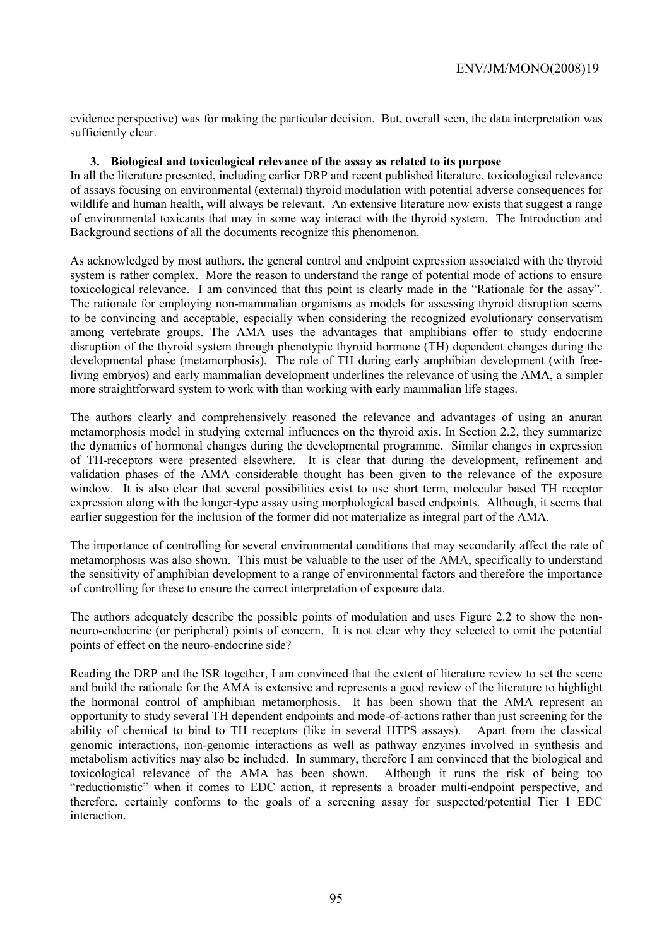evidence perspective) was for making the particular decision. But, overall seen, the data interpretation was sufficiently clear.

# **3. Biological and toxicological relevance of the assay as related to its purpose**

In all the literature presented, including earlier DRP and recent published literature, toxicological relevance of assays focusing on environmental (external) thyroid modulation with potential adverse consequences for wildlife and human health, will always be relevant. An extensive literature now exists that suggest a range of environmental toxicants that may in some way interact with the thyroid system. The Introduction and Background sections of all the documents recognize this phenomenon.

As acknowledged by most authors, the general control and endpoint expression associated with the thyroid system is rather complex. More the reason to understand the range of potential mode of actions to ensure toxicological relevance. I am convinced that this point is clearly made in the "Rationale for the assay". The rationale for employing non-mammalian organisms as models for assessing thyroid disruption seems to be convincing and acceptable, especially when considering the recognized evolutionary conservatism among vertebrate groups. The AMA uses the advantages that amphibians offer to study endocrine disruption of the thyroid system through phenotypic thyroid hormone (TH) dependent changes during the developmental phase (metamorphosis). The role of TH during early amphibian development (with freeliving embryos) and early mammalian development underlines the relevance of using the AMA, a simpler more straightforward system to work with than working with early mammalian life stages.

The authors clearly and comprehensively reasoned the relevance and advantages of using an anuran metamorphosis model in studying external influences on the thyroid axis. In Section 2.2, they summarize the dynamics of hormonal changes during the developmental programme. Similar changes in expression of TH-receptors were presented elsewhere. It is clear that during the development, refinement and validation phases of the AMA considerable thought has been given to the relevance of the exposure window. It is also clear that several possibilities exist to use short term, molecular based TH receptor expression along with the longer-type assay using morphological based endpoints. Although, it seems that earlier suggestion for the inclusion of the former did not materialize as integral part of the AMA.

The importance of controlling for several environmental conditions that may secondarily affect the rate of metamorphosis was also shown. This must be valuable to the user of the AMA, specifically to understand the sensitivity of amphibian development to a range of environmental factors and therefore the importance of controlling for these to ensure the correct interpretation of exposure data.

The authors adequately describe the possible points of modulation and uses Figure 2.2 to show the nonneuro-endocrine (or peripheral) points of concern. It is not clear why they selected to omit the potential points of effect on the neuro-endocrine side?

Reading the DRP and the ISR together, I am convinced that the extent of literature review to set the scene and build the rationale for the AMA is extensive and represents a good review of the literature to highlight the hormonal control of amphibian metamorphosis. It has been shown that the AMA represent an opportunity to study several TH dependent endpoints and mode-of-actions rather than just screening for the ability of chemical to bind to TH receptors (like in several HTPS assavs). Apart from the classical ability of chemical to bind to TH receptors (like in several HTPS assays). genomic interactions, non-genomic interactions as well as pathway enzymes involved in synthesis and metabolism activities may also be included. In summary, therefore I am convinced that the biological and toxicological relevance of the AMA has been shown. Although it runs the risk of being too "reductionistic" when it comes to EDC action, it represents a broader multi-endpoint perspective, and therefore, certainly conforms to the goals of a screening assay for suspected/potential Tier 1 EDC interaction.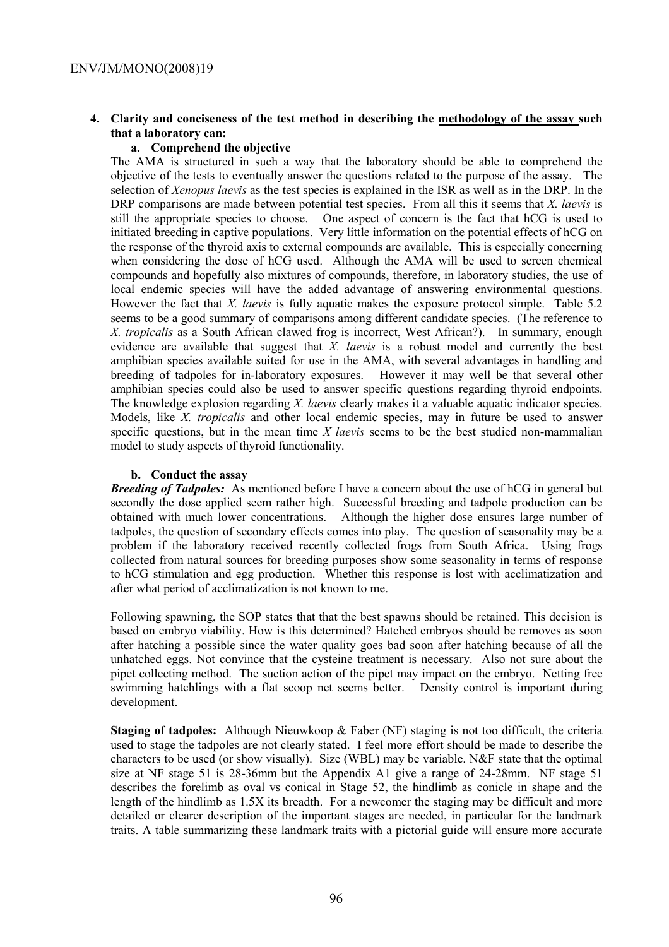# **4. Clarity and conciseness of the test method in describing the methodology of the assay such that a laboratory can:**

## **a. Comprehend the objective**

The AMA is structured in such a way that the laboratory should be able to comprehend the objective of the tests to eventually answer the questions related to the purpose of the assay. The selection of *Xenopus laevis* as the test species is explained in the ISR as well as in the DRP. In the DRP comparisons are made between potential test species. From all this it seems that *X. laevis* is still the appropriate species to choose. One aspect of concern is the fact that hCG is used to initiated breeding in captive populations. Very little information on the potential effects of hCG on the response of the thyroid axis to external compounds are available. This is especially concerning when considering the dose of hCG used. Although the AMA will be used to screen chemical compounds and hopefully also mixtures of compounds, therefore, in laboratory studies, the use of local endemic species will have the added advantage of answering environmental questions. However the fact that *X. laevis* is fully aquatic makes the exposure protocol simple. Table 5.2 seems to be a good summary of comparisons among different candidate species. (The reference to *X. tropicalis* as a South African clawed frog is incorrect, West African?). In summary, enough evidence are available that suggest that *X. laevis* is a robust model and currently the best amphibian species available suited for use in the AMA, with several advantages in handling and breeding of tadpoles for in-laboratory exposures. However it may well be that several other amphibian species could also be used to answer specific questions regarding thyroid endpoints. The knowledge explosion regarding *X. laevis* clearly makes it a valuable aquatic indicator species. Models, like *X. tropicalis* and other local endemic species, may in future be used to answer specific questions, but in the mean time *X laevis* seems to be the best studied non-mammalian model to study aspects of thyroid functionality.

## **b. Conduct the assay**

*Breeding of Tadpoles:* As mentioned before I have a concern about the use of hCG in general but secondly the dose applied seem rather high. Successful breeding and tadpole production can be obtained with much lower concentrations. Although the higher dose ensures large number of tadpoles, the question of secondary effects comes into play. The question of seasonality may be a problem if the laboratory received recently collected frogs from South Africa. Using frogs collected from natural sources for breeding purposes show some seasonality in terms of response to hCG stimulation and egg production. Whether this response is lost with acclimatization and after what period of acclimatization is not known to me.

Following spawning, the SOP states that that the best spawns should be retained. This decision is based on embryo viability. How is this determined? Hatched embryos should be removes as soon after hatching a possible since the water quality goes bad soon after hatching because of all the unhatched eggs. Not convince that the cysteine treatment is necessary. Also not sure about the pipet collecting method. The suction action of the pipet may impact on the embryo. Netting free swimming hatchlings with a flat scoop net seems better. Density control is important during development.

**Staging of tadpoles:** Although Nieuwkoop & Faber (NF) staging is not too difficult, the criteria used to stage the tadpoles are not clearly stated. I feel more effort should be made to describe the characters to be used (or show visually). Size (WBL) may be variable. N&F state that the optimal size at NF stage 51 is 28-36mm but the Appendix A1 give a range of 24-28mm. NF stage 51 describes the forelimb as oval vs conical in Stage 52, the hindlimb as conicle in shape and the length of the hindlimb as 1.5X its breadth. For a newcomer the staging may be difficult and more detailed or clearer description of the important stages are needed, in particular for the landmark traits. A table summarizing these landmark traits with a pictorial guide will ensure more accurate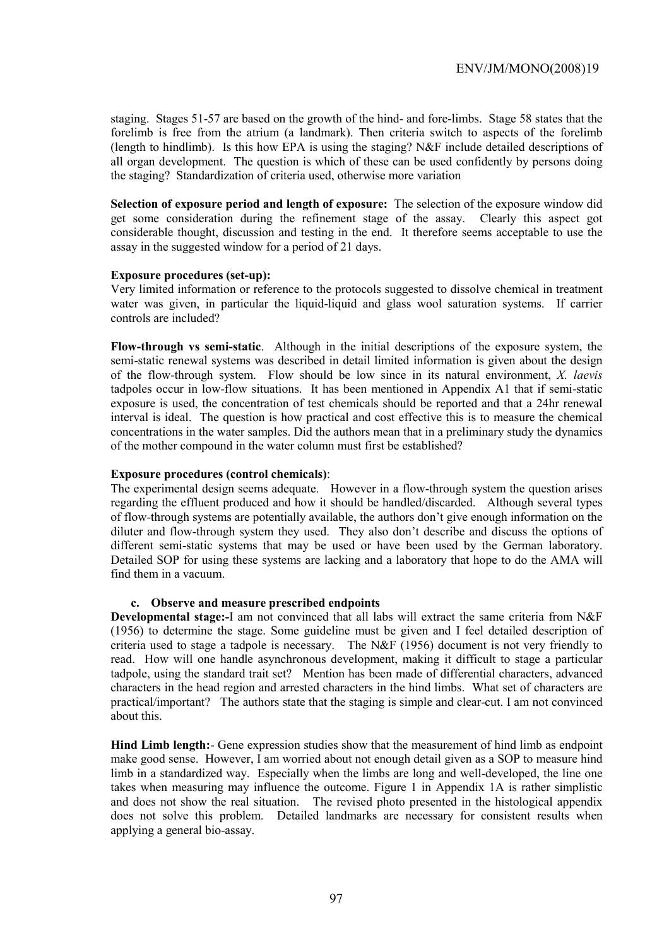staging. Stages 51-57 are based on the growth of the hind- and fore-limbs. Stage 58 states that the forelimb is free from the atrium (a landmark). Then criteria switch to aspects of the forelimb (length to hindlimb). Is this how EPA is using the staging? N&F include detailed descriptions of all organ development. The question is which of these can be used confidently by persons doing the staging? Standardization of criteria used, otherwise more variation

**Selection of exposure period and length of exposure:** The selection of the exposure window did get some consideration during the refinement stage of the assay. Clearly this aspect got considerable thought, discussion and testing in the end. It therefore seems acceptable to use the assay in the suggested window for a period of 21 days.

## **Exposure procedures (set-up):**

Very limited information or reference to the protocols suggested to dissolve chemical in treatment water was given, in particular the liquid-liquid and glass wool saturation systems. If carrier controls are included?

**Flow-through vs semi-static**. Although in the initial descriptions of the exposure system, the semi-static renewal systems was described in detail limited information is given about the design of the flow-through system. Flow should be low since in its natural environment, *X. laevis* tadpoles occur in low-flow situations. It has been mentioned in Appendix A1 that if semi-static exposure is used, the concentration of test chemicals should be reported and that a 24hr renewal interval is ideal. The question is how practical and cost effective this is to measure the chemical concentrations in the water samples. Did the authors mean that in a preliminary study the dynamics of the mother compound in the water column must first be established?

# **Exposure procedures (control chemicals)**:

The experimental design seems adequate. However in a flow-through system the question arises regarding the effluent produced and how it should be handled/discarded.Although several types of flow-through systems are potentially available, the authors don't give enough information on the diluter and flow-through system they used. They also don't describe and discuss the options of different semi-static systems that may be used or have been used by the German laboratory. Detailed SOP for using these systems are lacking and a laboratory that hope to do the AMA will find them in a vacuum.

## **c. Observe and measure prescribed endpoints**

**Developmental stage:-**I am not convinced that all labs will extract the same criteria from N&F (1956) to determine the stage. Some guideline must be given and I feel detailed description of criteria used to stage a tadpole is necessary. The N&F (1956) document is not very friendly to read. How will one handle asynchronous development, making it difficult to stage a particular tadpole, using the standard trait set? Mention has been made of differential characters, advanced characters in the head region and arrested characters in the hind limbs. What set of characters are practical/important? The authors state that the staging is simple and clear-cut. I am not convinced about this.

**Hind Limb length:**- Gene expression studies show that the measurement of hind limb as endpoint make good sense. However, I am worried about not enough detail given as a SOP to measure hind limb in a standardized way. Especially when the limbs are long and well-developed, the line one takes when measuring may influence the outcome. Figure 1 in Appendix 1A is rather simplistic and does not show the real situation. The revised photo presented in the histological appendix does not solve this problem. Detailed landmarks are necessary for consistent results when applying a general bio-assay.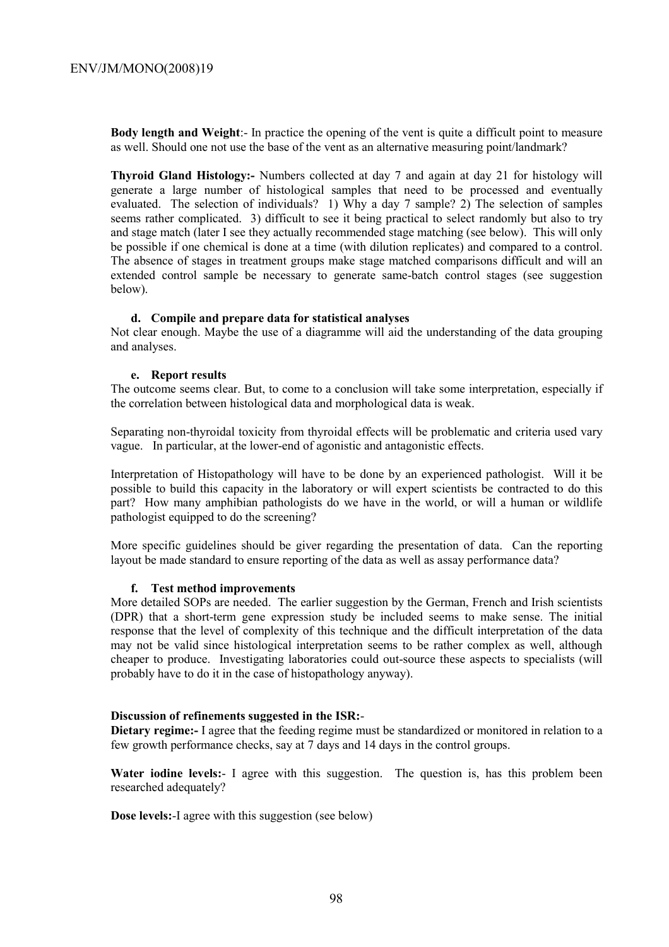**Body length and Weight**:- In practice the opening of the vent is quite a difficult point to measure as well. Should one not use the base of the vent as an alternative measuring point/landmark?

**Thyroid Gland Histology:-** Numbers collected at day 7 and again at day 21 for histology will generate a large number of histological samples that need to be processed and eventually evaluated. The selection of individuals? 1) Why a day 7 sample? 2) The selection of samples seems rather complicated. 3) difficult to see it being practical to select randomly but also to try and stage match (later I see they actually recommended stage matching (see below). This will only be possible if one chemical is done at a time (with dilution replicates) and compared to a control. The absence of stages in treatment groups make stage matched comparisons difficult and will an extended control sample be necessary to generate same-batch control stages (see suggestion below).

## **d. Compile and prepare data for statistical analyses**

Not clear enough. Maybe the use of a diagramme will aid the understanding of the data grouping and analyses.

## **e. Report results**

The outcome seems clear. But, to come to a conclusion will take some interpretation, especially if the correlation between histological data and morphological data is weak.

Separating non-thyroidal toxicity from thyroidal effects will be problematic and criteria used vary vague. In particular, at the lower-end of agonistic and antagonistic effects.

Interpretation of Histopathology will have to be done by an experienced pathologist. Will it be possible to build this capacity in the laboratory or will expert scientists be contracted to do this part? How many amphibian pathologists do we have in the world, or will a human or wildlife pathologist equipped to do the screening?

More specific guidelines should be giver regarding the presentation of data. Can the reporting layout be made standard to ensure reporting of the data as well as assay performance data?

## **f. Test method improvements**

More detailed SOPs are needed. The earlier suggestion by the German, French and Irish scientists (DPR) that a short-term gene expression study be included seems to make sense. The initial response that the level of complexity of this technique and the difficult interpretation of the data may not be valid since histological interpretation seems to be rather complex as well, although cheaper to produce. Investigating laboratories could out-source these aspects to specialists (will probably have to do it in the case of histopathology anyway).

## **Discussion of refinements suggested in the ISR:**-

**Dietary regime:** I agree that the feeding regime must be standardized or monitored in relation to a few growth performance checks, say at 7 days and 14 days in the control groups.

**Water iodine levels:** I agree with this suggestion. The question is, has this problem been researched adequately?

**Dose levels:**-I agree with this suggestion (see below)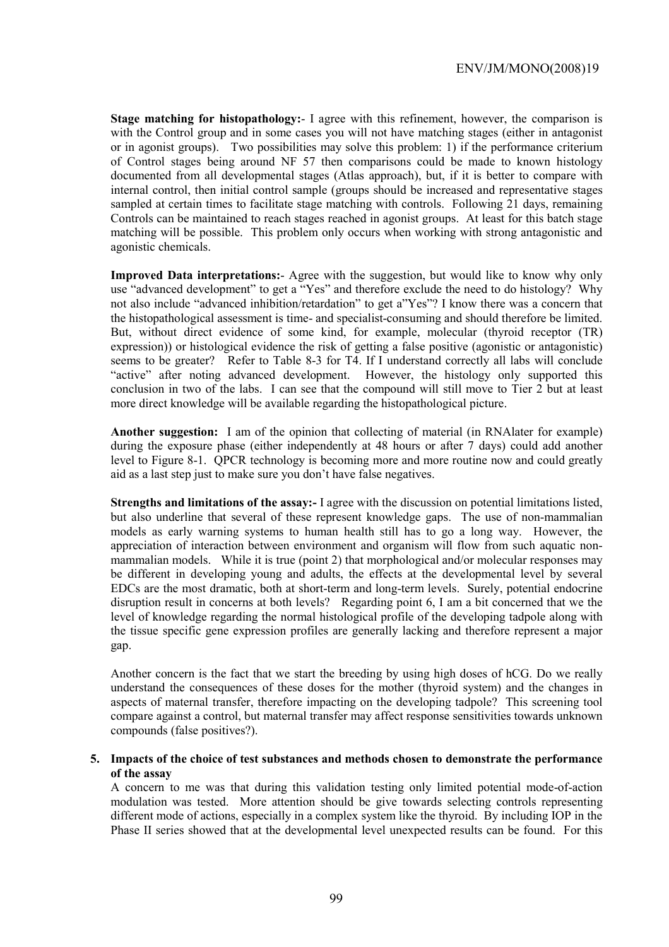**Stage matching for histopathology:**- I agree with this refinement, however, the comparison is with the Control group and in some cases you will not have matching stages (either in antagonist or in agonist groups). Two possibilities may solve this problem: 1) if the performance criterium of Control stages being around NF 57 then comparisons could be made to known histology documented from all developmental stages (Atlas approach), but, if it is better to compare with internal control, then initial control sample (groups should be increased and representative stages sampled at certain times to facilitate stage matching with controls. Following 21 days, remaining Controls can be maintained to reach stages reached in agonist groups. At least for this batch stage matching will be possible. This problem only occurs when working with strong antagonistic and agonistic chemicals.

**Improved Data interpretations:**- Agree with the suggestion, but would like to know why only use "advanced development" to get a "Yes" and therefore exclude the need to do histology? Why not also include "advanced inhibition/retardation" to get a"Yes"? I know there was a concern that the histopathological assessment is time- and specialist-consuming and should therefore be limited. But, without direct evidence of some kind, for example, molecular (thyroid receptor (TR) expression)) or histological evidence the risk of getting a false positive (agonistic or antagonistic) seems to be greater? Refer to Table 8-3 for T4. If I understand correctly all labs will conclude "active" after noting advanced development. However, the histology only supported this conclusion in two of the labs. I can see that the compound will still move to Tier 2 but at least more direct knowledge will be available regarding the histopathological picture.

**Another suggestion:** I am of the opinion that collecting of material (in RNAlater for example) during the exposure phase (either independently at 48 hours or after 7 days) could add another level to Figure 8-1. QPCR technology is becoming more and more routine now and could greatly aid as a last step just to make sure you don't have false negatives.

**Strengths and limitations of the assay:-** I agree with the discussion on potential limitations listed, but also underline that several of these represent knowledge gaps. The use of non-mammalian models as early warning systems to human health still has to go a long way. However, the appreciation of interaction between environment and organism will flow from such aquatic nonmammalian models. While it is true (point 2) that morphological and/or molecular responses may be different in developing young and adults, the effects at the developmental level by several EDCs are the most dramatic, both at short-term and long-term levels. Surely, potential endocrine disruption result in concerns at both levels? Regarding point 6, I am a bit concerned that we the level of knowledge regarding the normal histological profile of the developing tadpole along with the tissue specific gene expression profiles are generally lacking and therefore represent a major gap.

Another concern is the fact that we start the breeding by using high doses of hCG. Do we really understand the consequences of these doses for the mother (thyroid system) and the changes in aspects of maternal transfer, therefore impacting on the developing tadpole? This screening tool compare against a control, but maternal transfer may affect response sensitivities towards unknown compounds (false positives?).

# **5. Impacts of the choice of test substances and methods chosen to demonstrate the performance of the assay**

A concern to me was that during this validation testing only limited potential mode-of-action modulation was tested. More attention should be give towards selecting controls representing different mode of actions, especially in a complex system like the thyroid. By including IOP in the Phase II series showed that at the developmental level unexpected results can be found. For this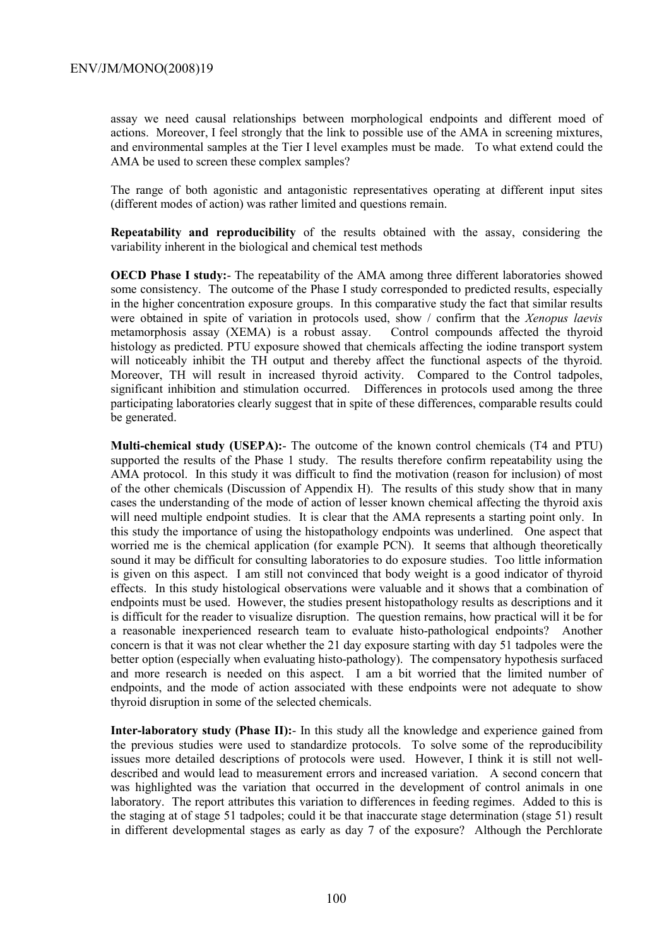assay we need causal relationships between morphological endpoints and different moed of actions. Moreover, I feel strongly that the link to possible use of the AMA in screening mixtures, and environmental samples at the Tier I level examples must be made. To what extend could the AMA be used to screen these complex samples?

The range of both agonistic and antagonistic representatives operating at different input sites (different modes of action) was rather limited and questions remain.

**Repeatability and reproducibility** of the results obtained with the assay, considering the variability inherent in the biological and chemical test methods

**OECD Phase I study:**- The repeatability of the AMA among three different laboratories showed some consistency. The outcome of the Phase I study corresponded to predicted results, especially in the higher concentration exposure groups. In this comparative study the fact that similar results were obtained in spite of variation in protocols used, show / confirm that the *Xenopus laevis* metamorphosis assay (XEMA) is a robust assay. Control compounds affected the thyroid histology as predicted. PTU exposure showed that chemicals affecting the iodine transport system will noticeably inhibit the TH output and thereby affect the functional aspects of the thyroid. Moreover, TH will result in increased thyroid activity. Compared to the Control tadpoles, significant inhibition and stimulation occurred. Differences in protocols used among the three participating laboratories clearly suggest that in spite of these differences, comparable results could be generated.

**Multi-chemical study (USEPA):**- The outcome of the known control chemicals (T4 and PTU) supported the results of the Phase 1 study. The results therefore confirm repeatability using the AMA protocol. In this study it was difficult to find the motivation (reason for inclusion) of most of the other chemicals (Discussion of Appendix H). The results of this study show that in many cases the understanding of the mode of action of lesser known chemical affecting the thyroid axis will need multiple endpoint studies. It is clear that the AMA represents a starting point only. In this study the importance of using the histopathology endpoints was underlined. One aspect that worried me is the chemical application (for example PCN). It seems that although theoretically sound it may be difficult for consulting laboratories to do exposure studies. Too little information is given on this aspect. I am still not convinced that body weight is a good indicator of thyroid effects. In this study histological observations were valuable and it shows that a combination of endpoints must be used. However, the studies present histopathology results as descriptions and it is difficult for the reader to visualize disruption. The question remains, how practical will it be for a reasonable inexperienced research team to evaluate histo-pathological endpoints? Another concern is that it was not clear whether the 21 day exposure starting with day 51 tadpoles were the better option (especially when evaluating histo-pathology). The compensatory hypothesis surfaced and more research is needed on this aspect. I am a bit worried that the limited number of endpoints, and the mode of action associated with these endpoints were not adequate to show thyroid disruption in some of the selected chemicals.

**Inter-laboratory study (Phase II):**- In this study all the knowledge and experience gained from the previous studies were used to standardize protocols. To solve some of the reproducibility issues more detailed descriptions of protocols were used. However, I think it is still not welldescribed and would lead to measurement errors and increased variation. A second concern that was highlighted was the variation that occurred in the development of control animals in one laboratory. The report attributes this variation to differences in feeding regimes. Added to this is the staging at of stage 51 tadpoles; could it be that inaccurate stage determination (stage 51) result in different developmental stages as early as day 7 of the exposure? Although the Perchlorate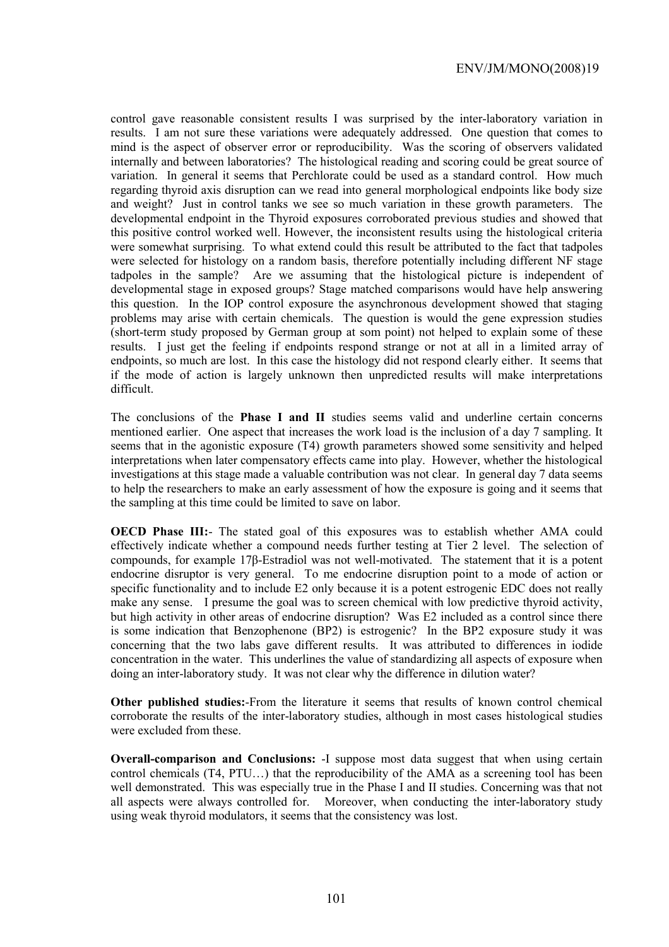control gave reasonable consistent results I was surprised by the inter-laboratory variation in results. I am not sure these variations were adequately addressed. One question that comes to mind is the aspect of observer error or reproducibility. Was the scoring of observers validated internally and between laboratories? The histological reading and scoring could be great source of variation. In general it seems that Perchlorate could be used as a standard control. How much regarding thyroid axis disruption can we read into general morphological endpoints like body size and weight? Just in control tanks we see so much variation in these growth parameters. The developmental endpoint in the Thyroid exposures corroborated previous studies and showed that this positive control worked well. However, the inconsistent results using the histological criteria were somewhat surprising. To what extend could this result be attributed to the fact that tadpoles were selected for histology on a random basis, therefore potentially including different NF stage tadpoles in the sample? Are we assuming that the histological picture is independent of developmental stage in exposed groups? Stage matched comparisons would have help answering this question. In the IOP control exposure the asynchronous development showed that staging problems may arise with certain chemicals. The question is would the gene expression studies (short-term study proposed by German group at som point) not helped to explain some of these results. I just get the feeling if endpoints respond strange or not at all in a limited array of endpoints, so much are lost. In this case the histology did not respond clearly either. It seems that if the mode of action is largely unknown then unpredicted results will make interpretations difficult.

The conclusions of the **Phase I and II** studies seems valid and underline certain concerns mentioned earlier. One aspect that increases the work load is the inclusion of a day 7 sampling. It seems that in the agonistic exposure (T4) growth parameters showed some sensitivity and helped interpretations when later compensatory effects came into play. However, whether the histological investigations at this stage made a valuable contribution was not clear. In general day 7 data seems to help the researchers to make an early assessment of how the exposure is going and it seems that the sampling at this time could be limited to save on labor.

**OECD Phase III:**- The stated goal of this exposures was to establish whether AMA could effectively indicate whether a compound needs further testing at Tier 2 level. The selection of compounds, for example 17β-Estradiol was not well-motivated. The statement that it is a potent endocrine disruptor is very general. To me endocrine disruption point to a mode of action or specific functionality and to include E2 only because it is a potent estrogenic EDC does not really make any sense. I presume the goal was to screen chemical with low predictive thyroid activity, but high activity in other areas of endocrine disruption? Was E2 included as a control since there is some indication that Benzophenone (BP2) is estrogenic? In the BP2 exposure study it was concerning that the two labs gave different results. It was attributed to differences in iodide concentration in the water. This underlines the value of standardizing all aspects of exposure when doing an inter-laboratory study. It was not clear why the difference in dilution water?

**Other published studies:**-From the literature it seems that results of known control chemical corroborate the results of the inter-laboratory studies, although in most cases histological studies were excluded from these

**Overall-comparison and Conclusions:** -I suppose most data suggest that when using certain control chemicals (T4, PTU…) that the reproducibility of the AMA as a screening tool has been well demonstrated. This was especially true in the Phase I and II studies. Concerning was that not all aspects were always controlled for. Moreover, when conducting the inter-laboratory study using weak thyroid modulators, it seems that the consistency was lost.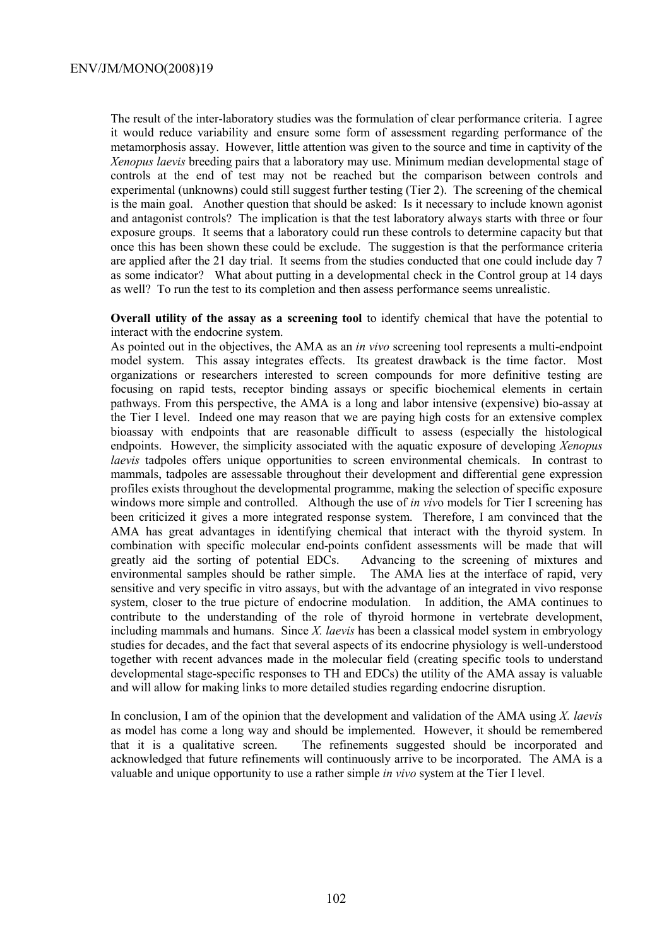The result of the inter-laboratory studies was the formulation of clear performance criteria. I agree it would reduce variability and ensure some form of assessment regarding performance of the metamorphosis assay. However, little attention was given to the source and time in captivity of the *Xenopus laevis* breeding pairs that a laboratory may use. Minimum median developmental stage of controls at the end of test may not be reached but the comparison between controls and experimental (unknowns) could still suggest further testing (Tier 2). The screening of the chemical is the main goal. Another question that should be asked: Is it necessary to include known agonist and antagonist controls? The implication is that the test laboratory always starts with three or four exposure groups. It seems that a laboratory could run these controls to determine capacity but that once this has been shown these could be exclude. The suggestion is that the performance criteria are applied after the 21 day trial. It seems from the studies conducted that one could include day 7 as some indicator? What about putting in a developmental check in the Control group at 14 days as well? To run the test to its completion and then assess performance seems unrealistic.

**Overall utility of the assay as a screening tool** to identify chemical that have the potential to interact with the endocrine system.

As pointed out in the objectives, the AMA as an *in vivo* screening tool represents a multi-endpoint model system. This assay integrates effects. Its greatest drawback is the time factor. Most organizations or researchers interested to screen compounds for more definitive testing are focusing on rapid tests, receptor binding assays or specific biochemical elements in certain pathways. From this perspective, the AMA is a long and labor intensive (expensive) bio-assay at the Tier I level. Indeed one may reason that we are paying high costs for an extensive complex bioassay with endpoints that are reasonable difficult to assess (especially the histological endpoints. However, the simplicity associated with the aquatic exposure of developing *Xenopus laevis* tadpoles offers unique opportunities to screen environmental chemicals. In contrast to mammals, tadpoles are assessable throughout their development and differential gene expression profiles exists throughout the developmental programme, making the selection of specific exposure windows more simple and controlled. Although the use of *in viv*o models for Tier I screening has been criticized it gives a more integrated response system. Therefore, I am convinced that the AMA has great advantages in identifying chemical that interact with the thyroid system. In combination with specific molecular end-points confident assessments will be made that will greatly aid the sorting of potential EDCs. Advancing to the screening of mixtures and environmental samples should be rather simple. The AMA lies at the interface of rapid, very sensitive and very specific in vitro assays, but with the advantage of an integrated in vivo response system, closer to the true picture of endocrine modulation. In addition, the AMA continues to contribute to the understanding of the role of thyroid hormone in vertebrate development, including mammals and humans. Since *X. laevis* has been a classical model system in embryology studies for decades, and the fact that several aspects of its endocrine physiology is well-understood together with recent advances made in the molecular field (creating specific tools to understand developmental stage-specific responses to TH and EDCs) the utility of the AMA assay is valuable and will allow for making links to more detailed studies regarding endocrine disruption.

In conclusion, I am of the opinion that the development and validation of the AMA using *X. laevis* as model has come a long way and should be implemented. However, it should be remembered that it is a qualitative screen. The refinements suggested should be incorporated and acknowledged that future refinements will continuously arrive to be incorporated. The AMA is a valuable and unique opportunity to use a rather simple *in vivo* system at the Tier I level.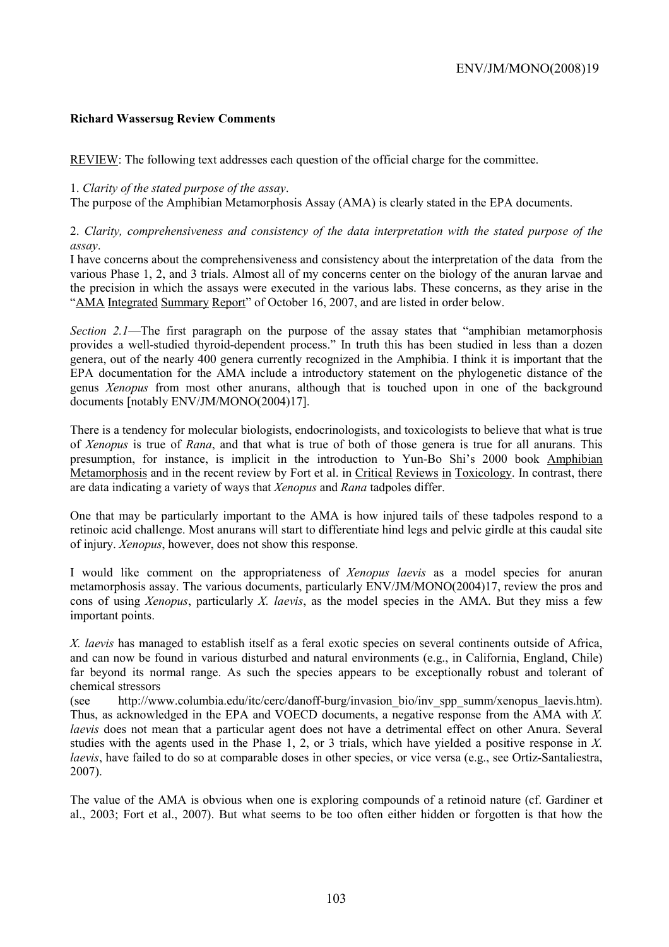# **Richard Wassersug Review Comments**

REVIEW: The following text addresses each question of the official charge for the committee.

1. *Clarity of the stated purpose of the assay*.

The purpose of the Amphibian Metamorphosis Assay (AMA) is clearly stated in the EPA documents.

2. *Clarity, comprehensiveness and consistency of the data interpretation with the stated purpose of the assay*.

I have concerns about the comprehensiveness and consistency about the interpretation of the data from the various Phase 1, 2, and 3 trials. Almost all of my concerns center on the biology of the anuran larvae and the precision in which the assays were executed in the various labs. These concerns, as they arise in the "AMA Integrated Summary Report" of October 16, 2007, and are listed in order below.

*Section 2.1*—The first paragraph on the purpose of the assay states that "amphibian metamorphosis provides a well-studied thyroid-dependent process." In truth this has been studied in less than a dozen genera, out of the nearly 400 genera currently recognized in the Amphibia. I think it is important that the EPA documentation for the AMA include a introductory statement on the phylogenetic distance of the genus *Xenopus* from most other anurans, although that is touched upon in one of the background documents [notably ENV/JM/MONO(2004)17].

There is a tendency for molecular biologists, endocrinologists, and toxicologists to believe that what is true of *Xenopus* is true of *Rana*, and that what is true of both of those genera is true for all anurans. This presumption, for instance, is implicit in the introduction to Yun-Bo Shi's 2000 book Amphibian Metamorphosis and in the recent review by Fort et al. in Critical Reviews in Toxicology. In contrast, there are data indicating a variety of ways that *Xenopus* and *Rana* tadpoles differ.

One that may be particularly important to the AMA is how injured tails of these tadpoles respond to a retinoic acid challenge. Most anurans will start to differentiate hind legs and pelvic girdle at this caudal site of injury. *Xenopus*, however, does not show this response.

I would like comment on the appropriateness of *Xenopus laevis* as a model species for anuran metamorphosis assay. The various documents, particularly ENV/JM/MONO(2004)17, review the pros and cons of using *Xenopus*, particularly *X. laevis*, as the model species in the AMA. But they miss a few important points.

*X. laevis* has managed to establish itself as a feral exotic species on several continents outside of Africa, and can now be found in various disturbed and natural environments (e.g., in California, England, Chile) far beyond its normal range. As such the species appears to be exceptionally robust and tolerant of chemical stressors

(see http://www.columbia.edu/itc/cerc/danoff-burg/invasion\_bio/inv\_spp\_summ/xenopus\_laevis.htm). Thus, as acknowledged in the EPA and VOECD documents, a negative response from the AMA with *X. laevis* does not mean that a particular agent does not have a detrimental effect on other Anura. Several studies with the agents used in the Phase 1, 2, or 3 trials, which have yielded a positive response in *X. laevis*, have failed to do so at comparable doses in other species, or vice versa (e.g., see Ortiz-Santaliestra, 2007).

The value of the AMA is obvious when one is exploring compounds of a retinoid nature (cf. Gardiner et al., 2003; Fort et al., 2007). But what seems to be too often either hidden or forgotten is that how the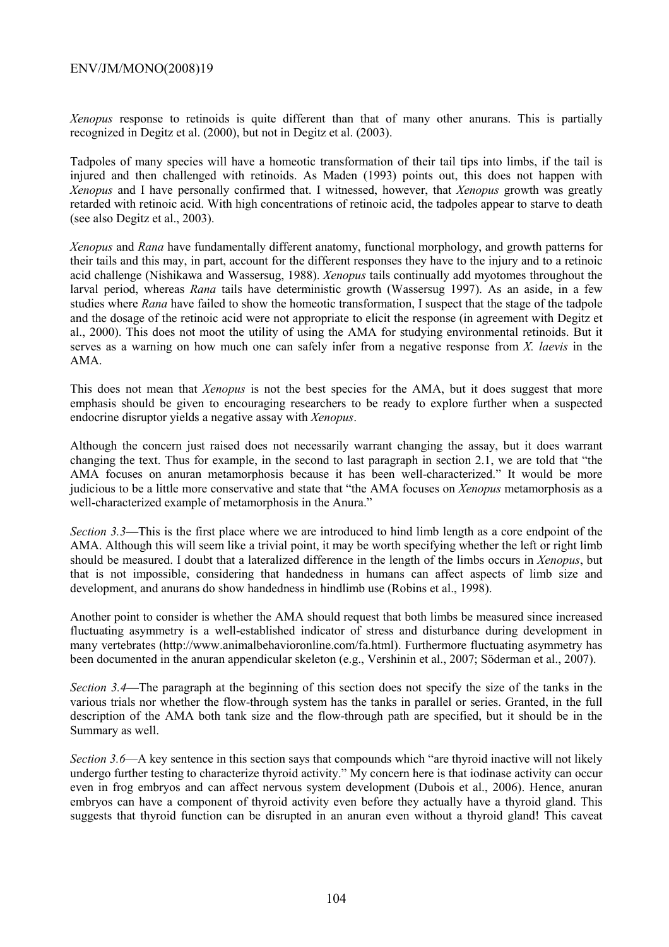*Xenopus* response to retinoids is quite different than that of many other anurans. This is partially recognized in Degitz et al. (2000), but not in Degitz et al. (2003).

Tadpoles of many species will have a homeotic transformation of their tail tips into limbs, if the tail is injured and then challenged with retinoids. As Maden (1993) points out, this does not happen with *Xenopus* and I have personally confirmed that. I witnessed, however, that *Xenopus* growth was greatly retarded with retinoic acid. With high concentrations of retinoic acid, the tadpoles appear to starve to death (see also Degitz et al., 2003).

*Xenopus* and *Rana* have fundamentally different anatomy, functional morphology, and growth patterns for their tails and this may, in part, account for the different responses they have to the injury and to a retinoic acid challenge (Nishikawa and Wassersug, 1988). *Xenopus* tails continually add myotomes throughout the larval period, whereas *Rana* tails have deterministic growth (Wassersug 1997). As an aside, in a few studies where *Rana* have failed to show the homeotic transformation, I suspect that the stage of the tadpole and the dosage of the retinoic acid were not appropriate to elicit the response (in agreement with Degitz et al., 2000). This does not moot the utility of using the AMA for studying environmental retinoids. But it serves as a warning on how much one can safely infer from a negative response from *X. laevis* in the AMA.

This does not mean that *Xenopus* is not the best species for the AMA, but it does suggest that more emphasis should be given to encouraging researchers to be ready to explore further when a suspected endocrine disruptor yields a negative assay with *Xenopus*.

Although the concern just raised does not necessarily warrant changing the assay, but it does warrant changing the text. Thus for example, in the second to last paragraph in section 2.1, we are told that "the AMA focuses on anuran metamorphosis because it has been well-characterized." It would be more judicious to be a little more conservative and state that "the AMA focuses on *Xenopus* metamorphosis as a well-characterized example of metamorphosis in the Anura."

*Section 3.3*—This is the first place where we are introduced to hind limb length as a core endpoint of the AMA. Although this will seem like a trivial point, it may be worth specifying whether the left or right limb should be measured. I doubt that a lateralized difference in the length of the limbs occurs in *Xenopus*, but that is not impossible, considering that handedness in humans can affect aspects of limb size and development, and anurans do show handedness in hindlimb use (Robins et al., 1998).

Another point to consider is whether the AMA should request that both limbs be measured since increased fluctuating asymmetry is a well-established indicator of stress and disturbance during development in many vertebrates (http://www.animalbehavioronline.com/fa.html). Furthermore fluctuating asymmetry has been documented in the anuran appendicular skeleton (e.g., Vershinin et al., 2007; Söderman et al., 2007).

*Section 3.4*—The paragraph at the beginning of this section does not specify the size of the tanks in the various trials nor whether the flow-through system has the tanks in parallel or series. Granted, in the full description of the AMA both tank size and the flow-through path are specified, but it should be in the Summary as well.

*Section 3.6—A* key sentence in this section says that compounds which "are thyroid inactive will not likely undergo further testing to characterize thyroid activity." My concern here is that iodinase activity can occur even in frog embryos and can affect nervous system development (Dubois et al., 2006). Hence, anuran embryos can have a component of thyroid activity even before they actually have a thyroid gland. This suggests that thyroid function can be disrupted in an anuran even without a thyroid gland! This caveat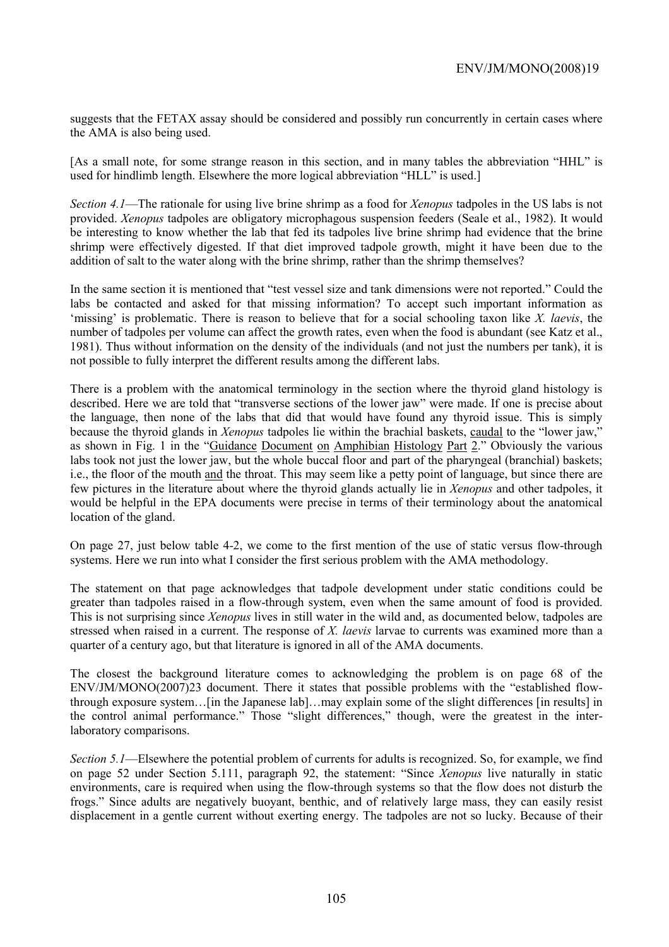suggests that the FETAX assay should be considered and possibly run concurrently in certain cases where the AMA is also being used.

[As a small note, for some strange reason in this section, and in many tables the abbreviation "HHL" is used for hindlimb length. Elsewhere the more logical abbreviation "HLL" is used.]

*Section 4.1*—The rationale for using live brine shrimp as a food for *Xenopus* tadpoles in the US labs is not provided. *Xenopus* tadpoles are obligatory microphagous suspension feeders (Seale et al., 1982). It would be interesting to know whether the lab that fed its tadpoles live brine shrimp had evidence that the brine shrimp were effectively digested. If that diet improved tadpole growth, might it have been due to the addition of salt to the water along with the brine shrimp, rather than the shrimp themselves?

In the same section it is mentioned that "test vessel size and tank dimensions were not reported." Could the labs be contacted and asked for that missing information? To accept such important information as 'missing' is problematic. There is reason to believe that for a social schooling taxon like *X. laevis*, the number of tadpoles per volume can affect the growth rates, even when the food is abundant (see Katz et al., 1981). Thus without information on the density of the individuals (and not just the numbers per tank), it is not possible to fully interpret the different results among the different labs.

There is a problem with the anatomical terminology in the section where the thyroid gland histology is described. Here we are told that "transverse sections of the lower jaw" were made. If one is precise about the language, then none of the labs that did that would have found any thyroid issue. This is simply because the thyroid glands in *Xenopus* tadpoles lie within the brachial baskets, caudal to the "lower jaw," as shown in Fig. 1 in the "Guidance Document on Amphibian Histology Part 2." Obviously the various labs took not just the lower jaw, but the whole buccal floor and part of the pharyngeal (branchial) baskets; i.e., the floor of the mouth and the throat. This may seem like a petty point of language, but since there are few pictures in the literature about where the thyroid glands actually lie in *Xenopus* and other tadpoles, it would be helpful in the EPA documents were precise in terms of their terminology about the anatomical location of the gland.

On page 27, just below table 4-2, we come to the first mention of the use of static versus flow-through systems. Here we run into what I consider the first serious problem with the AMA methodology.

The statement on that page acknowledges that tadpole development under static conditions could be greater than tadpoles raised in a flow-through system, even when the same amount of food is provided. This is not surprising since *Xenopus* lives in still water in the wild and, as documented below, tadpoles are stressed when raised in a current. The response of *X. laevis* larvae to currents was examined more than a quarter of a century ago, but that literature is ignored in all of the AMA documents.

The closest the background literature comes to acknowledging the problem is on page 68 of the ENV/JM/MONO(2007)23 document. There it states that possible problems with the "established flowthrough exposure system…[in the Japanese lab]…may explain some of the slight differences [in results] in the control animal performance." Those "slight differences," though, were the greatest in the interlaboratory comparisons.

*Section 5.1*—Elsewhere the potential problem of currents for adults is recognized. So, for example, we find on page 52 under Section 5.111, paragraph 92, the statement: "Since *Xenopus* live naturally in static environments, care is required when using the flow-through systems so that the flow does not disturb the frogs." Since adults are negatively buoyant, benthic, and of relatively large mass, they can easily resist displacement in a gentle current without exerting energy. The tadpoles are not so lucky. Because of their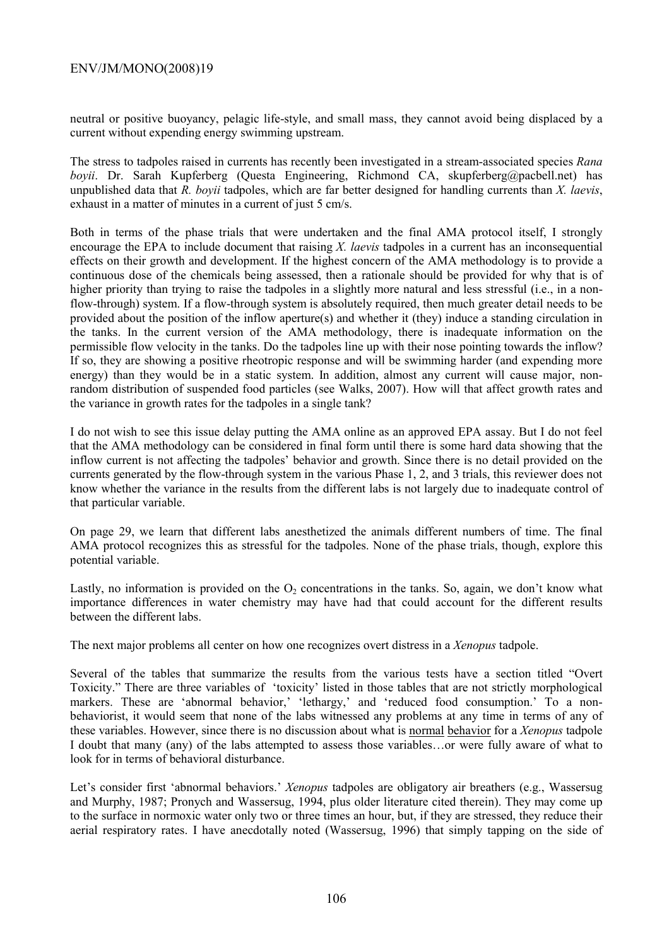neutral or positive buoyancy, pelagic life-style, and small mass, they cannot avoid being displaced by a current without expending energy swimming upstream.

The stress to tadpoles raised in currents has recently been investigated in a stream-associated species *Rana boyii*. Dr. Sarah Kupferberg (Questa Engineering, Richmond CA, skupferberg@pacbell.net) has unpublished data that *R. boyii* tadpoles, which are far better designed for handling currents than *X. laevis*, exhaust in a matter of minutes in a current of just 5 cm/s.

Both in terms of the phase trials that were undertaken and the final AMA protocol itself, I strongly encourage the EPA to include document that raising *X. laevis* tadpoles in a current has an inconsequential effects on their growth and development. If the highest concern of the AMA methodology is to provide a continuous dose of the chemicals being assessed, then a rationale should be provided for why that is of higher priority than trying to raise the tadpoles in a slightly more natural and less stressful (i.e., in a nonflow-through) system. If a flow-through system is absolutely required, then much greater detail needs to be provided about the position of the inflow aperture(s) and whether it (they) induce a standing circulation in the tanks. In the current version of the AMA methodology, there is inadequate information on the permissible flow velocity in the tanks. Do the tadpoles line up with their nose pointing towards the inflow? If so, they are showing a positive rheotropic response and will be swimming harder (and expending more energy) than they would be in a static system. In addition, almost any current will cause major, nonrandom distribution of suspended food particles (see Walks, 2007). How will that affect growth rates and the variance in growth rates for the tadpoles in a single tank?

I do not wish to see this issue delay putting the AMA online as an approved EPA assay. But I do not feel that the AMA methodology can be considered in final form until there is some hard data showing that the inflow current is not affecting the tadpoles' behavior and growth. Since there is no detail provided on the currents generated by the flow-through system in the various Phase 1, 2, and 3 trials, this reviewer does not know whether the variance in the results from the different labs is not largely due to inadequate control of that particular variable.

On page 29, we learn that different labs anesthetized the animals different numbers of time. The final AMA protocol recognizes this as stressful for the tadpoles. None of the phase trials, though, explore this potential variable.

Lastly, no information is provided on the  $O_2$  concentrations in the tanks. So, again, we don't know what importance differences in water chemistry may have had that could account for the different results between the different labs.

The next major problems all center on how one recognizes overt distress in a *Xenopus* tadpole.

Several of the tables that summarize the results from the various tests have a section titled "Overt Toxicity." There are three variables of 'toxicity' listed in those tables that are not strictly morphological markers. These are 'abnormal behavior,' 'lethargy,' and 'reduced food consumption.' To a nonbehaviorist, it would seem that none of the labs witnessed any problems at any time in terms of any of these variables. However, since there is no discussion about what is normal behavior for a *Xenopus* tadpole I doubt that many (any) of the labs attempted to assess those variables…or were fully aware of what to look for in terms of behavioral disturbance.

Let's consider first 'abnormal behaviors.' *Xenopus* tadpoles are obligatory air breathers (e.g., Wassersug and Murphy, 1987; Pronych and Wassersug, 1994, plus older literature cited therein). They may come up to the surface in normoxic water only two or three times an hour, but, if they are stressed, they reduce their aerial respiratory rates. I have anecdotally noted (Wassersug, 1996) that simply tapping on the side of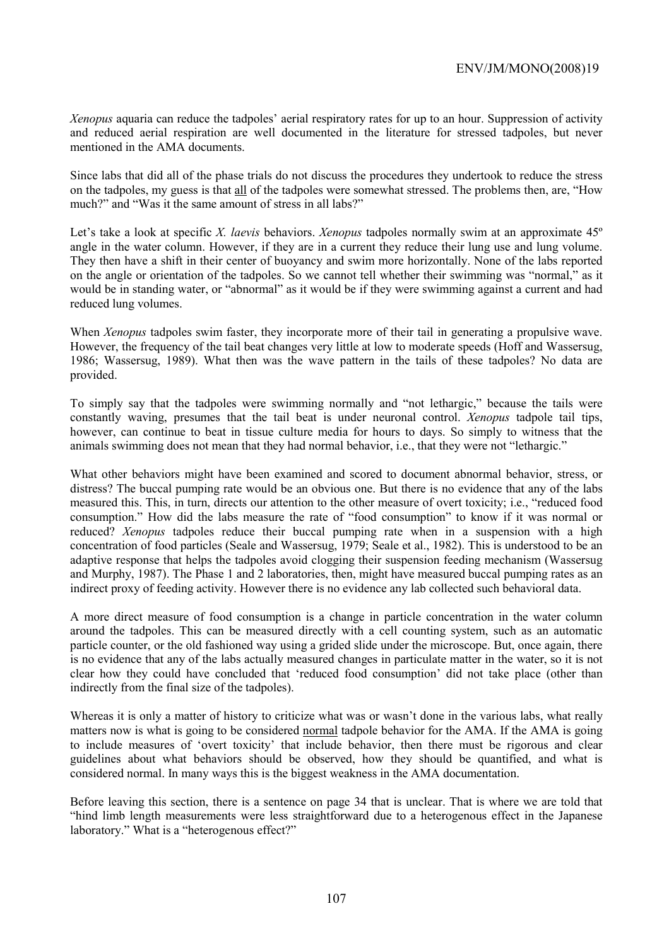*Xenopus* aquaria can reduce the tadpoles' aerial respiratory rates for up to an hour. Suppression of activity and reduced aerial respiration are well documented in the literature for stressed tadpoles, but never mentioned in the AMA documents.

Since labs that did all of the phase trials do not discuss the procedures they undertook to reduce the stress on the tadpoles, my guess is that all of the tadpoles were somewhat stressed. The problems then, are, "How much?" and "Was it the same amount of stress in all labs?"

Let's take a look at specific *X. laevis* behaviors. *Xenopus* tadpoles normally swim at an approximate 45º angle in the water column. However, if they are in a current they reduce their lung use and lung volume. They then have a shift in their center of buoyancy and swim more horizontally. None of the labs reported on the angle or orientation of the tadpoles. So we cannot tell whether their swimming was "normal," as it would be in standing water, or "abnormal" as it would be if they were swimming against a current and had reduced lung volumes.

When *Xenopus* tadpoles swim faster, they incorporate more of their tail in generating a propulsive wave. However, the frequency of the tail beat changes very little at low to moderate speeds (Hoff and Wassersug, 1986; Wassersug, 1989). What then was the wave pattern in the tails of these tadpoles? No data are provided.

To simply say that the tadpoles were swimming normally and "not lethargic," because the tails were constantly waving, presumes that the tail beat is under neuronal control. *Xenopus* tadpole tail tips, however, can continue to beat in tissue culture media for hours to days. So simply to witness that the animals swimming does not mean that they had normal behavior, i.e., that they were not "lethargic."

What other behaviors might have been examined and scored to document abnormal behavior, stress, or distress? The buccal pumping rate would be an obvious one. But there is no evidence that any of the labs measured this. This, in turn, directs our attention to the other measure of overt toxicity; i.e., "reduced food consumption." How did the labs measure the rate of "food consumption" to know if it was normal or reduced? *Xenopus* tadpoles reduce their buccal pumping rate when in a suspension with a high concentration of food particles (Seale and Wassersug, 1979; Seale et al., 1982). This is understood to be an adaptive response that helps the tadpoles avoid clogging their suspension feeding mechanism (Wassersug and Murphy, 1987). The Phase 1 and 2 laboratories, then, might have measured buccal pumping rates as an indirect proxy of feeding activity. However there is no evidence any lab collected such behavioral data.

A more direct measure of food consumption is a change in particle concentration in the water column around the tadpoles. This can be measured directly with a cell counting system, such as an automatic particle counter, or the old fashioned way using a grided slide under the microscope. But, once again, there is no evidence that any of the labs actually measured changes in particulate matter in the water, so it is not clear how they could have concluded that 'reduced food consumption' did not take place (other than indirectly from the final size of the tadpoles).

Whereas it is only a matter of history to criticize what was or wasn't done in the various labs, what really matters now is what is going to be considered normal tadpole behavior for the AMA. If the AMA is going to include measures of 'overt toxicity' that include behavior, then there must be rigorous and clear guidelines about what behaviors should be observed, how they should be quantified, and what is considered normal. In many ways this is the biggest weakness in the AMA documentation.

Before leaving this section, there is a sentence on page 34 that is unclear. That is where we are told that "hind limb length measurements were less straightforward due to a heterogenous effect in the Japanese laboratory." What is a "heterogenous effect?"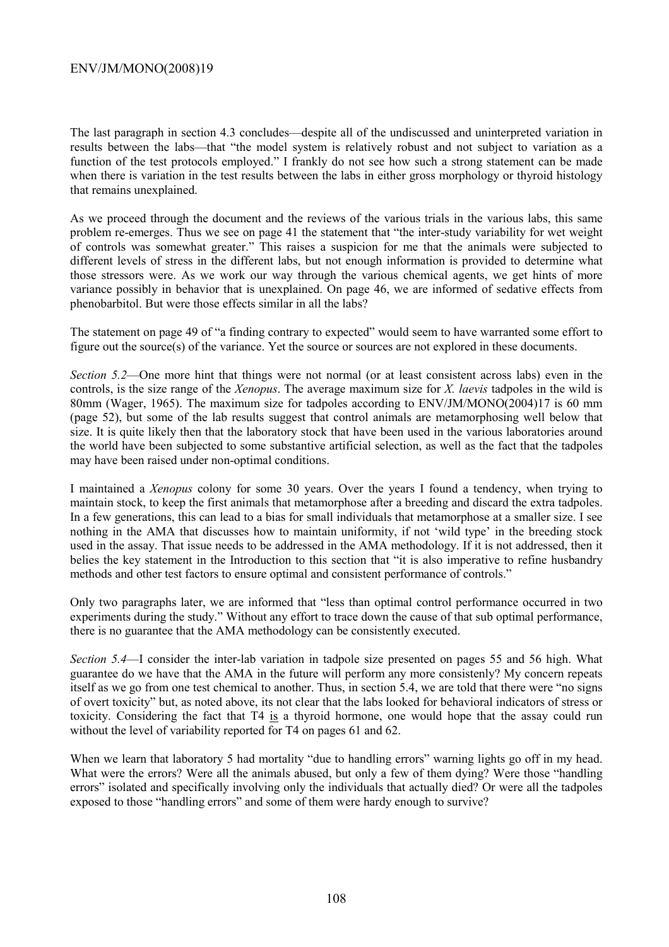The last paragraph in section 4.3 concludes—despite all of the undiscussed and uninterpreted variation in results between the labs—that "the model system is relatively robust and not subject to variation as a function of the test protocols employed." I frankly do not see how such a strong statement can be made when there is variation in the test results between the labs in either gross morphology or thyroid histology that remains unexplained.

As we proceed through the document and the reviews of the various trials in the various labs, this same problem re-emerges. Thus we see on page 41 the statement that "the inter-study variability for wet weight of controls was somewhat greater." This raises a suspicion for me that the animals were subjected to different levels of stress in the different labs, but not enough information is provided to determine what those stressors were. As we work our way through the various chemical agents, we get hints of more variance possibly in behavior that is unexplained. On page 46, we are informed of sedative effects from phenobarbitol. But were those effects similar in all the labs?

The statement on page 49 of "a finding contrary to expected" would seem to have warranted some effort to figure out the source(s) of the variance. Yet the source or sources are not explored in these documents.

*Section 5.2*—One more hint that things were not normal (or at least consistent across labs) even in the controls, is the size range of the *Xenopus*. The average maximum size for *X. laevis* tadpoles in the wild is 80mm (Wager, 1965). The maximum size for tadpoles according to ENV/JM/MONO(2004)17 is 60 mm (page 52), but some of the lab results suggest that control animals are metamorphosing well below that size. It is quite likely then that the laboratory stock that have been used in the various laboratories around the world have been subjected to some substantive artificial selection, as well as the fact that the tadpoles may have been raised under non-optimal conditions.

I maintained a *Xenopus* colony for some 30 years. Over the years I found a tendency, when trying to maintain stock, to keep the first animals that metamorphose after a breeding and discard the extra tadpoles. In a few generations, this can lead to a bias for small individuals that metamorphose at a smaller size. I see nothing in the AMA that discusses how to maintain uniformity, if not 'wild type' in the breeding stock used in the assay. That issue needs to be addressed in the AMA methodology. If it is not addressed, then it belies the key statement in the Introduction to this section that "it is also imperative to refine husbandry methods and other test factors to ensure optimal and consistent performance of controls."

Only two paragraphs later, we are informed that "less than optimal control performance occurred in two experiments during the study." Without any effort to trace down the cause of that sub optimal performance, there is no guarantee that the AMA methodology can be consistently executed.

*Section 5.4*—I consider the inter-lab variation in tadpole size presented on pages 55 and 56 high. What guarantee do we have that the AMA in the future will perform any more consistenly? My concern repeats itself as we go from one test chemical to another. Thus, in section 5.4, we are told that there were "no signs of overt toxicity" but, as noted above, its not clear that the labs looked for behavioral indicators of stress or toxicity. Considering the fact that T4 is a thyroid hormone, one would hope that the assay could run without the level of variability reported for T4 on pages 61 and 62.

When we learn that laboratory 5 had mortality "due to handling errors" warning lights go off in my head. What were the errors? Were all the animals abused, but only a few of them dying? Were those "handling errors" isolated and specifically involving only the individuals that actually died? Or were all the tadpoles exposed to those "handling errors" and some of them were hardy enough to survive?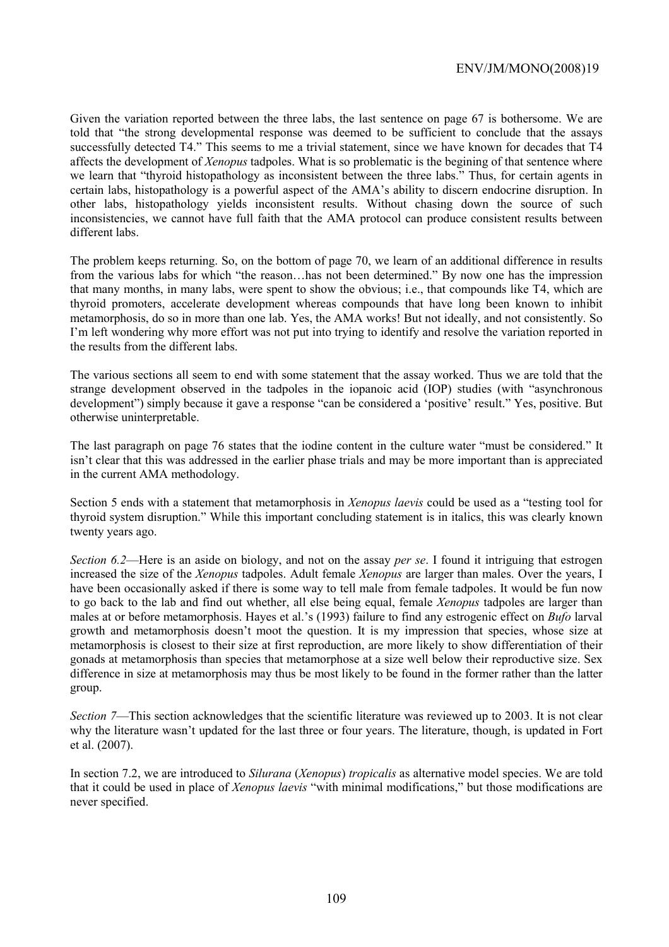Given the variation reported between the three labs, the last sentence on page 67 is bothersome. We are told that "the strong developmental response was deemed to be sufficient to conclude that the assays successfully detected T4." This seems to me a trivial statement, since we have known for decades that T4 affects the development of *Xenopus* tadpoles. What is so problematic is the begining of that sentence where we learn that "thyroid histopathology as inconsistent between the three labs." Thus, for certain agents in certain labs, histopathology is a powerful aspect of the AMA's ability to discern endocrine disruption. In other labs, histopathology yields inconsistent results. Without chasing down the source of such inconsistencies, we cannot have full faith that the AMA protocol can produce consistent results between different labs.

The problem keeps returning. So, on the bottom of page 70, we learn of an additional difference in results from the various labs for which "the reason…has not been determined." By now one has the impression that many months, in many labs, were spent to show the obvious; i.e., that compounds like T4, which are thyroid promoters, accelerate development whereas compounds that have long been known to inhibit metamorphosis, do so in more than one lab. Yes, the AMA works! But not ideally, and not consistently. So I'm left wondering why more effort was not put into trying to identify and resolve the variation reported in the results from the different labs.

The various sections all seem to end with some statement that the assay worked. Thus we are told that the strange development observed in the tadpoles in the iopanoic acid (IOP) studies (with "asynchronous development") simply because it gave a response "can be considered a 'positive' result." Yes, positive. But otherwise uninterpretable.

The last paragraph on page 76 states that the iodine content in the culture water "must be considered." It isn't clear that this was addressed in the earlier phase trials and may be more important than is appreciated in the current AMA methodology.

Section 5 ends with a statement that metamorphosis in *Xenopus laevis* could be used as a "testing tool for thyroid system disruption." While this important concluding statement is in italics, this was clearly known twenty years ago.

*Section 6.2*—Here is an aside on biology, and not on the assay *per se*. I found it intriguing that estrogen increased the size of the *Xenopus* tadpoles. Adult female *Xenopus* are larger than males. Over the years, I have been occasionally asked if there is some way to tell male from female tadpoles. It would be fun now to go back to the lab and find out whether, all else being equal, female *Xenopus* tadpoles are larger than males at or before metamorphosis. Hayes et al.'s (1993) failure to find any estrogenic effect on *Bufo* larval growth and metamorphosis doesn't moot the question. It is my impression that species, whose size at metamorphosis is closest to their size at first reproduction, are more likely to show differentiation of their gonads at metamorphosis than species that metamorphose at a size well below their reproductive size. Sex difference in size at metamorphosis may thus be most likely to be found in the former rather than the latter group.

*Section 7*—This section acknowledges that the scientific literature was reviewed up to 2003. It is not clear why the literature wasn't updated for the last three or four years. The literature, though, is updated in Fort et al. (2007).

In section 7.2, we are introduced to *Silurana* (*Xenopus*) *tropicalis* as alternative model species. We are told that it could be used in place of *Xenopus laevis* "with minimal modifications," but those modifications are never specified.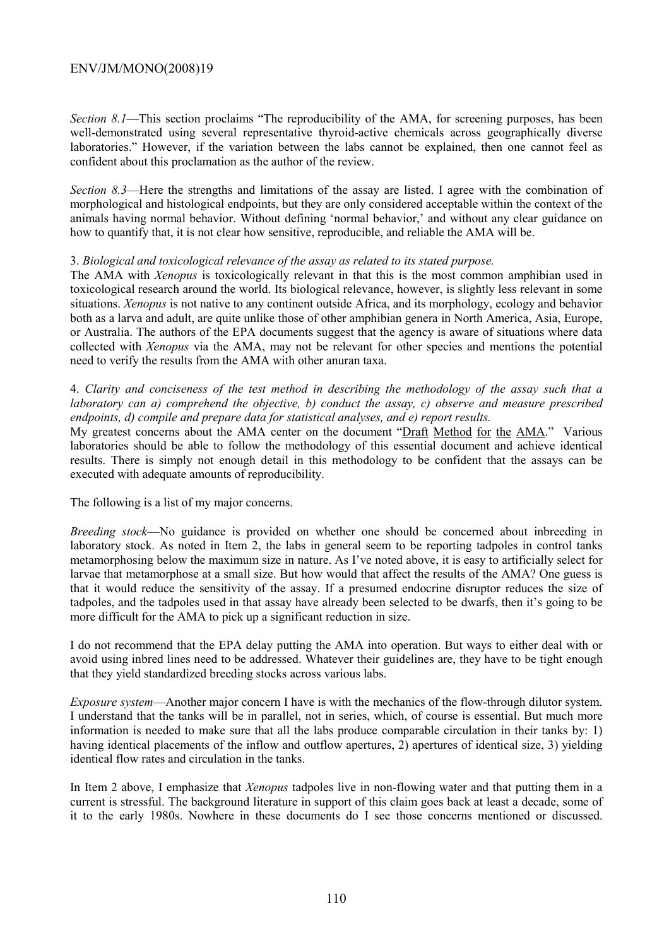*Section 8.1—This section proclaims* "The reproducibility of the AMA, for screening purposes, has been well-demonstrated using several representative thyroid-active chemicals across geographically diverse laboratories." However, if the variation between the labs cannot be explained, then one cannot feel as confident about this proclamation as the author of the review.

*Section 8.3*—Here the strengths and limitations of the assay are listed. I agree with the combination of morphological and histological endpoints, but they are only considered acceptable within the context of the animals having normal behavior. Without defining 'normal behavior,' and without any clear guidance on how to quantify that, it is not clear how sensitive, reproducible, and reliable the AMA will be.

## 3. *Biological and toxicological relevance of the assay as related to its stated purpose.*

The AMA with *Xenopus* is toxicologically relevant in that this is the most common amphibian used in toxicological research around the world. Its biological relevance, however, is slightly less relevant in some situations. *Xenopus* is not native to any continent outside Africa, and its morphology, ecology and behavior both as a larva and adult, are quite unlike those of other amphibian genera in North America, Asia, Europe, or Australia. The authors of the EPA documents suggest that the agency is aware of situations where data collected with *Xenopus* via the AMA, may not be relevant for other species and mentions the potential need to verify the results from the AMA with other anuran taxa.

## 4. *Clarity and conciseness of the test method in describing the methodology of the assay such that a laboratory can a) comprehend the objective, b) conduct the assay, c) observe and measure prescribed endpoints, d) compile and prepare data for statistical analyses, and e) report results.*

My greatest concerns about the AMA center on the document "Draft Method for the AMA." Various laboratories should be able to follow the methodology of this essential document and achieve identical results. There is simply not enough detail in this methodology to be confident that the assays can be executed with adequate amounts of reproducibility.

The following is a list of my major concerns.

*Breeding stock*—No guidance is provided on whether one should be concerned about inbreeding in laboratory stock. As noted in Item 2, the labs in general seem to be reporting tadpoles in control tanks metamorphosing below the maximum size in nature. As I've noted above, it is easy to artificially select for larvae that metamorphose at a small size. But how would that affect the results of the AMA? One guess is that it would reduce the sensitivity of the assay. If a presumed endocrine disruptor reduces the size of tadpoles, and the tadpoles used in that assay have already been selected to be dwarfs, then it's going to be more difficult for the AMA to pick up a significant reduction in size.

I do not recommend that the EPA delay putting the AMA into operation. But ways to either deal with or avoid using inbred lines need to be addressed. Whatever their guidelines are, they have to be tight enough that they yield standardized breeding stocks across various labs.

*Exposure system*—Another major concern I have is with the mechanics of the flow-through dilutor system. I understand that the tanks will be in parallel, not in series, which, of course is essential. But much more information is needed to make sure that all the labs produce comparable circulation in their tanks by: 1) having identical placements of the inflow and outflow apertures, 2) apertures of identical size, 3) yielding identical flow rates and circulation in the tanks.

In Item 2 above, I emphasize that *Xenopus* tadpoles live in non-flowing water and that putting them in a current is stressful. The background literature in support of this claim goes back at least a decade, some of it to the early 1980s. Nowhere in these documents do I see those concerns mentioned or discussed.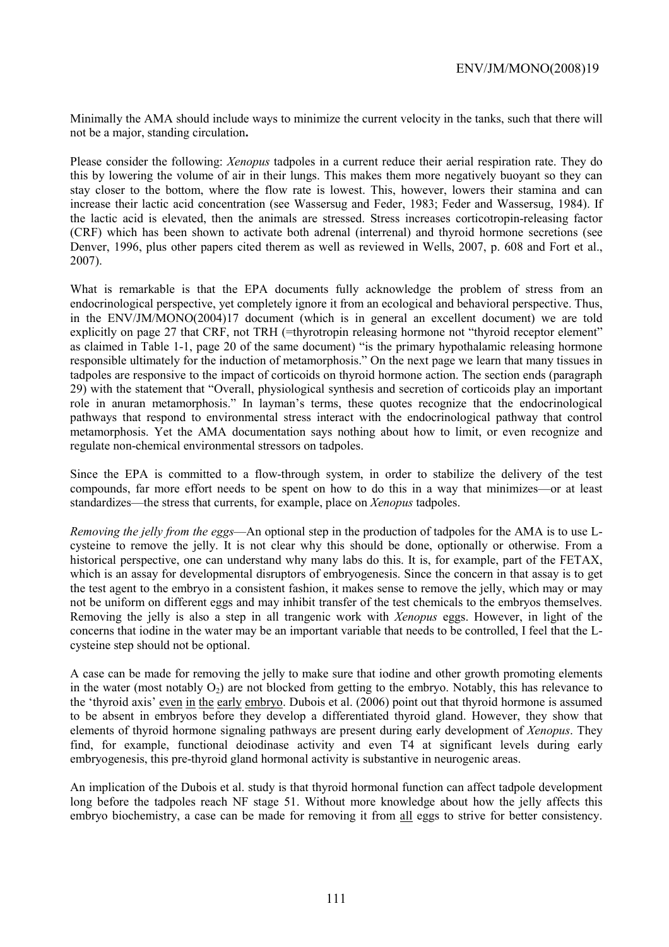Minimally the AMA should include ways to minimize the current velocity in the tanks, such that there will not be a major, standing circulation**.**

Please consider the following: *Xenopus* tadpoles in a current reduce their aerial respiration rate. They do this by lowering the volume of air in their lungs. This makes them more negatively buoyant so they can stay closer to the bottom, where the flow rate is lowest. This, however, lowers their stamina and can increase their lactic acid concentration (see Wassersug and Feder, 1983; Feder and Wassersug, 1984). If the lactic acid is elevated, then the animals are stressed. Stress increases corticotropin-releasing factor (CRF) which has been shown to activate both adrenal (interrenal) and thyroid hormone secretions (see Denver, 1996, plus other papers cited therem as well as reviewed in Wells, 2007, p. 608 and Fort et al., 2007).

What is remarkable is that the EPA documents fully acknowledge the problem of stress from an endocrinological perspective, yet completely ignore it from an ecological and behavioral perspective. Thus, in the ENV/JM/MONO(2004)17 document (which is in general an excellent document) we are told explicitly on page 27 that CRF, not TRH (=thyrotropin releasing hormone not "thyroid receptor element" as claimed in Table 1-1, page 20 of the same document) "is the primary hypothalamic releasing hormone responsible ultimately for the induction of metamorphosis." On the next page we learn that many tissues in tadpoles are responsive to the impact of corticoids on thyroid hormone action. The section ends (paragraph 29) with the statement that "Overall, physiological synthesis and secretion of corticoids play an important role in anuran metamorphosis." In layman's terms, these quotes recognize that the endocrinological pathways that respond to environmental stress interact with the endocrinological pathway that control metamorphosis. Yet the AMA documentation says nothing about how to limit, or even recognize and regulate non-chemical environmental stressors on tadpoles.

Since the EPA is committed to a flow-through system, in order to stabilize the delivery of the test compounds, far more effort needs to be spent on how to do this in a way that minimizes—or at least standardizes—the stress that currents, for example, place on *Xenopus* tadpoles.

*Removing the jelly from the eggs*—An optional step in the production of tadpoles for the AMA is to use Lcysteine to remove the jelly. It is not clear why this should be done, optionally or otherwise. From a historical perspective, one can understand why many labs do this. It is, for example, part of the FETAX, which is an assay for developmental disruptors of embryogenesis. Since the concern in that assay is to get the test agent to the embryo in a consistent fashion, it makes sense to remove the jelly, which may or may not be uniform on different eggs and may inhibit transfer of the test chemicals to the embryos themselves. Removing the jelly is also a step in all trangenic work with *Xenopus* eggs. However, in light of the concerns that iodine in the water may be an important variable that needs to be controlled, I feel that the Lcysteine step should not be optional.

A case can be made for removing the jelly to make sure that iodine and other growth promoting elements in the water (most notably  $O_2$ ) are not blocked from getting to the embryo. Notably, this has relevance to the 'thyroid axis' even in the early embryo. Dubois et al. (2006) point out that thyroid hormone is assumed to be absent in embryos before they develop a differentiated thyroid gland. However, they show that elements of thyroid hormone signaling pathways are present during early development of *Xenopus*. They find, for example, functional deiodinase activity and even T4 at significant levels during early embryogenesis, this pre-thyroid gland hormonal activity is substantive in neurogenic areas.

An implication of the Dubois et al. study is that thyroid hormonal function can affect tadpole development long before the tadpoles reach NF stage 51. Without more knowledge about how the jelly affects this embryo biochemistry, a case can be made for removing it from all eggs to strive for better consistency.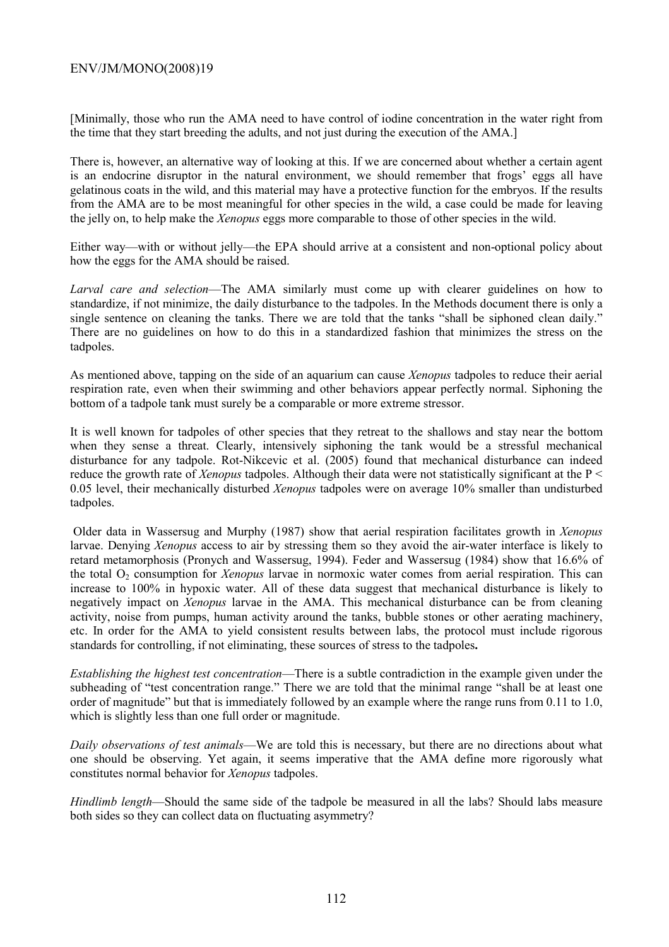[Minimally, those who run the AMA need to have control of iodine concentration in the water right from the time that they start breeding the adults, and not just during the execution of the AMA.]

There is, however, an alternative way of looking at this. If we are concerned about whether a certain agent is an endocrine disruptor in the natural environment, we should remember that frogs' eggs all have gelatinous coats in the wild, and this material may have a protective function for the embryos. If the results from the AMA are to be most meaningful for other species in the wild, a case could be made for leaving the jelly on, to help make the *Xenopus* eggs more comparable to those of other species in the wild.

Either way—with or without jelly—the EPA should arrive at a consistent and non-optional policy about how the eggs for the AMA should be raised.

*Larval care and selection*—The AMA similarly must come up with clearer guidelines on how to standardize, if not minimize, the daily disturbance to the tadpoles. In the Methods document there is only a single sentence on cleaning the tanks. There we are told that the tanks "shall be siphoned clean daily." There are no guidelines on how to do this in a standardized fashion that minimizes the stress on the tadpoles.

As mentioned above, tapping on the side of an aquarium can cause *Xenopus* tadpoles to reduce their aerial respiration rate, even when their swimming and other behaviors appear perfectly normal. Siphoning the bottom of a tadpole tank must surely be a comparable or more extreme stressor.

It is well known for tadpoles of other species that they retreat to the shallows and stay near the bottom when they sense a threat. Clearly, intensively siphoning the tank would be a stressful mechanical disturbance for any tadpole. Rot-Nikcevic et al. (2005) found that mechanical disturbance can indeed reduce the growth rate of *Xenopus* tadpoles. Although their data were not statistically significant at the P < 0.05 level, their mechanically disturbed *Xenopus* tadpoles were on average 10% smaller than undisturbed tadpoles.

 Older data in Wassersug and Murphy (1987) show that aerial respiration facilitates growth in *Xenopus* larvae. Denying *Xenopus* access to air by stressing them so they avoid the air-water interface is likely to retard metamorphosis (Pronych and Wassersug, 1994). Feder and Wassersug (1984) show that 16.6% of the total O2 consumption for *Xenopus* larvae in normoxic water comes from aerial respiration. This can increase to 100% in hypoxic water. All of these data suggest that mechanical disturbance is likely to negatively impact on *Xenopus* larvae in the AMA. This mechanical disturbance can be from cleaning activity, noise from pumps, human activity around the tanks, bubble stones or other aerating machinery, etc. In order for the AMA to yield consistent results between labs, the protocol must include rigorous standards for controlling, if not eliminating, these sources of stress to the tadpoles**.** 

*Establishing the highest test concentration*—There is a subtle contradiction in the example given under the subheading of "test concentration range." There we are told that the minimal range "shall be at least one order of magnitude" but that is immediately followed by an example where the range runs from 0.11 to 1.0, which is slightly less than one full order or magnitude.

*Daily observations of test animals*—We are told this is necessary, but there are no directions about what one should be observing. Yet again, it seems imperative that the AMA define more rigorously what constitutes normal behavior for *Xenopus* tadpoles.

*Hindlimb length*—Should the same side of the tadpole be measured in all the labs? Should labs measure both sides so they can collect data on fluctuating asymmetry?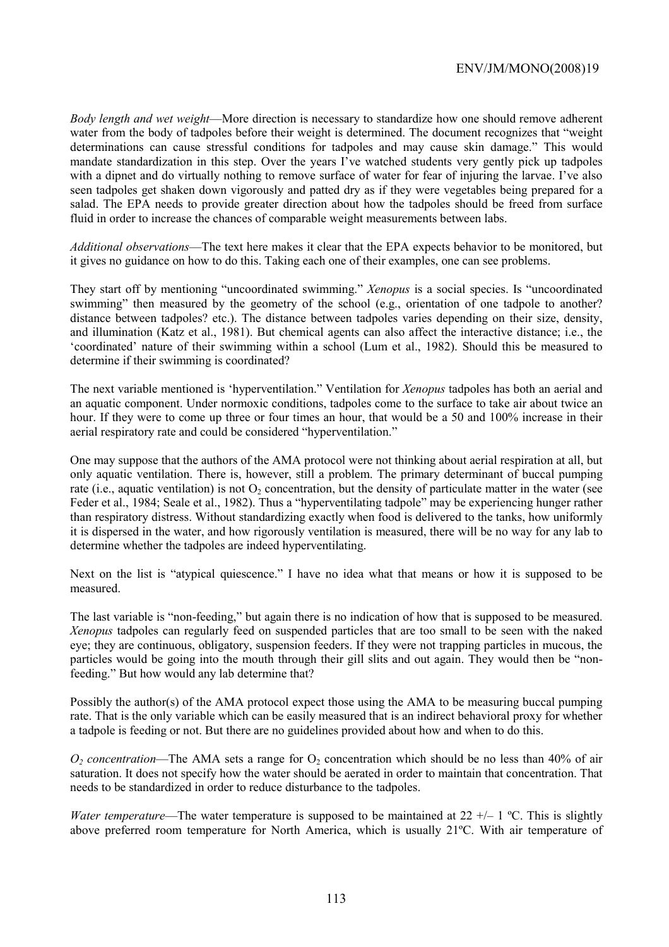*Body length and wet weight*—More direction is necessary to standardize how one should remove adherent water from the body of tadpoles before their weight is determined. The document recognizes that "weight determinations can cause stressful conditions for tadpoles and may cause skin damage." This would mandate standardization in this step. Over the years I've watched students very gently pick up tadpoles with a dipnet and do virtually nothing to remove surface of water for fear of injuring the larvae. I've also seen tadpoles get shaken down vigorously and patted dry as if they were vegetables being prepared for a salad. The EPA needs to provide greater direction about how the tadpoles should be freed from surface fluid in order to increase the chances of comparable weight measurements between labs.

*Additional observations*—The text here makes it clear that the EPA expects behavior to be monitored, but it gives no guidance on how to do this. Taking each one of their examples, one can see problems.

They start off by mentioning "uncoordinated swimming." *Xenopus* is a social species. Is "uncoordinated swimming" then measured by the geometry of the school (e.g., orientation of one tadpole to another? distance between tadpoles? etc.). The distance between tadpoles varies depending on their size, density, and illumination (Katz et al., 1981). But chemical agents can also affect the interactive distance; i.e., the 'coordinated' nature of their swimming within a school (Lum et al., 1982). Should this be measured to determine if their swimming is coordinated?

The next variable mentioned is 'hyperventilation." Ventilation for *Xenopus* tadpoles has both an aerial and an aquatic component. Under normoxic conditions, tadpoles come to the surface to take air about twice an hour. If they were to come up three or four times an hour, that would be a 50 and 100% increase in their aerial respiratory rate and could be considered "hyperventilation."

One may suppose that the authors of the AMA protocol were not thinking about aerial respiration at all, but only aquatic ventilation. There is, however, still a problem. The primary determinant of buccal pumping rate (i.e., aquatic ventilation) is not  $O_2$  concentration, but the density of particulate matter in the water (see Feder et al., 1984; Seale et al., 1982). Thus a "hyperventilating tadpole" may be experiencing hunger rather than respiratory distress. Without standardizing exactly when food is delivered to the tanks, how uniformly it is dispersed in the water, and how rigorously ventilation is measured, there will be no way for any lab to determine whether the tadpoles are indeed hyperventilating.

Next on the list is "atypical quiescence." I have no idea what that means or how it is supposed to be measured.

The last variable is "non-feeding," but again there is no indication of how that is supposed to be measured. *Xenopus* tadpoles can regularly feed on suspended particles that are too small to be seen with the naked eye; they are continuous, obligatory, suspension feeders. If they were not trapping particles in mucous, the particles would be going into the mouth through their gill slits and out again. They would then be "nonfeeding." But how would any lab determine that?

Possibly the author(s) of the AMA protocol expect those using the AMA to be measuring buccal pumping rate. That is the only variable which can be easily measured that is an indirect behavioral proxy for whether a tadpole is feeding or not. But there are no guidelines provided about how and when to do this.

*O<sub>2</sub> concentration*—The AMA sets a range for  $O_2$  concentration which should be no less than 40% of air saturation. It does not specify how the water should be aerated in order to maintain that concentration. That needs to be standardized in order to reduce disturbance to the tadpoles.

*Water temperature*—The water temperature is supposed to be maintained at  $22 +1$  °C. This is slightly above preferred room temperature for North America, which is usually 21ºC. With air temperature of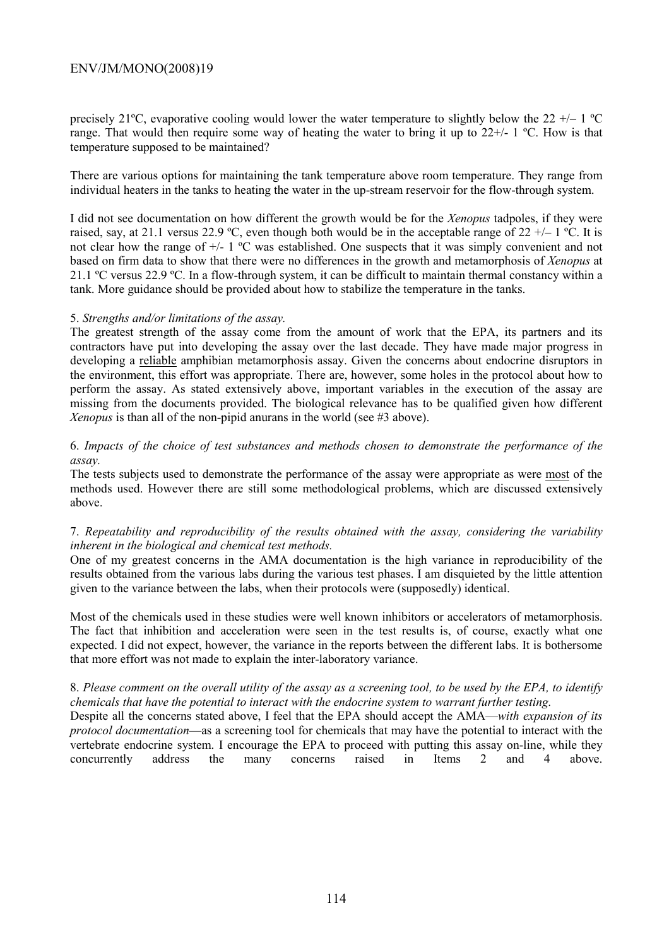precisely 21<sup>o</sup>C, evaporative cooling would lower the water temperature to slightly below the 22  $+/- 1$  <sup>o</sup>C range. That would then require some way of heating the water to bring it up to  $22+/- 1$  °C. How is that temperature supposed to be maintained?

There are various options for maintaining the tank temperature above room temperature. They range from individual heaters in the tanks to heating the water in the up-stream reservoir for the flow-through system.

I did not see documentation on how different the growth would be for the *Xenopus* tadpoles, if they were raised, say, at 21.1 versus 22.9 °C, even though both would be in the acceptable range of 22 +/- 1 °C. It is not clear how the range of +/- 1 ºC was established. One suspects that it was simply convenient and not based on firm data to show that there were no differences in the growth and metamorphosis of *Xenopus* at 21.1 ºC versus 22.9 ºC. In a flow-through system, it can be difficult to maintain thermal constancy within a tank. More guidance should be provided about how to stabilize the temperature in the tanks.

## 5. *Strengths and/or limitations of the assay.*

The greatest strength of the assay come from the amount of work that the EPA, its partners and its contractors have put into developing the assay over the last decade. They have made major progress in developing a reliable amphibian metamorphosis assay. Given the concerns about endocrine disruptors in the environment, this effort was appropriate. There are, however, some holes in the protocol about how to perform the assay. As stated extensively above, important variables in the execution of the assay are missing from the documents provided. The biological relevance has to be qualified given how different *Xenopus* is than all of the non-pipid anurans in the world (see #3 above).

## 6. *Impacts of the choice of test substances and methods chosen to demonstrate the performance of the assay.*

The tests subjects used to demonstrate the performance of the assay were appropriate as were most of the methods used. However there are still some methodological problems, which are discussed extensively above.

## 7. *Repeatability and reproducibility of the results obtained with the assay, considering the variability inherent in the biological and chemical test methods.*

One of my greatest concerns in the AMA documentation is the high variance in reproducibility of the results obtained from the various labs during the various test phases. I am disquieted by the little attention given to the variance between the labs, when their protocols were (supposedly) identical.

Most of the chemicals used in these studies were well known inhibitors or accelerators of metamorphosis. The fact that inhibition and acceleration were seen in the test results is, of course, exactly what one expected. I did not expect, however, the variance in the reports between the different labs. It is bothersome that more effort was not made to explain the inter-laboratory variance.

## 8. *Please comment on the overall utility of the assay as a screening tool, to be used by the EPA, to identify chemicals that have the potential to interact with the endocrine system to warrant further testing.*

Despite all the concerns stated above, I feel that the EPA should accept the AMA—*with expansion of its protocol documentation*—as a screening tool for chemicals that may have the potential to interact with the vertebrate endocrine system. I encourage the EPA to proceed with putting this assay on-line, while they concurrently address the many concerns raised in Items 2 and 4 above.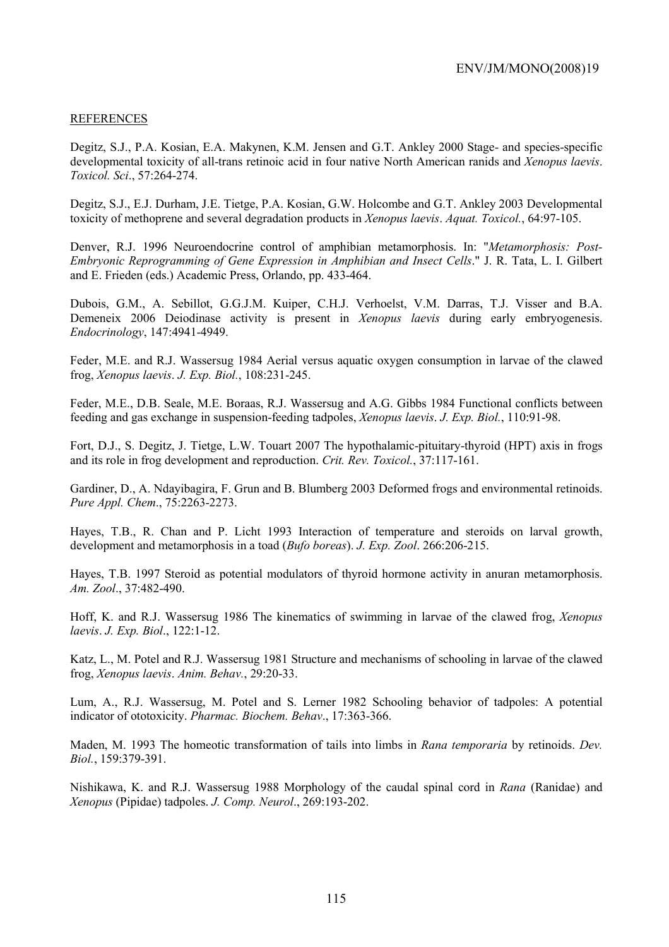#### REFERENCES

Degitz, S.J., P.A. Kosian, E.A. Makynen, K.M. Jensen and G.T. Ankley 2000 Stage- and species-specific developmental toxicity of all-trans retinoic acid in four native North American ranids and *Xenopus laevis*. *Toxicol. Sci*., 57:264-274.

Degitz, S.J., E.J. Durham, J.E. Tietge, P.A. Kosian, G.W. Holcombe and G.T. Ankley 2003 Developmental toxicity of methoprene and several degradation products in *Xenopus laevis*. *Aquat. Toxicol.*, 64:97-105.

Denver, R.J. 1996 Neuroendocrine control of amphibian metamorphosis. In: "*Metamorphosis: Post-Embryonic Reprogramming of Gene Expression in Amphibian and Insect Cells*." J. R. Tata, L. I. Gilbert and E. Frieden (eds.) Academic Press, Orlando, pp. 433-464.

Dubois, G.M., A. Sebillot, G.G.J.M. Kuiper, C.H.J. Verhoelst, V.M. Darras, T.J. Visser and B.A. Demeneix 2006 Deiodinase activity is present in *Xenopus laevis* during early embryogenesis. *Endocrinology*, 147:4941-4949.

Feder, M.E. and R.J. Wassersug 1984 Aerial versus aquatic oxygen consumption in larvae of the clawed frog, *Xenopus laevis*. *J. Exp. Biol.*, 108:231-245.

Feder, M.E., D.B. Seale, M.E. Boraas, R.J. Wassersug and A.G. Gibbs 1984 Functional conflicts between feeding and gas exchange in suspension-feeding tadpoles, *Xenopus laevis*. *J. Exp. Biol.*, 110:91-98.

Fort, D.J., S. Degitz, J. Tietge, L.W. Touart 2007 The hypothalamic-pituitary-thyroid (HPT) axis in frogs and its role in frog development and reproduction. *Crit. Rev. Toxicol.*, 37:117-161.

Gardiner, D., A. Ndayibagira, F. Grun and B. Blumberg 2003 Deformed frogs and environmental retinoids. *Pure Appl. Chem*., 75:2263-2273.

Hayes, T.B., R. Chan and P. Licht 1993 Interaction of temperature and steroids on larval growth, development and metamorphosis in a toad (*Bufo boreas*). *J. Exp. Zool*. 266:206-215.

Hayes, T.B. 1997 Steroid as potential modulators of thyroid hormone activity in anuran metamorphosis. *Am. Zool*., 37:482-490.

Hoff, K. and R.J. Wassersug 1986 The kinematics of swimming in larvae of the clawed frog, *Xenopus laevis*. *J. Exp. Biol*., 122:1-12.

Katz, L., M. Potel and R.J. Wassersug 1981 Structure and mechanisms of schooling in larvae of the clawed frog, *Xenopus laevis*. *Anim. Behav.*, 29:20-33.

Lum, A., R.J. Wassersug, M. Potel and S. Lerner 1982 Schooling behavior of tadpoles: A potential indicator of ototoxicity. *Pharmac. Biochem. Behav*., 17:363-366.

Maden, M. 1993 The homeotic transformation of tails into limbs in *Rana temporaria* by retinoids. *Dev. Biol.*, 159:379-391.

Nishikawa, K. and R.J. Wassersug 1988 Morphology of the caudal spinal cord in *Rana* (Ranidae) and *Xenopus* (Pipidae) tadpoles. *J. Comp. Neurol*., 269:193-202.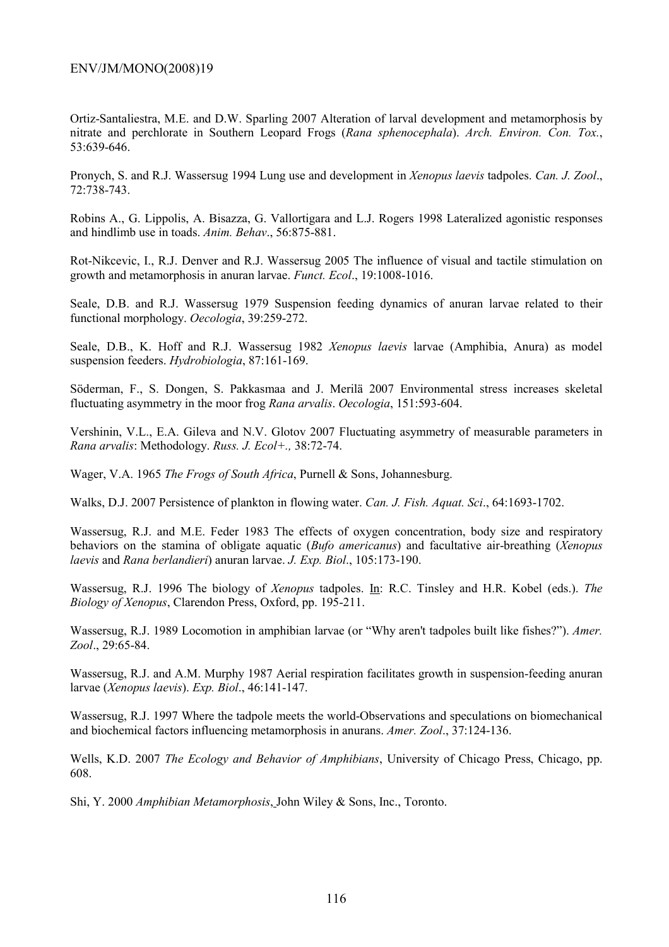Ortiz-Santaliestra, M.E. and D.W. Sparling 2007 Alteration of larval development and metamorphosis by nitrate and perchlorate in Southern Leopard Frogs (*Rana sphenocephala*). *Arch. Environ. Con. Tox.*, 53:639-646.

Pronych, S. and R.J. Wassersug 1994 Lung use and development in *Xenopus laevis* tadpoles. *Can. J. Zool*., 72:738-743.

Robins A., G. Lippolis, A. Bisazza, G. Vallortigara and L.J. Rogers 1998 Lateralized agonistic responses and hindlimb use in toads. *Anim. Behav*., 56:875-881.

Rot-Nikcevic, I., R.J. Denver and R.J. Wassersug 2005 The influence of visual and tactile stimulation on growth and metamorphosis in anuran larvae. *Funct. Ecol*., 19:1008-1016.

Seale, D.B. and R.J. Wassersug 1979 Suspension feeding dynamics of anuran larvae related to their functional morphology. *Oecologia*, 39:259-272.

Seale, D.B., K. Hoff and R.J. Wassersug 1982 *Xenopus laevis* larvae (Amphibia, Anura) as model suspension feeders. *Hydrobiologia*, 87:161-169.

Söderman, F., S. Dongen, S. Pakkasmaa and J. Merilä 2007 Environmental stress increases skeletal fluctuating asymmetry in the moor frog *Rana arvalis*. *Oecologia*, 151:593-604.

Vershinin, V.L., E.A. Gileva and N.V. Glotov 2007 Fluctuating asymmetry of measurable parameters in *Rana arvalis*: Methodology. *Russ. J. Ecol+.,* 38:72-74.

Wager, V.A. 1965 *The Frogs of South Africa*, Purnell & Sons, Johannesburg.

Walks, D.J. 2007 Persistence of plankton in flowing water. *Can. J. Fish. Aquat. Sci*., 64:1693-1702.

Wassersug, R.J. and M.E. Feder 1983 The effects of oxygen concentration, body size and respiratory behaviors on the stamina of obligate aquatic (*Bufo americanus*) and facultative air-breathing (*Xenopus laevis* and *Rana berlandieri*) anuran larvae. *J. Exp. Biol*., 105:173-190.

Wassersug, R.J. 1996 The biology of *Xenopus* tadpoles. In: R.C. Tinsley and H.R. Kobel (eds.). *The Biology of Xenopus*, Clarendon Press, Oxford, pp. 195-211.

Wassersug, R.J. 1989 Locomotion in amphibian larvae (or "Why aren't tadpoles built like fishes?"). *Amer. Zool*., 29:65-84.

Wassersug, R.J. and A.M. Murphy 1987 Aerial respiration facilitates growth in suspension-feeding anuran larvae (*Xenopus laevis*). *Exp. Biol*., 46:141-147.

Wassersug, R.J. 1997 Where the tadpole meets the world-Observations and speculations on biomechanical and biochemical factors influencing metamorphosis in anurans. *Amer. Zool*., 37:124-136.

Wells, K.D. 2007 *The Ecology and Behavior of Amphibians*, University of Chicago Press, Chicago, pp. 608.

Shi, Y. 2000 *Amphibian Metamorphosis*, John Wiley & Sons, Inc., Toronto.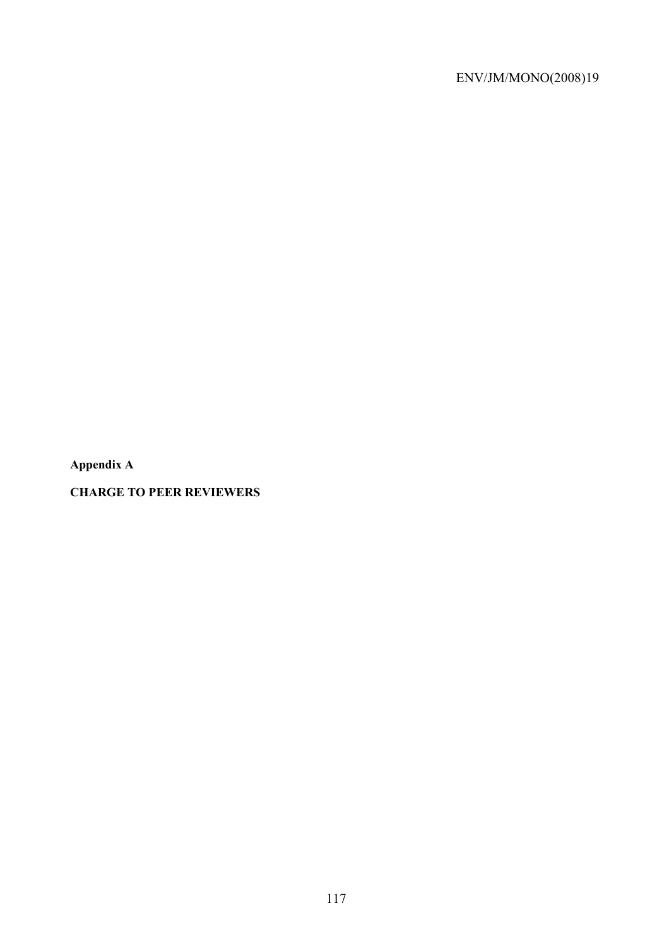**Appendix A** 

**CHARGE TO PEER REVIEWERS**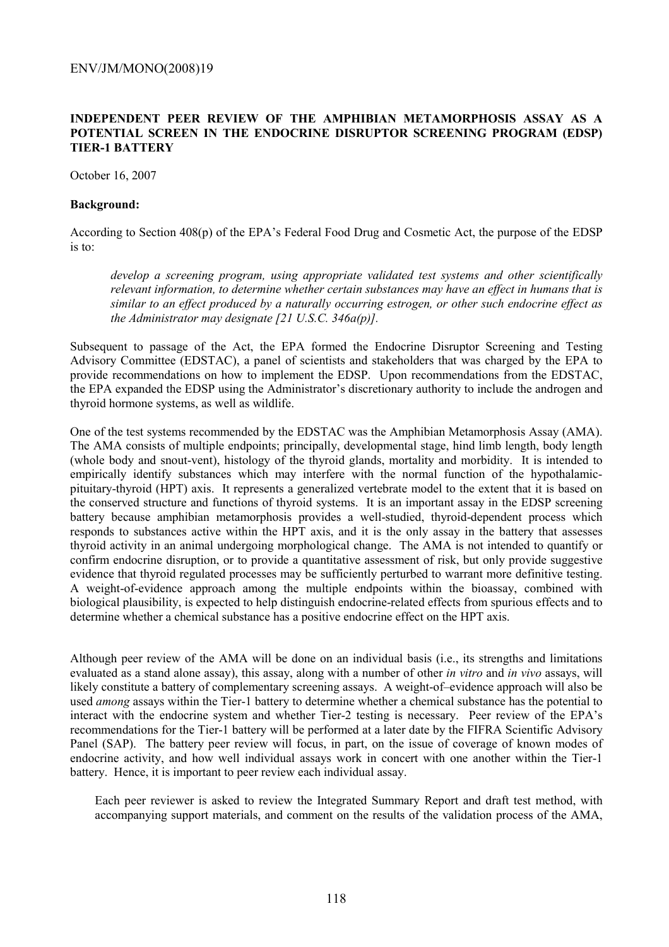## **INDEPENDENT PEER REVIEW OF THE AMPHIBIAN METAMORPHOSIS ASSAY AS A POTENTIAL SCREEN IN THE ENDOCRINE DISRUPTOR SCREENING PROGRAM (EDSP) TIER-1 BATTERY**

October 16, 2007

#### **Background:**

According to Section 408(p) of the EPA's Federal Food Drug and Cosmetic Act, the purpose of the EDSP is to:

*develop a screening program, using appropriate validated test systems and other scientifically relevant information, to determine whether certain substances may have an effect in humans that is similar to an effect produced by a naturally occurring estrogen, or other such endocrine effect as the Administrator may designate [21 U.S.C. 346a(p)].* 

Subsequent to passage of the Act, the EPA formed the Endocrine Disruptor Screening and Testing Advisory Committee (EDSTAC), a panel of scientists and stakeholders that was charged by the EPA to provide recommendations on how to implement the EDSP. Upon recommendations from the EDSTAC, the EPA expanded the EDSP using the Administrator's discretionary authority to include the androgen and thyroid hormone systems, as well as wildlife.

One of the test systems recommended by the EDSTAC was the Amphibian Metamorphosis Assay (AMA). The AMA consists of multiple endpoints; principally, developmental stage, hind limb length, body length (whole body and snout-vent), histology of the thyroid glands, mortality and morbidity. It is intended to empirically identify substances which may interfere with the normal function of the hypothalamicpituitary-thyroid (HPT) axis. It represents a generalized vertebrate model to the extent that it is based on the conserved structure and functions of thyroid systems. It is an important assay in the EDSP screening battery because amphibian metamorphosis provides a well-studied, thyroid-dependent process which responds to substances active within the HPT axis, and it is the only assay in the battery that assesses thyroid activity in an animal undergoing morphological change. The AMA is not intended to quantify or confirm endocrine disruption, or to provide a quantitative assessment of risk, but only provide suggestive evidence that thyroid regulated processes may be sufficiently perturbed to warrant more definitive testing. A weight-of-evidence approach among the multiple endpoints within the bioassay, combined with biological plausibility, is expected to help distinguish endocrine-related effects from spurious effects and to determine whether a chemical substance has a positive endocrine effect on the HPT axis.

Although peer review of the AMA will be done on an individual basis (i.e., its strengths and limitations evaluated as a stand alone assay), this assay, along with a number of other *in vitro* and *in vivo* assays, will likely constitute a battery of complementary screening assays. A weight-of–evidence approach will also be used *among* assays within the Tier-1 battery to determine whether a chemical substance has the potential to interact with the endocrine system and whether Tier-2 testing is necessary. Peer review of the EPA's recommendations for the Tier-1 battery will be performed at a later date by the FIFRA Scientific Advisory Panel (SAP). The battery peer review will focus, in part, on the issue of coverage of known modes of endocrine activity, and how well individual assays work in concert with one another within the Tier-1 battery. Hence, it is important to peer review each individual assay.

Each peer reviewer is asked to review the Integrated Summary Report and draft test method, with accompanying support materials, and comment on the results of the validation process of the AMA,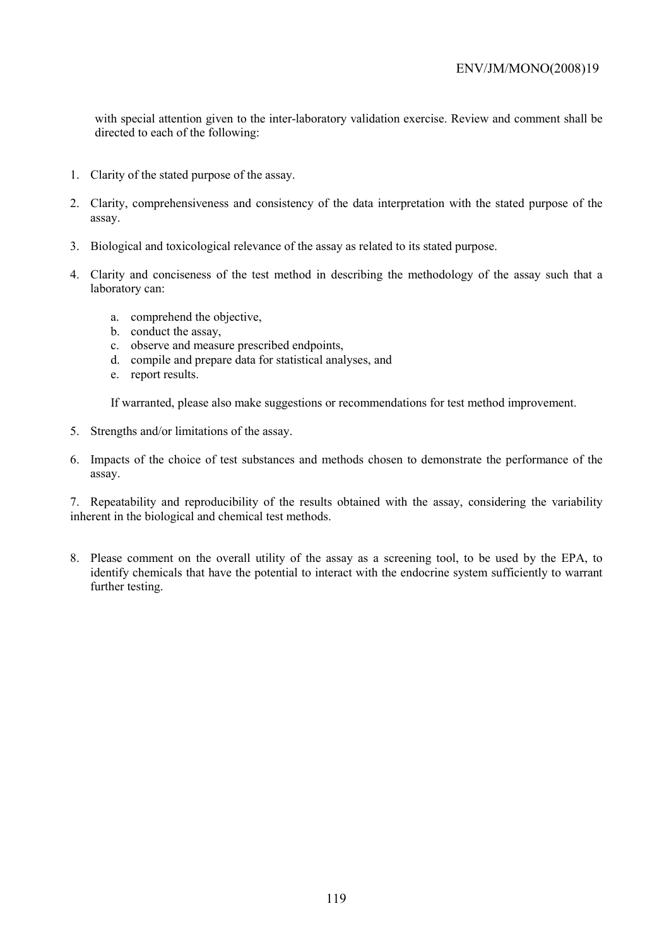with special attention given to the inter-laboratory validation exercise. Review and comment shall be directed to each of the following:

- 1. Clarity of the stated purpose of the assay.
- 2. Clarity, comprehensiveness and consistency of the data interpretation with the stated purpose of the assay.
- 3. Biological and toxicological relevance of the assay as related to its stated purpose.
- 4. Clarity and conciseness of the test method in describing the methodology of the assay such that a laboratory can:
	- a. comprehend the objective,
	- b. conduct the assay,
	- c. observe and measure prescribed endpoints,
	- d. compile and prepare data for statistical analyses, and
	- e. report results.

If warranted, please also make suggestions or recommendations for test method improvement.

- 5. Strengths and/or limitations of the assay.
- 6. Impacts of the choice of test substances and methods chosen to demonstrate the performance of the assay.

7. Repeatability and reproducibility of the results obtained with the assay, considering the variability inherent in the biological and chemical test methods.

8. Please comment on the overall utility of the assay as a screening tool, to be used by the EPA, to identify chemicals that have the potential to interact with the endocrine system sufficiently to warrant further testing.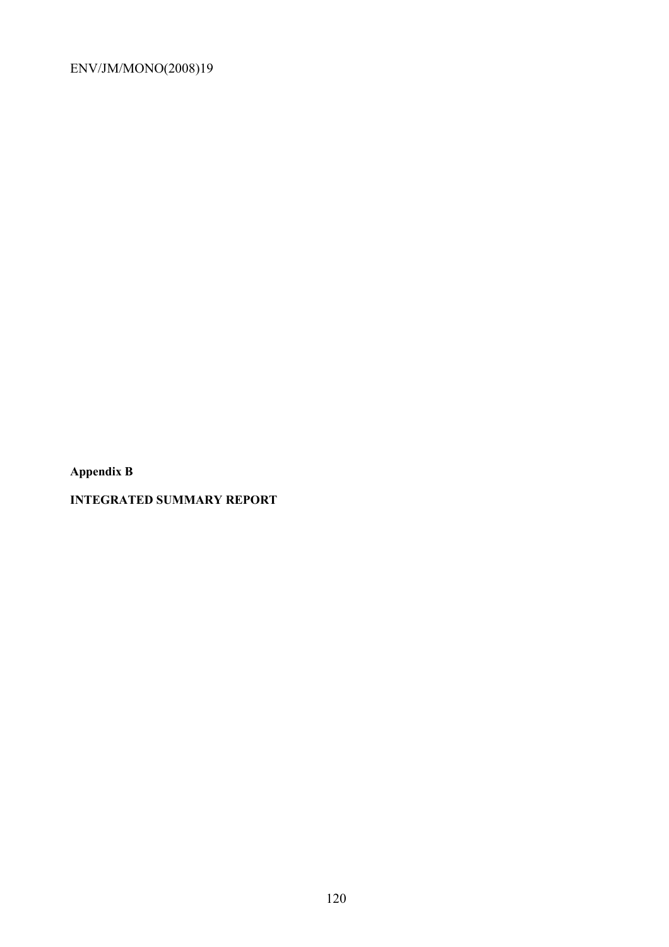**Appendix B** 

**INTEGRATED SUMMARY REPORT**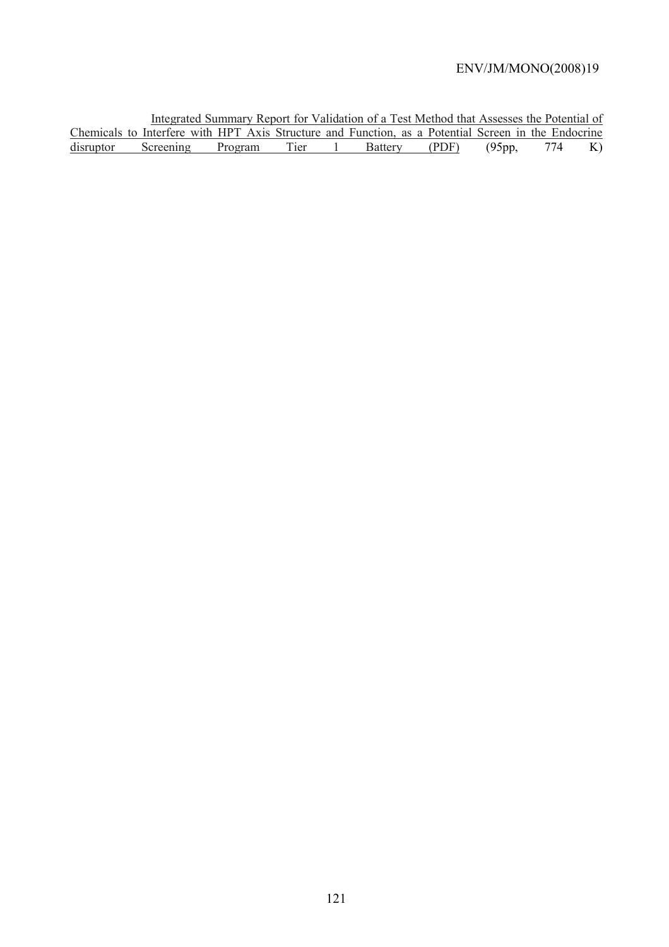|                  | Integrated Summary Report for Validation of a Test Method that Assesses the Potential of            |      |         |       |                  |     |    |
|------------------|-----------------------------------------------------------------------------------------------------|------|---------|-------|------------------|-----|----|
|                  | Chemicals to Interfere with HPT Axis Structure and Function, as a Potential Screen in the Endocrine |      |         |       |                  |     |    |
| <u>disruptor</u> | Screening Program                                                                                   | Tier | Battery | (PDF) | $(95 \text{pp},$ | 774 | K) |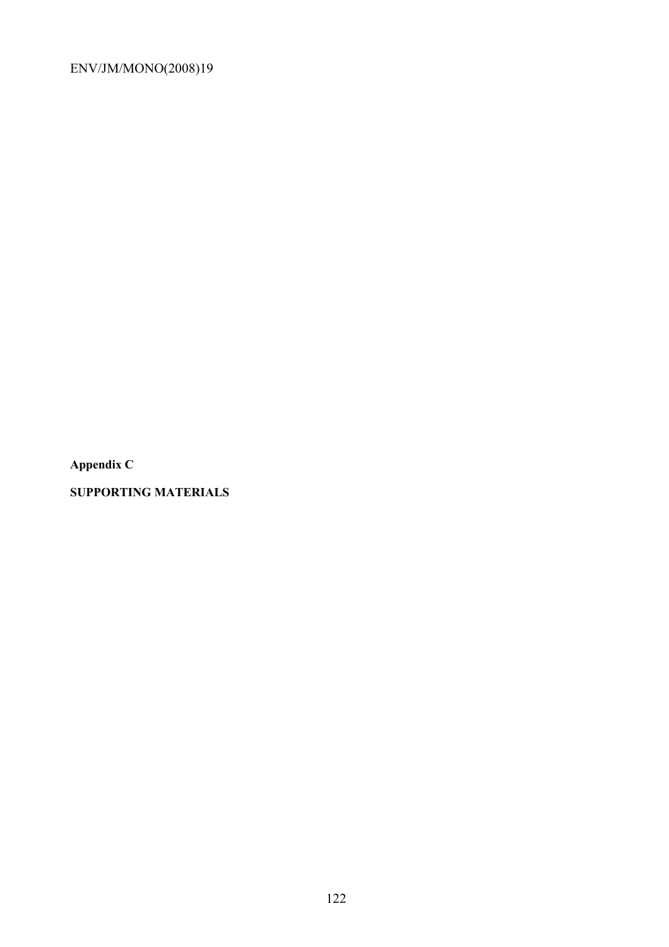**Appendix C** 

**SUPPORTING MATERIALS**